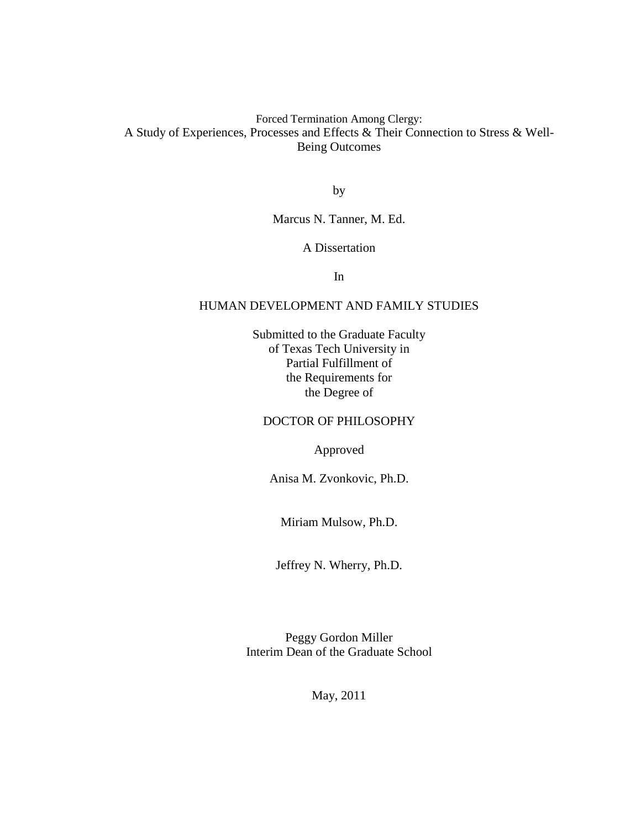Forced Termination Among Clergy: A Study of Experiences, Processes and Effects & Their Connection to Stress & Well-Being Outcomes

by

Marcus N. Tanner, M. Ed.

#### A Dissertation

In

### HUMAN DEVELOPMENT AND FAMILY STUDIES

Submitted to the Graduate Faculty of Texas Tech University in Partial Fulfillment of the Requirements for the Degree of

## DOCTOR OF PHILOSOPHY

Approved

Anisa M. Zvonkovic, Ph.D.

Miriam Mulsow, Ph.D.

Jeffrey N. Wherry, Ph.D.

Peggy Gordon Miller Interim Dean of the Graduate School

May, 2011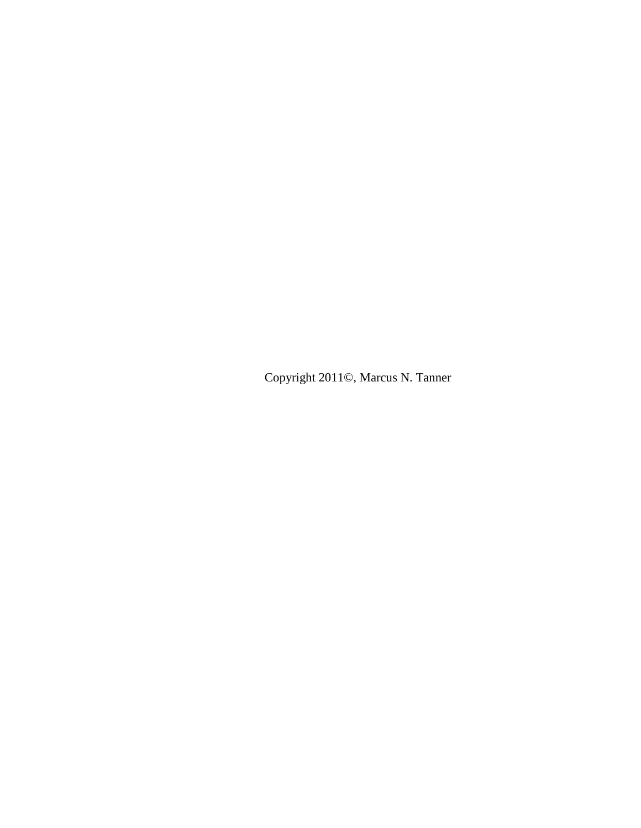Copyright 2011©, Marcus N. Tanner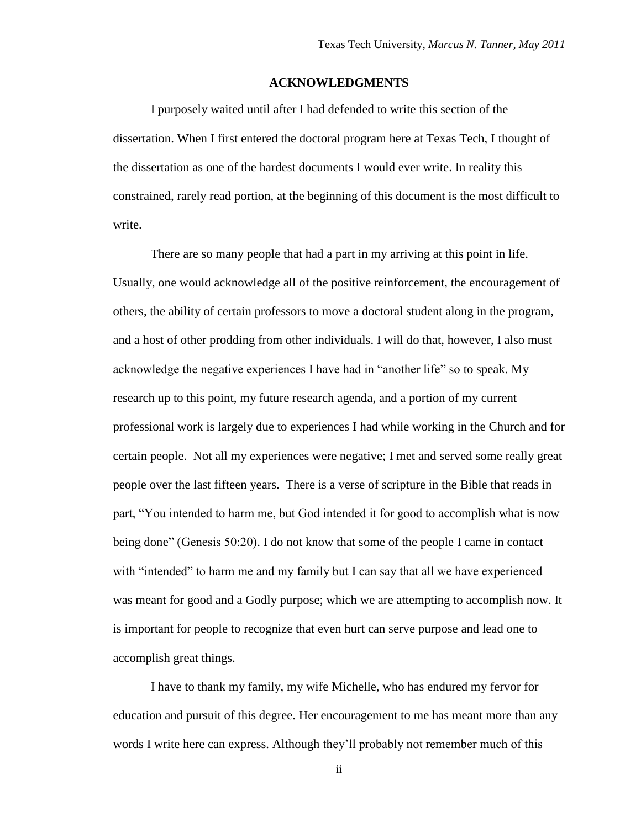#### **ACKNOWLEDGMENTS**

<span id="page-2-0"></span>I purposely waited until after I had defended to write this section of the dissertation. When I first entered the doctoral program here at Texas Tech, I thought of the dissertation as one of the hardest documents I would ever write. In reality this constrained, rarely read portion, at the beginning of this document is the most difficult to write.

There are so many people that had a part in my arriving at this point in life. Usually, one would acknowledge all of the positive reinforcement, the encouragement of others, the ability of certain professors to move a doctoral student along in the program, and a host of other prodding from other individuals. I will do that, however, I also must acknowledge the negative experiences I have had in "another life" so to speak. My research up to this point, my future research agenda, and a portion of my current professional work is largely due to experiences I had while working in the Church and for certain people. Not all my experiences were negative; I met and served some really great people over the last fifteen years. There is a verse of scripture in the Bible that reads in part, "You intended to harm me, but God intended it for good to accomplish what is now being done" (Genesis 50:20). I do not know that some of the people I came in contact with "intended" to harm me and my family but I can say that all we have experienced was meant for good and a Godly purpose; which we are attempting to accomplish now. It is important for people to recognize that even hurt can serve purpose and lead one to accomplish great things.

I have to thank my family, my wife Michelle, who has endured my fervor for education and pursuit of this degree. Her encouragement to me has meant more than any words I write here can express. Although they"ll probably not remember much of this

ii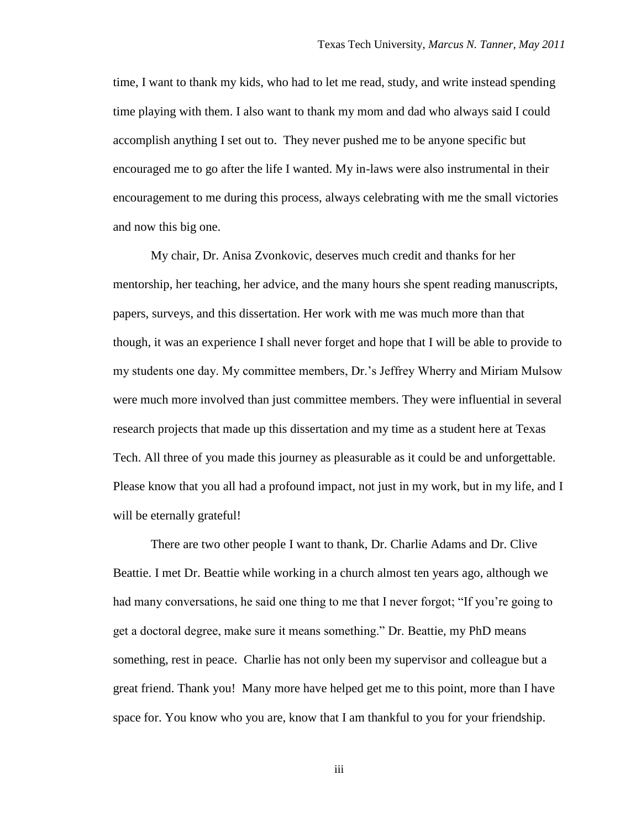time, I want to thank my kids, who had to let me read, study, and write instead spending time playing with them. I also want to thank my mom and dad who always said I could accomplish anything I set out to. They never pushed me to be anyone specific but encouraged me to go after the life I wanted. My in-laws were also instrumental in their encouragement to me during this process, always celebrating with me the small victories and now this big one.

My chair, Dr. Anisa Zvonkovic, deserves much credit and thanks for her mentorship, her teaching, her advice, and the many hours she spent reading manuscripts, papers, surveys, and this dissertation. Her work with me was much more than that though, it was an experience I shall never forget and hope that I will be able to provide to my students one day. My committee members, Dr."s Jeffrey Wherry and Miriam Mulsow were much more involved than just committee members. They were influential in several research projects that made up this dissertation and my time as a student here at Texas Tech. All three of you made this journey as pleasurable as it could be and unforgettable. Please know that you all had a profound impact, not just in my work, but in my life, and I will be eternally grateful!

There are two other people I want to thank, Dr. Charlie Adams and Dr. Clive Beattie. I met Dr. Beattie while working in a church almost ten years ago, although we had many conversations, he said one thing to me that I never forgot; "If you're going to get a doctoral degree, make sure it means something." Dr. Beattie, my PhD means something, rest in peace. Charlie has not only been my supervisor and colleague but a great friend. Thank you! Many more have helped get me to this point, more than I have space for. You know who you are, know that I am thankful to you for your friendship.

iii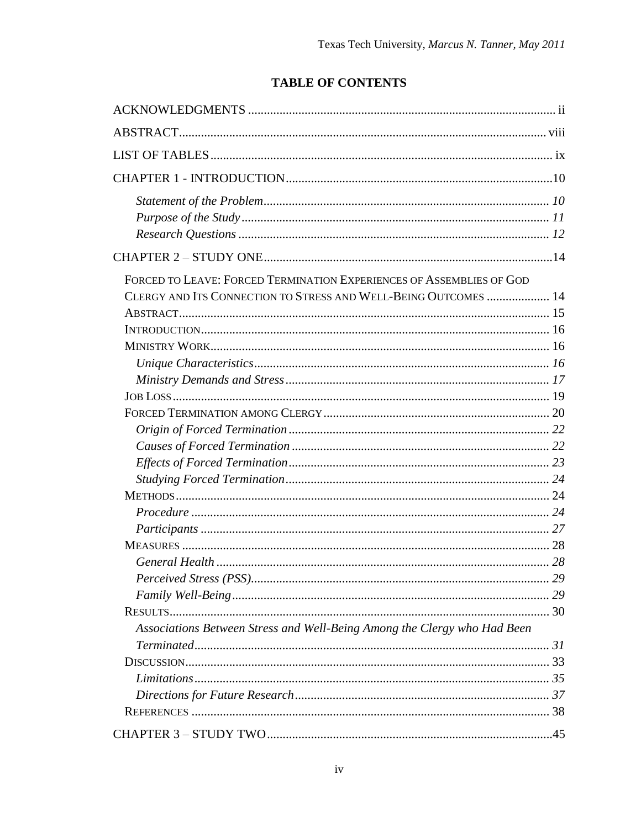## **TABLE OF CONTENTS**

| FORCED TO LEAVE: FORCED TERMINATION EXPERIENCES OF ASSEMBLIES OF GOD     |    |
|--------------------------------------------------------------------------|----|
| CLERGY AND ITS CONNECTION TO STRESS AND WELL-BEING OUTCOMES  14          |    |
|                                                                          |    |
|                                                                          |    |
|                                                                          |    |
|                                                                          |    |
|                                                                          |    |
|                                                                          |    |
|                                                                          |    |
|                                                                          |    |
|                                                                          |    |
|                                                                          |    |
|                                                                          |    |
|                                                                          |    |
|                                                                          |    |
|                                                                          |    |
|                                                                          |    |
|                                                                          |    |
|                                                                          | 29 |
|                                                                          |    |
|                                                                          |    |
| Associations Between Stress and Well-Being Among the Clergy who Had Been |    |
|                                                                          |    |
|                                                                          |    |
|                                                                          |    |
|                                                                          |    |
|                                                                          |    |
|                                                                          |    |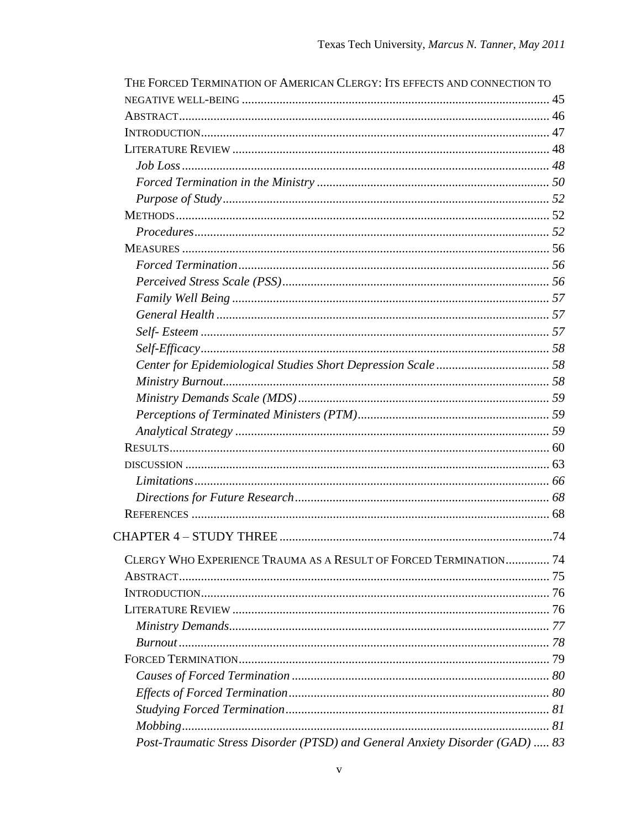| THE FORCED TERMINATION OF AMERICAN CLERGY: ITS EFFECTS AND CONNECTION TO     |  |
|------------------------------------------------------------------------------|--|
|                                                                              |  |
|                                                                              |  |
|                                                                              |  |
|                                                                              |  |
| $Job\ Loss\ {.188}$                                                          |  |
|                                                                              |  |
|                                                                              |  |
|                                                                              |  |
|                                                                              |  |
|                                                                              |  |
|                                                                              |  |
|                                                                              |  |
|                                                                              |  |
|                                                                              |  |
|                                                                              |  |
|                                                                              |  |
|                                                                              |  |
|                                                                              |  |
|                                                                              |  |
|                                                                              |  |
|                                                                              |  |
|                                                                              |  |
|                                                                              |  |
|                                                                              |  |
|                                                                              |  |
|                                                                              |  |
|                                                                              |  |
|                                                                              |  |
| CLERGY WHO EXPERIENCE TRAUMA AS A RESULT OF FORCED TERMINATION 74            |  |
|                                                                              |  |
|                                                                              |  |
|                                                                              |  |
|                                                                              |  |
|                                                                              |  |
|                                                                              |  |
|                                                                              |  |
|                                                                              |  |
|                                                                              |  |
|                                                                              |  |
| Post-Traumatic Stress Disorder (PTSD) and General Anxiety Disorder (GAD)  83 |  |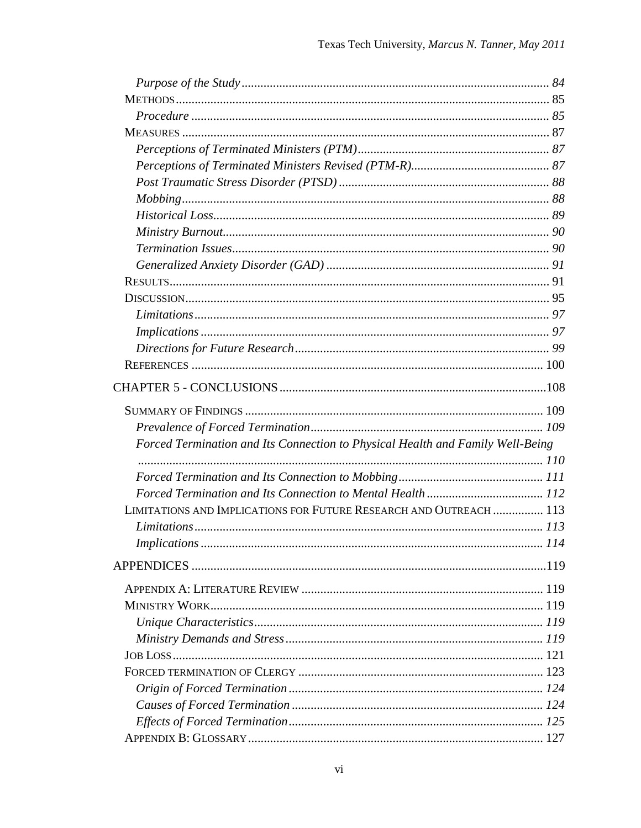| Forced Termination and Its Connection to Physical Health and Family Well-Being |     |
|--------------------------------------------------------------------------------|-----|
|                                                                                |     |
|                                                                                |     |
|                                                                                |     |
| LIMITATIONS AND IMPLICATIONS FOR FUTURE RESEARCH AND OUTREACH  113             |     |
|                                                                                |     |
| <b>Implications</b>                                                            | 114 |
|                                                                                |     |
|                                                                                |     |
|                                                                                |     |
|                                                                                |     |
|                                                                                |     |
|                                                                                |     |
|                                                                                |     |
|                                                                                |     |
|                                                                                |     |
|                                                                                |     |
|                                                                                |     |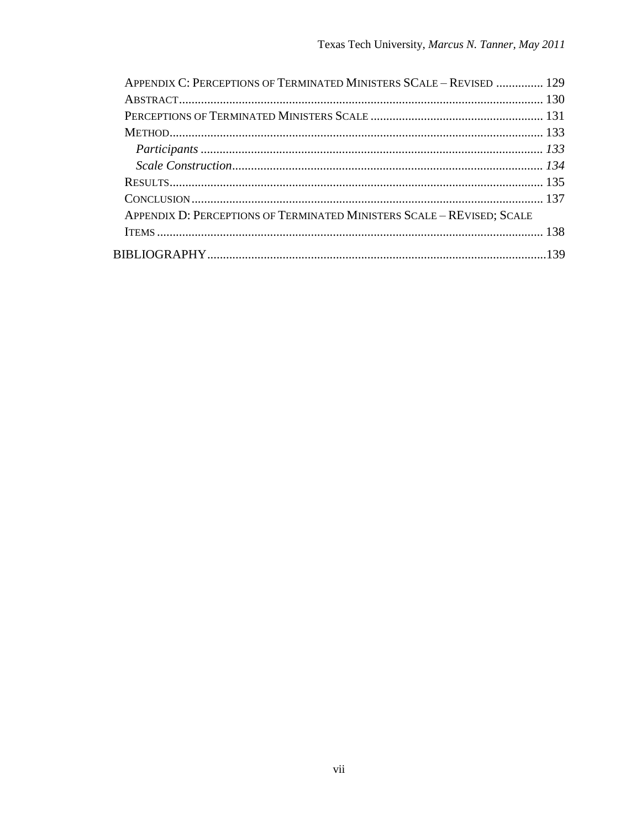| APPENDIX C: PERCEPTIONS OF TERMINATED MINISTERS SCALE - REVISED  129   |  |
|------------------------------------------------------------------------|--|
|                                                                        |  |
|                                                                        |  |
|                                                                        |  |
|                                                                        |  |
|                                                                        |  |
|                                                                        |  |
|                                                                        |  |
| APPENDIX D: PERCEPTIONS OF TERMINATED MINISTERS SCALE - REVISED; SCALE |  |
|                                                                        |  |
|                                                                        |  |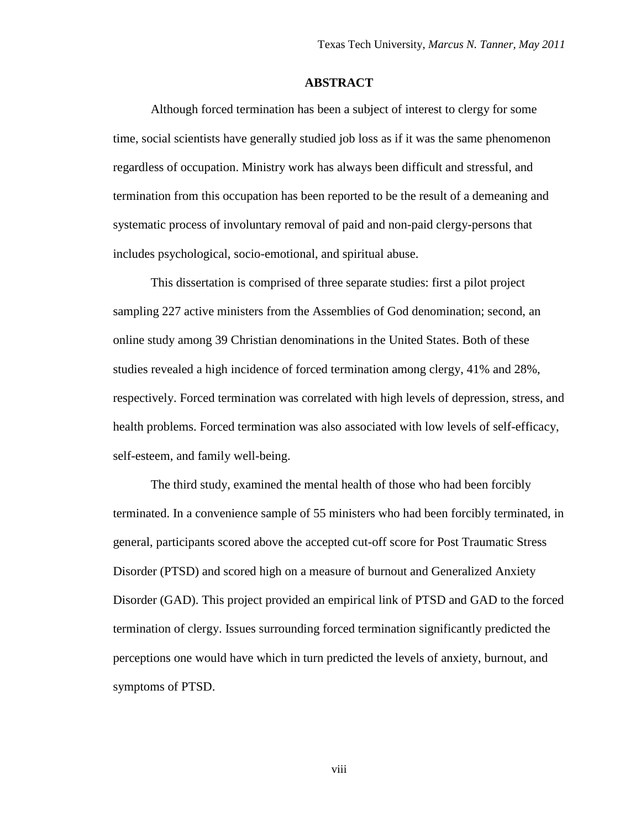#### **ABSTRACT**

<span id="page-8-0"></span>Although forced termination has been a subject of interest to clergy for some time, social scientists have generally studied job loss as if it was the same phenomenon regardless of occupation. Ministry work has always been difficult and stressful, and termination from this occupation has been reported to be the result of a demeaning and systematic process of involuntary removal of paid and non-paid clergy-persons that includes psychological, socio-emotional, and spiritual abuse.

This dissertation is comprised of three separate studies: first a pilot project sampling 227 active ministers from the Assemblies of God denomination; second, an online study among 39 Christian denominations in the United States. Both of these studies revealed a high incidence of forced termination among clergy, 41% and 28%, respectively. Forced termination was correlated with high levels of depression, stress, and health problems. Forced termination was also associated with low levels of self-efficacy, self-esteem, and family well-being.

The third study, examined the mental health of those who had been forcibly terminated. In a convenience sample of 55 ministers who had been forcibly terminated, in general, participants scored above the accepted cut-off score for Post Traumatic Stress Disorder (PTSD) and scored high on a measure of burnout and Generalized Anxiety Disorder (GAD). This project provided an empirical link of PTSD and GAD to the forced termination of clergy. Issues surrounding forced termination significantly predicted the perceptions one would have which in turn predicted the levels of anxiety, burnout, and symptoms of PTSD.

viii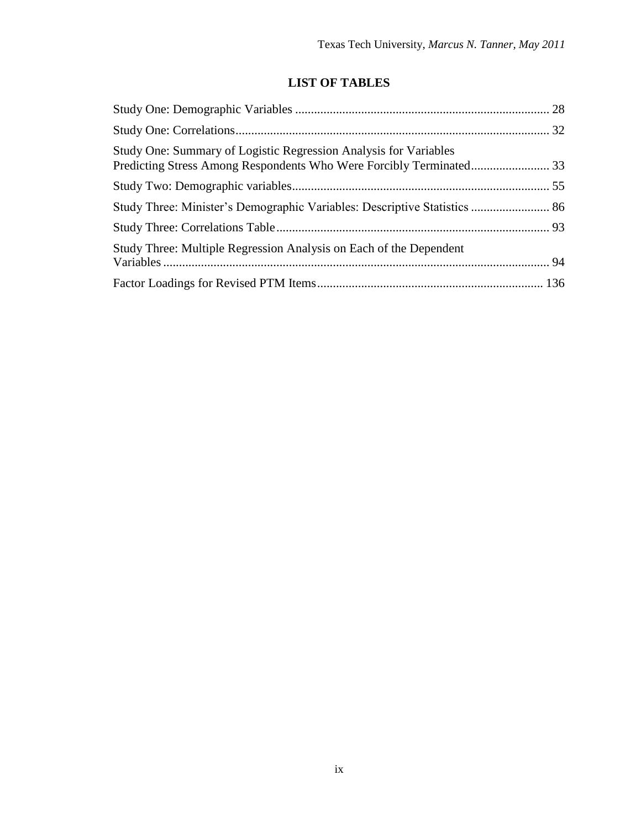## **LIST OF TABLES**

<span id="page-9-0"></span>

| Study One: Summary of Logistic Regression Analysis for Variables   |  |
|--------------------------------------------------------------------|--|
|                                                                    |  |
|                                                                    |  |
|                                                                    |  |
| Study Three: Multiple Regression Analysis on Each of the Dependent |  |
|                                                                    |  |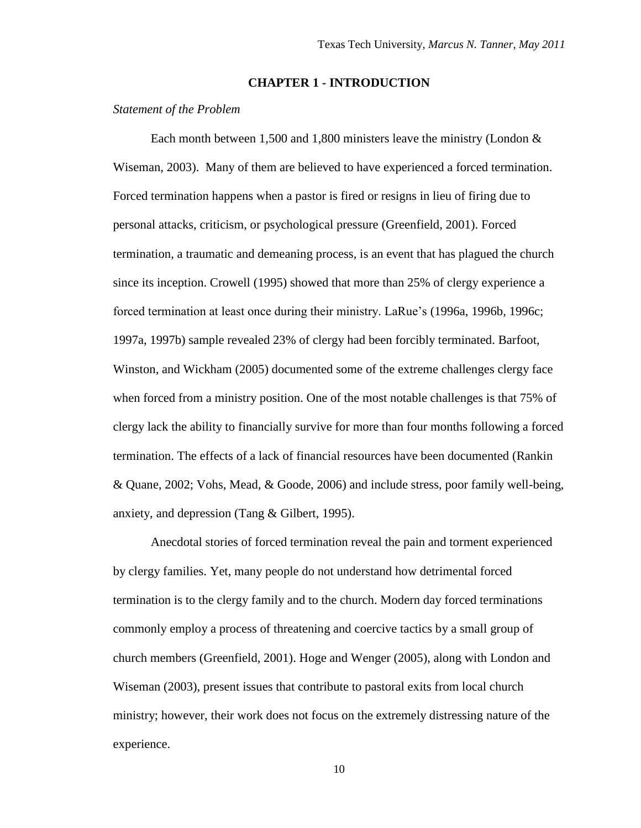#### **CHAPTER 1 - INTRODUCTION**

#### <span id="page-10-1"></span><span id="page-10-0"></span>*Statement of the Problem*

Each month between 1,500 and 1,800 ministers leave the ministry (London  $\&$ Wiseman, 2003). Many of them are believed to have experienced a forced termination. Forced termination happens when a pastor is fired or resigns in lieu of firing due to personal attacks, criticism, or psychological pressure (Greenfield, 2001). Forced termination, a traumatic and demeaning process, is an event that has plagued the church since its inception. Crowell (1995) showed that more than 25% of clergy experience a forced termination at least once during their ministry. LaRue"s (1996a, 1996b, 1996c; 1997a, 1997b) sample revealed 23% of clergy had been forcibly terminated. Barfoot, Winston, and Wickham (2005) documented some of the extreme challenges clergy face when forced from a ministry position. One of the most notable challenges is that 75% of clergy lack the ability to financially survive for more than four months following a forced termination. The effects of a lack of financial resources have been documented (Rankin & Quane, 2002; Vohs, Mead, & Goode, 2006) and include stress, poor family well-being, anxiety, and depression (Tang & Gilbert, 1995).

Anecdotal stories of forced termination reveal the pain and torment experienced by clergy families. Yet, many people do not understand how detrimental forced termination is to the clergy family and to the church. Modern day forced terminations commonly employ a process of threatening and coercive tactics by a small group of church members (Greenfield, 2001). Hoge and Wenger (2005), along with London and Wiseman (2003), present issues that contribute to pastoral exits from local church ministry; however, their work does not focus on the extremely distressing nature of the experience.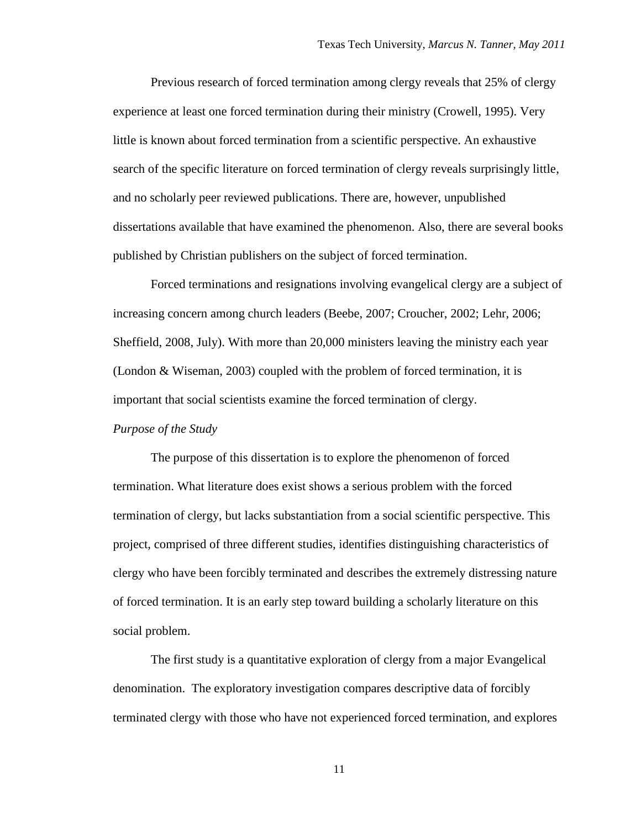Previous research of forced termination among clergy reveals that 25% of clergy experience at least one forced termination during their ministry (Crowell, 1995). Very little is known about forced termination from a scientific perspective. An exhaustive search of the specific literature on forced termination of clergy reveals surprisingly little, and no scholarly peer reviewed publications. There are, however, unpublished dissertations available that have examined the phenomenon. Also, there are several books published by Christian publishers on the subject of forced termination.

Forced terminations and resignations involving evangelical clergy are a subject of increasing concern among church leaders (Beebe, 2007; Croucher, 2002; Lehr, 2006; Sheffield, 2008, July). With more than 20,000 ministers leaving the ministry each year (London & Wiseman, 2003) coupled with the problem of forced termination, it is important that social scientists examine the forced termination of clergy.

#### <span id="page-11-0"></span>*Purpose of the Study*

The purpose of this dissertation is to explore the phenomenon of forced termination. What literature does exist shows a serious problem with the forced termination of clergy, but lacks substantiation from a social scientific perspective. This project, comprised of three different studies, identifies distinguishing characteristics of clergy who have been forcibly terminated and describes the extremely distressing nature of forced termination. It is an early step toward building a scholarly literature on this social problem.

The first study is a quantitative exploration of clergy from a major Evangelical denomination. The exploratory investigation compares descriptive data of forcibly terminated clergy with those who have not experienced forced termination, and explores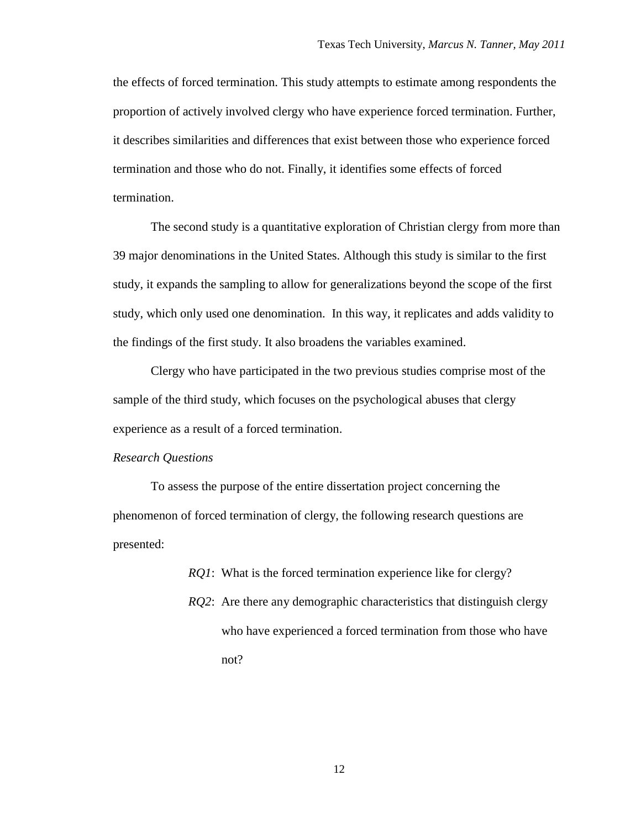the effects of forced termination. This study attempts to estimate among respondents the proportion of actively involved clergy who have experience forced termination. Further, it describes similarities and differences that exist between those who experience forced termination and those who do not. Finally, it identifies some effects of forced termination.

The second study is a quantitative exploration of Christian clergy from more than 39 major denominations in the United States. Although this study is similar to the first study, it expands the sampling to allow for generalizations beyond the scope of the first study, which only used one denomination. In this way, it replicates and adds validity to the findings of the first study. It also broadens the variables examined.

Clergy who have participated in the two previous studies comprise most of the sample of the third study, which focuses on the psychological abuses that clergy experience as a result of a forced termination.

#### <span id="page-12-0"></span>*Research Questions*

To assess the purpose of the entire dissertation project concerning the phenomenon of forced termination of clergy, the following research questions are presented:

> *RQ1*: What is the forced termination experience like for clergy? *RQ2*: Are there any demographic characteristics that distinguish clergy who have experienced a forced termination from those who have not?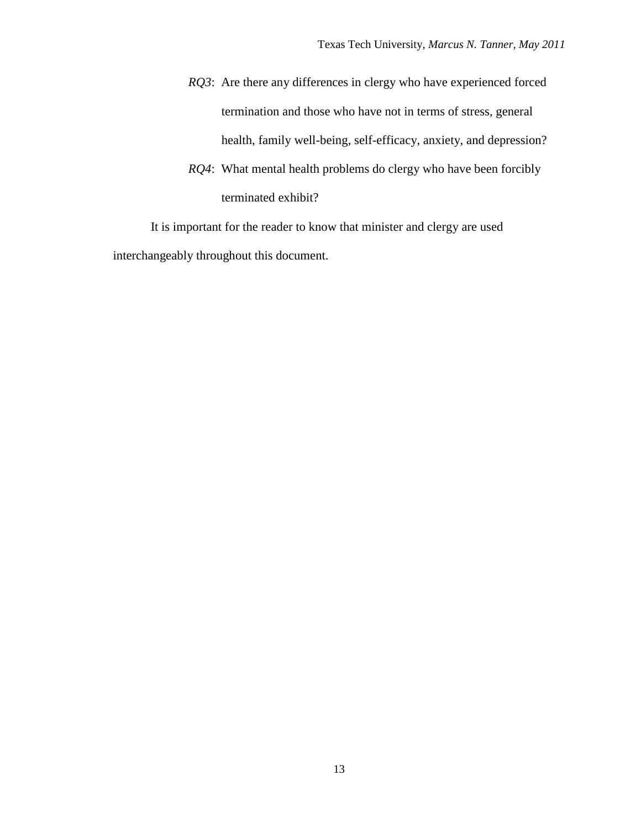- *RQ3*: Are there any differences in clergy who have experienced forced termination and those who have not in terms of stress, general health, family well-being, self-efficacy, anxiety, and depression?
- *RQ4*: What mental health problems do clergy who have been forcibly terminated exhibit?

It is important for the reader to know that minister and clergy are used interchangeably throughout this document.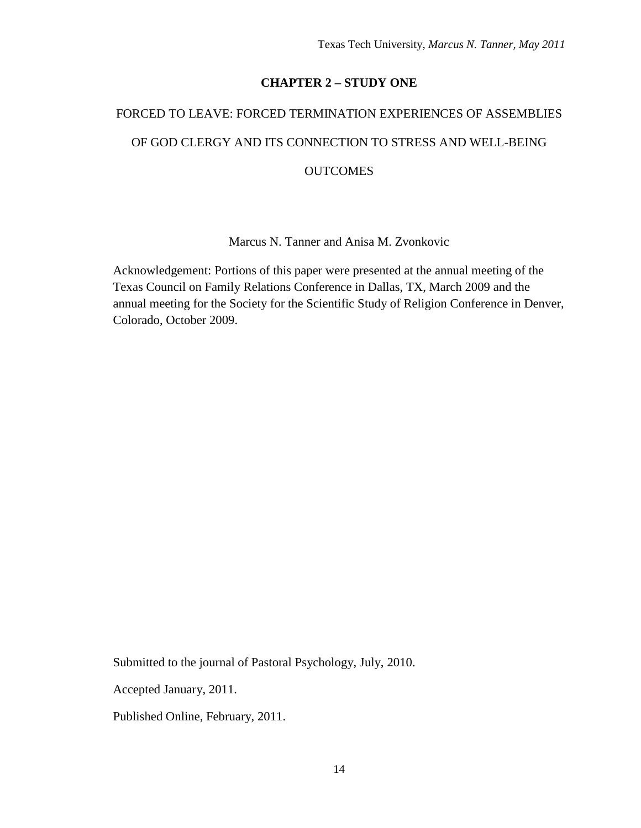## **CHAPTER 2 – STUDY ONE**

# <span id="page-14-1"></span><span id="page-14-0"></span>FORCED TO LEAVE: FORCED TERMINATION EXPERIENCES OF ASSEMBLIES OF GOD CLERGY AND ITS CONNECTION TO STRESS AND WELL-BEING **OUTCOMES**

Marcus N. Tanner and Anisa M. Zvonkovic

Acknowledgement: Portions of this paper were presented at the annual meeting of the Texas Council on Family Relations Conference in Dallas, TX, March 2009 and the annual meeting for the Society for the Scientific Study of Religion Conference in Denver, Colorado, October 2009.

Submitted to the journal of Pastoral Psychology, July, 2010.

Accepted January, 2011.

Published Online, February, 2011.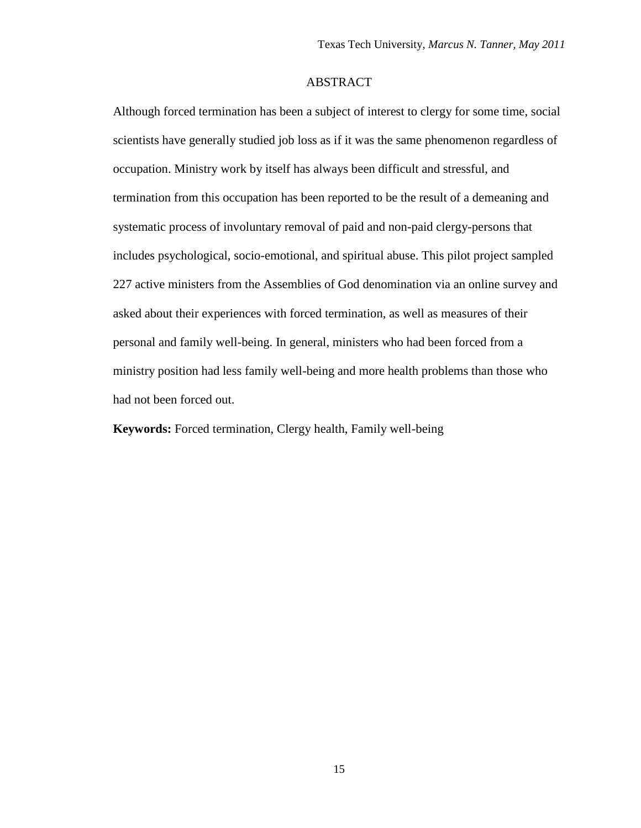#### ABSTRACT

<span id="page-15-0"></span>Although forced termination has been a subject of interest to clergy for some time, social scientists have generally studied job loss as if it was the same phenomenon regardless of occupation. Ministry work by itself has always been difficult and stressful, and termination from this occupation has been reported to be the result of a demeaning and systematic process of involuntary removal of paid and non-paid clergy-persons that includes psychological, socio-emotional, and spiritual abuse. This pilot project sampled 227 active ministers from the Assemblies of God denomination via an online survey and asked about their experiences with forced termination, as well as measures of their personal and family well-being. In general, ministers who had been forced from a ministry position had less family well-being and more health problems than those who had not been forced out.

**Keywords:** Forced termination, Clergy health, Family well-being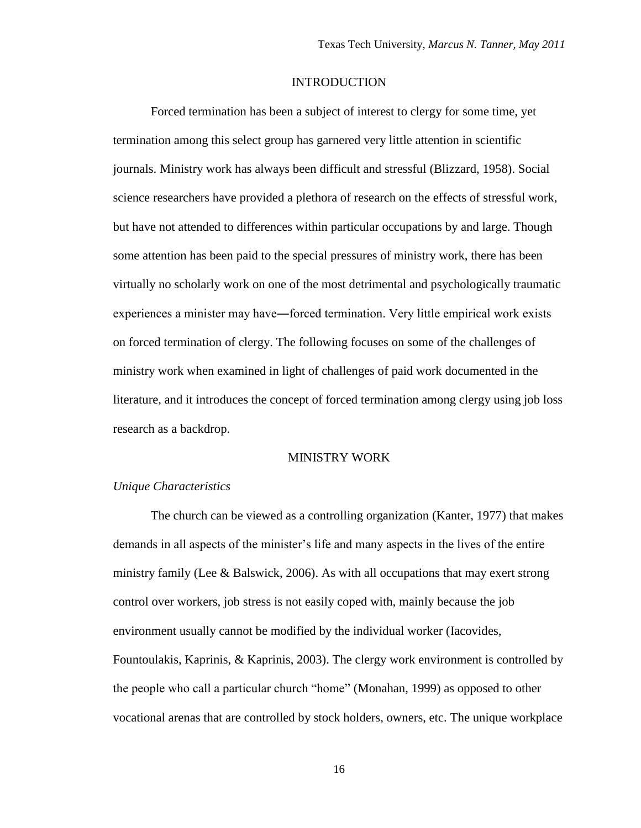#### INTRODUCTION

<span id="page-16-0"></span>Forced termination has been a subject of interest to clergy for some time, yet termination among this select group has garnered very little attention in scientific journals. Ministry work has always been difficult and stressful (Blizzard, 1958). Social science researchers have provided a plethora of research on the effects of stressful work, but have not attended to differences within particular occupations by and large. Though some attention has been paid to the special pressures of ministry work, there has been virtually no scholarly work on one of the most detrimental and psychologically traumatic experiences a minister may have―forced termination. Very little empirical work exists on forced termination of clergy. The following focuses on some of the challenges of ministry work when examined in light of challenges of paid work documented in the literature, and it introduces the concept of forced termination among clergy using job loss research as a backdrop.

#### MINISTRY WORK

#### <span id="page-16-2"></span><span id="page-16-1"></span>*Unique Characteristics*

The church can be viewed as a controlling organization (Kanter, 1977) that makes demands in all aspects of the minister"s life and many aspects in the lives of the entire ministry family (Lee & Balswick, 2006). As with all occupations that may exert strong control over workers, job stress is not easily coped with, mainly because the job environment usually cannot be modified by the individual worker (Iacovides, Fountoulakis, Kaprinis, & Kaprinis, 2003). The clergy work environment is controlled by the people who call a particular church "home" (Monahan, 1999) as opposed to other vocational arenas that are controlled by stock holders, owners, etc. The unique workplace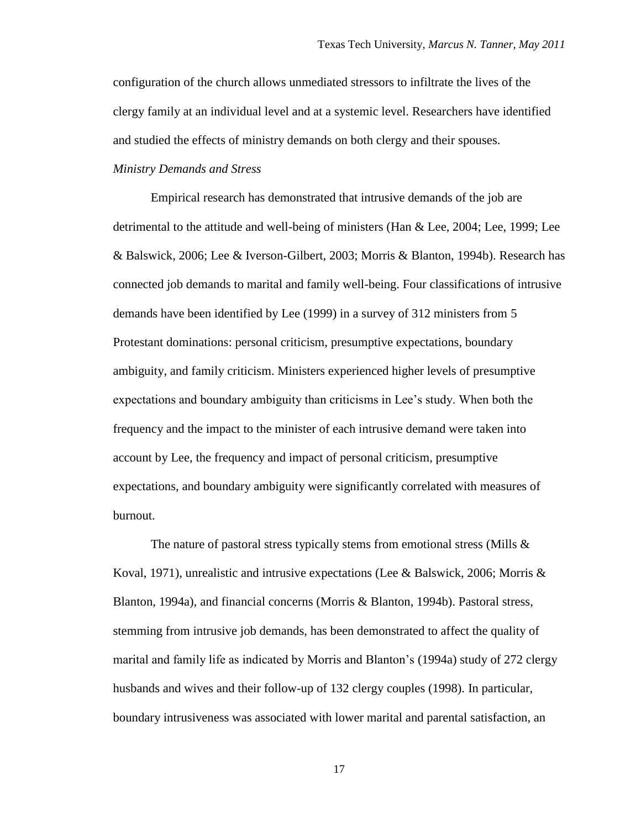configuration of the church allows unmediated stressors to infiltrate the lives of the clergy family at an individual level and at a systemic level. Researchers have identified and studied the effects of ministry demands on both clergy and their spouses.

<span id="page-17-0"></span>*Ministry Demands and Stress*

Empirical research has demonstrated that intrusive demands of the job are detrimental to the attitude and well-being of ministers (Han & Lee, 2004; Lee, 1999; Lee & Balswick, 2006; Lee & Iverson-Gilbert, 2003; Morris & Blanton, 1994b). Research has connected job demands to marital and family well-being. Four classifications of intrusive demands have been identified by Lee (1999) in a survey of 312 ministers from 5 Protestant dominations: personal criticism, presumptive expectations, boundary ambiguity, and family criticism. Ministers experienced higher levels of presumptive expectations and boundary ambiguity than criticisms in Lee"s study. When both the frequency and the impact to the minister of each intrusive demand were taken into account by Lee, the frequency and impact of personal criticism, presumptive expectations, and boundary ambiguity were significantly correlated with measures of burnout.

The nature of pastoral stress typically stems from emotional stress (Mills & Koval, 1971), unrealistic and intrusive expectations (Lee & Balswick, 2006; Morris & Blanton, 1994a), and financial concerns (Morris & Blanton, 1994b). Pastoral stress, stemming from intrusive job demands, has been demonstrated to affect the quality of marital and family life as indicated by Morris and Blanton"s (1994a) study of 272 clergy husbands and wives and their follow-up of 132 clergy couples (1998). In particular, boundary intrusiveness was associated with lower marital and parental satisfaction, an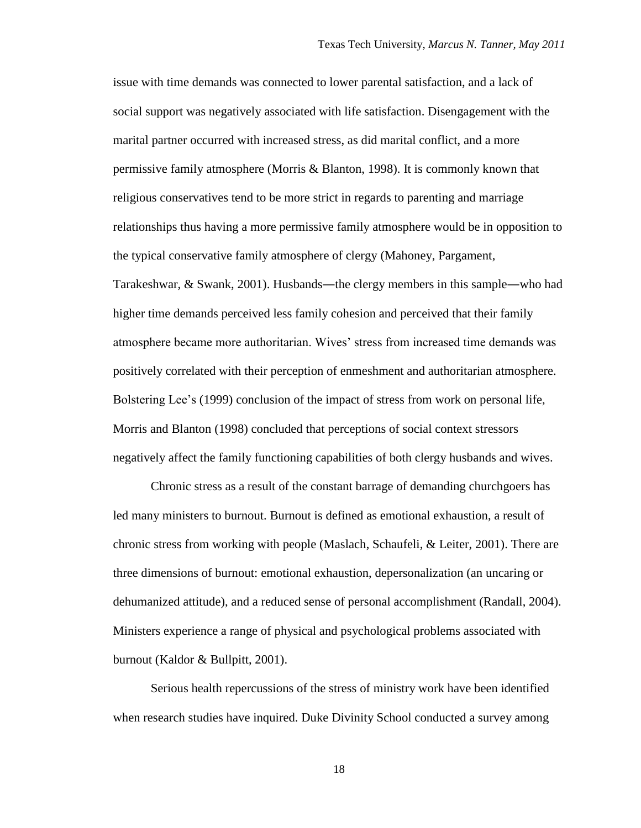issue with time demands was connected to lower parental satisfaction, and a lack of social support was negatively associated with life satisfaction. Disengagement with the marital partner occurred with increased stress, as did marital conflict, and a more permissive family atmosphere (Morris & Blanton, 1998). It is commonly known that religious conservatives tend to be more strict in regards to parenting and marriage relationships thus having a more permissive family atmosphere would be in opposition to the typical conservative family atmosphere of clergy (Mahoney, Pargament, Tarakeshwar, & Swank, 2001). Husbands―the clergy members in this sample―who had higher time demands perceived less family cohesion and perceived that their family atmosphere became more authoritarian. Wives" stress from increased time demands was positively correlated with their perception of enmeshment and authoritarian atmosphere. Bolstering Lee"s (1999) conclusion of the impact of stress from work on personal life, Morris and Blanton (1998) concluded that perceptions of social context stressors negatively affect the family functioning capabilities of both clergy husbands and wives.

Chronic stress as a result of the constant barrage of demanding churchgoers has led many ministers to burnout. Burnout is defined as emotional exhaustion, a result of chronic stress from working with people (Maslach, Schaufeli, & Leiter, 2001). There are three dimensions of burnout: emotional exhaustion, depersonalization (an uncaring or dehumanized attitude), and a reduced sense of personal accomplishment (Randall, 2004). Ministers experience a range of physical and psychological problems associated with burnout (Kaldor & Bullpitt, 2001).

Serious health repercussions of the stress of ministry work have been identified when research studies have inquired. Duke Divinity School conducted a survey among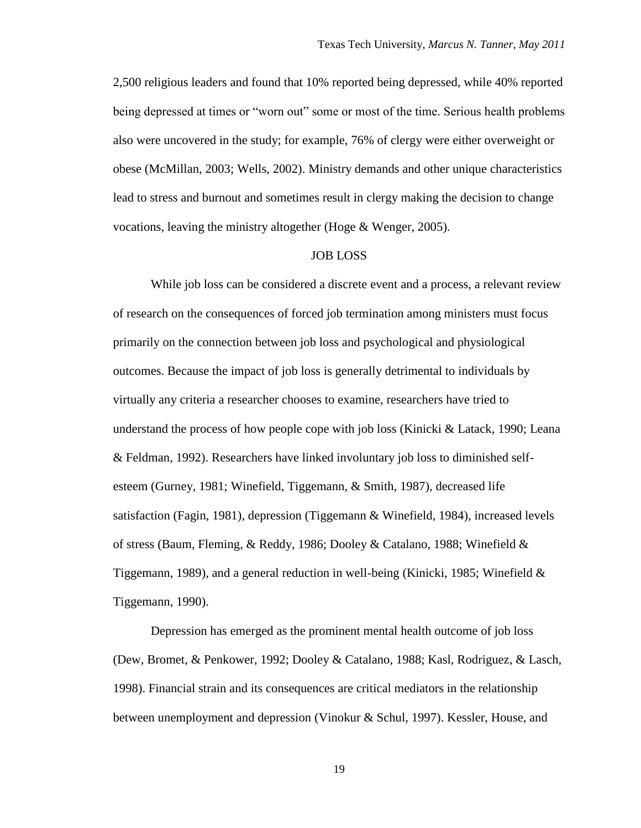2,500 religious leaders and found that 10% reported being depressed, while 40% reported being depressed at times or "worn out" some or most of the time. Serious health problems also were uncovered in the study; for example, 76% of clergy were either overweight or obese (McMillan, 2003; Wells, 2002). Ministry demands and other unique characteristics lead to stress and burnout and sometimes result in clergy making the decision to change vocations, leaving the ministry altogether (Hoge & Wenger, 2005).

#### JOB LOSS

<span id="page-19-0"></span>While job loss can be considered a discrete event and a process, a relevant review of research on the consequences of forced job termination among ministers must focus primarily on the connection between job loss and psychological and physiological outcomes. Because the impact of job loss is generally detrimental to individuals by virtually any criteria a researcher chooses to examine, researchers have tried to understand the process of how people cope with job loss (Kinicki & Latack, 1990; Leana & Feldman, 1992). Researchers have linked involuntary job loss to diminished selfesteem (Gurney, 1981; Winefield, Tiggemann, & Smith, 1987), decreased life satisfaction (Fagin, 1981), depression (Tiggemann & Winefield, 1984), increased levels of stress (Baum, Fleming, & Reddy, 1986; Dooley & Catalano, 1988; Winefield & Tiggemann, 1989), and a general reduction in well-being (Kinicki, 1985; Winefield  $\&$ Tiggemann, 1990).

Depression has emerged as the prominent mental health outcome of job loss (Dew, Bromet, & Penkower, 1992; Dooley & Catalano, 1988; Kasl, Rodriguez, & Lasch, 1998). Financial strain and its consequences are critical mediators in the relationship between unemployment and depression (Vinokur & Schul, 1997). Kessler, House, and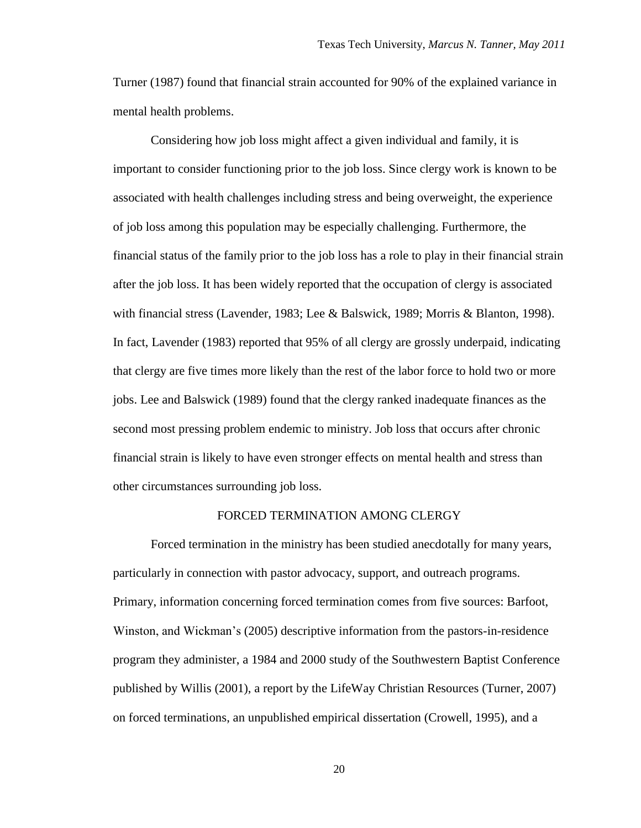Turner (1987) found that financial strain accounted for 90% of the explained variance in mental health problems.

Considering how job loss might affect a given individual and family, it is important to consider functioning prior to the job loss. Since clergy work is known to be associated with health challenges including stress and being overweight, the experience of job loss among this population may be especially challenging. Furthermore, the financial status of the family prior to the job loss has a role to play in their financial strain after the job loss. It has been widely reported that the occupation of clergy is associated with financial stress (Lavender, 1983; Lee & Balswick, 1989; Morris & Blanton, 1998). In fact, Lavender (1983) reported that 95% of all clergy are grossly underpaid, indicating that clergy are five times more likely than the rest of the labor force to hold two or more jobs. Lee and Balswick (1989) found that the clergy ranked inadequate finances as the second most pressing problem endemic to ministry. Job loss that occurs after chronic financial strain is likely to have even stronger effects on mental health and stress than other circumstances surrounding job loss.

#### FORCED TERMINATION AMONG CLERGY

<span id="page-20-0"></span>Forced termination in the ministry has been studied anecdotally for many years, particularly in connection with pastor advocacy, support, and outreach programs. Primary, information concerning forced termination comes from five sources: Barfoot, Winston, and Wickman"s (2005) descriptive information from the pastors-in-residence program they administer, a 1984 and 2000 study of the Southwestern Baptist Conference published by Willis (2001), a report by the LifeWay Christian Resources (Turner, 2007) on forced terminations, an unpublished empirical dissertation (Crowell, 1995), and a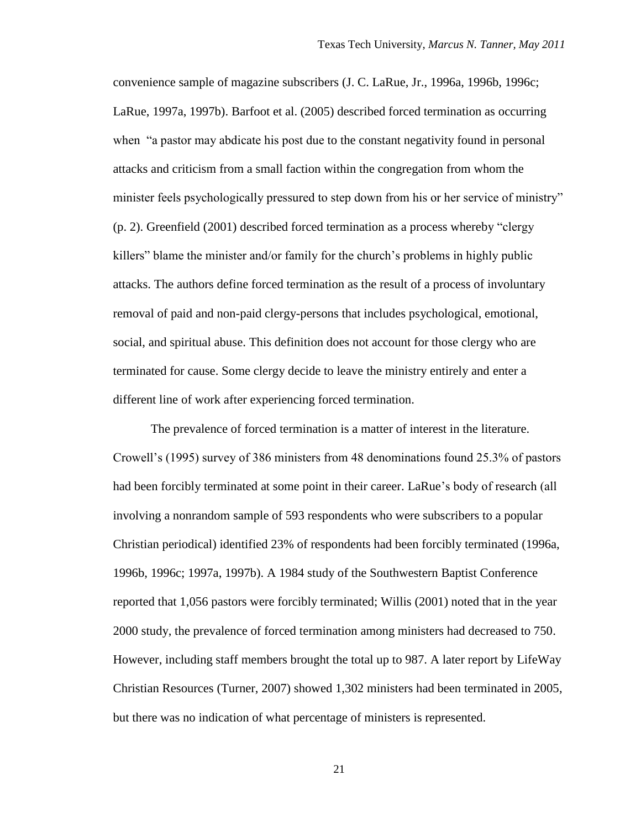convenience sample of magazine subscribers (J. C. LaRue, Jr., 1996a, 1996b, 1996c; LaRue, 1997a, 1997b). Barfoot et al. (2005) described forced termination as occurring when "a pastor may abdicate his post due to the constant negativity found in personal attacks and criticism from a small faction within the congregation from whom the minister feels psychologically pressured to step down from his or her service of ministry" (p. 2). Greenfield (2001) described forced termination as a process whereby "clergy killers" blame the minister and/or family for the church"s problems in highly public attacks. The authors define forced termination as the result of a process of involuntary removal of paid and non-paid clergy-persons that includes psychological, emotional, social, and spiritual abuse. This definition does not account for those clergy who are terminated for cause. Some clergy decide to leave the ministry entirely and enter a different line of work after experiencing forced termination.

The prevalence of forced termination is a matter of interest in the literature. Crowell"s (1995) survey of 386 ministers from 48 denominations found 25.3% of pastors had been forcibly terminated at some point in their career. LaRue's body of research (all involving a nonrandom sample of 593 respondents who were subscribers to a popular Christian periodical) identified 23% of respondents had been forcibly terminated (1996a, 1996b, 1996c; 1997a, 1997b). A 1984 study of the Southwestern Baptist Conference reported that 1,056 pastors were forcibly terminated; Willis (2001) noted that in the year 2000 study, the prevalence of forced termination among ministers had decreased to 750. However, including staff members brought the total up to 987. A later report by LifeWay Christian Resources (Turner, 2007) showed 1,302 ministers had been terminated in 2005, but there was no indication of what percentage of ministers is represented.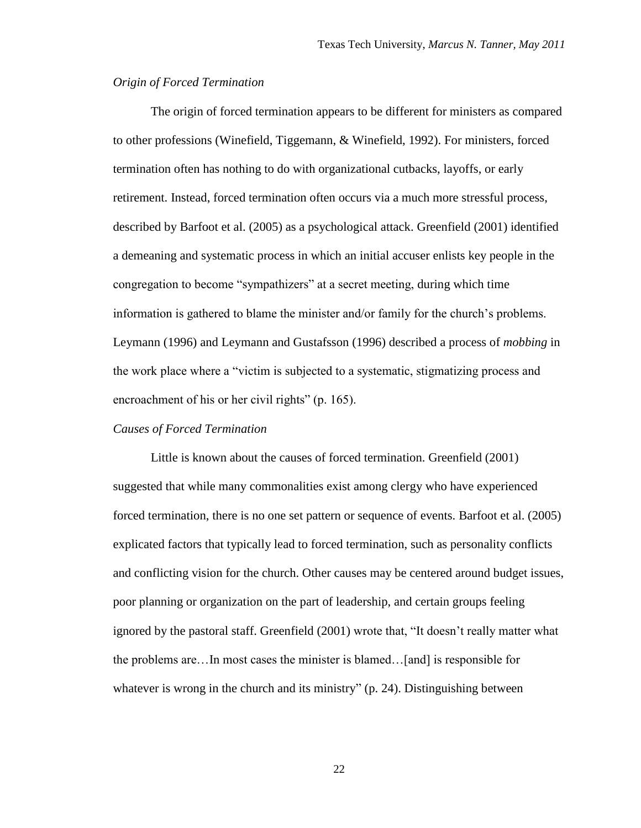#### <span id="page-22-0"></span>*Origin of Forced Termination*

The origin of forced termination appears to be different for ministers as compared to other professions (Winefield, Tiggemann, & Winefield, 1992). For ministers, forced termination often has nothing to do with organizational cutbacks, layoffs, or early retirement. Instead, forced termination often occurs via a much more stressful process, described by Barfoot et al. (2005) as a psychological attack. Greenfield (2001) identified a demeaning and systematic process in which an initial accuser enlists key people in the congregation to become "sympathizers" at a secret meeting, during which time information is gathered to blame the minister and/or family for the church"s problems. Leymann (1996) and Leymann and Gustafsson (1996) described a process of *mobbing* in the work place where a "victim is subjected to a systematic, stigmatizing process and encroachment of his or her civil rights" (p. 165).

#### <span id="page-22-1"></span>*Causes of Forced Termination*

Little is known about the causes of forced termination. Greenfield (2001) suggested that while many commonalities exist among clergy who have experienced forced termination, there is no one set pattern or sequence of events. Barfoot et al. (2005) explicated factors that typically lead to forced termination, such as personality conflicts and conflicting vision for the church. Other causes may be centered around budget issues, poor planning or organization on the part of leadership, and certain groups feeling ignored by the pastoral staff. Greenfield (2001) wrote that, "It doesn"t really matter what the problems are…In most cases the minister is blamed…[and] is responsible for whatever is wrong in the church and its ministry" (p. 24). Distinguishing between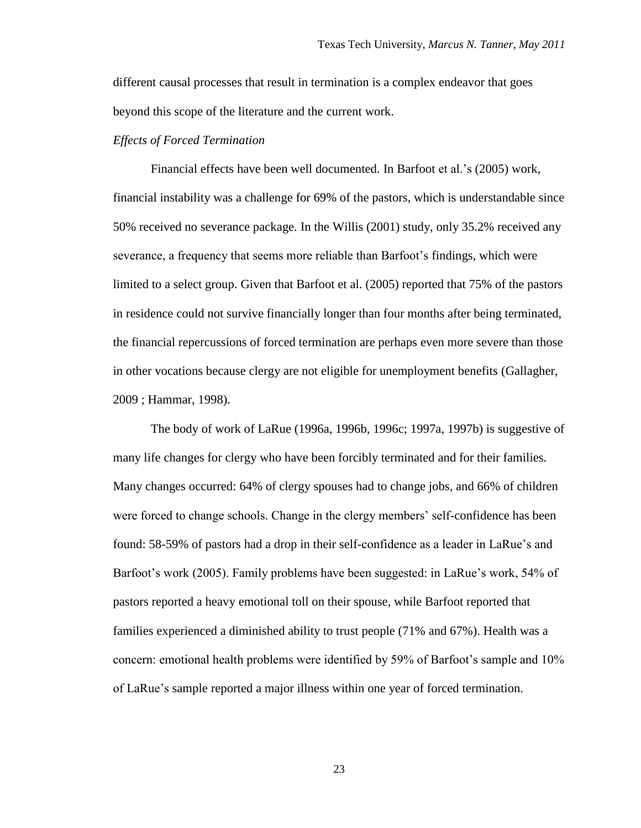different causal processes that result in termination is a complex endeavor that goes beyond this scope of the literature and the current work.

#### <span id="page-23-0"></span>*Effects of Forced Termination*

Financial effects have been well documented. In Barfoot et al.'s (2005) work, financial instability was a challenge for 69% of the pastors, which is understandable since 50% received no severance package. In the Willis (2001) study, only 35.2% received any severance, a frequency that seems more reliable than Barfoot"s findings, which were limited to a select group. Given that Barfoot et al. (2005) reported that 75% of the pastors in residence could not survive financially longer than four months after being terminated, the financial repercussions of forced termination are perhaps even more severe than those in other vocations because clergy are not eligible for unemployment benefits (Gallagher, 2009 ; Hammar, 1998).

The body of work of LaRue (1996a, 1996b, 1996c; 1997a, 1997b) is suggestive of many life changes for clergy who have been forcibly terminated and for their families. Many changes occurred: 64% of clergy spouses had to change jobs, and 66% of children were forced to change schools. Change in the clergy members" self-confidence has been found: 58-59% of pastors had a drop in their self-confidence as a leader in LaRue"s and Barfoot's work (2005). Family problems have been suggested: in LaRue's work, 54% of pastors reported a heavy emotional toll on their spouse, while Barfoot reported that families experienced a diminished ability to trust people (71% and 67%). Health was a concern: emotional health problems were identified by 59% of Barfoot"s sample and 10% of LaRue"s sample reported a major illness within one year of forced termination.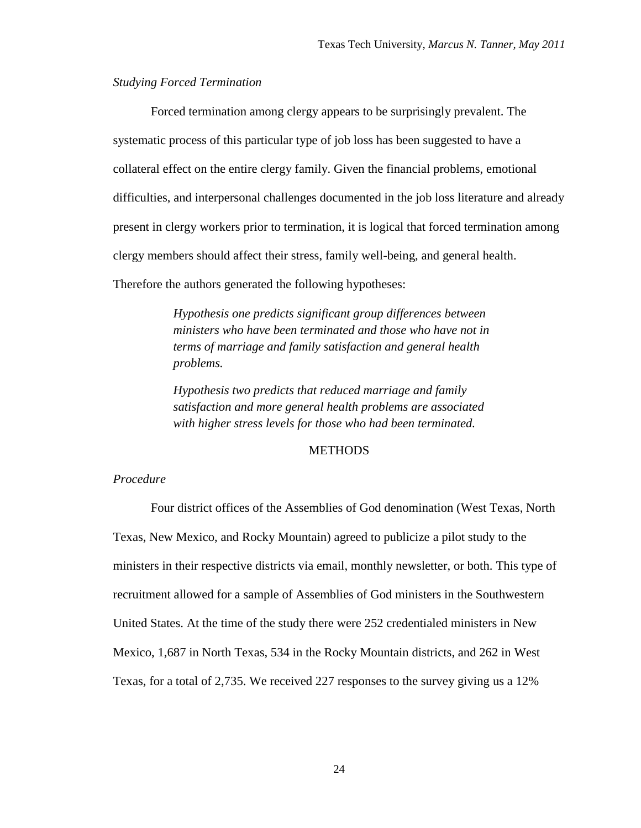#### <span id="page-24-0"></span>*Studying Forced Termination*

Forced termination among clergy appears to be surprisingly prevalent. The systematic process of this particular type of job loss has been suggested to have a collateral effect on the entire clergy family. Given the financial problems, emotional difficulties, and interpersonal challenges documented in the job loss literature and already present in clergy workers prior to termination, it is logical that forced termination among clergy members should affect their stress, family well-being, and general health. Therefore the authors generated the following hypotheses:

> *Hypothesis one predicts significant group differences between ministers who have been terminated and those who have not in terms of marriage and family satisfaction and general health problems.*

*Hypothesis two predicts that reduced marriage and family satisfaction and more general health problems are associated with higher stress levels for those who had been terminated.*

#### METHODS

#### <span id="page-24-2"></span><span id="page-24-1"></span>*Procedure*

Four district offices of the Assemblies of God denomination (West Texas, North Texas, New Mexico, and Rocky Mountain) agreed to publicize a pilot study to the ministers in their respective districts via email, monthly newsletter, or both. This type of recruitment allowed for a sample of Assemblies of God ministers in the Southwestern United States. At the time of the study there were 252 credentialed ministers in New Mexico, 1,687 in North Texas, 534 in the Rocky Mountain districts, and 262 in West Texas, for a total of 2,735. We received 227 responses to the survey giving us a 12%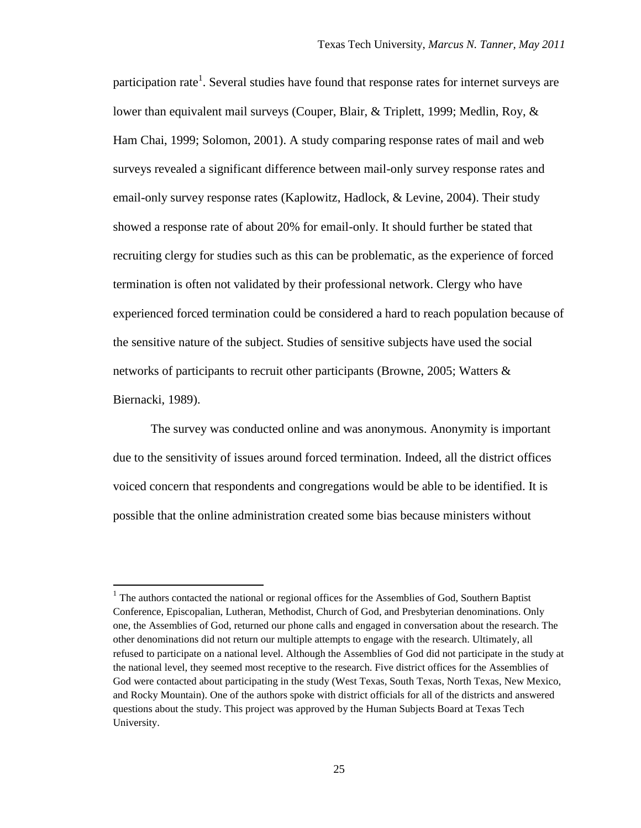participation rate<sup>1</sup>. Several studies have found that response rates for internet surveys are lower than equivalent mail surveys (Couper, Blair, & Triplett, 1999; Medlin, Roy, & Ham Chai, 1999; Solomon, 2001). A study comparing response rates of mail and web surveys revealed a significant difference between mail-only survey response rates and email-only survey response rates (Kaplowitz, Hadlock, & Levine, 2004). Their study showed a response rate of about 20% for email-only. It should further be stated that recruiting clergy for studies such as this can be problematic, as the experience of forced termination is often not validated by their professional network. Clergy who have experienced forced termination could be considered a hard to reach population because of the sensitive nature of the subject. Studies of sensitive subjects have used the social networks of participants to recruit other participants (Browne, 2005; Watters & Biernacki, 1989).

The survey was conducted online and was anonymous. Anonymity is important due to the sensitivity of issues around forced termination. Indeed, all the district offices voiced concern that respondents and congregations would be able to be identified. It is possible that the online administration created some bias because ministers without

 $\overline{a}$ 

 $<sup>1</sup>$  The authors contacted the national or regional offices for the Assemblies of God, Southern Baptist</sup> Conference, Episcopalian, Lutheran, Methodist, Church of God, and Presbyterian denominations. Only one, the Assemblies of God, returned our phone calls and engaged in conversation about the research. The other denominations did not return our multiple attempts to engage with the research. Ultimately, all refused to participate on a national level. Although the Assemblies of God did not participate in the study at the national level, they seemed most receptive to the research. Five district offices for the Assemblies of God were contacted about participating in the study (West Texas, South Texas, North Texas, New Mexico, and Rocky Mountain). One of the authors spoke with district officials for all of the districts and answered questions about the study. This project was approved by the Human Subjects Board at Texas Tech University.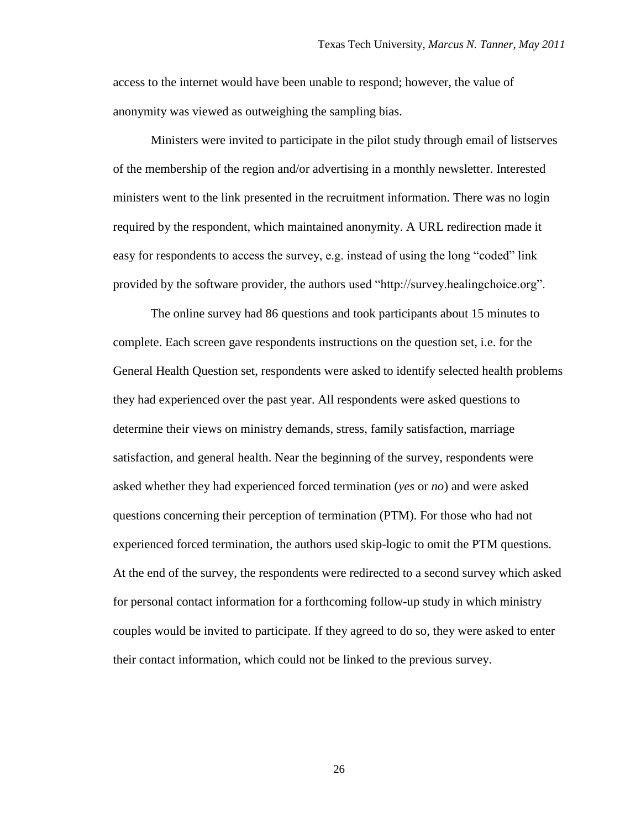access to the internet would have been unable to respond; however, the value of anonymity was viewed as outweighing the sampling bias.

Ministers were invited to participate in the pilot study through email of listserves of the membership of the region and/or advertising in a monthly newsletter. Interested ministers went to the link presented in the recruitment information. There was no login required by the respondent, which maintained anonymity. A URL redirection made it easy for respondents to access the survey, e.g. instead of using the long "coded" link provided by the software provider, the authors used "http://survey.healingchoice.org".

The online survey had 86 questions and took participants about 15 minutes to complete. Each screen gave respondents instructions on the question set, i.e. for the General Health Question set, respondents were asked to identify selected health problems they had experienced over the past year. All respondents were asked questions to determine their views on ministry demands, stress, family satisfaction, marriage satisfaction, and general health. Near the beginning of the survey, respondents were asked whether they had experienced forced termination (*yes* or *no*) and were asked questions concerning their perception of termination (PTM). For those who had not experienced forced termination, the authors used skip-logic to omit the PTM questions. At the end of the survey, the respondents were redirected to a second survey which asked for personal contact information for a forthcoming follow-up study in which ministry couples would be invited to participate. If they agreed to do so, they were asked to enter their contact information, which could not be linked to the previous survey.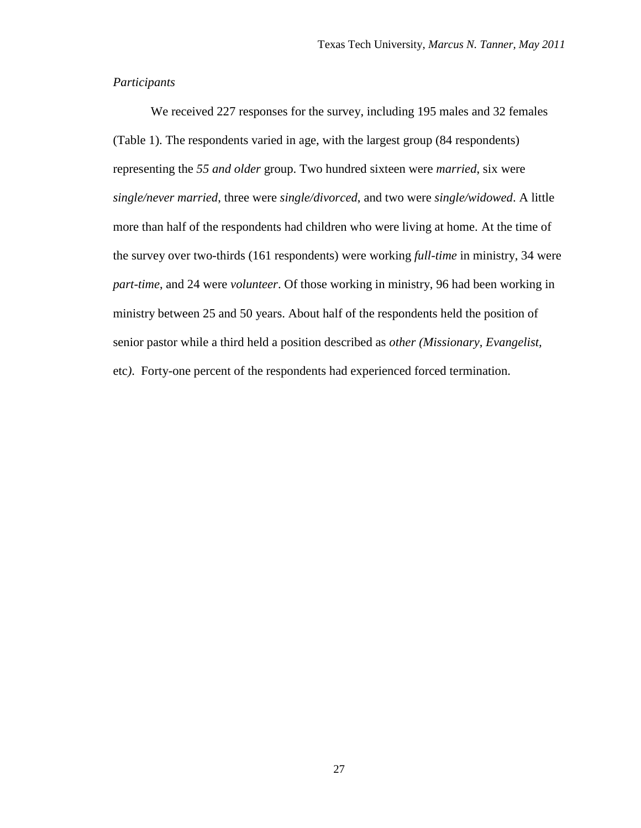#### <span id="page-27-0"></span>*Participants*

We received 227 responses for the survey, including 195 males and 32 females (Table 1). The respondents varied in age, with the largest group (84 respondents) representing the *55 and older* group. Two hundred sixteen were *married*, six were *single/never married*, three were *single/divorced*, and two were *single/widowed*. A little more than half of the respondents had children who were living at home. At the time of the survey over two-thirds (161 respondents) were working *full-time* in ministry, 34 were *part-time*, and 24 were *volunteer*. Of those working in ministry, 96 had been working in ministry between 25 and 50 years. About half of the respondents held the position of senior pastor while a third held a position described as *other (Missionary, Evangelist,*  etc*)*. Forty-one percent of the respondents had experienced forced termination.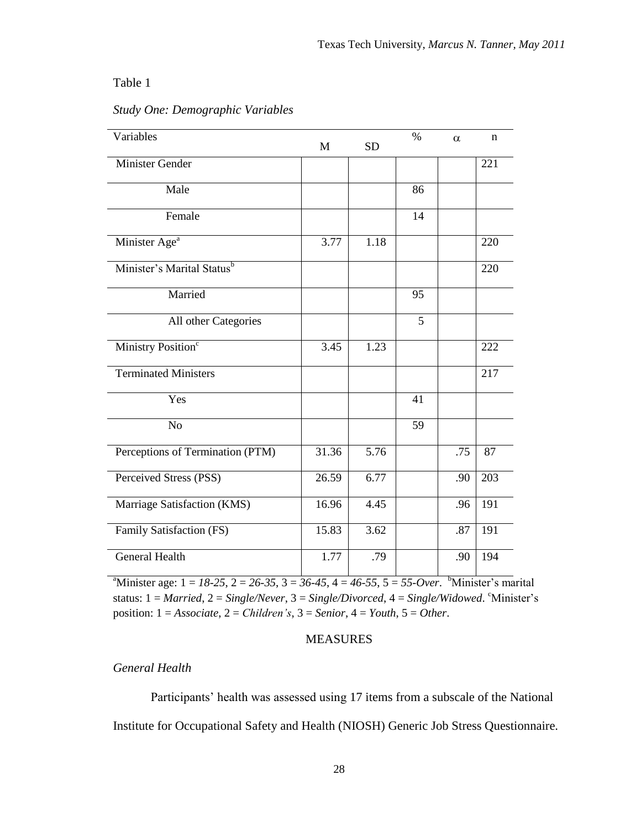#### Table 1

| Variables                              | M     | <b>SD</b> | $\%$ | $\alpha$ | n   |
|----------------------------------------|-------|-----------|------|----------|-----|
| <b>Minister Gender</b>                 |       |           |      |          | 221 |
| Male                                   |       |           | 86   |          |     |
| Female                                 |       |           | 14   |          |     |
| Minister Age <sup>a</sup>              | 3.77  | 1.18      |      |          | 220 |
| Minister's Marital Status <sup>b</sup> |       |           |      |          | 220 |
| Married                                |       |           | 95   |          |     |
| All other Categories                   |       |           | 5    |          |     |
| Ministry Position <sup>c</sup>         | 3.45  | 1.23      |      |          | 222 |
| <b>Terminated Ministers</b>            |       |           |      |          | 217 |
| Yes                                    |       |           | 41   |          |     |
| N <sub>o</sub>                         |       |           | 59   |          |     |
| Perceptions of Termination (PTM)       | 31.36 | 5.76      |      | .75      | 87  |
| Perceived Stress (PSS)                 | 26.59 | 6.77      |      | .90      | 203 |
| Marriage Satisfaction (KMS)            | 16.96 | 4.45      |      | .96      | 191 |
| Family Satisfaction (FS)               | 15.83 | 3.62      |      | .87      | 191 |
| <b>General Health</b>                  | 1.77  | .79       |      | .90      | 194 |

## <span id="page-28-2"></span>*Study One: Demographic Variables*

<sup>a</sup>Minister age:  $1 = 18-25$ ,  $2 = 26-35$ ,  $3 = 36-45$ ,  $4 = 46-55$ ,  $5 = 55$ -Over. <sup>b</sup>Minister's marital status:  $1 = \text{Married}$ ,  $2 = \text{Single/Never}$ ,  $3 = \text{Single/Divored}$ ,  $4 = \text{Single/Windowed}$ .  $\text{``Minister's}$ position: 1 = *Associate*, 2 = *Children's*, 3 = *Senior*, 4 = *Youth*, 5 = *Other*.

#### MEASURES

## <span id="page-28-1"></span><span id="page-28-0"></span>*General Health*

Participants' health was assessed using 17 items from a subscale of the National Institute for Occupational Safety and Health (NIOSH) Generic Job Stress Questionnaire.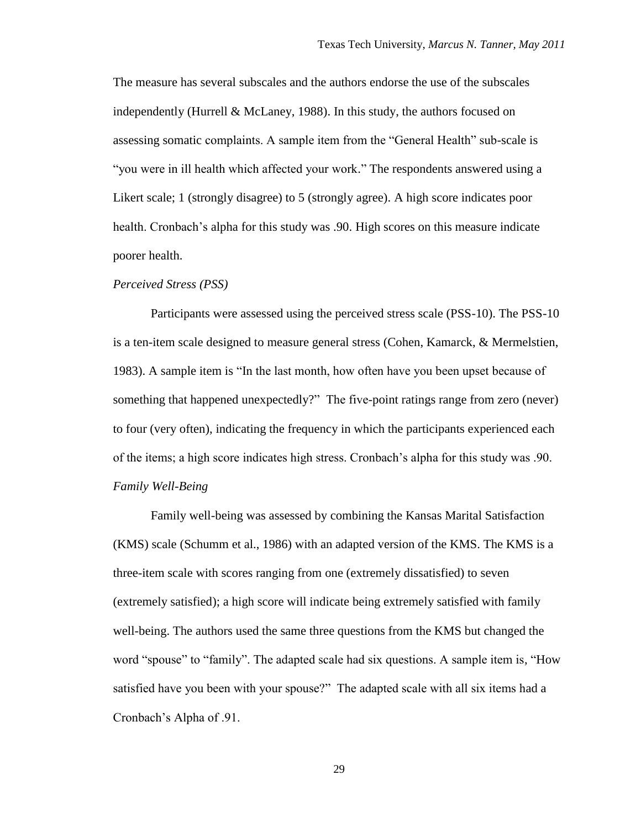The measure has several subscales and the authors endorse the use of the subscales independently (Hurrell & McLaney, 1988). In this study, the authors focused on assessing somatic complaints. A sample item from the "General Health" sub-scale is "you were in ill health which affected your work." The respondents answered using a Likert scale; 1 (strongly disagree) to 5 (strongly agree). A high score indicates poor health. Cronbach's alpha for this study was .90. High scores on this measure indicate poorer health.

#### <span id="page-29-0"></span>*Perceived Stress (PSS)*

Participants were assessed using the perceived stress scale (PSS-10). The PSS-10 is a ten-item scale designed to measure general stress (Cohen, Kamarck, & Mermelstien, 1983). A sample item is "In the last month, how often have you been upset because of something that happened unexpectedly?" The five-point ratings range from zero (never) to four (very often), indicating the frequency in which the participants experienced each of the items; a high score indicates high stress. Cronbach"s alpha for this study was .90. *Family Well-Being*

<span id="page-29-1"></span>Family well-being was assessed by combining the Kansas Marital Satisfaction (KMS) scale (Schumm et al., 1986) with an adapted version of the KMS. The KMS is a three-item scale with scores ranging from one (extremely dissatisfied) to seven (extremely satisfied); a high score will indicate being extremely satisfied with family well-being. The authors used the same three questions from the KMS but changed the word "spouse" to "family". The adapted scale had six questions. A sample item is, "How satisfied have you been with your spouse?" The adapted scale with all six items had a Cronbach"s Alpha of .91.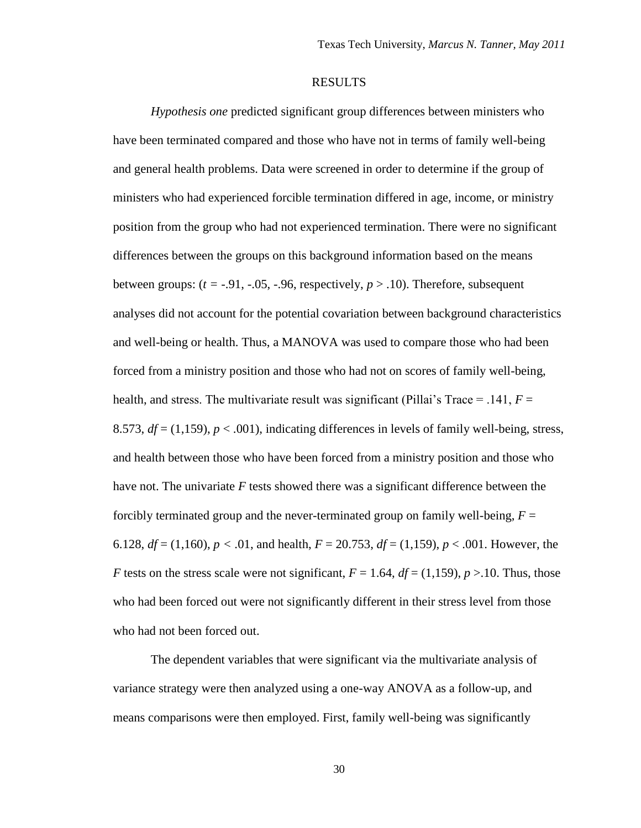#### RESULTS

<span id="page-30-0"></span>*Hypothesis one* predicted significant group differences between ministers who have been terminated compared and those who have not in terms of family well-being and general health problems. Data were screened in order to determine if the group of ministers who had experienced forcible termination differed in age, income, or ministry position from the group who had not experienced termination. There were no significant differences between the groups on this background information based on the means between groups:  $(t = -0.91, -0.05, -0.96,$  respectively,  $p > 0.10$ . Therefore, subsequent analyses did not account for the potential covariation between background characteristics and well-being or health. Thus, a MANOVA was used to compare those who had been forced from a ministry position and those who had not on scores of family well-being, health, and stress. The multivariate result was significant (Pillai's Trace  $=$  .141,  $F =$ 8.573,  $df = (1,159)$ ,  $p < .001$ ), indicating differences in levels of family well-being, stress, and health between those who have been forced from a ministry position and those who have not. The univariate *F* tests showed there was a significant difference between the forcibly terminated group and the never-terminated group on family well-being,  $F =$ 6.128,  $df = (1,160)$ ,  $p < .01$ , and health,  $F = 20.753$ ,  $df = (1,159)$ ,  $p < .001$ . However, the *F* tests on the stress scale were not significant,  $F = 1.64$ ,  $df = (1.159)$ ,  $p > 10$ . Thus, those who had been forced out were not significantly different in their stress level from those who had not been forced out.

The dependent variables that were significant via the multivariate analysis of variance strategy were then analyzed using a one-way ANOVA as a follow-up, and means comparisons were then employed. First, family well-being was significantly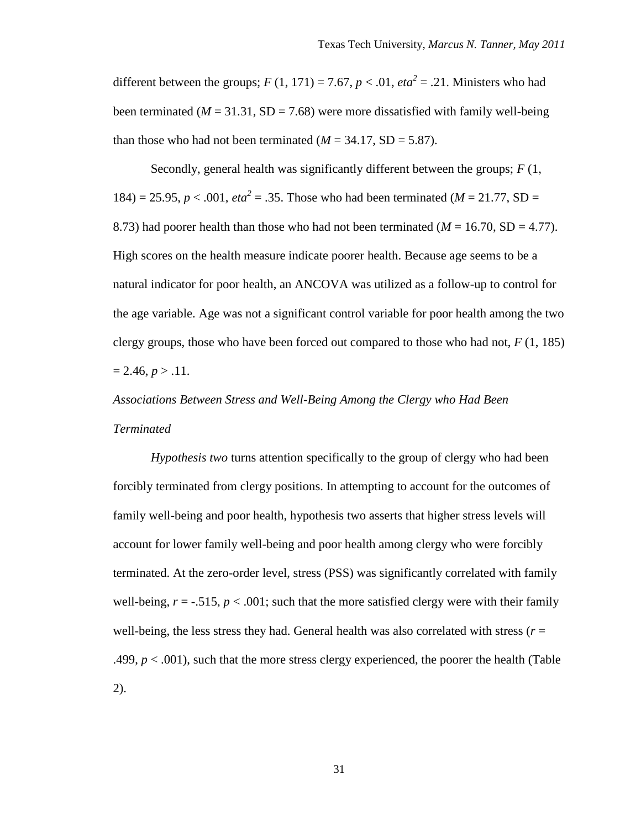different between the groups;  $F(1, 171) = 7.67$ ,  $p < .01$ ,  $eta^2 = .21$ . Ministers who had been terminated  $(M = 31.31, SD = 7.68)$  were more dissatisfied with family well-being than those who had not been terminated  $(M = 34.17, SD = 5.87)$ .

Secondly, general health was significantly different between the groups; *F* (1, 184) = 25.95,  $p < .001$ ,  $eta^2 = .35$ . Those who had been terminated ( $M = 21.77$ , SD = 8.73) had poorer health than those who had not been terminated ( $M = 16.70$ , SD = 4.77). High scores on the health measure indicate poorer health. Because age seems to be a natural indicator for poor health, an ANCOVA was utilized as a follow-up to control for the age variable. Age was not a significant control variable for poor health among the two clergy groups, those who have been forced out compared to those who had not, *F* (1, 185)  $= 2.46, p > .11.$ 

# <span id="page-31-0"></span>*Associations Between Stress and Well-Being Among the Clergy who Had Been Terminated*

*Hypothesis two* turns attention specifically to the group of clergy who had been forcibly terminated from clergy positions. In attempting to account for the outcomes of family well-being and poor health, hypothesis two asserts that higher stress levels will account for lower family well-being and poor health among clergy who were forcibly terminated. At the zero-order level, stress (PSS) was significantly correlated with family well-being,  $r = -.515$ ,  $p < .001$ ; such that the more satisfied clergy were with their family well-being, the less stress they had. General health was also correlated with stress ( $r =$ .499,  $p < .001$ ), such that the more stress clergy experienced, the poorer the health (Table 2).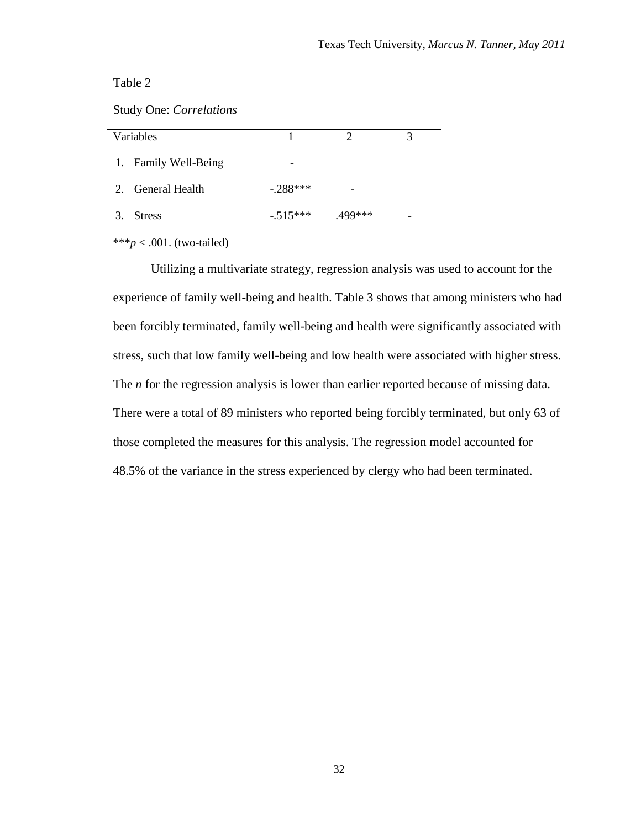Table 2

<span id="page-32-0"></span>Study One: *Correlations* 

| Variables            |            |          |   |
|----------------------|------------|----------|---|
| 1. Family Well-Being |            |          |   |
| 2. General Health    | $-.288***$ |          |   |
| 3.<br><b>Stress</b>  | $-.515***$ | $499***$ | - |

\*\*\**p* < .001. (two-tailed)

Utilizing a multivariate strategy, regression analysis was used to account for the experience of family well-being and health. Table 3 shows that among ministers who had been forcibly terminated, family well-being and health were significantly associated with stress, such that low family well-being and low health were associated with higher stress. The *n* for the regression analysis is lower than earlier reported because of missing data. There were a total of 89 ministers who reported being forcibly terminated, but only 63 of those completed the measures for this analysis. The regression model accounted for 48.5% of the variance in the stress experienced by clergy who had been terminated.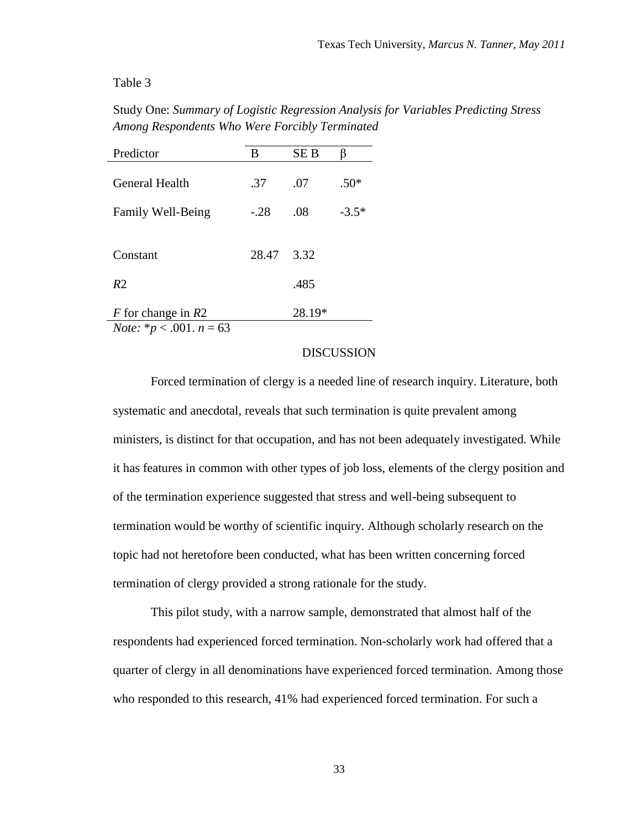#### Table 3

<span id="page-33-1"></span>Study One: *Summary of Logistic Regression Analysis for Variables Predicting Stress Among Respondents Who Were Forcibly Terminated*

| Predictor                            | B      | <b>SEB</b> |         |
|--------------------------------------|--------|------------|---------|
| General Health                       | .37    | .07        | $.50*$  |
| Family Well-Being                    | $-.28$ | .08        | $-3.5*$ |
|                                      |        |            |         |
| Constant                             | 28.47  | 3.32       |         |
| R <sub>2</sub>                       |        | .485       |         |
| $F$ for change in $R2$               |        | 28.19*     |         |
| <i>Note:</i> $* p < .001$ . $n = 63$ |        |            |         |

#### DISCUSSION

<span id="page-33-0"></span>Forced termination of clergy is a needed line of research inquiry. Literature, both systematic and anecdotal, reveals that such termination is quite prevalent among ministers, is distinct for that occupation, and has not been adequately investigated. While it has features in common with other types of job loss, elements of the clergy position and of the termination experience suggested that stress and well-being subsequent to termination would be worthy of scientific inquiry. Although scholarly research on the topic had not heretofore been conducted, what has been written concerning forced termination of clergy provided a strong rationale for the study.

This pilot study, with a narrow sample, demonstrated that almost half of the respondents had experienced forced termination. Non-scholarly work had offered that a quarter of clergy in all denominations have experienced forced termination. Among those who responded to this research, 41% had experienced forced termination. For such a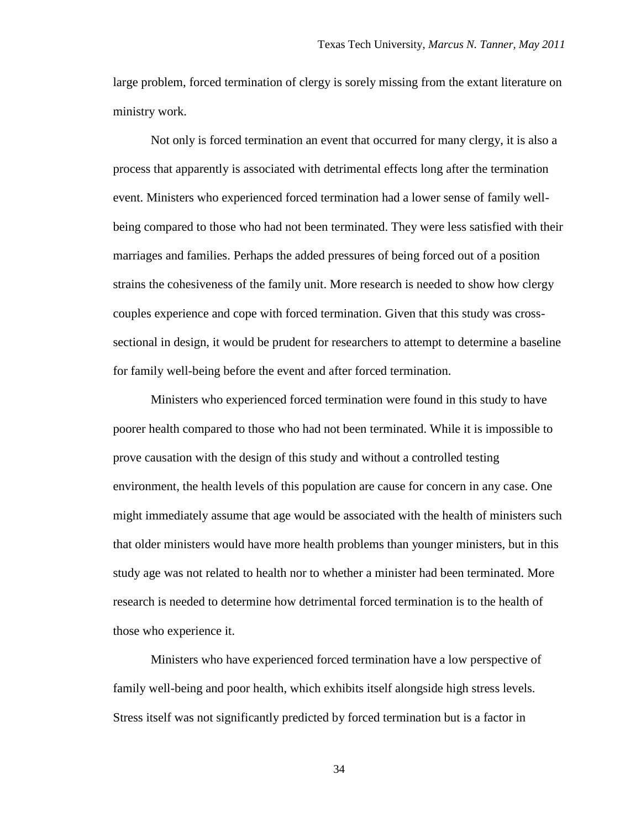large problem, forced termination of clergy is sorely missing from the extant literature on ministry work.

Not only is forced termination an event that occurred for many clergy, it is also a process that apparently is associated with detrimental effects long after the termination event. Ministers who experienced forced termination had a lower sense of family wellbeing compared to those who had not been terminated. They were less satisfied with their marriages and families. Perhaps the added pressures of being forced out of a position strains the cohesiveness of the family unit. More research is needed to show how clergy couples experience and cope with forced termination. Given that this study was crosssectional in design, it would be prudent for researchers to attempt to determine a baseline for family well-being before the event and after forced termination.

Ministers who experienced forced termination were found in this study to have poorer health compared to those who had not been terminated. While it is impossible to prove causation with the design of this study and without a controlled testing environment, the health levels of this population are cause for concern in any case. One might immediately assume that age would be associated with the health of ministers such that older ministers would have more health problems than younger ministers, but in this study age was not related to health nor to whether a minister had been terminated. More research is needed to determine how detrimental forced termination is to the health of those who experience it.

Ministers who have experienced forced termination have a low perspective of family well-being and poor health, which exhibits itself alongside high stress levels. Stress itself was not significantly predicted by forced termination but is a factor in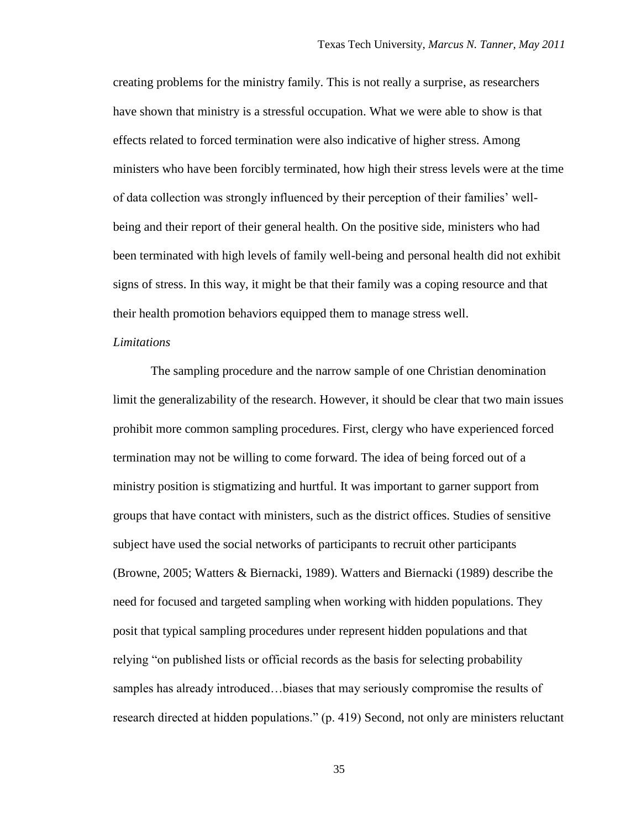creating problems for the ministry family. This is not really a surprise, as researchers have shown that ministry is a stressful occupation. What we were able to show is that effects related to forced termination were also indicative of higher stress. Among ministers who have been forcibly terminated, how high their stress levels were at the time of data collection was strongly influenced by their perception of their families" wellbeing and their report of their general health. On the positive side, ministers who had been terminated with high levels of family well-being and personal health did not exhibit signs of stress. In this way, it might be that their family was a coping resource and that their health promotion behaviors equipped them to manage stress well.

#### <span id="page-35-0"></span>*Limitations*

The sampling procedure and the narrow sample of one Christian denomination limit the generalizability of the research. However, it should be clear that two main issues prohibit more common sampling procedures. First, clergy who have experienced forced termination may not be willing to come forward. The idea of being forced out of a ministry position is stigmatizing and hurtful. It was important to garner support from groups that have contact with ministers, such as the district offices. Studies of sensitive subject have used the social networks of participants to recruit other participants (Browne, 2005; Watters & Biernacki, 1989). Watters and Biernacki (1989) describe the need for focused and targeted sampling when working with hidden populations. They posit that typical sampling procedures under represent hidden populations and that relying "on published lists or official records as the basis for selecting probability samples has already introduced…biases that may seriously compromise the results of research directed at hidden populations." (p. 419) Second, not only are ministers reluctant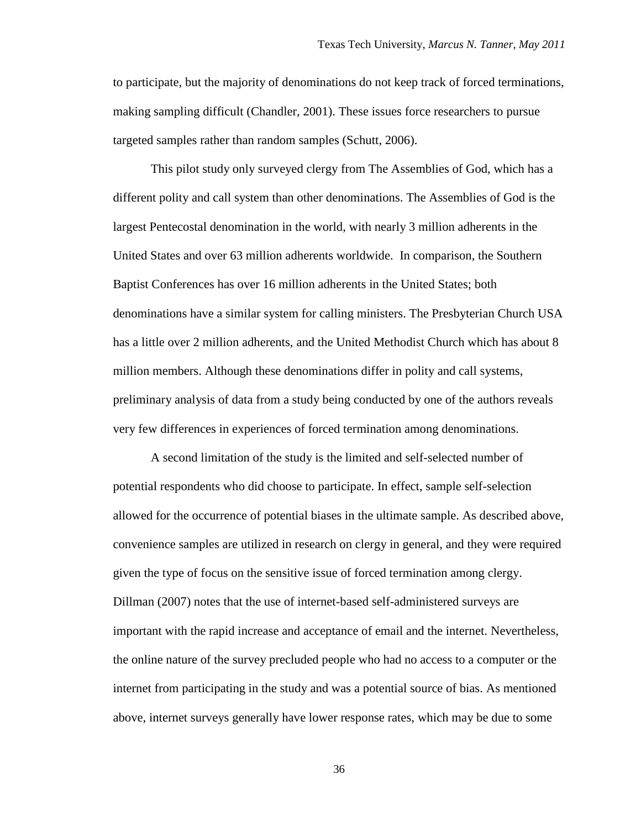to participate, but the majority of denominations do not keep track of forced terminations, making sampling difficult (Chandler, 2001). These issues force researchers to pursue targeted samples rather than random samples (Schutt, 2006).

This pilot study only surveyed clergy from The Assemblies of God, which has a different polity and call system than other denominations. The Assemblies of God is the largest Pentecostal denomination in the world, with nearly 3 million adherents in the United States and over 63 million adherents worldwide. In comparison, the Southern Baptist Conferences has over 16 million adherents in the United States; both denominations have a similar system for calling ministers. The Presbyterian Church USA has a little over 2 million adherents, and the United Methodist Church which has about 8 million members. Although these denominations differ in polity and call systems, preliminary analysis of data from a study being conducted by one of the authors reveals very few differences in experiences of forced termination among denominations.

A second limitation of the study is the limited and self-selected number of potential respondents who did choose to participate. In effect, sample self-selection allowed for the occurrence of potential biases in the ultimate sample. As described above, convenience samples are utilized in research on clergy in general, and they were required given the type of focus on the sensitive issue of forced termination among clergy. Dillman (2007) notes that the use of internet-based self-administered surveys are important with the rapid increase and acceptance of email and the internet. Nevertheless, the online nature of the survey precluded people who had no access to a computer or the internet from participating in the study and was a potential source of bias. As mentioned above, internet surveys generally have lower response rates, which may be due to some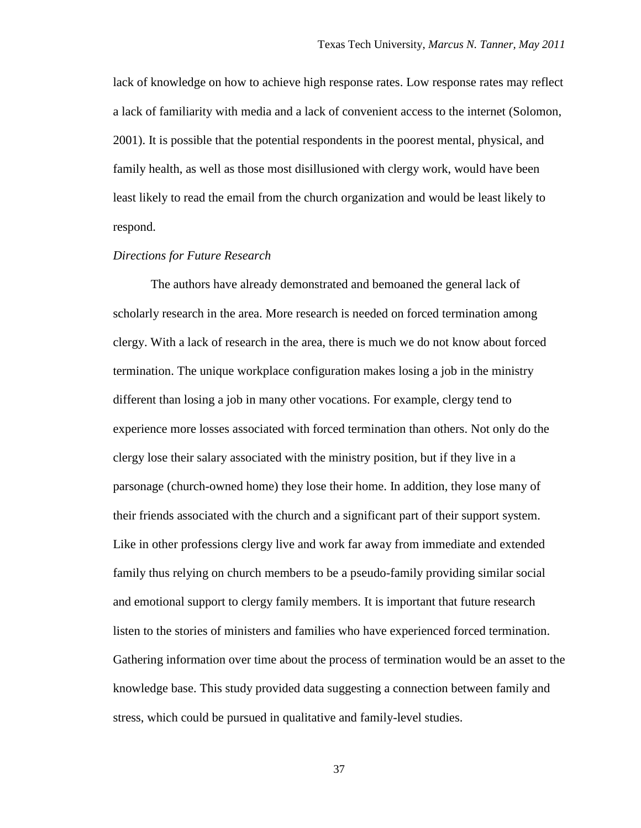lack of knowledge on how to achieve high response rates. Low response rates may reflect a lack of familiarity with media and a lack of convenient access to the internet (Solomon, 2001). It is possible that the potential respondents in the poorest mental, physical, and family health, as well as those most disillusioned with clergy work, would have been least likely to read the email from the church organization and would be least likely to respond.

## *Directions for Future Research*

The authors have already demonstrated and bemoaned the general lack of scholarly research in the area. More research is needed on forced termination among clergy. With a lack of research in the area, there is much we do not know about forced termination. The unique workplace configuration makes losing a job in the ministry different than losing a job in many other vocations. For example, clergy tend to experience more losses associated with forced termination than others. Not only do the clergy lose their salary associated with the ministry position, but if they live in a parsonage (church-owned home) they lose their home. In addition, they lose many of their friends associated with the church and a significant part of their support system. Like in other professions clergy live and work far away from immediate and extended family thus relying on church members to be a pseudo-family providing similar social and emotional support to clergy family members. It is important that future research listen to the stories of ministers and families who have experienced forced termination. Gathering information over time about the process of termination would be an asset to the knowledge base. This study provided data suggesting a connection between family and stress, which could be pursued in qualitative and family-level studies.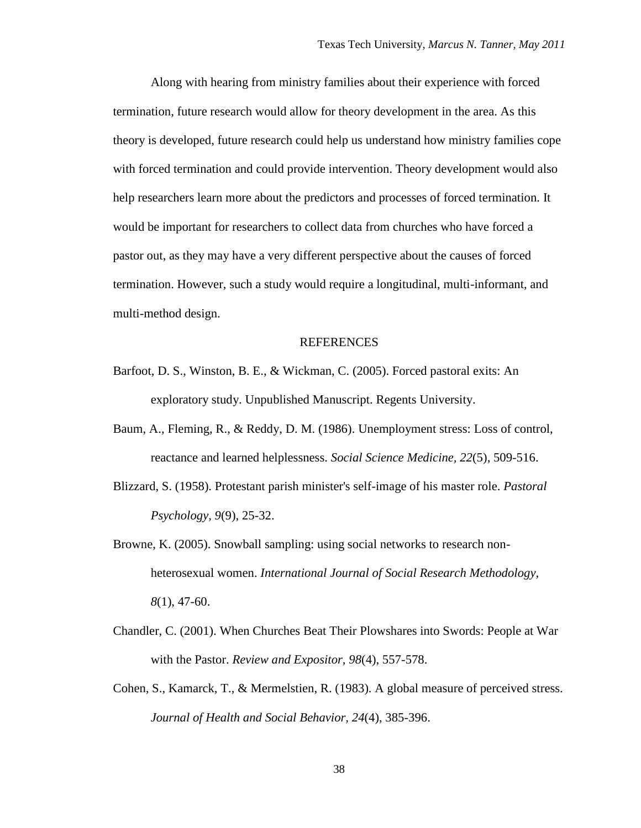Along with hearing from ministry families about their experience with forced termination, future research would allow for theory development in the area. As this theory is developed, future research could help us understand how ministry families cope with forced termination and could provide intervention. Theory development would also help researchers learn more about the predictors and processes of forced termination. It would be important for researchers to collect data from churches who have forced a pastor out, as they may have a very different perspective about the causes of forced termination. However, such a study would require a longitudinal, multi-informant, and multi-method design.

#### REFERENCES

- Barfoot, D. S., Winston, B. E., & Wickman, C. (2005). Forced pastoral exits: An exploratory study. Unpublished Manuscript. Regents University.
- Baum, A., Fleming, R., & Reddy, D. M. (1986). Unemployment stress: Loss of control, reactance and learned helplessness. *Social Science Medicine, 22*(5), 509-516.
- Blizzard, S. (1958). Protestant parish minister's self-image of his master role. *Pastoral Psychology, 9*(9), 25-32.
- Browne, K. (2005). Snowball sampling: using social networks to research nonheterosexual women. *International Journal of Social Research Methodology, 8*(1), 47-60.
- Chandler, C. (2001). When Churches Beat Their Plowshares into Swords: People at War with the Pastor. *Review and Expositor, 98*(4), 557-578.
- Cohen, S., Kamarck, T., & Mermelstien, R. (1983). A global measure of perceived stress. *Journal of Health and Social Behavior, 24*(4), 385-396.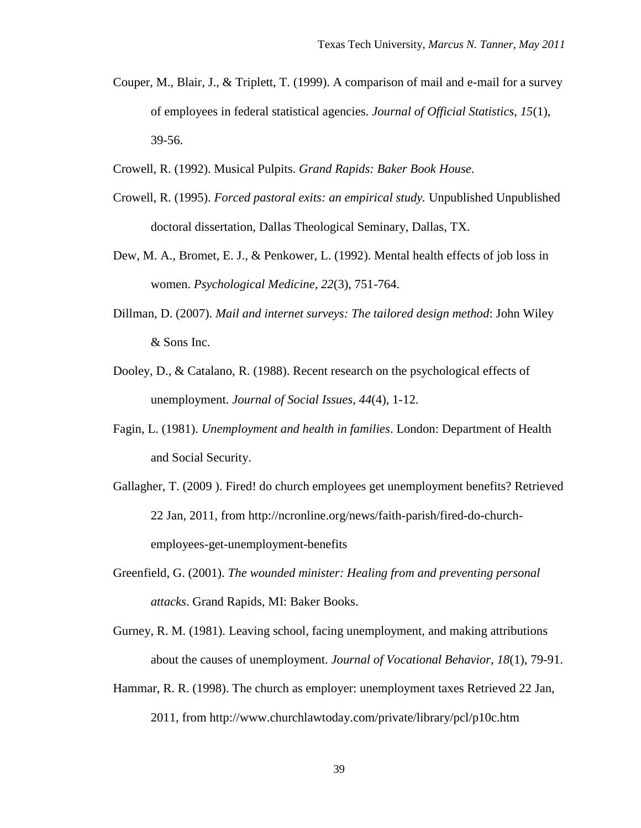- Couper, M., Blair, J., & Triplett, T. (1999). A comparison of mail and e-mail for a survey of employees in federal statistical agencies. *Journal of Official Statistics, 15*(1), 39-56.
- Crowell, R. (1992). Musical Pulpits. *Grand Rapids: Baker Book House*.
- Crowell, R. (1995). *Forced pastoral exits: an empirical study.* Unpublished Unpublished doctoral dissertation, Dallas Theological Seminary, Dallas, TX.
- Dew, M. A., Bromet, E. J., & Penkower, L. (1992). Mental health effects of job loss in women. *Psychological Medicine, 22*(3), 751-764.
- Dillman, D. (2007). *Mail and internet surveys: The tailored design method*: John Wiley & Sons Inc.
- Dooley, D., & Catalano, R. (1988). Recent research on the psychological effects of unemployment. *Journal of Social Issues, 44*(4), 1-12.
- Fagin, L. (1981). *Unemployment and health in families*. London: Department of Health and Social Security.
- Gallagher, T. (2009 ). Fired! do church employees get unemployment benefits? Retrieved 22 Jan, 2011, from http://ncronline.org/news/faith-parish/fired-do-churchemployees-get-unemployment-benefits
- Greenfield, G. (2001). *The wounded minister: Healing from and preventing personal attacks*. Grand Rapids, MI: Baker Books.
- Gurney, R. M. (1981). Leaving school, facing unemployment, and making attributions about the causes of unemployment. *Journal of Vocational Behavior, 18*(1), 79-91.
- Hammar, R. R. (1998). The church as employer: unemployment taxes Retrieved 22 Jan, 2011, from http://www.churchlawtoday.com/private/library/pcl/p10c.htm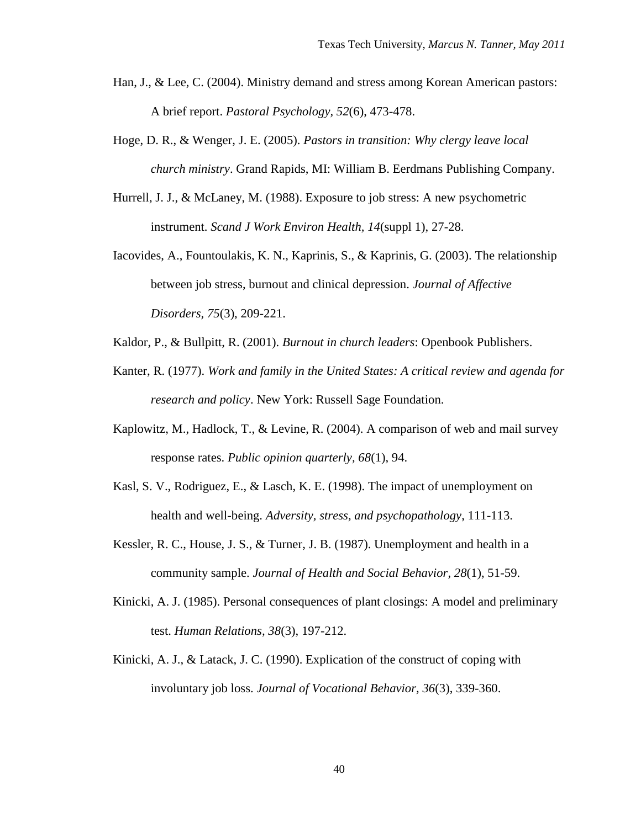- Han, J., & Lee, C. (2004). Ministry demand and stress among Korean American pastors: A brief report. *Pastoral Psychology, 52*(6), 473-478.
- Hoge, D. R., & Wenger, J. E. (2005). *Pastors in transition: Why clergy leave local church ministry*. Grand Rapids, MI: William B. Eerdmans Publishing Company.
- Hurrell, J. J., & McLaney, M. (1988). Exposure to job stress: A new psychometric instrument. *Scand J Work Environ Health, 14*(suppl 1), 27-28.
- Iacovides, A., Fountoulakis, K. N., Kaprinis, S., & Kaprinis, G. (2003). The relationship between job stress, burnout and clinical depression. *Journal of Affective Disorders, 75*(3), 209-221.
- Kaldor, P., & Bullpitt, R. (2001). *Burnout in church leaders*: Openbook Publishers.
- Kanter, R. (1977). *Work and family in the United States: A critical review and agenda for research and policy*. New York: Russell Sage Foundation.
- Kaplowitz, M., Hadlock, T., & Levine, R. (2004). A comparison of web and mail survey response rates. *Public opinion quarterly, 68*(1), 94.
- Kasl, S. V., Rodriguez, E., & Lasch, K. E. (1998). The impact of unemployment on health and well-being. *Adversity, stress, and psychopathology*, 111-113.
- Kessler, R. C., House, J. S., & Turner, J. B. (1987). Unemployment and health in a community sample. *Journal of Health and Social Behavior, 28*(1), 51-59.
- Kinicki, A. J. (1985). Personal consequences of plant closings: A model and preliminary test. *Human Relations, 38*(3), 197-212.
- Kinicki, A. J., & Latack, J. C. (1990). Explication of the construct of coping with involuntary job loss. *Journal of Vocational Behavior, 36*(3), 339-360.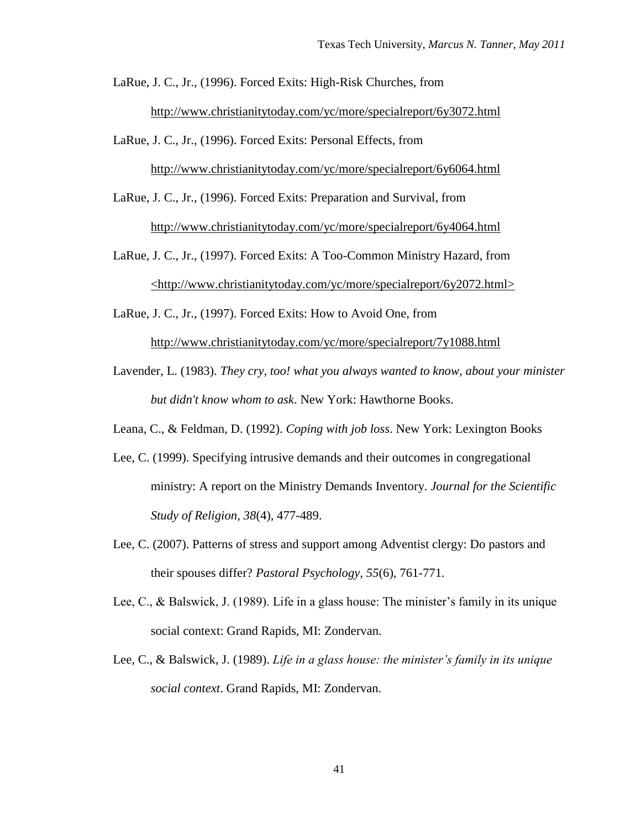- LaRue, J. C., Jr., (1996). Forced Exits: High-Risk Churches, from http://www.christianitytoday.com/yc/more/specialreport/6y3072.html
- LaRue, J. C., Jr., (1996). Forced Exits: Personal Effects, from http://www.christianitytoday.com/yc/more/specialreport/6y6064.html
- LaRue, J. C., Jr., (1996). Forced Exits: Preparation and Survival, from http://www.christianitytoday.com/yc/more/specialreport/6y4064.html
- LaRue, J. C., Jr., (1997). Forced Exits: A Too-Common Ministry Hazard, from <http://www.christianitytoday.com/yc/more/specialreport/6y2072.html>
- LaRue, J. C., Jr., (1997). Forced Exits: How to Avoid One, from http://www.christianitytoday.com/yc/more/specialreport/7y1088.html
- Lavender, L. (1983). *They cry, too! what you always wanted to know, about your minister but didn't know whom to ask*. New York: Hawthorne Books.
- Leana, C., & Feldman, D. (1992). *Coping with job loss*. New York: Lexington Books
- Lee, C. (1999). Specifying intrusive demands and their outcomes in congregational ministry: A report on the Ministry Demands Inventory. *Journal for the Scientific Study of Religion, 38*(4), 477-489.
- Lee, C. (2007). Patterns of stress and support among Adventist clergy: Do pastors and their spouses differ? *Pastoral Psychology, 55*(6), 761-771.
- Lee, C., & Balswick, J. (1989). Life in a glass house: The minister's family in its unique social context: Grand Rapids, MI: Zondervan.
- Lee, C., & Balswick, J. (1989). *Life in a glass house: the minister's family in its unique social context*. Grand Rapids, MI: Zondervan.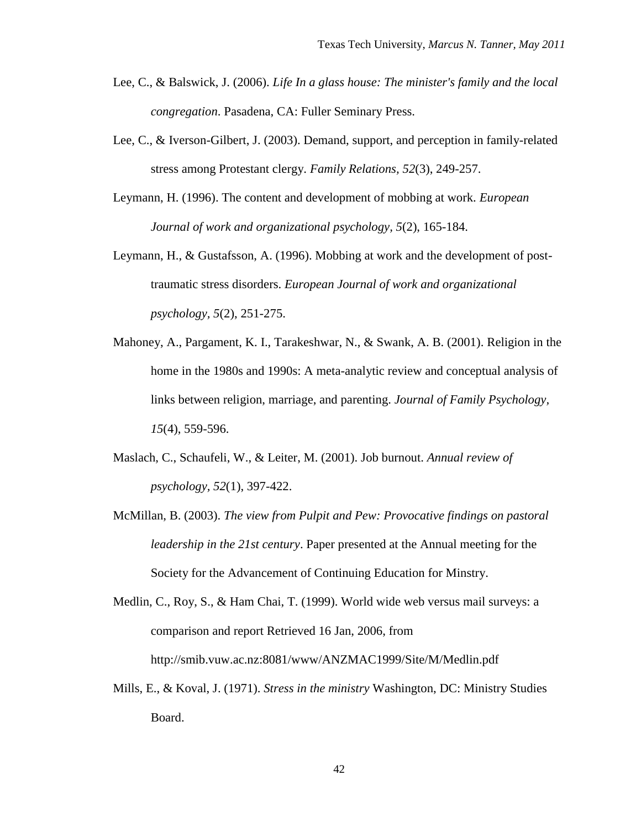- Lee, C., & Balswick, J. (2006). *Life In a glass house: The minister's family and the local congregation*. Pasadena, CA: Fuller Seminary Press.
- Lee, C., & Iverson-Gilbert, J. (2003). Demand, support, and perception in family-related stress among Protestant clergy. *Family Relations, 52*(3), 249-257.
- Leymann, H. (1996). The content and development of mobbing at work. *European Journal of work and organizational psychology, 5*(2), 165-184.
- Leymann, H., & Gustafsson, A. (1996). Mobbing at work and the development of posttraumatic stress disorders. *European Journal of work and organizational psychology, 5*(2), 251-275.
- Mahoney, A., Pargament, K. I., Tarakeshwar, N., & Swank, A. B. (2001). Religion in the home in the 1980s and 1990s: A meta-analytic review and conceptual analysis of links between religion, marriage, and parenting. *Journal of Family Psychology, 15*(4), 559-596.
- Maslach, C., Schaufeli, W., & Leiter, M. (2001). Job burnout. *Annual review of psychology, 52*(1), 397-422.
- McMillan, B. (2003). *The view from Pulpit and Pew: Provocative findings on pastoral leadership in the 21st century*. Paper presented at the Annual meeting for the Society for the Advancement of Continuing Education for Minstry.

Medlin, C., Roy, S., & Ham Chai, T. (1999). World wide web versus mail surveys: a comparison and report Retrieved 16 Jan, 2006, from http://smib.vuw.ac.nz:8081/www/ANZMAC1999/Site/M/Medlin.pdf

Mills, E., & Koval, J. (1971). *Stress in the ministry* Washington, DC: Ministry Studies Board.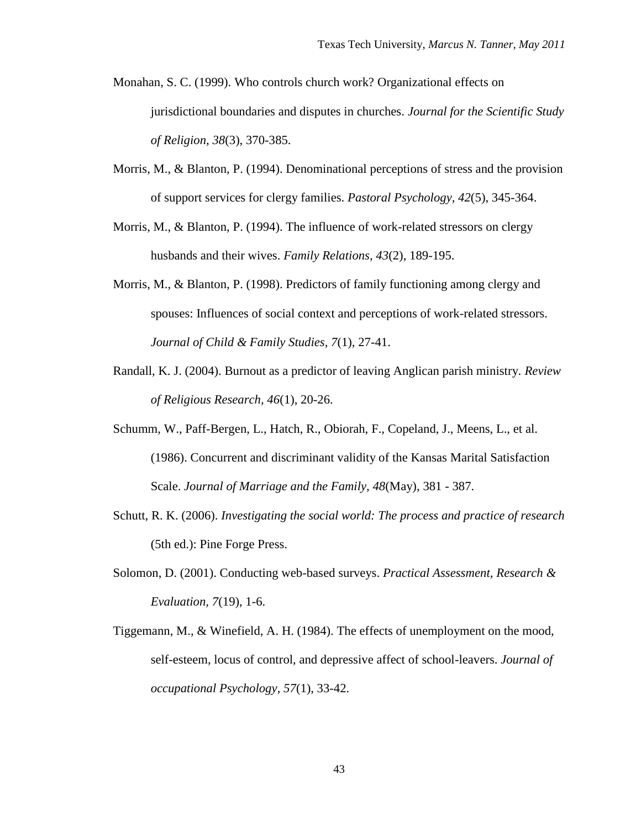- Monahan, S. C. (1999). Who controls church work? Organizational effects on jurisdictional boundaries and disputes in churches. *Journal for the Scientific Study of Religion, 38*(3), 370-385.
- Morris, M., & Blanton, P. (1994). Denominational perceptions of stress and the provision of support services for clergy families. *Pastoral Psychology, 42*(5), 345-364.
- Morris, M., & Blanton, P. (1994). The influence of work-related stressors on clergy husbands and their wives. *Family Relations, 43*(2), 189-195.
- Morris, M., & Blanton, P. (1998). Predictors of family functioning among clergy and spouses: Influences of social context and perceptions of work-related stressors. *Journal of Child & Family Studies, 7*(1), 27-41.
- Randall, K. J. (2004). Burnout as a predictor of leaving Anglican parish ministry. *Review of Religious Research, 46*(1), 20-26.
- Schumm, W., Paff-Bergen, L., Hatch, R., Obiorah, F., Copeland, J., Meens, L., et al. (1986). Concurrent and discriminant validity of the Kansas Marital Satisfaction Scale. *Journal of Marriage and the Family, 48*(May), 381 - 387.
- Schutt, R. K. (2006). *Investigating the social world: The process and practice of research* (5th ed.): Pine Forge Press.
- Solomon, D. (2001). Conducting web-based surveys. *Practical Assessment, Research & Evaluation, 7*(19), 1-6.
- Tiggemann, M., & Winefield, A. H. (1984). The effects of unemployment on the mood, self-esteem, locus of control, and depressive affect of school-leavers. *Journal of occupational Psychology, 57*(1), 33-42.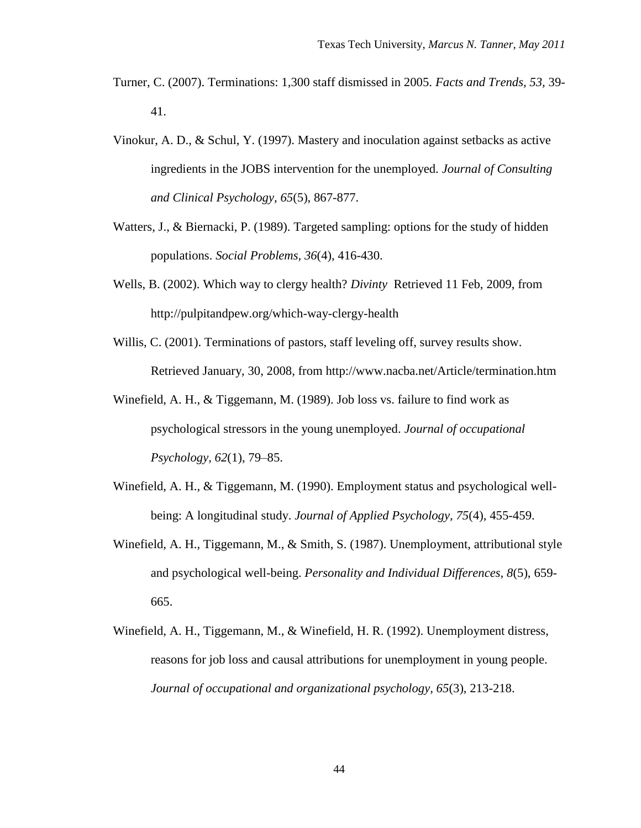- Turner, C. (2007). Terminations: 1,300 staff dismissed in 2005. *Facts and Trends, 53,* 39- 41.
- Vinokur, A. D., & Schul, Y. (1997). Mastery and inoculation against setbacks as active ingredients in the JOBS intervention for the unemployed. *Journal of Consulting and Clinical Psychology, 65*(5), 867-877.
- Watters, J., & Biernacki, P. (1989). Targeted sampling: options for the study of hidden populations. *Social Problems, 36*(4), 416-430.
- Wells, B. (2002). Which way to clergy health? *Divinty* Retrieved 11 Feb, 2009, from http://pulpitandpew.org/which-way-clergy-health
- Willis, C. (2001). Terminations of pastors, staff leveling off, survey results show. Retrieved January, 30, 2008, from http://www.nacba.net/Article/termination.htm
- Winefield, A. H., & Tiggemann, M. (1989). Job loss vs. failure to find work as psychological stressors in the young unemployed. *Journal of occupational Psychology, 62*(1), 79–85.
- Winefield, A. H., & Tiggemann, M. (1990). Employment status and psychological wellbeing: A longitudinal study. *Journal of Applied Psychology, 75*(4), 455-459.
- Winefield, A. H., Tiggemann, M., & Smith, S. (1987). Unemployment, attributional style and psychological well-being. *Personality and Individual Differences, 8*(5), 659- 665.
- Winefield, A. H., Tiggemann, M., & Winefield, H. R. (1992). Unemployment distress, reasons for job loss and causal attributions for unemployment in young people. *Journal of occupational and organizational psychology, 65*(3), 213-218.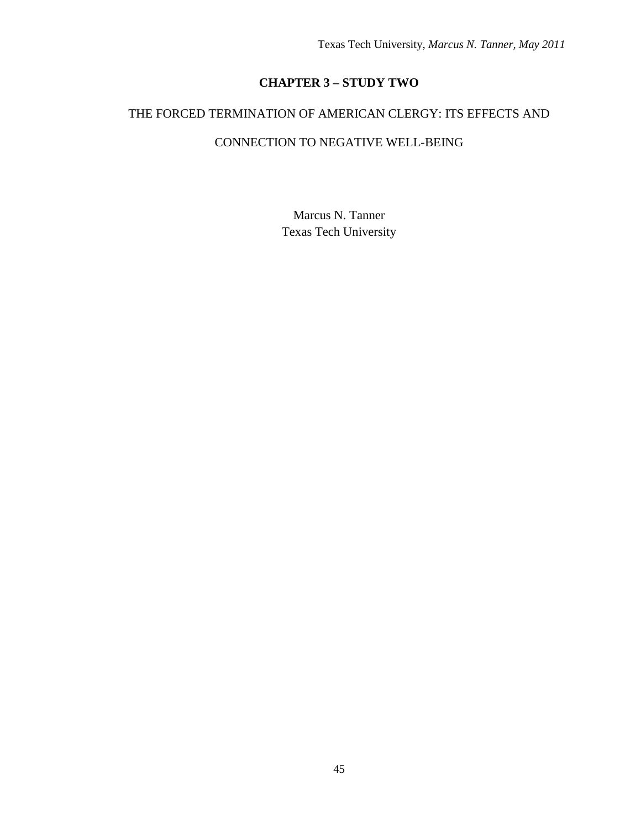# **CHAPTER 3 – STUDY TWO**

# THE FORCED TERMINATION OF AMERICAN CLERGY: ITS EFFECTS AND

## CONNECTION TO NEGATIVE WELL-BEING

Marcus N. Tanner Texas Tech University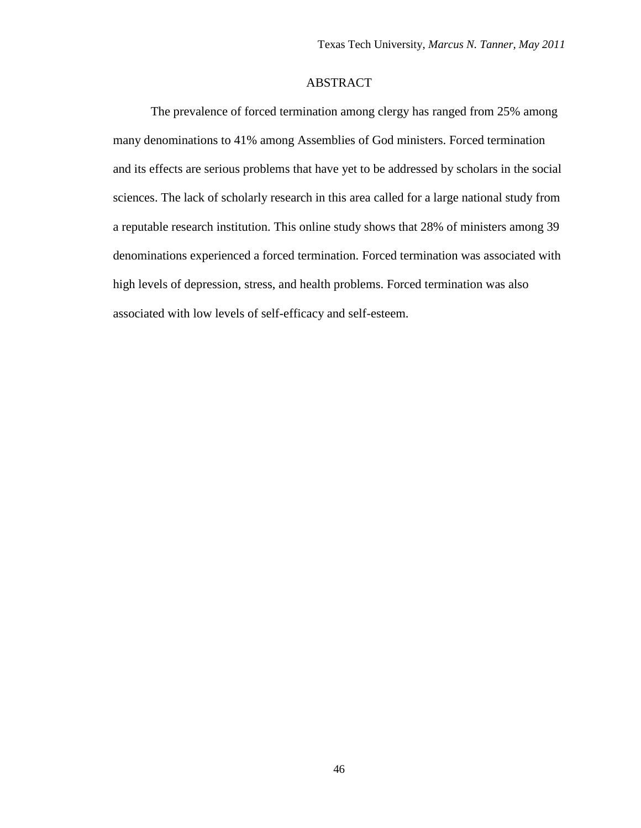## ABSTRACT

The prevalence of forced termination among clergy has ranged from 25% among many denominations to 41% among Assemblies of God ministers. Forced termination and its effects are serious problems that have yet to be addressed by scholars in the social sciences. The lack of scholarly research in this area called for a large national study from a reputable research institution. This online study shows that 28% of ministers among 39 denominations experienced a forced termination. Forced termination was associated with high levels of depression, stress, and health problems. Forced termination was also associated with low levels of self-efficacy and self-esteem.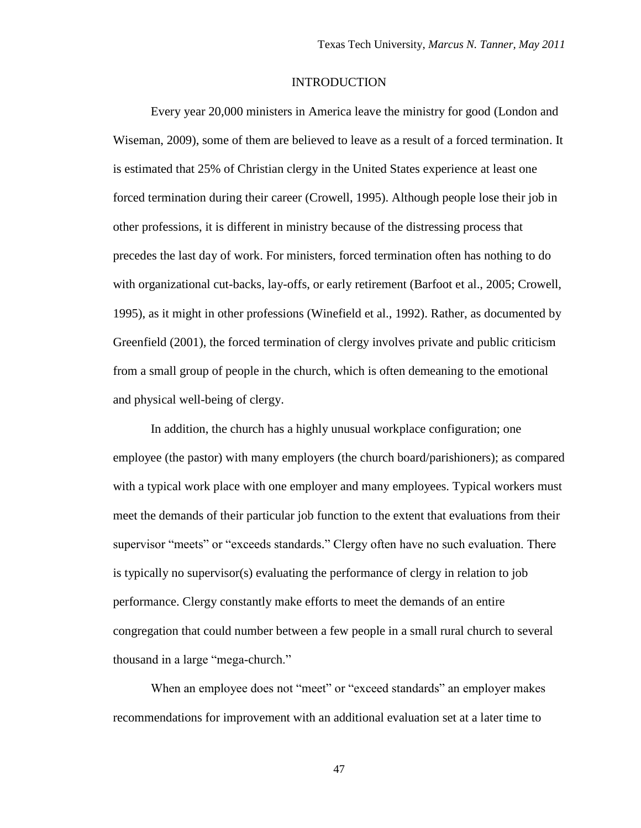## **INTRODUCTION**

Every year 20,000 ministers in America leave the ministry for good (London and Wiseman, 2009), some of them are believed to leave as a result of a forced termination. It is estimated that 25% of Christian clergy in the United States experience at least one forced termination during their career (Crowell, 1995). Although people lose their job in other professions, it is different in ministry because of the distressing process that precedes the last day of work. For ministers, forced termination often has nothing to do with organizational cut-backs, lay-offs, or early retirement (Barfoot et al., 2005; Crowell, 1995), as it might in other professions (Winefield et al., 1992). Rather, as documented by Greenfield (2001), the forced termination of clergy involves private and public criticism from a small group of people in the church, which is often demeaning to the emotional and physical well-being of clergy.

In addition, the church has a highly unusual workplace configuration; one employee (the pastor) with many employers (the church board/parishioners); as compared with a typical work place with one employer and many employees. Typical workers must meet the demands of their particular job function to the extent that evaluations from their supervisor "meets" or "exceeds standards." Clergy often have no such evaluation. There is typically no supervisor(s) evaluating the performance of clergy in relation to job performance. Clergy constantly make efforts to meet the demands of an entire congregation that could number between a few people in a small rural church to several thousand in a large "mega-church."

When an employee does not "meet" or "exceed standards" an employer makes recommendations for improvement with an additional evaluation set at a later time to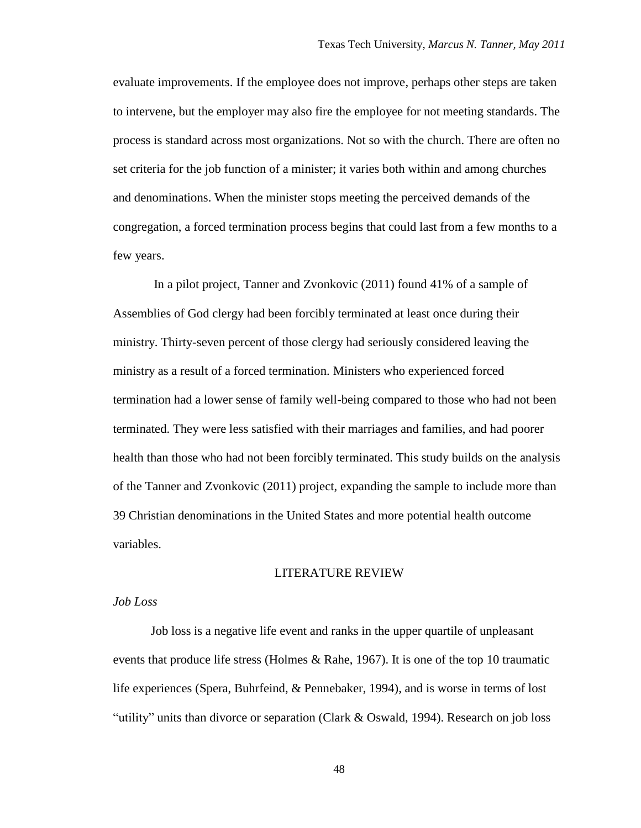evaluate improvements. If the employee does not improve, perhaps other steps are taken to intervene, but the employer may also fire the employee for not meeting standards. The process is standard across most organizations. Not so with the church. There are often no set criteria for the job function of a minister; it varies both within and among churches and denominations. When the minister stops meeting the perceived demands of the congregation, a forced termination process begins that could last from a few months to a few years.

In a pilot project, Tanner and Zvonkovic (2011) found 41% of a sample of Assemblies of God clergy had been forcibly terminated at least once during their ministry. Thirty-seven percent of those clergy had seriously considered leaving the ministry as a result of a forced termination. Ministers who experienced forced termination had a lower sense of family well-being compared to those who had not been terminated. They were less satisfied with their marriages and families, and had poorer health than those who had not been forcibly terminated. This study builds on the analysis of the Tanner and Zvonkovic (2011) project, expanding the sample to include more than 39 Christian denominations in the United States and more potential health outcome variables.

#### LITERATURE REVIEW

#### *Job Loss*

Job loss is a negative life event and ranks in the upper quartile of unpleasant events that produce life stress (Holmes & Rahe, 1967). It is one of the top 10 traumatic life experiences (Spera, Buhrfeind, & Pennebaker, 1994), and is worse in terms of lost "utility" units than divorce or separation (Clark & Oswald, 1994). Research on job loss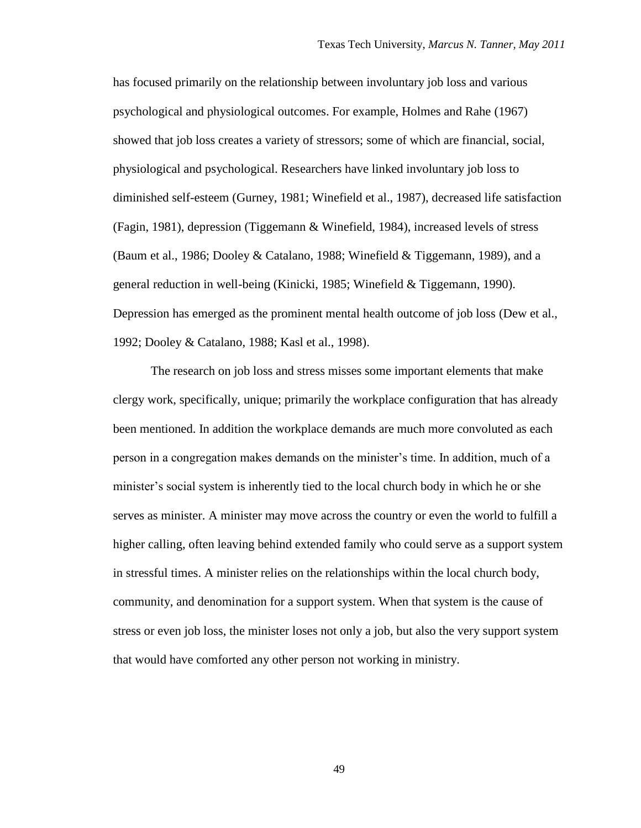has focused primarily on the relationship between involuntary job loss and various psychological and physiological outcomes. For example, Holmes and Rahe (1967) showed that job loss creates a variety of stressors; some of which are financial, social, physiological and psychological. Researchers have linked involuntary job loss to diminished self-esteem (Gurney, 1981; Winefield et al., 1987), decreased life satisfaction (Fagin, 1981), depression (Tiggemann & Winefield, 1984), increased levels of stress (Baum et al., 1986; Dooley & Catalano, 1988; Winefield & Tiggemann, 1989), and a general reduction in well-being (Kinicki, 1985; Winefield & Tiggemann, 1990). Depression has emerged as the prominent mental health outcome of job loss (Dew et al., 1992; Dooley & Catalano, 1988; Kasl et al., 1998).

The research on job loss and stress misses some important elements that make clergy work, specifically, unique; primarily the workplace configuration that has already been mentioned. In addition the workplace demands are much more convoluted as each person in a congregation makes demands on the minister"s time. In addition, much of a minister"s social system is inherently tied to the local church body in which he or she serves as minister. A minister may move across the country or even the world to fulfill a higher calling, often leaving behind extended family who could serve as a support system in stressful times. A minister relies on the relationships within the local church body, community, and denomination for a support system. When that system is the cause of stress or even job loss, the minister loses not only a job, but also the very support system that would have comforted any other person not working in ministry.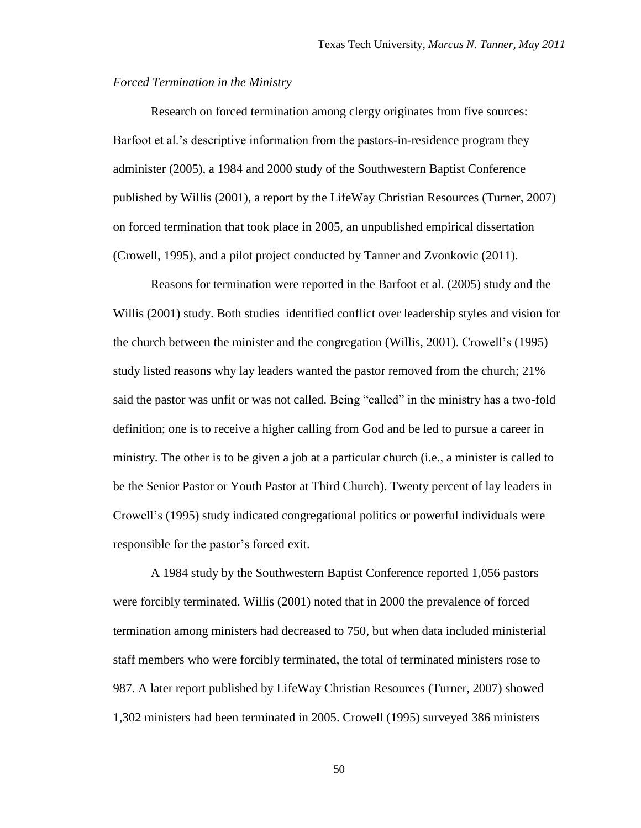#### *Forced Termination in the Ministry*

Research on forced termination among clergy originates from five sources: Barfoot et al.'s descriptive information from the pastors-in-residence program they administer (2005), a 1984 and 2000 study of the Southwestern Baptist Conference published by Willis (2001), a report by the LifeWay Christian Resources (Turner, 2007) on forced termination that took place in 2005, an unpublished empirical dissertation (Crowell, 1995), and a pilot project conducted by Tanner and Zvonkovic (2011).

Reasons for termination were reported in the Barfoot et al. (2005) study and the Willis (2001) study. Both studies identified conflict over leadership styles and vision for the church between the minister and the congregation (Willis, 2001). Crowell"s (1995) study listed reasons why lay leaders wanted the pastor removed from the church; 21% said the pastor was unfit or was not called. Being "called" in the ministry has a two-fold definition; one is to receive a higher calling from God and be led to pursue a career in ministry. The other is to be given a job at a particular church (i.e., a minister is called to be the Senior Pastor or Youth Pastor at Third Church). Twenty percent of lay leaders in Crowell"s (1995) study indicated congregational politics or powerful individuals were responsible for the pastor's forced exit.

A 1984 study by the Southwestern Baptist Conference reported 1,056 pastors were forcibly terminated. Willis (2001) noted that in 2000 the prevalence of forced termination among ministers had decreased to 750, but when data included ministerial staff members who were forcibly terminated, the total of terminated ministers rose to 987. A later report published by LifeWay Christian Resources (Turner, 2007) showed 1,302 ministers had been terminated in 2005. Crowell (1995) surveyed 386 ministers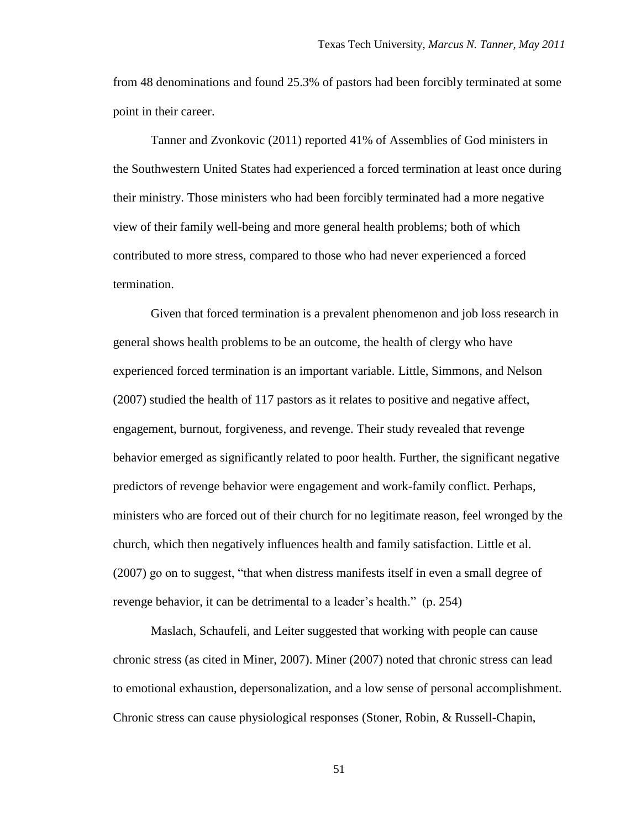from 48 denominations and found 25.3% of pastors had been forcibly terminated at some point in their career.

Tanner and Zvonkovic (2011) reported 41% of Assemblies of God ministers in the Southwestern United States had experienced a forced termination at least once during their ministry. Those ministers who had been forcibly terminated had a more negative view of their family well-being and more general health problems; both of which contributed to more stress, compared to those who had never experienced a forced termination.

Given that forced termination is a prevalent phenomenon and job loss research in general shows health problems to be an outcome, the health of clergy who have experienced forced termination is an important variable. Little, Simmons, and Nelson (2007) studied the health of 117 pastors as it relates to positive and negative affect, engagement, burnout, forgiveness, and revenge. Their study revealed that revenge behavior emerged as significantly related to poor health. Further, the significant negative predictors of revenge behavior were engagement and work-family conflict. Perhaps, ministers who are forced out of their church for no legitimate reason, feel wronged by the church, which then negatively influences health and family satisfaction. Little et al. (2007) go on to suggest, "that when distress manifests itself in even a small degree of revenge behavior, it can be detrimental to a leader"s health." (p. 254)

Maslach, Schaufeli, and Leiter suggested that working with people can cause chronic stress (as cited in Miner, 2007). Miner (2007) noted that chronic stress can lead to emotional exhaustion, depersonalization, and a low sense of personal accomplishment. Chronic stress can cause physiological responses (Stoner, Robin, & Russell-Chapin,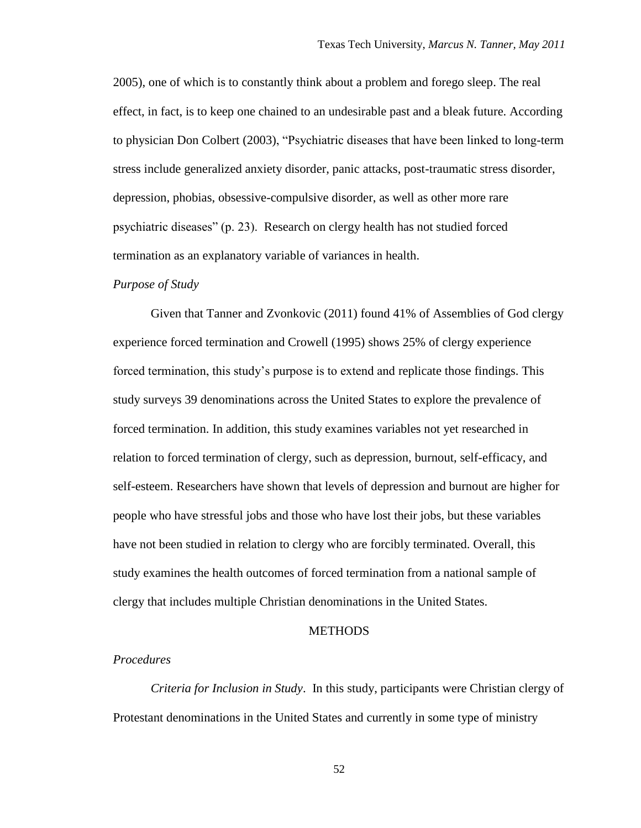2005), one of which is to constantly think about a problem and forego sleep. The real effect, in fact, is to keep one chained to an undesirable past and a bleak future. According to physician Don Colbert (2003), "Psychiatric diseases that have been linked to long-term stress include generalized anxiety disorder, panic attacks, post-traumatic stress disorder, depression, phobias, obsessive-compulsive disorder, as well as other more rare psychiatric diseases" (p. 23). Research on clergy health has not studied forced termination as an explanatory variable of variances in health.

#### *Purpose of Study*

Given that Tanner and Zvonkovic (2011) found 41% of Assemblies of God clergy experience forced termination and Crowell (1995) shows 25% of clergy experience forced termination, this study"s purpose is to extend and replicate those findings. This study surveys 39 denominations across the United States to explore the prevalence of forced termination. In addition, this study examines variables not yet researched in relation to forced termination of clergy, such as depression, burnout, self-efficacy, and self-esteem. Researchers have shown that levels of depression and burnout are higher for people who have stressful jobs and those who have lost their jobs, but these variables have not been studied in relation to clergy who are forcibly terminated. Overall, this study examines the health outcomes of forced termination from a national sample of clergy that includes multiple Christian denominations in the United States.

#### **METHODS**

### *Procedures*

*Criteria for Inclusion in Study*. In this study, participants were Christian clergy of Protestant denominations in the United States and currently in some type of ministry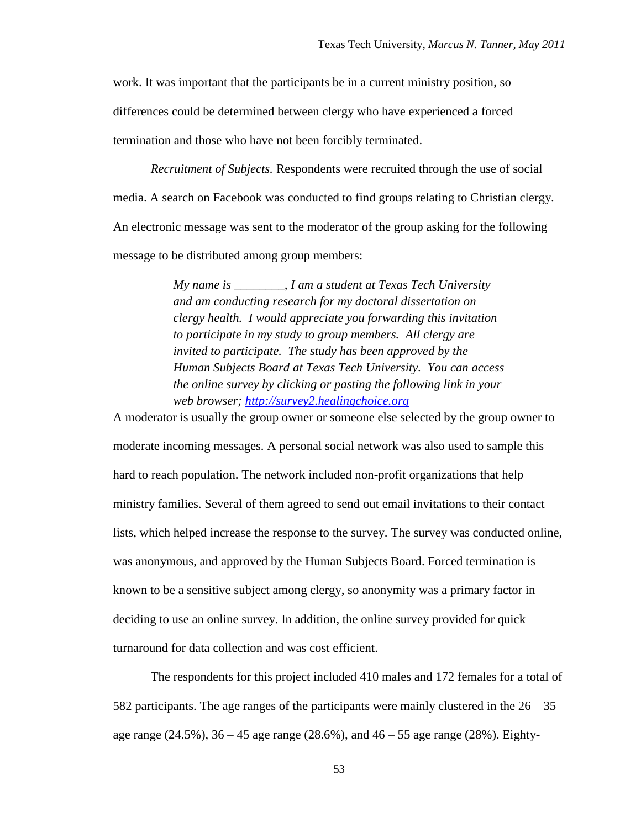work. It was important that the participants be in a current ministry position, so differences could be determined between clergy who have experienced a forced termination and those who have not been forcibly terminated.

*Recruitment of Subjects.* Respondents were recruited through the use of social media. A search on Facebook was conducted to find groups relating to Christian clergy. An electronic message was sent to the moderator of the group asking for the following message to be distributed among group members:

> *My name is \_\_\_\_\_\_\_\_, I am a student at Texas Tech University and am conducting research for my doctoral dissertation on clergy health. I would appreciate you forwarding this invitation to participate in my study to group members. All clergy are invited to participate. The study has been approved by the Human Subjects Board at Texas Tech University. You can access the online survey by clicking or pasting the following link in your web browser; [http://survey2.healingchoice.org](http://survey2.healingchoice.org/)*

A moderator is usually the group owner or someone else selected by the group owner to moderate incoming messages. A personal social network was also used to sample this hard to reach population. The network included non-profit organizations that help ministry families. Several of them agreed to send out email invitations to their contact lists, which helped increase the response to the survey. The survey was conducted online, was anonymous, and approved by the Human Subjects Board. Forced termination is known to be a sensitive subject among clergy, so anonymity was a primary factor in deciding to use an online survey. In addition, the online survey provided for quick turnaround for data collection and was cost efficient.

The respondents for this project included 410 males and 172 females for a total of 582 participants. The age ranges of the participants were mainly clustered in the  $26 - 35$ age range (24.5%), 36 – 45 age range (28.6%), and 46 – 55 age range (28%). Eighty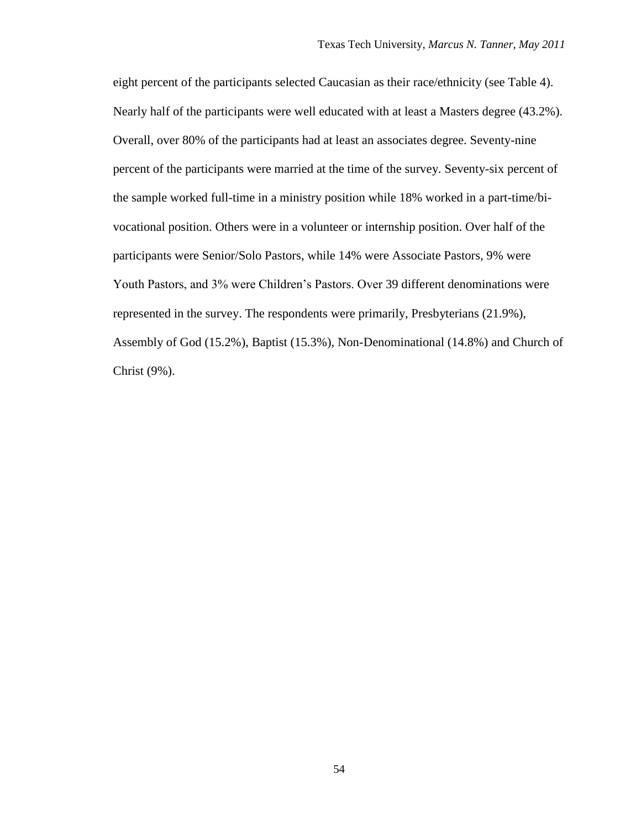eight percent of the participants selected Caucasian as their race/ethnicity (see Table 4). Nearly half of the participants were well educated with at least a Masters degree (43.2%). Overall, over 80% of the participants had at least an associates degree. Seventy-nine percent of the participants were married at the time of the survey. Seventy-six percent of the sample worked full-time in a ministry position while 18% worked in a part-time/bivocational position. Others were in a volunteer or internship position. Over half of the participants were Senior/Solo Pastors, while 14% were Associate Pastors, 9% were Youth Pastors, and 3% were Children"s Pastors. Over 39 different denominations were represented in the survey. The respondents were primarily, Presbyterians (21.9%), Assembly of God (15.2%), Baptist (15.3%), Non-Denominational (14.8%) and Church of Christ (9%).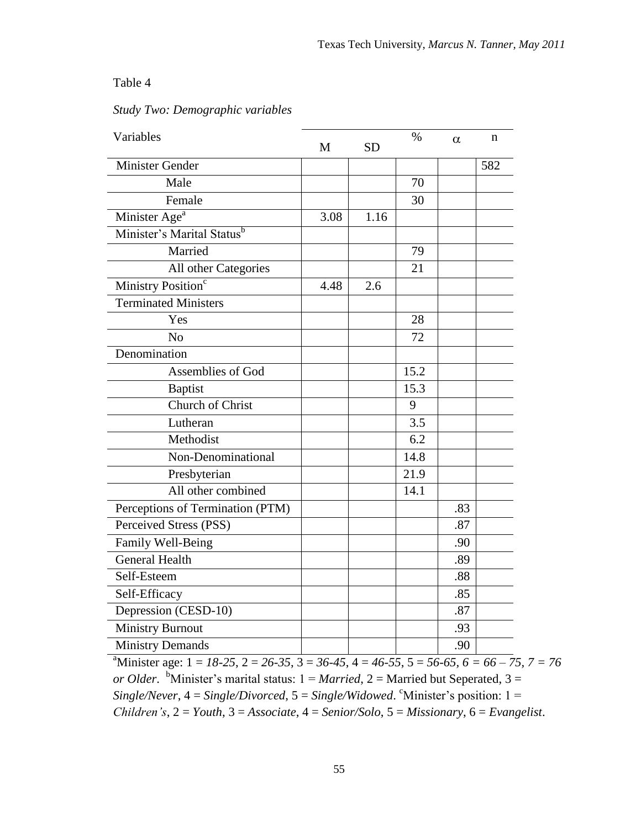## Table 4

## *Study Two: Demographic variables*

| Variables                        | M    | <b>SD</b> | $\%$ | $\alpha$ | n   |
|----------------------------------|------|-----------|------|----------|-----|
| <b>Minister Gender</b>           |      |           |      |          | 582 |
| Male                             |      |           | 70   |          |     |
| Female                           |      |           | 30   |          |     |
| Minister Age <sup>a</sup>        | 3.08 | 1.16      |      |          |     |
| Minister's Marital Statusb       |      |           |      |          |     |
| Married                          |      |           | 79   |          |     |
| All other Categories             |      |           | 21   |          |     |
| Ministry Position <sup>c</sup>   | 4.48 | 2.6       |      |          |     |
| <b>Terminated Ministers</b>      |      |           |      |          |     |
| Yes                              |      |           | 28   |          |     |
| N <sub>o</sub>                   |      |           | 72   |          |     |
| Denomination                     |      |           |      |          |     |
| Assemblies of God                |      |           | 15.2 |          |     |
| <b>Baptist</b>                   |      |           | 15.3 |          |     |
| Church of Christ                 |      |           | 9    |          |     |
| Lutheran                         |      |           | 3.5  |          |     |
| Methodist                        |      |           | 6.2  |          |     |
| Non-Denominational               |      |           | 14.8 |          |     |
| Presbyterian                     |      |           | 21.9 |          |     |
| All other combined               |      |           | 14.1 |          |     |
| Perceptions of Termination (PTM) |      |           |      | .83      |     |
| Perceived Stress (PSS)           |      |           |      | .87      |     |
| Family Well-Being                |      |           |      | .90      |     |
| <b>General Health</b>            |      |           |      | .89      |     |
| Self-Esteem                      |      |           |      | .88      |     |
| Self-Efficacy                    |      |           |      | .85      |     |
| Depression (CESD-10)             |      |           |      | .87      |     |
| <b>Ministry Burnout</b>          |      |           |      | .93      |     |
| <b>Ministry Demands</b>          |      |           |      | .90      |     |

 $3, 7 = 76$ *or Older.* <sup>b</sup>Minister's marital status:  $1 = \text{Married}$ ,  $2 = \text{Married}$  but Seperated,  $3 = \text{Married}$  $Single/Never, 4 = Single/Divored, 5 = Single/Windowed.$  <sup>c</sup>Minister's position:  $1 =$ *Children's*, 2 = *Youth*, 3 = *Associate*, 4 = *Senior/Solo*, 5 = *Missionary*, 6 = *Evangelist*.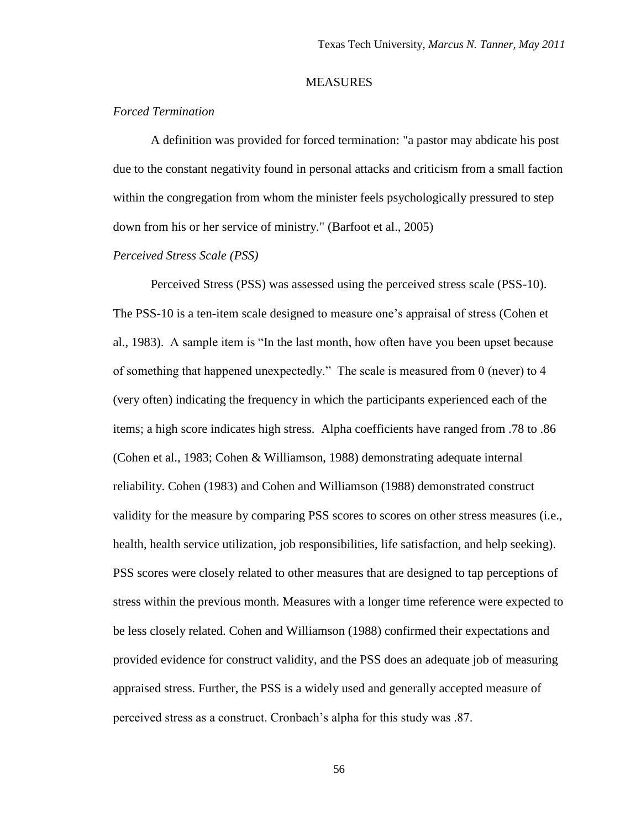#### **MEASURES**

### *Forced Termination*

A definition was provided for forced termination: "a pastor may abdicate his post due to the constant negativity found in personal attacks and criticism from a small faction within the congregation from whom the minister feels psychologically pressured to step down from his or her service of ministry." (Barfoot et al., 2005)

### *Perceived Stress Scale (PSS)*

Perceived Stress (PSS) was assessed using the perceived stress scale (PSS-10). The PSS-10 is a ten-item scale designed to measure one"s appraisal of stress (Cohen et al., 1983). A sample item is "In the last month, how often have you been upset because of something that happened unexpectedly." The scale is measured from 0 (never) to 4 (very often) indicating the frequency in which the participants experienced each of the items; a high score indicates high stress. Alpha coefficients have ranged from .78 to .86 (Cohen et al., 1983; Cohen & Williamson, 1988) demonstrating adequate internal reliability. Cohen (1983) and Cohen and Williamson (1988) demonstrated construct validity for the measure by comparing PSS scores to scores on other stress measures (i.e., health, health service utilization, job responsibilities, life satisfaction, and help seeking). PSS scores were closely related to other measures that are designed to tap perceptions of stress within the previous month. Measures with a longer time reference were expected to be less closely related. Cohen and Williamson (1988) confirmed their expectations and provided evidence for construct validity, and the PSS does an adequate job of measuring appraised stress. Further, the PSS is a widely used and generally accepted measure of perceived stress as a construct. Cronbach"s alpha for this study was .87.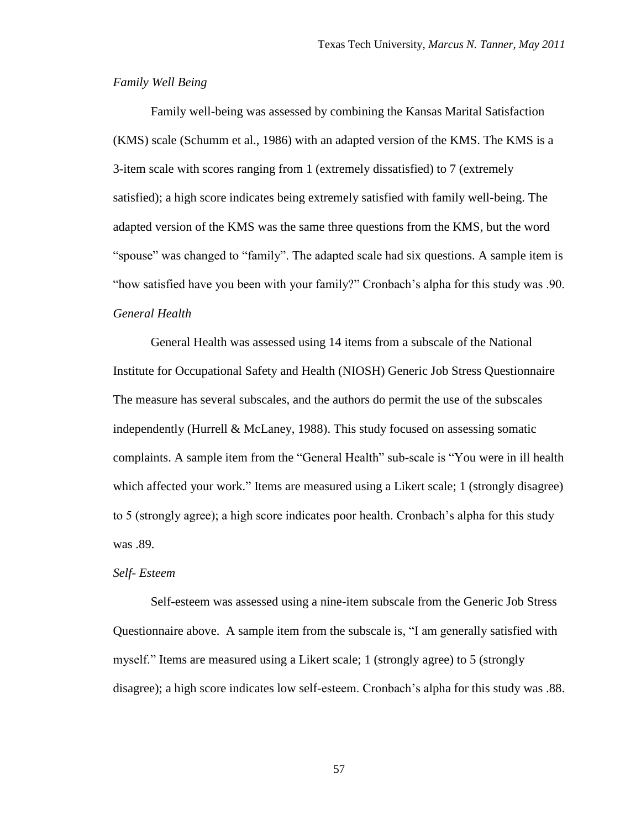#### *Family Well Being*

Family well-being was assessed by combining the Kansas Marital Satisfaction (KMS) scale (Schumm et al., 1986) with an adapted version of the KMS. The KMS is a 3-item scale with scores ranging from 1 (extremely dissatisfied) to 7 (extremely satisfied); a high score indicates being extremely satisfied with family well-being. The adapted version of the KMS was the same three questions from the KMS, but the word "spouse" was changed to "family". The adapted scale had six questions. A sample item is "how satisfied have you been with your family?" Cronbach"s alpha for this study was .90. *General Health*

General Health was assessed using 14 items from a subscale of the National Institute for Occupational Safety and Health (NIOSH) Generic Job Stress Questionnaire The measure has several subscales, and the authors do permit the use of the subscales independently (Hurrell & McLaney, 1988). This study focused on assessing somatic complaints. A sample item from the "General Health" sub-scale is "You were in ill health which affected your work." Items are measured using a Likert scale; 1 (strongly disagree) to 5 (strongly agree); a high score indicates poor health. Cronbach"s alpha for this study was .89.

#### *Self- Esteem*

Self-esteem was assessed using a nine-item subscale from the Generic Job Stress Questionnaire above. A sample item from the subscale is, "I am generally satisfied with myself." Items are measured using a Likert scale; 1 (strongly agree) to 5 (strongly disagree); a high score indicates low self-esteem. Cronbach"s alpha for this study was .88.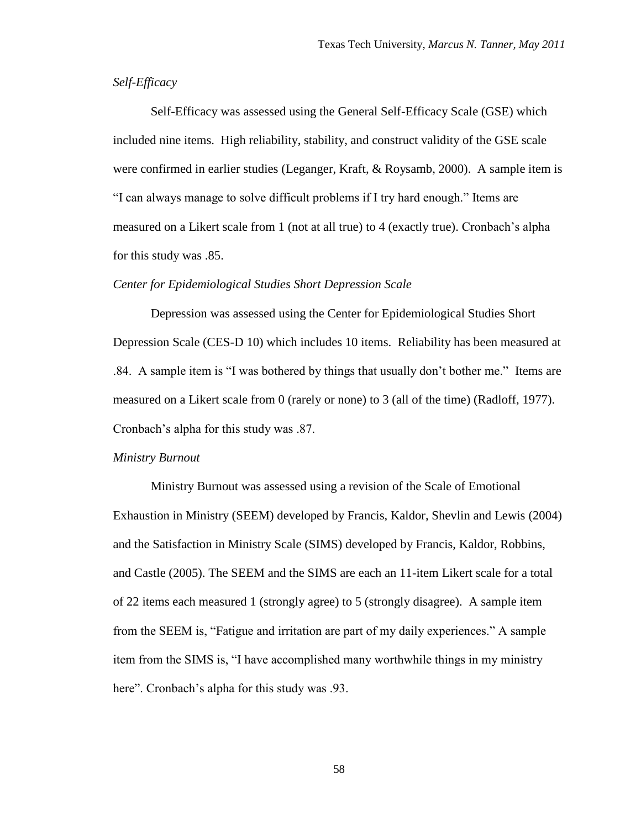## *Self-Efficacy*

Self-Efficacy was assessed using the General Self-Efficacy Scale (GSE) which included nine items. High reliability, stability, and construct validity of the GSE scale were confirmed in earlier studies (Leganger, Kraft, & Roysamb, 2000). A sample item is "I can always manage to solve difficult problems if I try hard enough." Items are measured on a Likert scale from 1 (not at all true) to 4 (exactly true). Cronbach"s alpha for this study was .85.

### *Center for Epidemiological Studies Short Depression Scale*

Depression was assessed using the Center for Epidemiological Studies Short Depression Scale (CES-D 10) which includes 10 items. Reliability has been measured at .84. A sample item is "I was bothered by things that usually don"t bother me." Items are measured on a Likert scale from 0 (rarely or none) to 3 (all of the time) (Radloff, 1977). Cronbach"s alpha for this study was .87.

#### *Ministry Burnout*

Ministry Burnout was assessed using a revision of the Scale of Emotional Exhaustion in Ministry (SEEM) developed by Francis, Kaldor, Shevlin and Lewis (2004) and the Satisfaction in Ministry Scale (SIMS) developed by Francis, Kaldor, Robbins, and Castle (2005). The SEEM and the SIMS are each an 11-item Likert scale for a total of 22 items each measured 1 (strongly agree) to 5 (strongly disagree). A sample item from the SEEM is, "Fatigue and irritation are part of my daily experiences." A sample item from the SIMS is, "I have accomplished many worthwhile things in my ministry here". Cronbach's alpha for this study was .93.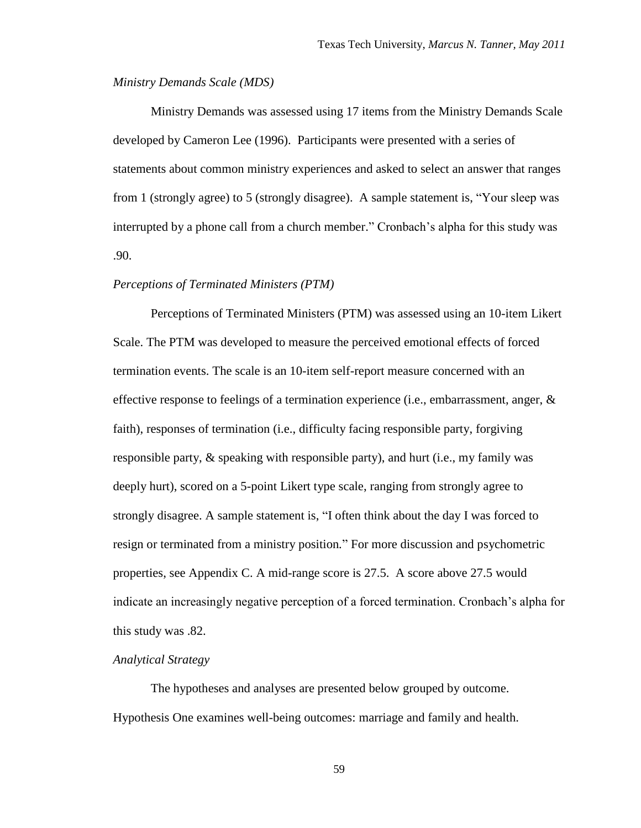#### *Ministry Demands Scale (MDS)*

Ministry Demands was assessed using 17 items from the Ministry Demands Scale developed by Cameron Lee (1996). Participants were presented with a series of statements about common ministry experiences and asked to select an answer that ranges from 1 (strongly agree) to 5 (strongly disagree). A sample statement is, "Your sleep was interrupted by a phone call from a church member." Cronbach's alpha for this study was .90.

#### *Perceptions of Terminated Ministers (PTM)*

Perceptions of Terminated Ministers (PTM) was assessed using an 10-item Likert Scale. The PTM was developed to measure the perceived emotional effects of forced termination events. The scale is an 10-item self-report measure concerned with an effective response to feelings of a termination experience (i.e., embarrassment, anger,  $\&$ faith), responses of termination (i.e., difficulty facing responsible party, forgiving responsible party, & speaking with responsible party), and hurt (i.e., my family was deeply hurt), scored on a 5-point Likert type scale, ranging from strongly agree to strongly disagree. A sample statement is, "I often think about the day I was forced to resign or terminated from a ministry position*.*" For more discussion and psychometric properties, see Appendix C. A mid-range score is 27.5. A score above 27.5 would indicate an increasingly negative perception of a forced termination. Cronbach"s alpha for this study was .82.

## *Analytical Strategy*

The hypotheses and analyses are presented below grouped by outcome. Hypothesis One examines well-being outcomes: marriage and family and health.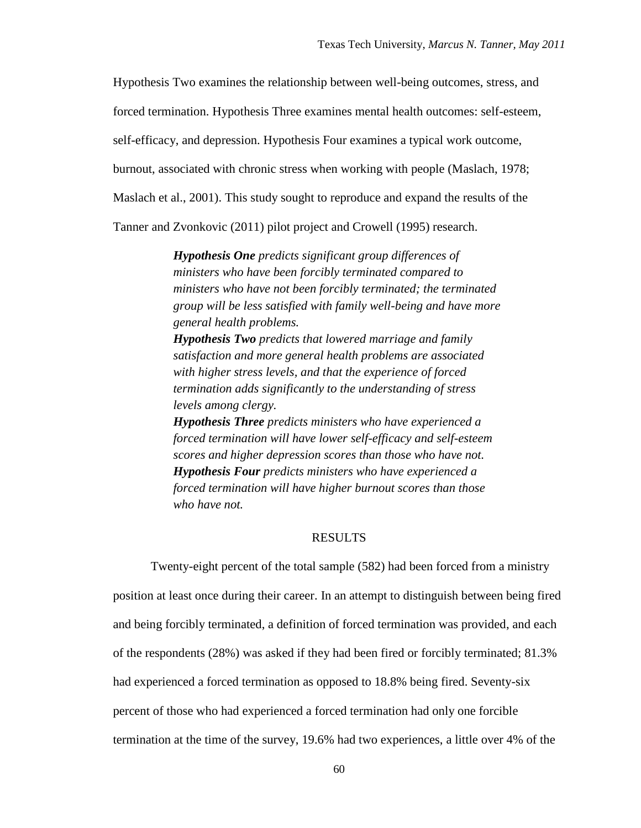Hypothesis Two examines the relationship between well-being outcomes, stress, and

forced termination. Hypothesis Three examines mental health outcomes: self-esteem,

self-efficacy, and depression. Hypothesis Four examines a typical work outcome,

burnout, associated with chronic stress when working with people (Maslach, 1978;

Maslach et al., 2001). This study sought to reproduce and expand the results of the

Tanner and Zvonkovic (2011) pilot project and Crowell (1995) research.

*Hypothesis One predicts significant group differences of ministers who have been forcibly terminated compared to ministers who have not been forcibly terminated; the terminated group will be less satisfied with family well-being and have more general health problems.*

*Hypothesis Two predicts that lowered marriage and family satisfaction and more general health problems are associated with higher stress levels, and that the experience of forced termination adds significantly to the understanding of stress levels among clergy.* 

*Hypothesis Three predicts ministers who have experienced a forced termination will have lower self-efficacy and self-esteem scores and higher depression scores than those who have not. Hypothesis Four predicts ministers who have experienced a forced termination will have higher burnout scores than those who have not.*

#### RESULTS

Twenty-eight percent of the total sample (582) had been forced from a ministry position at least once during their career. In an attempt to distinguish between being fired and being forcibly terminated, a definition of forced termination was provided, and each of the respondents (28%) was asked if they had been fired or forcibly terminated; 81.3% had experienced a forced termination as opposed to 18.8% being fired. Seventy-six percent of those who had experienced a forced termination had only one forcible termination at the time of the survey, 19.6% had two experiences, a little over 4% of the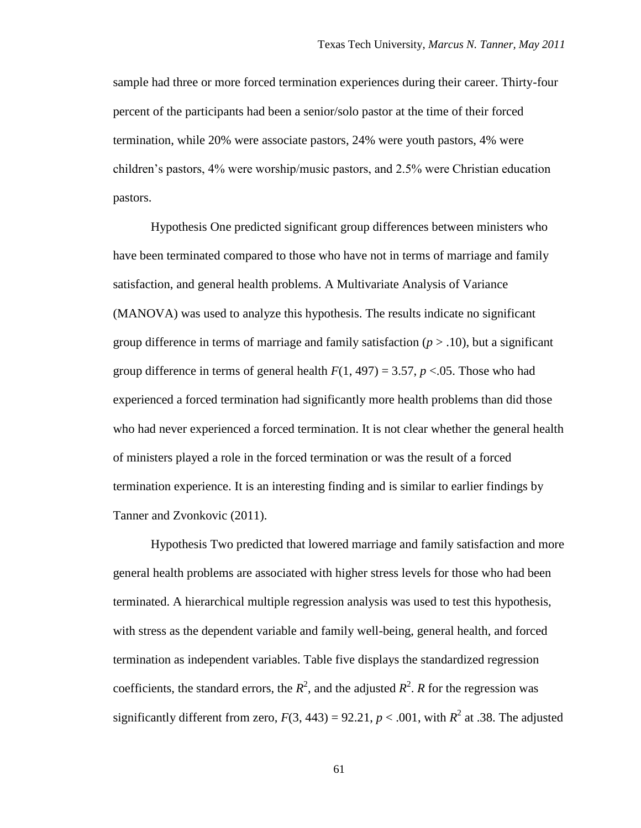sample had three or more forced termination experiences during their career. Thirty-four percent of the participants had been a senior/solo pastor at the time of their forced termination, while 20% were associate pastors, 24% were youth pastors, 4% were children"s pastors, 4% were worship/music pastors, and 2.5% were Christian education pastors.

Hypothesis One predicted significant group differences between ministers who have been terminated compared to those who have not in terms of marriage and family satisfaction, and general health problems. A Multivariate Analysis of Variance (MANOVA) was used to analyze this hypothesis. The results indicate no significant group difference in terms of marriage and family satisfaction  $(p > .10)$ , but a significant group difference in terms of general health  $F(1, 497) = 3.57$ ,  $p < 0.05$ . Those who had experienced a forced termination had significantly more health problems than did those who had never experienced a forced termination. It is not clear whether the general health of ministers played a role in the forced termination or was the result of a forced termination experience. It is an interesting finding and is similar to earlier findings by Tanner and Zvonkovic (2011).

Hypothesis Two predicted that lowered marriage and family satisfaction and more general health problems are associated with higher stress levels for those who had been terminated. A hierarchical multiple regression analysis was used to test this hypothesis, with stress as the dependent variable and family well-being, general health, and forced termination as independent variables. Table five displays the standardized regression coefficients, the standard errors, the  $R^2$ , and the adjusted  $R^2$ . *R* for the regression was significantly different from zero,  $F(3, 443) = 92.21$ ,  $p < .001$ , with  $R<sup>2</sup>$  at .38. The adjusted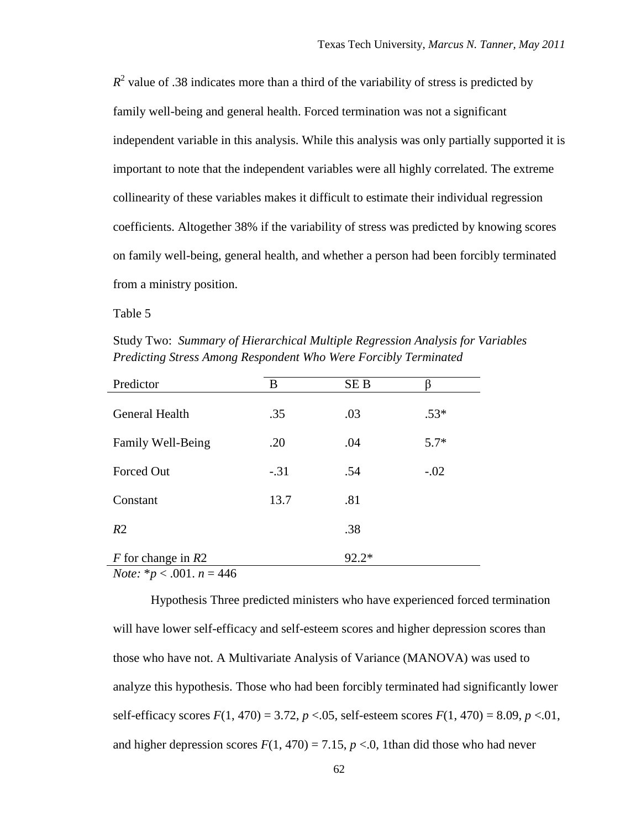$R<sup>2</sup>$  value of .38 indicates more than a third of the variability of stress is predicted by family well-being and general health. Forced termination was not a significant independent variable in this analysis. While this analysis was only partially supported it is important to note that the independent variables were all highly correlated. The extreme collinearity of these variables makes it difficult to estimate their individual regression coefficients. Altogether 38% if the variability of stress was predicted by knowing scores on family well-being, general health, and whether a person had been forcibly terminated from a ministry position.

Table 5

Study Two: *Summary of Hierarchical Multiple Regression Analysis for Variables Predicting Stress Among Respondent Who Were Forcibly Terminated*

| Predictor                                                                                                                                                                                                                                                                                                                                                                | B      | SE <sub>B</sub> |        |
|--------------------------------------------------------------------------------------------------------------------------------------------------------------------------------------------------------------------------------------------------------------------------------------------------------------------------------------------------------------------------|--------|-----------------|--------|
| General Health                                                                                                                                                                                                                                                                                                                                                           | .35    | .03             | $.53*$ |
| Family Well-Being                                                                                                                                                                                                                                                                                                                                                        | .20    | .04             | $5.7*$ |
| Forced Out                                                                                                                                                                                                                                                                                                                                                               | $-.31$ | .54             | $-.02$ |
| Constant                                                                                                                                                                                                                                                                                                                                                                 | 13.7   | .81             |        |
| R <sub>2</sub>                                                                                                                                                                                                                                                                                                                                                           |        | .38             |        |
| F for change in $R2$<br>$\mathbf{M}$ $\mathbf{A}$ $\mathbf{A}$ $\mathbf{A}$ $\mathbf{A}$ $\mathbf{A}$ $\mathbf{A}$ $\mathbf{A}$ $\mathbf{A}$ $\mathbf{A}$ $\mathbf{A}$ $\mathbf{A}$ $\mathbf{A}$ $\mathbf{A}$ $\mathbf{A}$ $\mathbf{A}$ $\mathbf{A}$ $\mathbf{A}$ $\mathbf{A}$ $\mathbf{A}$ $\mathbf{A}$ $\mathbf{A}$ $\mathbf{A}$ $\mathbf{A}$ $\mathbf{$<br>$\sqrt{1}$ |        | $92.2*$         |        |

*Note:* \**p* < .001. *n* = 446

Hypothesis Three predicted ministers who have experienced forced termination will have lower self-efficacy and self-esteem scores and higher depression scores than those who have not. A Multivariate Analysis of Variance (MANOVA) was used to analyze this hypothesis. Those who had been forcibly terminated had significantly lower self-efficacy scores  $F(1, 470) = 3.72$ ,  $p < 0.05$ , self-esteem scores  $F(1, 470) = 8.09$ ,  $p < 0.01$ , and higher depression scores  $F(1, 470) = 7.15$ ,  $p < 0$ , 1than did those who had never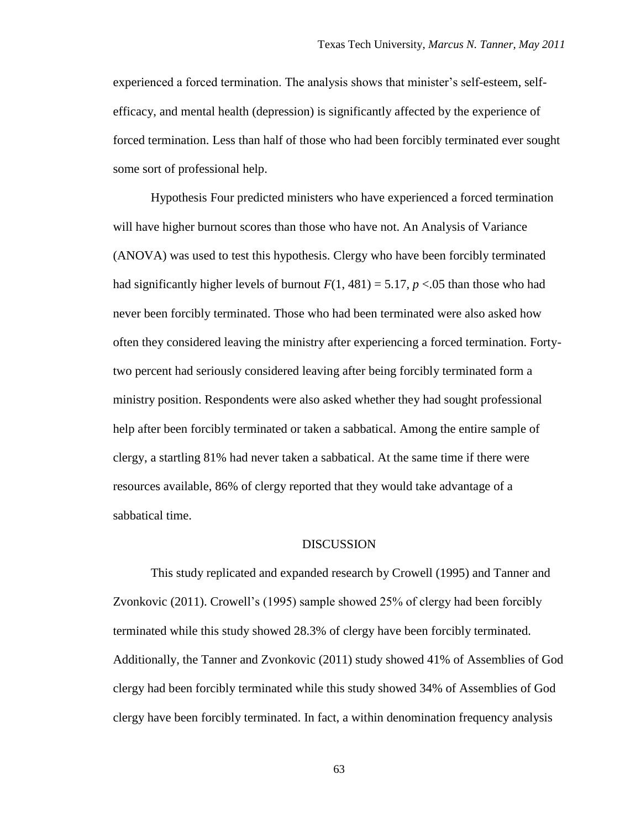experienced a forced termination. The analysis shows that minister"s self-esteem, selfefficacy, and mental health (depression) is significantly affected by the experience of forced termination. Less than half of those who had been forcibly terminated ever sought some sort of professional help.

Hypothesis Four predicted ministers who have experienced a forced termination will have higher burnout scores than those who have not. An Analysis of Variance (ANOVA) was used to test this hypothesis. Clergy who have been forcibly terminated had significantly higher levels of burnout  $F(1, 481) = 5.17$ ,  $p < .05$  than those who had never been forcibly terminated. Those who had been terminated were also asked how often they considered leaving the ministry after experiencing a forced termination. Fortytwo percent had seriously considered leaving after being forcibly terminated form a ministry position. Respondents were also asked whether they had sought professional help after been forcibly terminated or taken a sabbatical. Among the entire sample of clergy, a startling 81% had never taken a sabbatical. At the same time if there were resources available, 86% of clergy reported that they would take advantage of a sabbatical time.

#### **DISCUSSION**

This study replicated and expanded research by Crowell (1995) and Tanner and Zvonkovic (2011). Crowell"s (1995) sample showed 25% of clergy had been forcibly terminated while this study showed 28.3% of clergy have been forcibly terminated. Additionally, the Tanner and Zvonkovic (2011) study showed 41% of Assemblies of God clergy had been forcibly terminated while this study showed 34% of Assemblies of God clergy have been forcibly terminated. In fact, a within denomination frequency analysis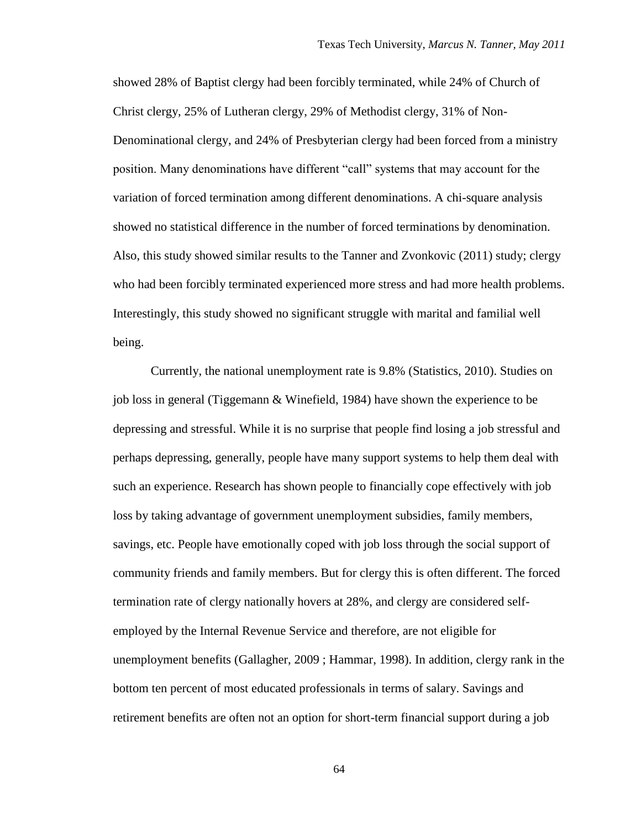showed 28% of Baptist clergy had been forcibly terminated, while 24% of Church of Christ clergy, 25% of Lutheran clergy, 29% of Methodist clergy, 31% of Non-Denominational clergy, and 24% of Presbyterian clergy had been forced from a ministry position. Many denominations have different "call" systems that may account for the variation of forced termination among different denominations. A chi-square analysis showed no statistical difference in the number of forced terminations by denomination. Also, this study showed similar results to the Tanner and Zvonkovic (2011) study; clergy who had been forcibly terminated experienced more stress and had more health problems. Interestingly, this study showed no significant struggle with marital and familial well being.

Currently, the national unemployment rate is 9.8% (Statistics, 2010). Studies on job loss in general (Tiggemann & Winefield, 1984) have shown the experience to be depressing and stressful. While it is no surprise that people find losing a job stressful and perhaps depressing, generally, people have many support systems to help them deal with such an experience. Research has shown people to financially cope effectively with job loss by taking advantage of government unemployment subsidies, family members, savings, etc. People have emotionally coped with job loss through the social support of community friends and family members. But for clergy this is often different. The forced termination rate of clergy nationally hovers at 28%, and clergy are considered selfemployed by the Internal Revenue Service and therefore, are not eligible for unemployment benefits (Gallagher, 2009 ; Hammar, 1998). In addition, clergy rank in the bottom ten percent of most educated professionals in terms of salary. Savings and retirement benefits are often not an option for short-term financial support during a job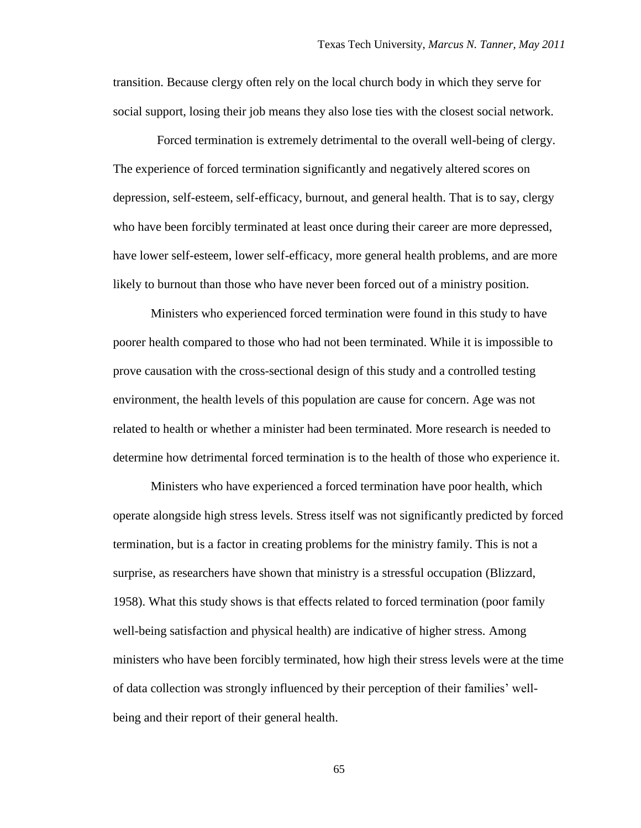transition. Because clergy often rely on the local church body in which they serve for social support, losing their job means they also lose ties with the closest social network.

 Forced termination is extremely detrimental to the overall well-being of clergy. The experience of forced termination significantly and negatively altered scores on depression, self-esteem, self-efficacy, burnout, and general health. That is to say, clergy who have been forcibly terminated at least once during their career are more depressed, have lower self-esteem, lower self-efficacy, more general health problems, and are more likely to burnout than those who have never been forced out of a ministry position.

Ministers who experienced forced termination were found in this study to have poorer health compared to those who had not been terminated. While it is impossible to prove causation with the cross-sectional design of this study and a controlled testing environment, the health levels of this population are cause for concern. Age was not related to health or whether a minister had been terminated. More research is needed to determine how detrimental forced termination is to the health of those who experience it.

Ministers who have experienced a forced termination have poor health, which operate alongside high stress levels. Stress itself was not significantly predicted by forced termination, but is a factor in creating problems for the ministry family. This is not a surprise, as researchers have shown that ministry is a stressful occupation (Blizzard, 1958). What this study shows is that effects related to forced termination (poor family well-being satisfaction and physical health) are indicative of higher stress. Among ministers who have been forcibly terminated, how high their stress levels were at the time of data collection was strongly influenced by their perception of their families" wellbeing and their report of their general health.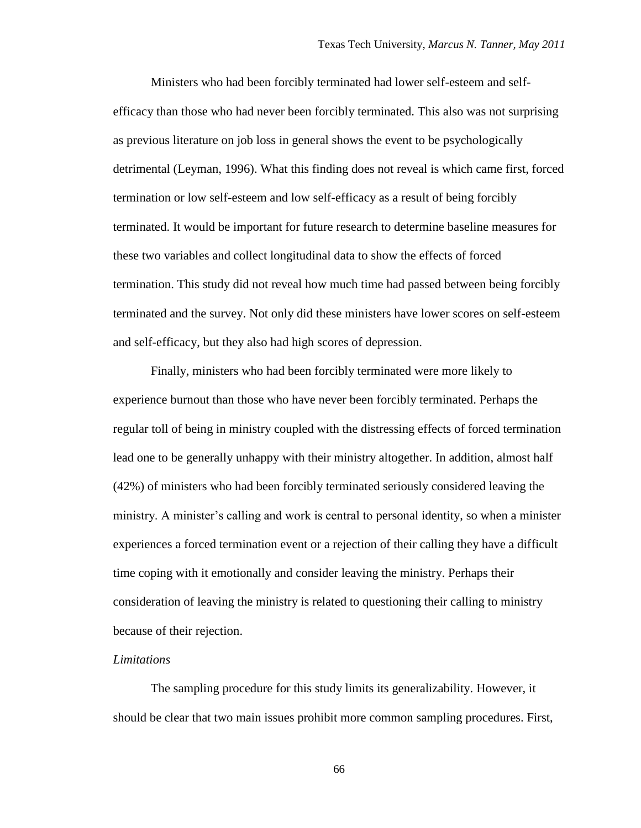Ministers who had been forcibly terminated had lower self-esteem and selfefficacy than those who had never been forcibly terminated. This also was not surprising as previous literature on job loss in general shows the event to be psychologically detrimental (Leyman, 1996). What this finding does not reveal is which came first, forced termination or low self-esteem and low self-efficacy as a result of being forcibly terminated. It would be important for future research to determine baseline measures for these two variables and collect longitudinal data to show the effects of forced termination. This study did not reveal how much time had passed between being forcibly terminated and the survey. Not only did these ministers have lower scores on self-esteem and self-efficacy, but they also had high scores of depression.

Finally, ministers who had been forcibly terminated were more likely to experience burnout than those who have never been forcibly terminated. Perhaps the regular toll of being in ministry coupled with the distressing effects of forced termination lead one to be generally unhappy with their ministry altogether. In addition, almost half (42%) of ministers who had been forcibly terminated seriously considered leaving the ministry. A minister's calling and work is central to personal identity, so when a minister experiences a forced termination event or a rejection of their calling they have a difficult time coping with it emotionally and consider leaving the ministry. Perhaps their consideration of leaving the ministry is related to questioning their calling to ministry because of their rejection.

#### *Limitations*

The sampling procedure for this study limits its generalizability. However, it should be clear that two main issues prohibit more common sampling procedures. First,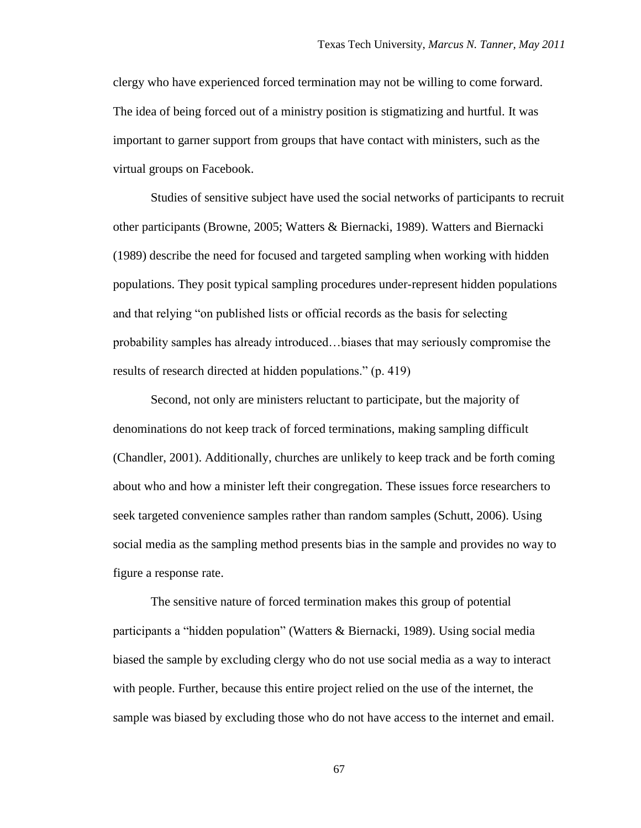clergy who have experienced forced termination may not be willing to come forward. The idea of being forced out of a ministry position is stigmatizing and hurtful. It was important to garner support from groups that have contact with ministers, such as the virtual groups on Facebook.

Studies of sensitive subject have used the social networks of participants to recruit other participants (Browne, 2005; Watters & Biernacki, 1989). Watters and Biernacki (1989) describe the need for focused and targeted sampling when working with hidden populations. They posit typical sampling procedures under-represent hidden populations and that relying "on published lists or official records as the basis for selecting probability samples has already introduced…biases that may seriously compromise the results of research directed at hidden populations." (p. 419)

Second, not only are ministers reluctant to participate, but the majority of denominations do not keep track of forced terminations, making sampling difficult (Chandler, 2001). Additionally, churches are unlikely to keep track and be forth coming about who and how a minister left their congregation. These issues force researchers to seek targeted convenience samples rather than random samples (Schutt, 2006). Using social media as the sampling method presents bias in the sample and provides no way to figure a response rate.

The sensitive nature of forced termination makes this group of potential participants a "hidden population" (Watters & Biernacki, 1989). Using social media biased the sample by excluding clergy who do not use social media as a way to interact with people. Further, because this entire project relied on the use of the internet, the sample was biased by excluding those who do not have access to the internet and email.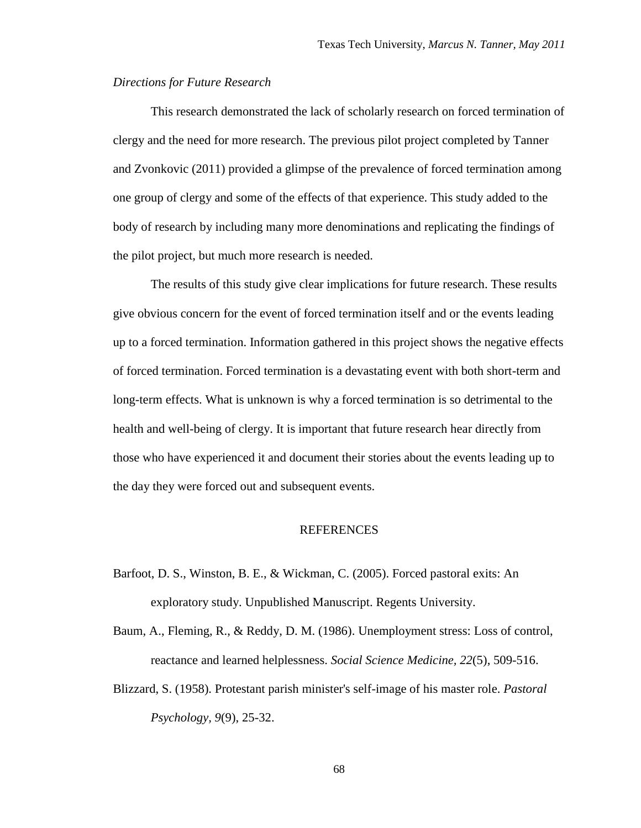## *Directions for Future Research*

This research demonstrated the lack of scholarly research on forced termination of clergy and the need for more research. The previous pilot project completed by Tanner and Zvonkovic (2011) provided a glimpse of the prevalence of forced termination among one group of clergy and some of the effects of that experience. This study added to the body of research by including many more denominations and replicating the findings of the pilot project, but much more research is needed.

The results of this study give clear implications for future research. These results give obvious concern for the event of forced termination itself and or the events leading up to a forced termination. Information gathered in this project shows the negative effects of forced termination. Forced termination is a devastating event with both short-term and long-term effects. What is unknown is why a forced termination is so detrimental to the health and well-being of clergy. It is important that future research hear directly from those who have experienced it and document their stories about the events leading up to the day they were forced out and subsequent events.

## REFERENCES

Barfoot, D. S., Winston, B. E., & Wickman, C. (2005). Forced pastoral exits: An exploratory study. Unpublished Manuscript. Regents University.

Baum, A., Fleming, R., & Reddy, D. M. (1986). Unemployment stress: Loss of control, reactance and learned helplessness. *Social Science Medicine, 22*(5), 509-516.

Blizzard, S. (1958). Protestant parish minister's self-image of his master role. *Pastoral Psychology, 9*(9), 25-32.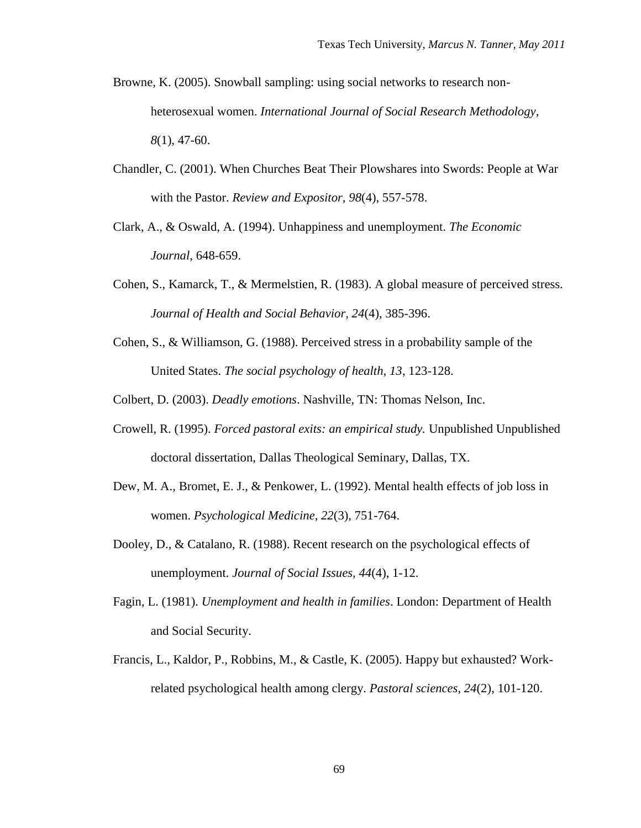- Browne, K. (2005). Snowball sampling: using social networks to research nonheterosexual women. *International Journal of Social Research Methodology, 8*(1), 47-60.
- Chandler, C. (2001). When Churches Beat Their Plowshares into Swords: People at War with the Pastor. *Review and Expositor, 98*(4), 557-578.
- Clark, A., & Oswald, A. (1994). Unhappiness and unemployment. *The Economic Journal*, 648-659.
- Cohen, S., Kamarck, T., & Mermelstien, R. (1983). A global measure of perceived stress. *Journal of Health and Social Behavior, 24*(4), 385-396.
- Cohen, S., & Williamson, G. (1988). Perceived stress in a probability sample of the United States. *The social psychology of health, 13*, 123-128.

Colbert, D. (2003). *Deadly emotions*. Nashville, TN: Thomas Nelson, Inc.

- Crowell, R. (1995). *Forced pastoral exits: an empirical study.* Unpublished Unpublished doctoral dissertation, Dallas Theological Seminary, Dallas, TX.
- Dew, M. A., Bromet, E. J., & Penkower, L. (1992). Mental health effects of job loss in women. *Psychological Medicine, 22*(3), 751-764.
- Dooley, D., & Catalano, R. (1988). Recent research on the psychological effects of unemployment. *Journal of Social Issues, 44*(4), 1-12.
- Fagin, L. (1981). *Unemployment and health in families*. London: Department of Health and Social Security.
- Francis, L., Kaldor, P., Robbins, M., & Castle, K. (2005). Happy but exhausted? Workrelated psychological health among clergy. *Pastoral sciences, 24*(2), 101-120.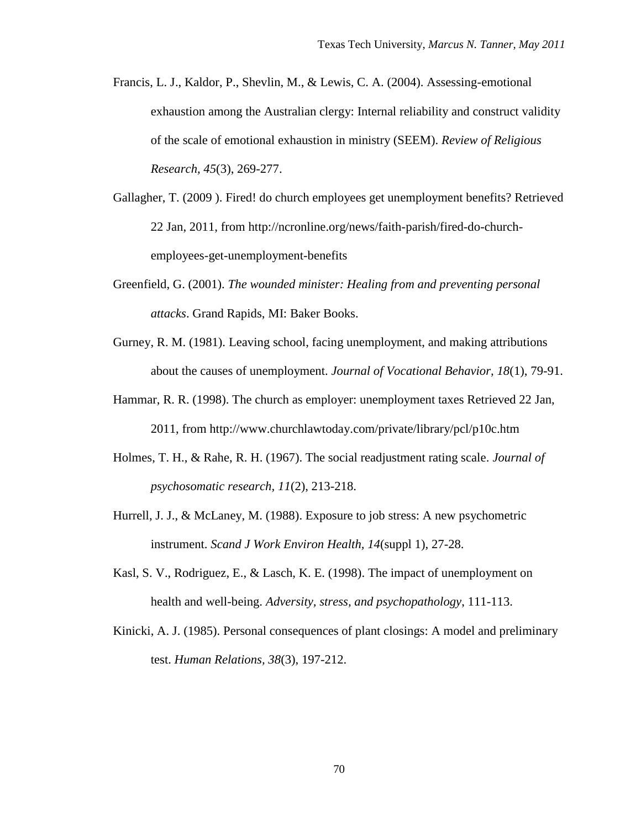- Francis, L. J., Kaldor, P., Shevlin, M., & Lewis, C. A. (2004). Assessing-emotional exhaustion among the Australian clergy: Internal reliability and construct validity of the scale of emotional exhaustion in ministry (SEEM). *Review of Religious Research, 45*(3), 269-277.
- Gallagher, T. (2009 ). Fired! do church employees get unemployment benefits? Retrieved 22 Jan, 2011, from http://ncronline.org/news/faith-parish/fired-do-churchemployees-get-unemployment-benefits
- Greenfield, G. (2001). *The wounded minister: Healing from and preventing personal attacks*. Grand Rapids, MI: Baker Books.
- Gurney, R. M. (1981). Leaving school, facing unemployment, and making attributions about the causes of unemployment. *Journal of Vocational Behavior, 18*(1), 79-91.
- Hammar, R. R. (1998). The church as employer: unemployment taxes Retrieved 22 Jan, 2011, from http://www.churchlawtoday.com/private/library/pcl/p10c.htm
- Holmes, T. H., & Rahe, R. H. (1967). The social readjustment rating scale. *Journal of psychosomatic research, 11*(2), 213-218.
- Hurrell, J. J., & McLaney, M. (1988). Exposure to job stress: A new psychometric instrument. *Scand J Work Environ Health, 14*(suppl 1), 27-28.
- Kasl, S. V., Rodriguez, E., & Lasch, K. E. (1998). The impact of unemployment on health and well-being. *Adversity, stress, and psychopathology*, 111-113.
- Kinicki, A. J. (1985). Personal consequences of plant closings: A model and preliminary test. *Human Relations, 38*(3), 197-212.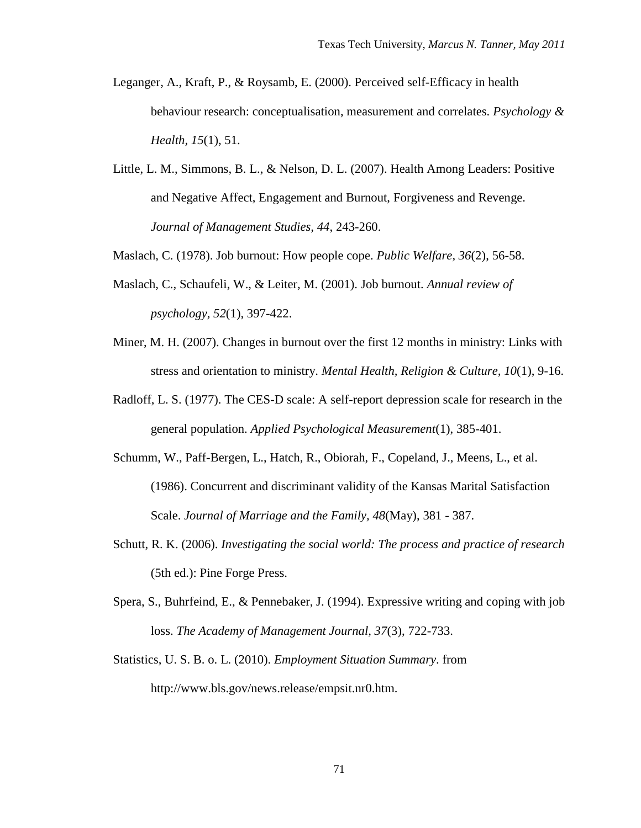- Leganger, A., Kraft, P., & Roysamb, E. (2000). Perceived self-Efficacy in health behaviour research: conceptualisation, measurement and correlates. *Psychology & Health, 15*(1), 51.
- Little, L. M., Simmons, B. L., & Nelson, D. L. (2007). Health Among Leaders: Positive and Negative Affect, Engagement and Burnout, Forgiveness and Revenge. *Journal of Management Studies, 44*, 243-260.

Maslach, C. (1978). Job burnout: How people cope. *Public Welfare, 36*(2), 56-58.

- Maslach, C., Schaufeli, W., & Leiter, M. (2001). Job burnout. *Annual review of psychology, 52*(1), 397-422.
- Miner, M. H. (2007). Changes in burnout over the first 12 months in ministry: Links with stress and orientation to ministry. *Mental Health, Religion & Culture, 10*(1), 9-16.
- Radloff, L. S. (1977). The CES-D scale: A self-report depression scale for research in the general population. *Applied Psychological Measurement*(1), 385-401.
- Schumm, W., Paff-Bergen, L., Hatch, R., Obiorah, F., Copeland, J., Meens, L., et al. (1986). Concurrent and discriminant validity of the Kansas Marital Satisfaction Scale. *Journal of Marriage and the Family, 48*(May), 381 - 387.
- Schutt, R. K. (2006). *Investigating the social world: The process and practice of research* (5th ed.): Pine Forge Press.
- Spera, S., Buhrfeind, E., & Pennebaker, J. (1994). Expressive writing and coping with job loss. *The Academy of Management Journal, 37*(3), 722-733.
- Statistics, U. S. B. o. L. (2010). *Employment Situation Summary*. from http://www.bls.gov/news.release/empsit.nr0.htm.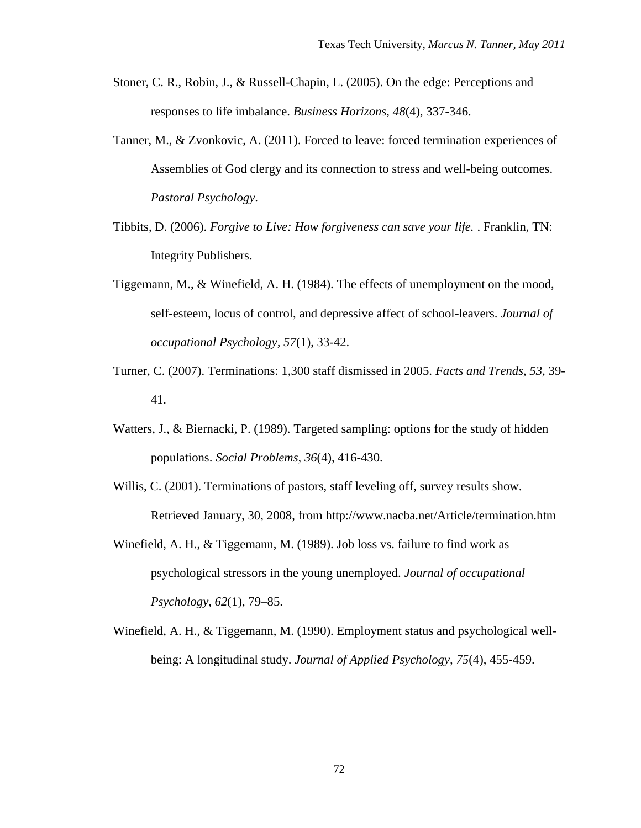- Stoner, C. R., Robin, J., & Russell-Chapin, L. (2005). On the edge: Perceptions and responses to life imbalance. *Business Horizons, 48*(4), 337-346.
- Tanner, M., & Zvonkovic, A. (2011). Forced to leave: forced termination experiences of Assemblies of God clergy and its connection to stress and well-being outcomes. *Pastoral Psychology*.
- Tibbits, D. (2006). *Forgive to Live: How forgiveness can save your life.* . Franklin, TN: Integrity Publishers.
- Tiggemann, M., & Winefield, A. H. (1984). The effects of unemployment on the mood, self-esteem, locus of control, and depressive affect of school-leavers. *Journal of occupational Psychology, 57*(1), 33-42.
- Turner, C. (2007). Terminations: 1,300 staff dismissed in 2005. *Facts and Trends, 53,* 39- 41.
- Watters, J., & Biernacki, P. (1989). Targeted sampling: options for the study of hidden populations. *Social Problems, 36*(4), 416-430.
- Willis, C. (2001). Terminations of pastors, staff leveling off, survey results show. Retrieved January, 30, 2008, from http://www.nacba.net/Article/termination.htm
- Winefield, A. H., & Tiggemann, M. (1989). Job loss vs. failure to find work as psychological stressors in the young unemployed. *Journal of occupational Psychology, 62*(1), 79–85.
- Winefield, A. H., & Tiggemann, M. (1990). Employment status and psychological wellbeing: A longitudinal study. *Journal of Applied Psychology, 75*(4), 455-459.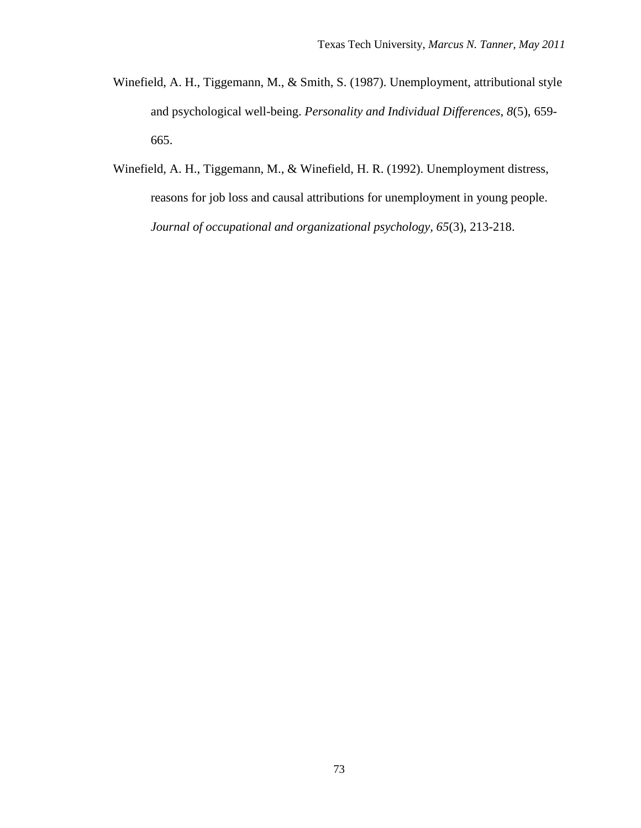- Winefield, A. H., Tiggemann, M., & Smith, S. (1987). Unemployment, attributional style and psychological well-being. *Personality and Individual Differences, 8*(5), 659- 665.
- Winefield, A. H., Tiggemann, M., & Winefield, H. R. (1992). Unemployment distress, reasons for job loss and causal attributions for unemployment in young people. *Journal of occupational and organizational psychology, 65*(3), 213-218.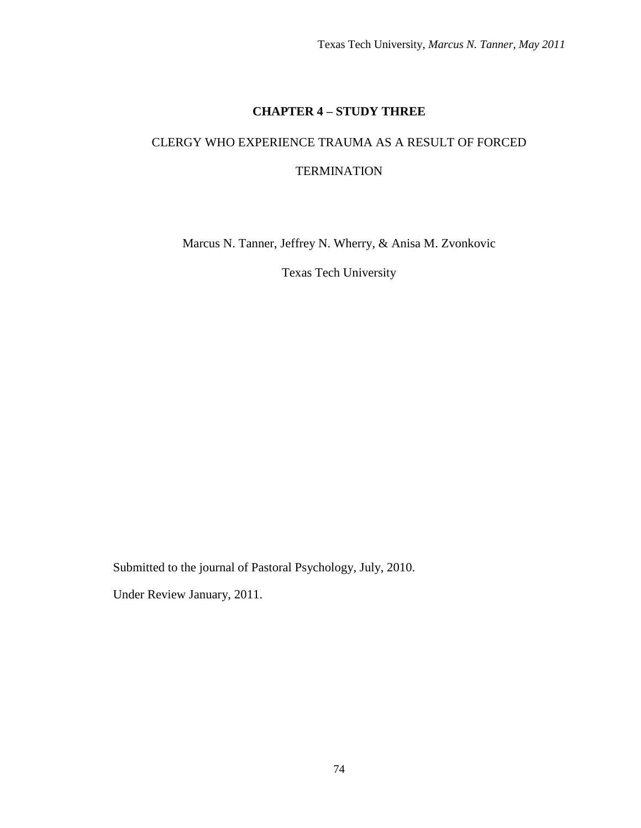## **CHAPTER 4 – STUDY THREE**

# CLERGY WHO EXPERIENCE TRAUMA AS A RESULT OF FORCED **TERMINATION**

Marcus N. Tanner, Jeffrey N. Wherry, & Anisa M. Zvonkovic

Texas Tech University

Submitted to the journal of Pastoral Psychology, July, 2010.

Under Review January, 2011.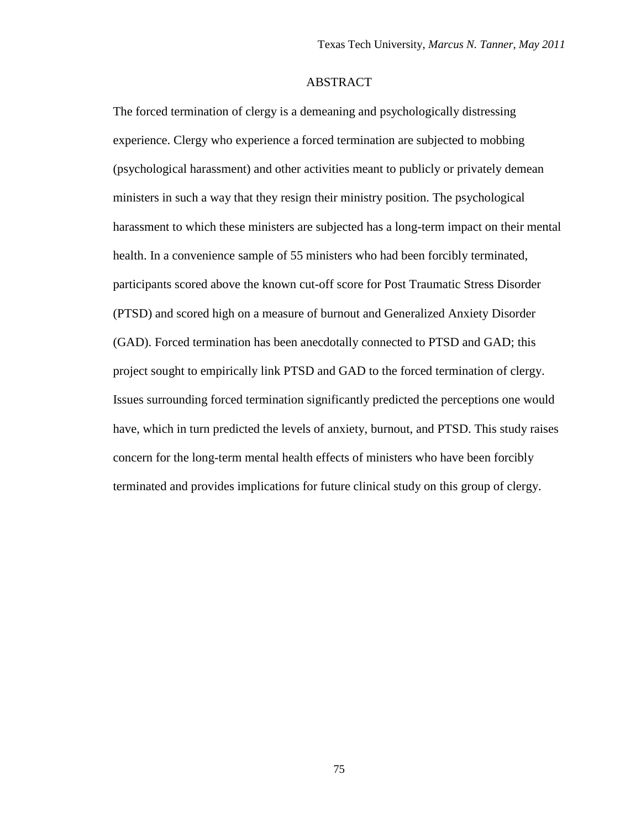## ABSTRACT

The forced termination of clergy is a demeaning and psychologically distressing experience. Clergy who experience a forced termination are subjected to mobbing (psychological harassment) and other activities meant to publicly or privately demean ministers in such a way that they resign their ministry position. The psychological harassment to which these ministers are subjected has a long-term impact on their mental health. In a convenience sample of 55 ministers who had been forcibly terminated, participants scored above the known cut-off score for Post Traumatic Stress Disorder (PTSD) and scored high on a measure of burnout and Generalized Anxiety Disorder (GAD). Forced termination has been anecdotally connected to PTSD and GAD; this project sought to empirically link PTSD and GAD to the forced termination of clergy. Issues surrounding forced termination significantly predicted the perceptions one would have, which in turn predicted the levels of anxiety, burnout, and PTSD. This study raises concern for the long-term mental health effects of ministers who have been forcibly terminated and provides implications for future clinical study on this group of clergy.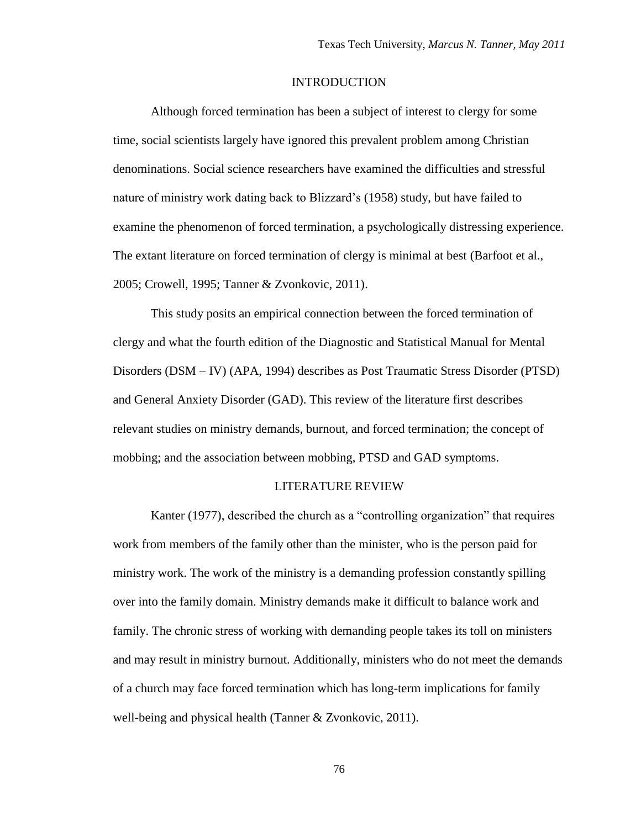#### INTRODUCTION

Although forced termination has been a subject of interest to clergy for some time, social scientists largely have ignored this prevalent problem among Christian denominations. Social science researchers have examined the difficulties and stressful nature of ministry work dating back to Blizzard"s (1958) study, but have failed to examine the phenomenon of forced termination, a psychologically distressing experience. The extant literature on forced termination of clergy is minimal at best (Barfoot et al., 2005; Crowell, 1995; Tanner & Zvonkovic, 2011).

This study posits an empirical connection between the forced termination of clergy and what the fourth edition of the Diagnostic and Statistical Manual for Mental Disorders (DSM – IV) (APA, 1994) describes as Post Traumatic Stress Disorder (PTSD) and General Anxiety Disorder (GAD). This review of the literature first describes relevant studies on ministry demands, burnout, and forced termination; the concept of mobbing; and the association between mobbing, PTSD and GAD symptoms.

#### LITERATURE REVIEW

Kanter (1977), described the church as a "controlling organization" that requires work from members of the family other than the minister, who is the person paid for ministry work. The work of the ministry is a demanding profession constantly spilling over into the family domain. Ministry demands make it difficult to balance work and family. The chronic stress of working with demanding people takes its toll on ministers and may result in ministry burnout. Additionally, ministers who do not meet the demands of a church may face forced termination which has long-term implications for family well-being and physical health (Tanner & Zvonkovic, 2011).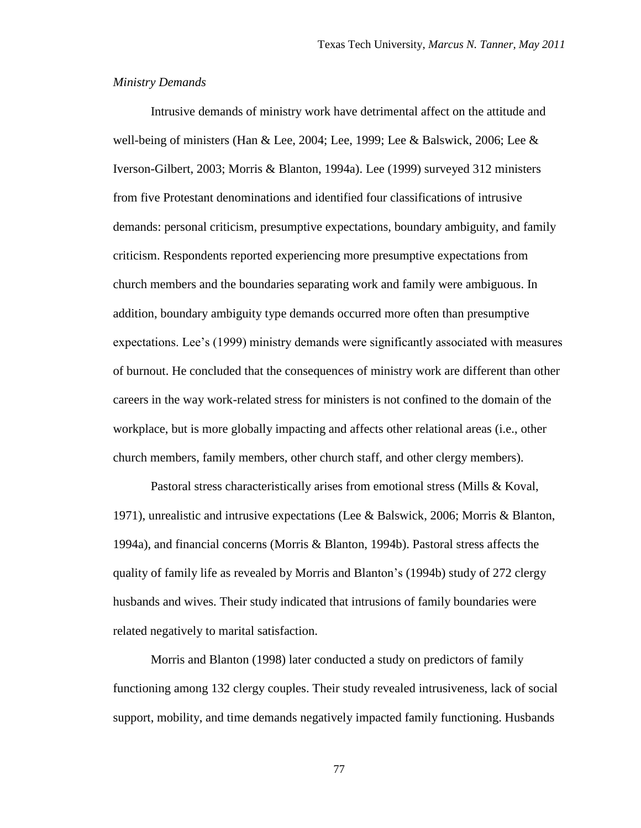## *Ministry Demands*

Intrusive demands of ministry work have detrimental affect on the attitude and well-being of ministers (Han & Lee, 2004; Lee, 1999; Lee & Balswick, 2006; Lee & Iverson-Gilbert, 2003; Morris & Blanton, 1994a). Lee (1999) surveyed 312 ministers from five Protestant denominations and identified four classifications of intrusive demands: personal criticism, presumptive expectations, boundary ambiguity, and family criticism. Respondents reported experiencing more presumptive expectations from church members and the boundaries separating work and family were ambiguous. In addition, boundary ambiguity type demands occurred more often than presumptive expectations. Lee's (1999) ministry demands were significantly associated with measures of burnout. He concluded that the consequences of ministry work are different than other careers in the way work-related stress for ministers is not confined to the domain of the workplace, but is more globally impacting and affects other relational areas (i.e., other church members, family members, other church staff, and other clergy members).

Pastoral stress characteristically arises from emotional stress (Mills & Koval, 1971), unrealistic and intrusive expectations (Lee & Balswick, 2006; Morris & Blanton, 1994a), and financial concerns (Morris & Blanton, 1994b). Pastoral stress affects the quality of family life as revealed by Morris and Blanton"s (1994b) study of 272 clergy husbands and wives. Their study indicated that intrusions of family boundaries were related negatively to marital satisfaction.

Morris and Blanton (1998) later conducted a study on predictors of family functioning among 132 clergy couples. Their study revealed intrusiveness, lack of social support, mobility, and time demands negatively impacted family functioning. Husbands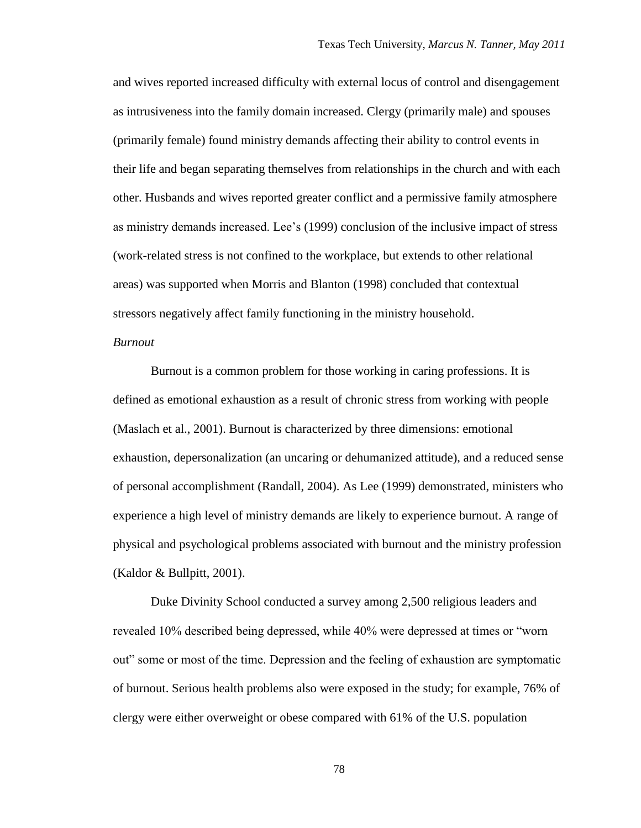and wives reported increased difficulty with external locus of control and disengagement as intrusiveness into the family domain increased. Clergy (primarily male) and spouses (primarily female) found ministry demands affecting their ability to control events in their life and began separating themselves from relationships in the church and with each other. Husbands and wives reported greater conflict and a permissive family atmosphere as ministry demands increased. Lee"s (1999) conclusion of the inclusive impact of stress (work-related stress is not confined to the workplace, but extends to other relational areas) was supported when Morris and Blanton (1998) concluded that contextual stressors negatively affect family functioning in the ministry household.

## *Burnout*

Burnout is a common problem for those working in caring professions. It is defined as emotional exhaustion as a result of chronic stress from working with people (Maslach et al., 2001). Burnout is characterized by three dimensions: emotional exhaustion, depersonalization (an uncaring or dehumanized attitude), and a reduced sense of personal accomplishment (Randall, 2004). As Lee (1999) demonstrated, ministers who experience a high level of ministry demands are likely to experience burnout. A range of physical and psychological problems associated with burnout and the ministry profession (Kaldor & Bullpitt, 2001).

Duke Divinity School conducted a survey among 2,500 religious leaders and revealed 10% described being depressed, while 40% were depressed at times or "worn out" some or most of the time. Depression and the feeling of exhaustion are symptomatic of burnout. Serious health problems also were exposed in the study; for example, 76% of clergy were either overweight or obese compared with 61% of the U.S. population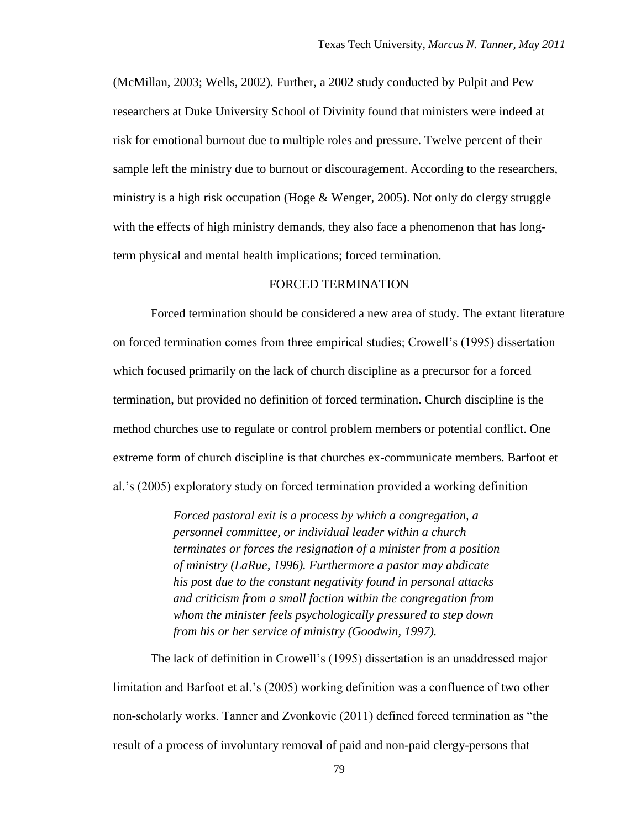(McMillan, 2003; Wells, 2002). Further, a 2002 study conducted by Pulpit and Pew researchers at Duke University School of Divinity found that ministers were indeed at risk for emotional burnout due to multiple roles and pressure. Twelve percent of their sample left the ministry due to burnout or discouragement. According to the researchers, ministry is a high risk occupation (Hoge & Wenger, 2005). Not only do clergy struggle with the effects of high ministry demands, they also face a phenomenon that has longterm physical and mental health implications; forced termination.

## FORCED TERMINATION

Forced termination should be considered a new area of study. The extant literature on forced termination comes from three empirical studies; Crowell"s (1995) dissertation which focused primarily on the lack of church discipline as a precursor for a forced termination, but provided no definition of forced termination. Church discipline is the method churches use to regulate or control problem members or potential conflict. One extreme form of church discipline is that churches ex-communicate members. Barfoot et al."s (2005) exploratory study on forced termination provided a working definition

> *Forced pastoral exit is a process by which a congregation, a personnel committee, or individual leader within a church terminates or forces the resignation of a minister from a position of ministry (LaRue, 1996). Furthermore a pastor may abdicate his post due to the constant negativity found in personal attacks and criticism from a small faction within the congregation from whom the minister feels psychologically pressured to step down from his or her service of ministry (Goodwin, 1997).*

The lack of definition in Crowell's (1995) dissertation is an unaddressed major limitation and Barfoot et al.'s (2005) working definition was a confluence of two other non-scholarly works. Tanner and Zvonkovic (2011) defined forced termination as "the result of a process of involuntary removal of paid and non-paid clergy-persons that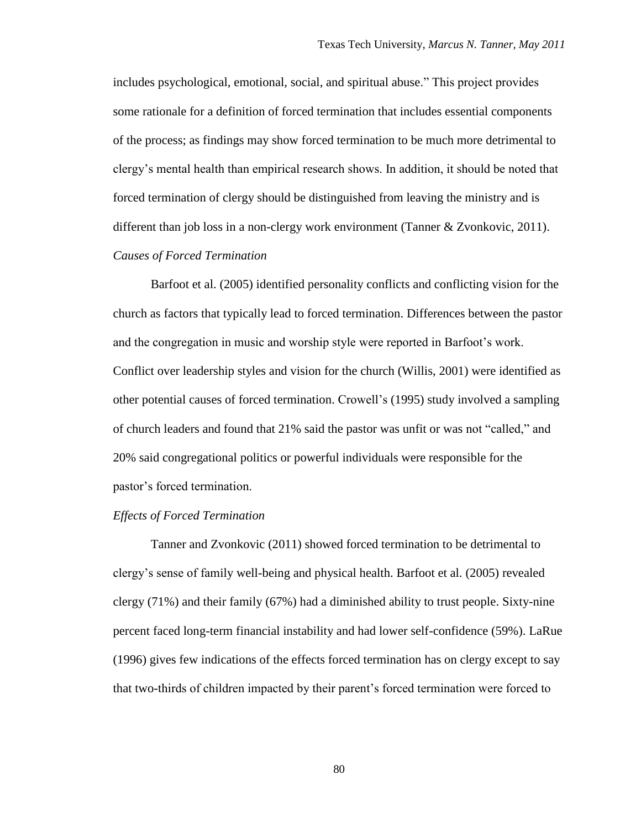includes psychological, emotional, social, and spiritual abuse." This project provides some rationale for a definition of forced termination that includes essential components of the process; as findings may show forced termination to be much more detrimental to clergy"s mental health than empirical research shows. In addition, it should be noted that forced termination of clergy should be distinguished from leaving the ministry and is different than job loss in a non-clergy work environment (Tanner & Zvonkovic, 2011).

## *Causes of Forced Termination*

Barfoot et al. (2005) identified personality conflicts and conflicting vision for the church as factors that typically lead to forced termination. Differences between the pastor and the congregation in music and worship style were reported in Barfoot"s work. Conflict over leadership styles and vision for the church (Willis, 2001) were identified as other potential causes of forced termination. Crowell"s (1995) study involved a sampling of church leaders and found that 21% said the pastor was unfit or was not "called," and 20% said congregational politics or powerful individuals were responsible for the pastor"s forced termination.

#### *Effects of Forced Termination*

Tanner and Zvonkovic (2011) showed forced termination to be detrimental to clergy"s sense of family well-being and physical health. Barfoot et al. (2005) revealed clergy (71%) and their family (67%) had a diminished ability to trust people. Sixty-nine percent faced long-term financial instability and had lower self-confidence (59%). LaRue (1996) gives few indications of the effects forced termination has on clergy except to say that two-thirds of children impacted by their parent"s forced termination were forced to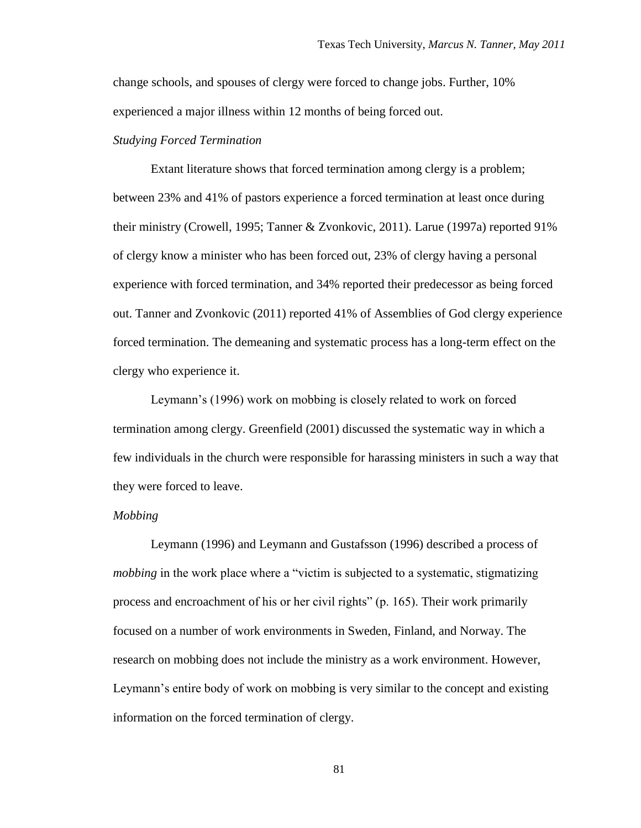change schools, and spouses of clergy were forced to change jobs. Further, 10% experienced a major illness within 12 months of being forced out.

## *Studying Forced Termination*

Extant literature shows that forced termination among clergy is a problem; between 23% and 41% of pastors experience a forced termination at least once during their ministry (Crowell, 1995; Tanner & Zvonkovic, 2011). Larue (1997a) reported 91% of clergy know a minister who has been forced out, 23% of clergy having a personal experience with forced termination, and 34% reported their predecessor as being forced out. Tanner and Zvonkovic (2011) reported 41% of Assemblies of God clergy experience forced termination. The demeaning and systematic process has a long-term effect on the clergy who experience it.

Leymann"s (1996) work on mobbing is closely related to work on forced termination among clergy. Greenfield (2001) discussed the systematic way in which a few individuals in the church were responsible for harassing ministers in such a way that they were forced to leave.

#### *Mobbing*

Leymann (1996) and Leymann and Gustafsson (1996) described a process of *mobbing* in the work place where a "victim is subjected to a systematic, stigmatizing process and encroachment of his or her civil rights" (p. 165). Their work primarily focused on a number of work environments in Sweden, Finland, and Norway. The research on mobbing does not include the ministry as a work environment. However, Leymann"s entire body of work on mobbing is very similar to the concept and existing information on the forced termination of clergy.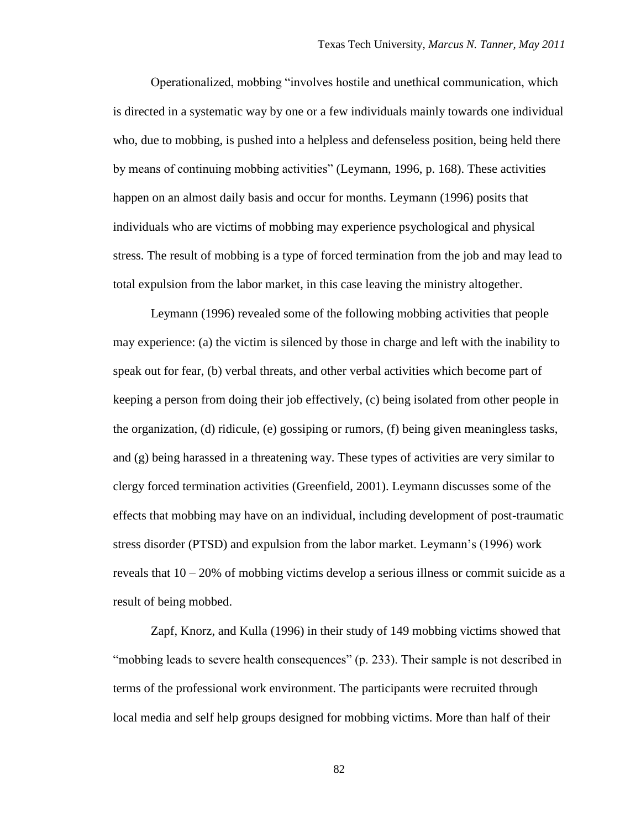Operationalized, mobbing "involves hostile and unethical communication, which is directed in a systematic way by one or a few individuals mainly towards one individual who, due to mobbing, is pushed into a helpless and defenseless position, being held there by means of continuing mobbing activities" (Leymann, 1996, p. 168). These activities happen on an almost daily basis and occur for months. Leymann (1996) posits that individuals who are victims of mobbing may experience psychological and physical stress. The result of mobbing is a type of forced termination from the job and may lead to total expulsion from the labor market, in this case leaving the ministry altogether.

Leymann (1996) revealed some of the following mobbing activities that people may experience: (a) the victim is silenced by those in charge and left with the inability to speak out for fear, (b) verbal threats, and other verbal activities which become part of keeping a person from doing their job effectively, (c) being isolated from other people in the organization, (d) ridicule, (e) gossiping or rumors, (f) being given meaningless tasks, and (g) being harassed in a threatening way. These types of activities are very similar to clergy forced termination activities (Greenfield, 2001). Leymann discusses some of the effects that mobbing may have on an individual, including development of post-traumatic stress disorder (PTSD) and expulsion from the labor market. Leymann"s (1996) work reveals that  $10 - 20\%$  of mobbing victims develop a serious illness or commit suicide as a result of being mobbed.

Zapf, Knorz, and Kulla (1996) in their study of 149 mobbing victims showed that "mobbing leads to severe health consequences" (p. 233). Their sample is not described in terms of the professional work environment. The participants were recruited through local media and self help groups designed for mobbing victims. More than half of their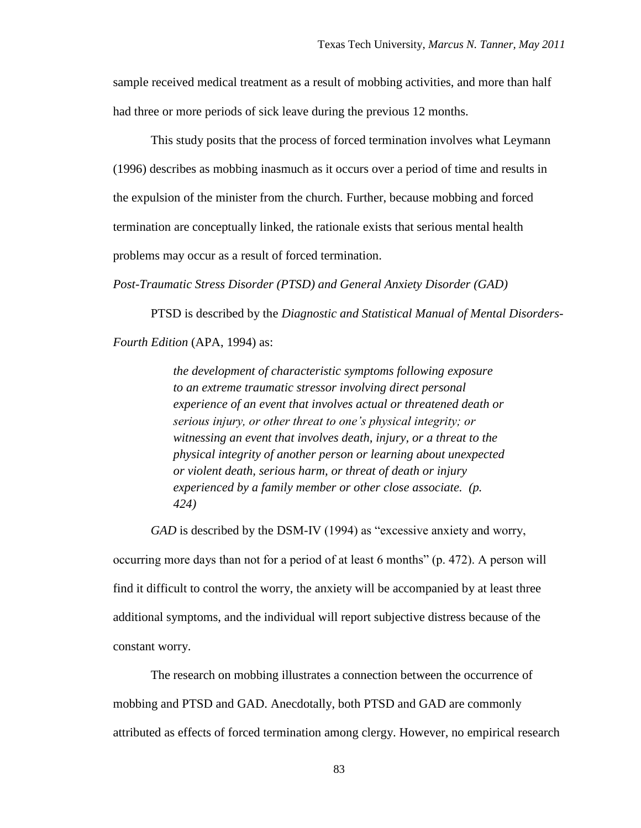sample received medical treatment as a result of mobbing activities, and more than half had three or more periods of sick leave during the previous 12 months.

This study posits that the process of forced termination involves what Leymann (1996) describes as mobbing inasmuch as it occurs over a period of time and results in the expulsion of the minister from the church. Further, because mobbing and forced termination are conceptually linked, the rationale exists that serious mental health problems may occur as a result of forced termination.

*Post-Traumatic Stress Disorder (PTSD) and General Anxiety Disorder (GAD)*

PTSD is described by the *Diagnostic and Statistical Manual of Mental Disorders-*

*Fourth Edition* (APA, 1994) as:

*the development of characteristic symptoms following exposure to an extreme traumatic stressor involving direct personal experience of an event that involves actual or threatened death or serious injury, or other threat to one's physical integrity; or witnessing an event that involves death, injury, or a threat to the physical integrity of another person or learning about unexpected or violent death, serious harm, or threat of death or injury experienced by a family member or other close associate. (p. 424)* 

*GAD* is described by the DSM-IV (1994) as "excessive anxiety and worry,

occurring more days than not for a period of at least 6 months" (p. 472). A person will find it difficult to control the worry, the anxiety will be accompanied by at least three additional symptoms, and the individual will report subjective distress because of the constant worry.

The research on mobbing illustrates a connection between the occurrence of mobbing and PTSD and GAD. Anecdotally, both PTSD and GAD are commonly attributed as effects of forced termination among clergy. However, no empirical research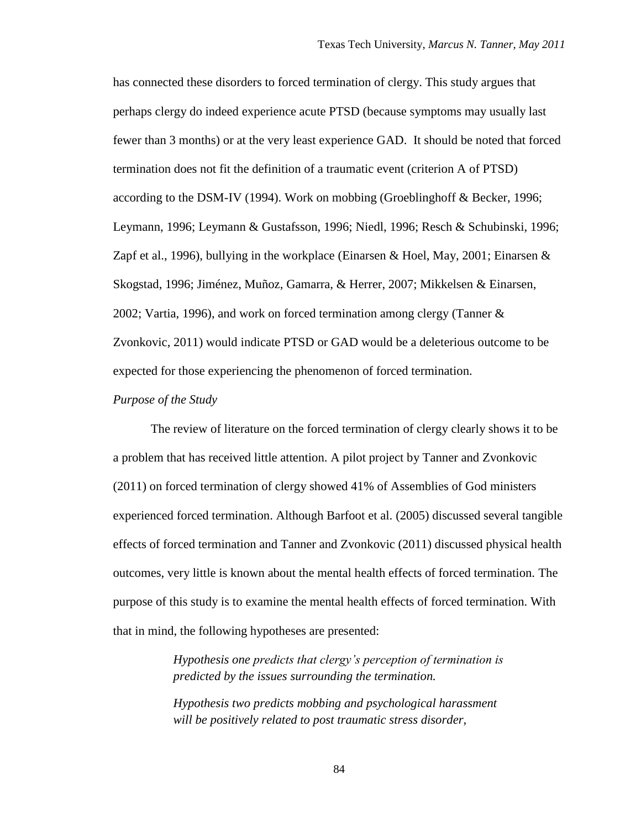has connected these disorders to forced termination of clergy. This study argues that perhaps clergy do indeed experience acute PTSD (because symptoms may usually last fewer than 3 months) or at the very least experience GAD. It should be noted that forced termination does not fit the definition of a traumatic event (criterion A of PTSD) according to the DSM-IV (1994). Work on mobbing (Groeblinghoff & Becker, 1996; Leymann, 1996; Leymann & Gustafsson, 1996; Niedl, 1996; Resch & Schubinski, 1996; Zapf et al., 1996), bullying in the workplace (Einarsen & Hoel, May, 2001; Einarsen & Skogstad, 1996; Jiménez, Muñoz, Gamarra, & Herrer, 2007; Mikkelsen & Einarsen, 2002; Vartia, 1996), and work on forced termination among clergy (Tanner & Zvonkovic, 2011) would indicate PTSD or GAD would be a deleterious outcome to be expected for those experiencing the phenomenon of forced termination.

#### *Purpose of the Study*

The review of literature on the forced termination of clergy clearly shows it to be a problem that has received little attention. A pilot project by Tanner and Zvonkovic (2011) on forced termination of clergy showed 41% of Assemblies of God ministers experienced forced termination. Although Barfoot et al. (2005) discussed several tangible effects of forced termination and Tanner and Zvonkovic (2011) discussed physical health outcomes, very little is known about the mental health effects of forced termination. The purpose of this study is to examine the mental health effects of forced termination. With that in mind, the following hypotheses are presented:

> *Hypothesis one predicts that clergy's perception of termination is predicted by the issues surrounding the termination.*

*Hypothesis two predicts mobbing and psychological harassment will be positively related to post traumatic stress disorder,*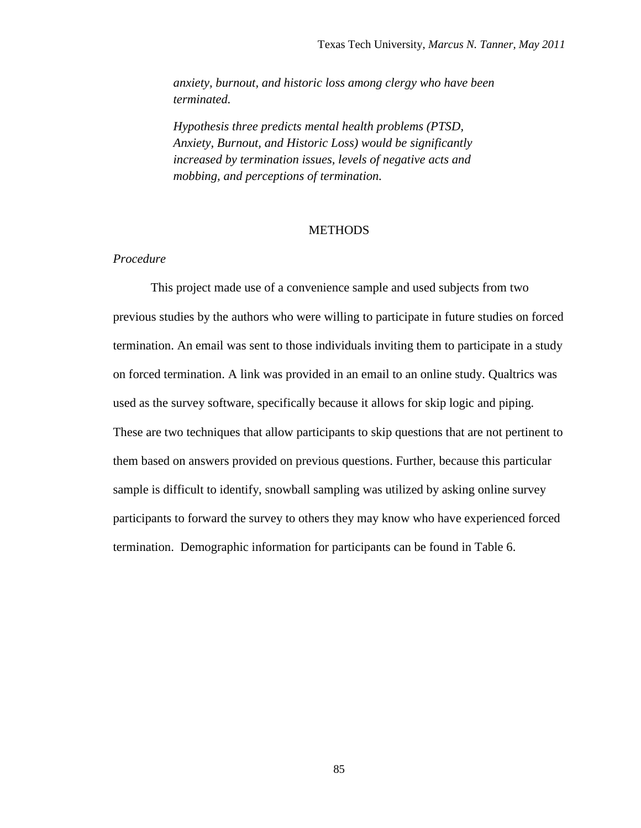*anxiety, burnout, and historic loss among clergy who have been terminated.*

*Hypothesis three predicts mental health problems (PTSD, Anxiety, Burnout, and Historic Loss) would be significantly increased by termination issues, levels of negative acts and mobbing, and perceptions of termination.* 

## **METHODS**

## *Procedure*

This project made use of a convenience sample and used subjects from two previous studies by the authors who were willing to participate in future studies on forced termination. An email was sent to those individuals inviting them to participate in a study on forced termination. A link was provided in an email to an online study. Qualtrics was used as the survey software, specifically because it allows for skip logic and piping. These are two techniques that allow participants to skip questions that are not pertinent to them based on answers provided on previous questions. Further, because this particular sample is difficult to identify, snowball sampling was utilized by asking online survey participants to forward the survey to others they may know who have experienced forced termination. Demographic information for participants can be found in Table 6.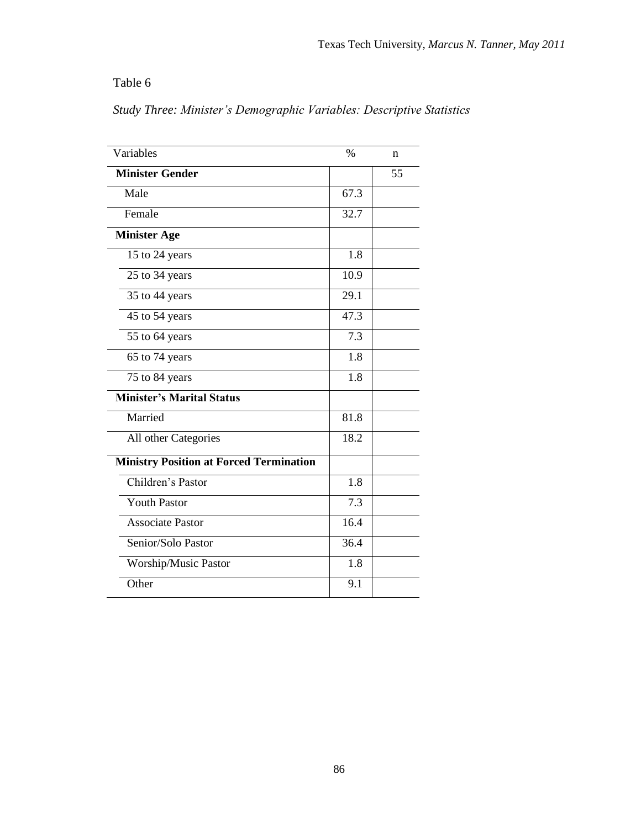Table 6

*Study Three: Minister's Demographic Variables: Descriptive Statistics*

| Variables                                      | $\%$             | n  |
|------------------------------------------------|------------------|----|
| <b>Minister Gender</b>                         |                  | 55 |
| Male                                           | 67.3             |    |
| Female                                         | 32.7             |    |
| <b>Minister Age</b>                            |                  |    |
| 15 to 24 years                                 | 1.8              |    |
| 25 to 34 years                                 | 10.9             |    |
| 35 to 44 years                                 | 29.1             |    |
| 45 to 54 years                                 | 47.3             |    |
| 55 to 64 years                                 | 7.3              |    |
| 65 to 74 years                                 | 1.8              |    |
| 75 to 84 years                                 | 1.8              |    |
| <b>Minister's Marital Status</b>               |                  |    |
| Married                                        | 81.8             |    |
| All other Categories                           | 18.2             |    |
| <b>Ministry Position at Forced Termination</b> |                  |    |
| Children's Pastor                              | 1.8              |    |
| <b>Youth Pastor</b>                            | 7.3              |    |
| <b>Associate Pastor</b>                        | 16.4             |    |
| Senior/Solo Pastor                             | $\frac{36.4}{9}$ |    |
| Worship/Music Pastor                           | 1.8              |    |
| Other                                          | 9.1              |    |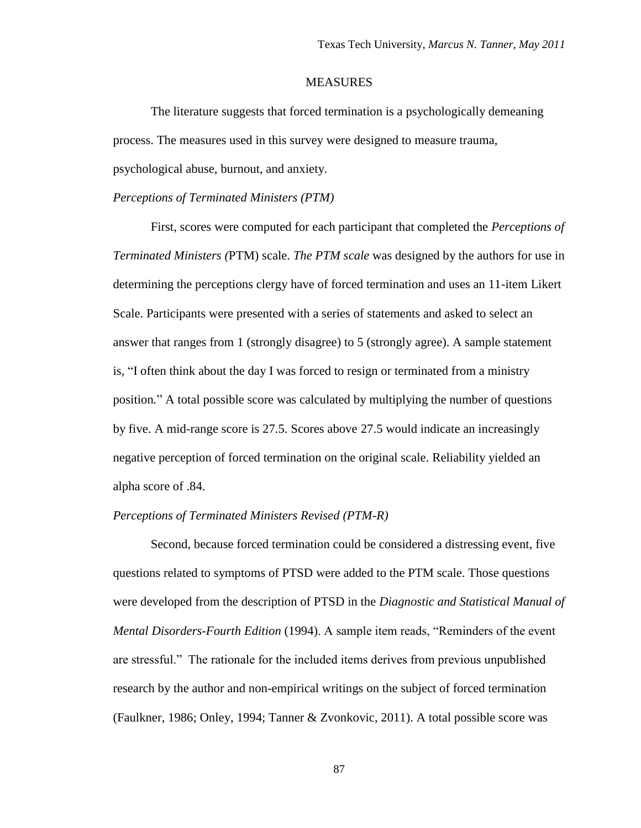## **MEASURES**

The literature suggests that forced termination is a psychologically demeaning process. The measures used in this survey were designed to measure trauma,

psychological abuse, burnout, and anxiety.

#### *Perceptions of Terminated Ministers (PTM)*

First, scores were computed for each participant that completed the *Perceptions of Terminated Ministers (*PTM) scale. *The PTM scale* was designed by the authors for use in determining the perceptions clergy have of forced termination and uses an 11-item Likert Scale. Participants were presented with a series of statements and asked to select an answer that ranges from 1 (strongly disagree) to 5 (strongly agree). A sample statement is, "I often think about the day I was forced to resign or terminated from a ministry position*.*" A total possible score was calculated by multiplying the number of questions by five. A mid-range score is 27.5. Scores above 27.5 would indicate an increasingly negative perception of forced termination on the original scale. Reliability yielded an alpha score of .84.

## *Perceptions of Terminated Ministers Revised (PTM-R)*

Second, because forced termination could be considered a distressing event, five questions related to symptoms of PTSD were added to the PTM scale. Those questions were developed from the description of PTSD in the *Diagnostic and Statistical Manual of Mental Disorders-Fourth Edition* (1994). A sample item reads, "Reminders of the event are stressful." The rationale for the included items derives from previous unpublished research by the author and non-empirical writings on the subject of forced termination (Faulkner, 1986; Onley, 1994; Tanner & Zvonkovic, 2011). A total possible score was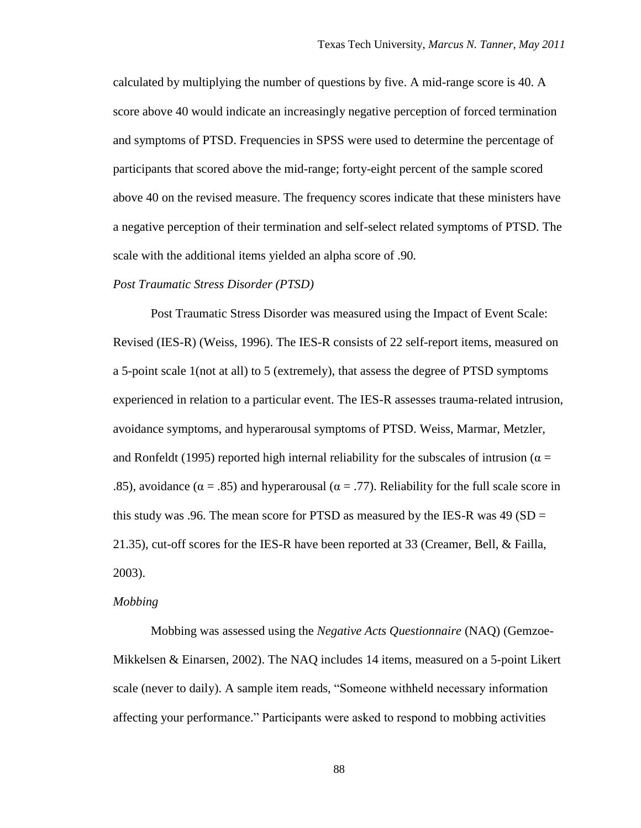calculated by multiplying the number of questions by five. A mid-range score is 40. A score above 40 would indicate an increasingly negative perception of forced termination and symptoms of PTSD. Frequencies in SPSS were used to determine the percentage of participants that scored above the mid-range; forty-eight percent of the sample scored above 40 on the revised measure. The frequency scores indicate that these ministers have a negative perception of their termination and self-select related symptoms of PTSD. The scale with the additional items yielded an alpha score of .90*.*

#### *Post Traumatic Stress Disorder (PTSD)*

Post Traumatic Stress Disorder was measured using the Impact of Event Scale: Revised (IES-R) (Weiss, 1996). The IES-R consists of 22 self-report items, measured on a 5-point scale 1(not at all) to 5 (extremely), that assess the degree of PTSD symptoms experienced in relation to a particular event. The IES-R assesses trauma-related intrusion, avoidance symptoms, and hyperarousal symptoms of PTSD. Weiss, Marmar, Metzler, and Ronfeldt (1995) reported high internal reliability for the subscales of intrusion ( $\alpha$  = .85), avoidance ( $\alpha = .85$ ) and hyperarousal ( $\alpha = .77$ ). Reliability for the full scale score in this study was .96. The mean score for PTSD as measured by the IES-R was 49 ( $SD =$ 21.35), cut-off scores for the IES-R have been reported at 33 (Creamer, Bell, & Failla, 2003).

#### *Mobbing*

Mobbing was assessed using the *Negative Acts Questionnaire* (NAQ) (Gemzoe-Mikkelsen & Einarsen, 2002). The NAQ includes 14 items, measured on a 5-point Likert scale (never to daily). A sample item reads, "Someone withheld necessary information affecting your performance." Participants were asked to respond to mobbing activities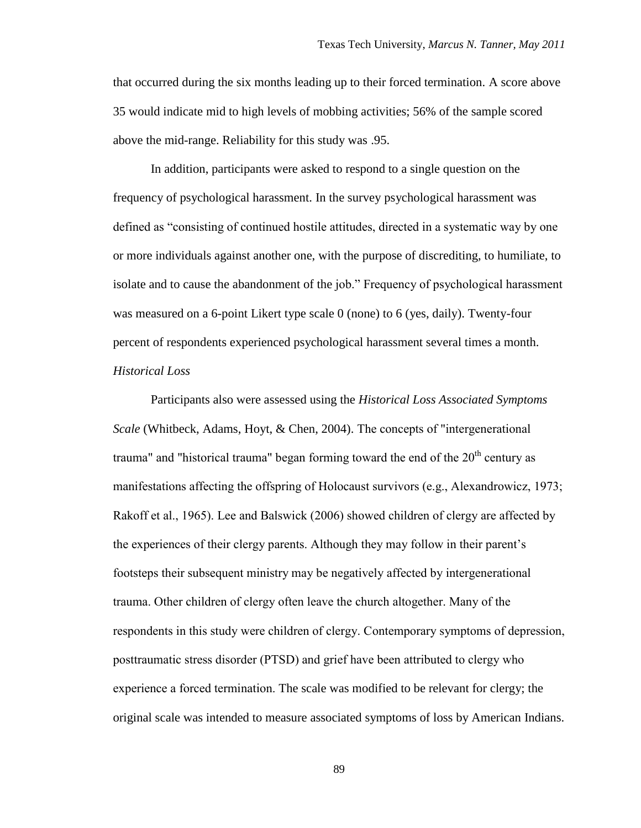that occurred during the six months leading up to their forced termination. A score above 35 would indicate mid to high levels of mobbing activities; 56% of the sample scored above the mid-range. Reliability for this study was .95.

In addition, participants were asked to respond to a single question on the frequency of psychological harassment. In the survey psychological harassment was defined as "consisting of continued hostile attitudes, directed in a systematic way by one or more individuals against another one, with the purpose of discrediting, to humiliate, to isolate and to cause the abandonment of the job." Frequency of psychological harassment was measured on a 6-point Likert type scale 0 (none) to 6 (yes, daily). Twenty-four percent of respondents experienced psychological harassment several times a month. *Historical Loss*

Participants also were assessed using the *Historical Loss Associated Symptoms Scale* (Whitbeck, Adams, Hoyt, & Chen, 2004). The concepts of "intergenerational trauma" and "historical trauma" began forming toward the end of the  $20<sup>th</sup>$  century as manifestations affecting the offspring of Holocaust survivors (e.g., Alexandrowicz, 1973; Rakoff et al., 1965). Lee and Balswick (2006) showed children of clergy are affected by the experiences of their clergy parents. Although they may follow in their parent's footsteps their subsequent ministry may be negatively affected by intergenerational trauma. Other children of clergy often leave the church altogether. Many of the respondents in this study were children of clergy. Contemporary symptoms of depression, posttraumatic stress disorder (PTSD) and grief have been attributed to clergy who experience a forced termination. The scale was modified to be relevant for clergy; the original scale was intended to measure associated symptoms of loss by American Indians.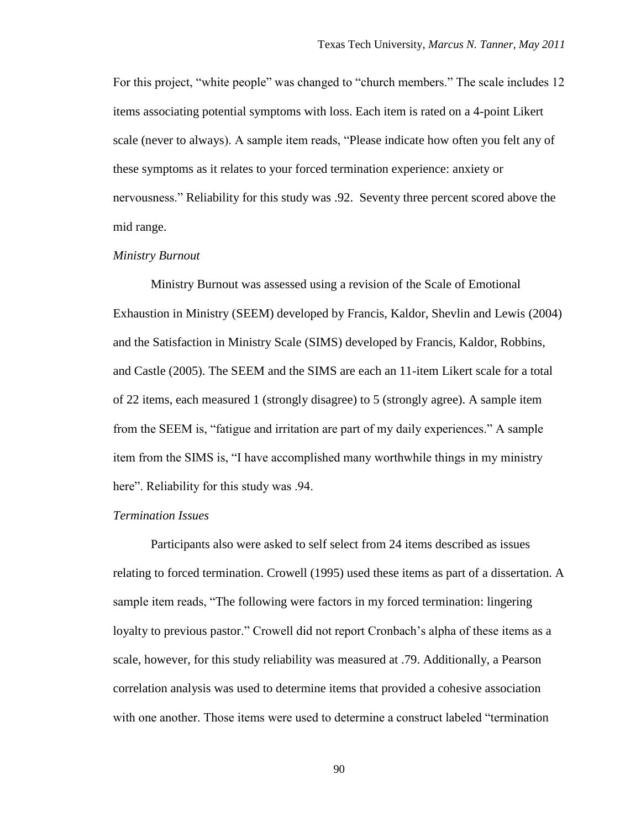For this project, "white people" was changed to "church members." The scale includes 12 items associating potential symptoms with loss. Each item is rated on a 4-point Likert scale (never to always). A sample item reads, "Please indicate how often you felt any of these symptoms as it relates to your forced termination experience: anxiety or nervousness." Reliability for this study was .92. Seventy three percent scored above the mid range.

#### *Ministry Burnout*

Ministry Burnout was assessed using a revision of the Scale of Emotional Exhaustion in Ministry (SEEM) developed by Francis, Kaldor, Shevlin and Lewis (2004) and the Satisfaction in Ministry Scale (SIMS) developed by Francis, Kaldor, Robbins, and Castle (2005). The SEEM and the SIMS are each an 11-item Likert scale for a total of 22 items, each measured 1 (strongly disagree) to 5 (strongly agree). A sample item from the SEEM is, "fatigue and irritation are part of my daily experiences." A sample item from the SIMS is, "I have accomplished many worthwhile things in my ministry here". Reliability for this study was  $.94$ .

#### *Termination Issues*

Participants also were asked to self select from 24 items described as issues relating to forced termination. Crowell (1995) used these items as part of a dissertation. A sample item reads, "The following were factors in my forced termination: lingering loyalty to previous pastor." Crowell did not report Cronbach's alpha of these items as a scale, however, for this study reliability was measured at .79. Additionally, a Pearson correlation analysis was used to determine items that provided a cohesive association with one another. Those items were used to determine a construct labeled "termination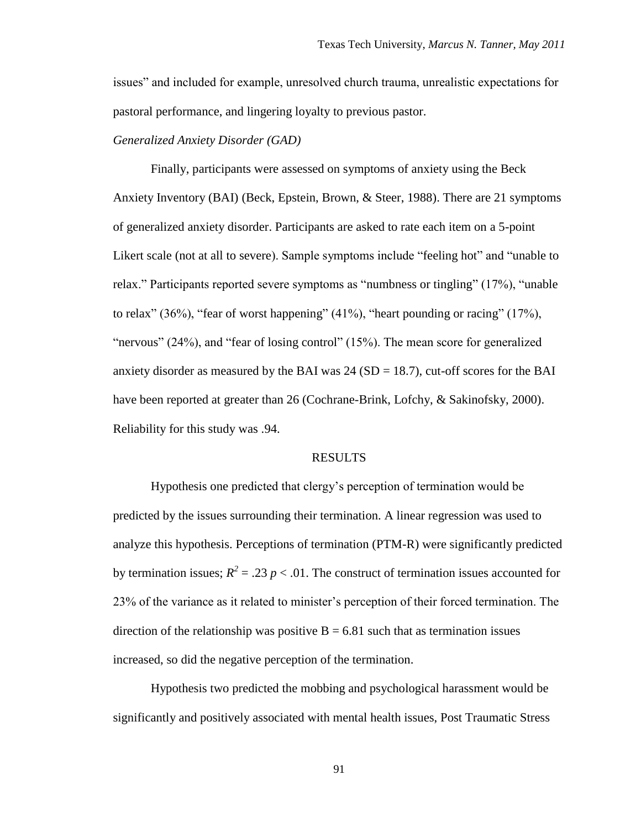issues" and included for example, unresolved church trauma, unrealistic expectations for pastoral performance, and lingering loyalty to previous pastor.

## *Generalized Anxiety Disorder (GAD)*

Finally, participants were assessed on symptoms of anxiety using the Beck Anxiety Inventory (BAI) (Beck, Epstein, Brown, & Steer, 1988). There are 21 symptoms of generalized anxiety disorder. Participants are asked to rate each item on a 5-point Likert scale (not at all to severe). Sample symptoms include "feeling hot" and "unable to relax." Participants reported severe symptoms as "numbness or tingling" (17%), "unable to relax"  $(36\%)$ , "fear of worst happening"  $(41\%)$ , "heart pounding or racing"  $(17\%)$ , "nervous" (24%), and "fear of losing control" (15%). The mean score for generalized anxiety disorder as measured by the BAI was  $24 (SD = 18.7)$ , cut-off scores for the BAI have been reported at greater than 26 (Cochrane-Brink, Lofchy, & Sakinofsky, 2000). Reliability for this study was .94.

#### RESULTS

Hypothesis one predicted that clergy"s perception of termination would be predicted by the issues surrounding their termination. A linear regression was used to analyze this hypothesis. Perceptions of termination (PTM-R) were significantly predicted by termination issues;  $R^2 = .23 p < .01$ . The construct of termination issues accounted for 23% of the variance as it related to minister"s perception of their forced termination. The direction of the relationship was positive  $B = 6.81$  such that as termination issues increased, so did the negative perception of the termination.

Hypothesis two predicted the mobbing and psychological harassment would be significantly and positively associated with mental health issues, Post Traumatic Stress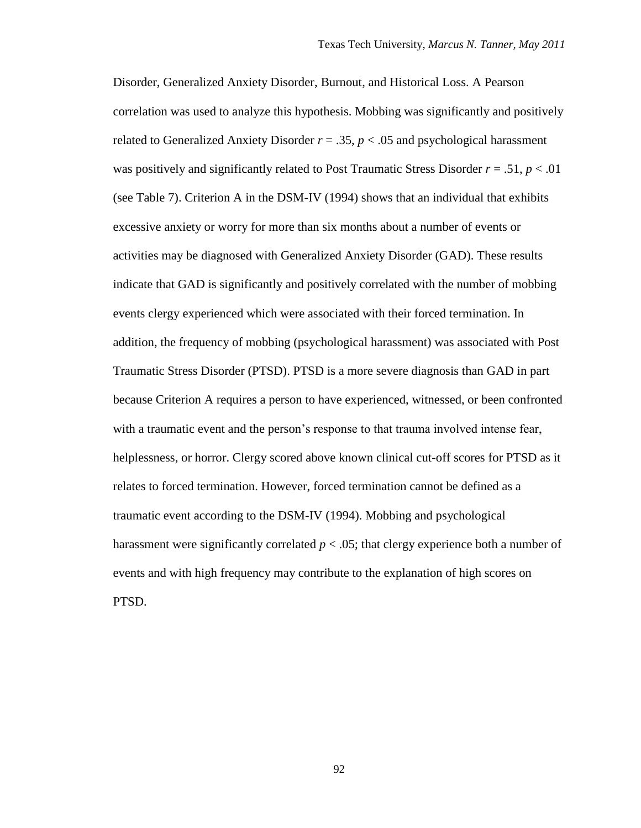Disorder, Generalized Anxiety Disorder, Burnout, and Historical Loss. A Pearson correlation was used to analyze this hypothesis. Mobbing was significantly and positively related to Generalized Anxiety Disorder  $r = .35$ ,  $p < .05$  and psychological harassment was positively and significantly related to Post Traumatic Stress Disorder  $r = .51$ ,  $p < .01$ (see Table 7). Criterion A in the DSM-IV (1994) shows that an individual that exhibits excessive anxiety or worry for more than six months about a number of events or activities may be diagnosed with Generalized Anxiety Disorder (GAD). These results indicate that GAD is significantly and positively correlated with the number of mobbing events clergy experienced which were associated with their forced termination. In addition, the frequency of mobbing (psychological harassment) was associated with Post Traumatic Stress Disorder (PTSD). PTSD is a more severe diagnosis than GAD in part because Criterion A requires a person to have experienced, witnessed, or been confronted with a traumatic event and the person's response to that trauma involved intense fear, helplessness, or horror. Clergy scored above known clinical cut-off scores for PTSD as it relates to forced termination. However, forced termination cannot be defined as a traumatic event according to the DSM-IV (1994). Mobbing and psychological harassment were significantly correlated *p* < .05; that clergy experience both a number of events and with high frequency may contribute to the explanation of high scores on PTSD.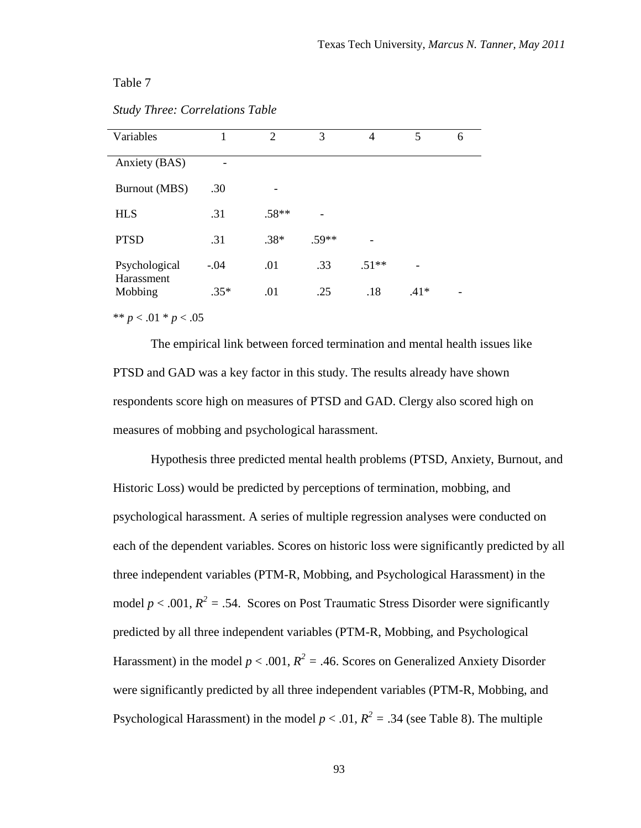Table 7

| Variables             |        | $\mathcal{D}_{\mathcal{L}}$ | 3       | 4       | 5      | 6 |
|-----------------------|--------|-----------------------------|---------|---------|--------|---|
| Anxiety (BAS)         |        |                             |         |         |        |   |
| <b>Burnout (MBS)</b>  | .30    |                             |         |         |        |   |
| <b>HLS</b>            | .31    | $.58**$                     |         |         |        |   |
| <b>PTSD</b>           | .31    | $.38*$                      | $.59**$ |         |        |   |
| Psychological         | $-.04$ | .01                         | .33     | $.51**$ |        |   |
| Harassment<br>Mobbing | $.35*$ | .01                         | .25     | .18     | $.41*$ |   |

\*\* *p* < .01 \* *p* < .05

The empirical link between forced termination and mental health issues like PTSD and GAD was a key factor in this study. The results already have shown respondents score high on measures of PTSD and GAD. Clergy also scored high on measures of mobbing and psychological harassment.

Hypothesis three predicted mental health problems (PTSD, Anxiety, Burnout, and Historic Loss) would be predicted by perceptions of termination, mobbing, and psychological harassment. A series of multiple regression analyses were conducted on each of the dependent variables. Scores on historic loss were significantly predicted by all three independent variables (PTM-R, Mobbing, and Psychological Harassment) in the model  $p < .001$ ,  $R^2 = .54$ . Scores on Post Traumatic Stress Disorder were significantly predicted by all three independent variables (PTM-R, Mobbing, and Psychological Harassment) in the model  $p < .001$ ,  $R^2 = .46$ . Scores on Generalized Anxiety Disorder were significantly predicted by all three independent variables (PTM-R, Mobbing, and Psychological Harassment) in the model  $p < .01$ ,  $R^2 = .34$  (see Table 8). The multiple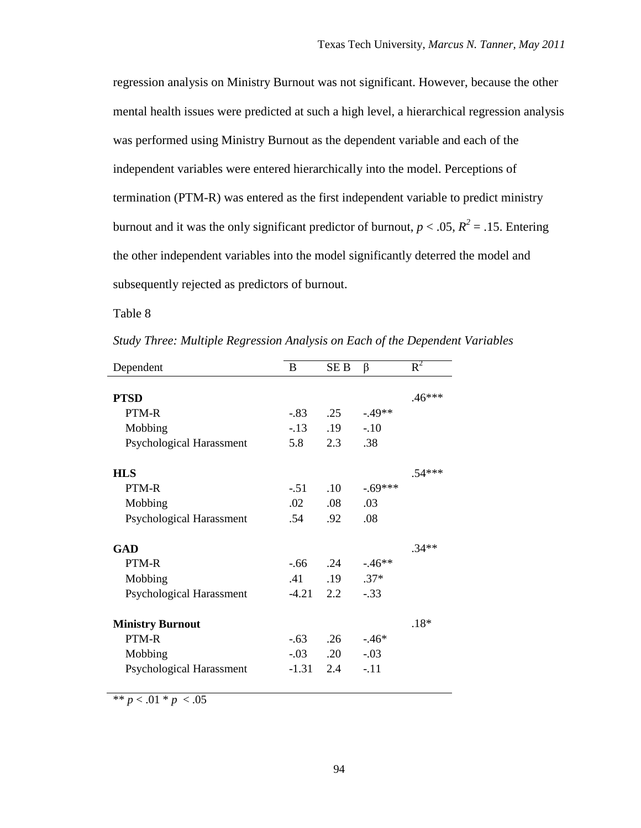regression analysis on Ministry Burnout was not significant. However, because the other mental health issues were predicted at such a high level, a hierarchical regression analysis was performed using Ministry Burnout as the dependent variable and each of the independent variables were entered hierarchically into the model. Perceptions of termination (PTM-R) was entered as the first independent variable to predict ministry burnout and it was the only significant predictor of burnout,  $p < .05$ ,  $R^2 = .15$ . Entering the other independent variables into the model significantly deterred the model and subsequently rejected as predictors of burnout.

Table 8

| Dependent                       | B       | SE <sub>B</sub> | $\beta$   | $R^2$    |
|---------------------------------|---------|-----------------|-----------|----------|
|                                 |         |                 |           |          |
| <b>PTSD</b>                     |         |                 |           | $.46***$ |
| PTM-R                           | -.83    | .25             | $-.49**$  |          |
| Mobbing                         | $-13$   | .19             | $-.10$    |          |
| Psychological Harassment        | 5.8     | 2.3             | .38       |          |
| <b>HLS</b>                      |         |                 |           | $.54***$ |
| PTM-R                           | $-.51$  | .10             | $-.69***$ |          |
| Mobbing                         | .02     | .08             | .03       |          |
| Psychological Harassment        | .54     | .92             | .08       |          |
| <b>GAD</b>                      |         |                 |           | $.34**$  |
| PTM-R                           | $-66$   | .24             | $-.46**$  |          |
| Mobbing                         | .41     | .19             | $.37*$    |          |
| Psychological Harassment        | $-4.21$ | 2.2             | $-.33$    |          |
| <b>Ministry Burnout</b>         |         |                 |           | $.18*$   |
| PTM-R                           | $-.63$  | .26             | $-46*$    |          |
| Mobbing                         | $-0.03$ | $.20\,$         | $-.03$    |          |
| <b>Psychological Harassment</b> | $-1.31$ | 2.4             | $-.11$    |          |

*Study Three: Multiple Regression Analysis on Each of the Dependent Variables*

\*\*  $p < .01$  \*  $p < .05$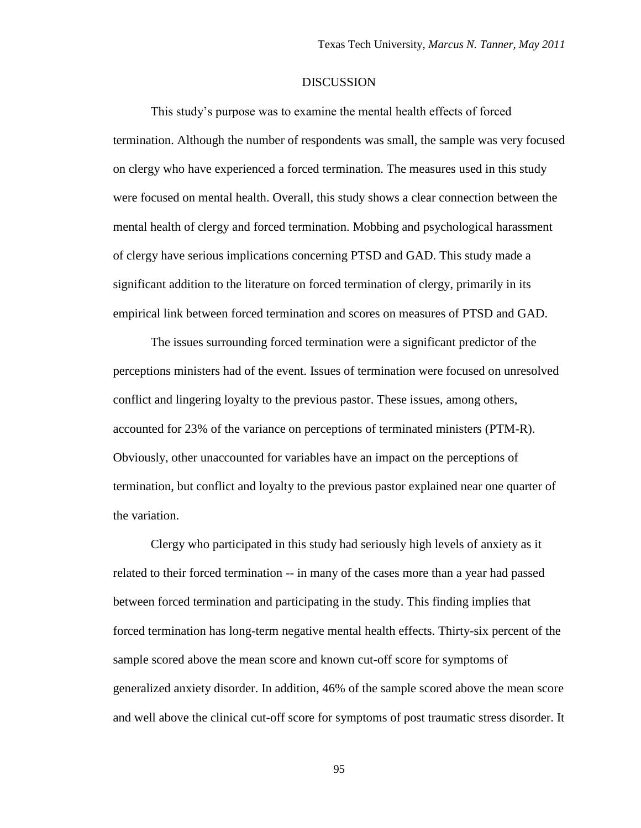#### **DISCUSSION**

This study"s purpose was to examine the mental health effects of forced termination. Although the number of respondents was small, the sample was very focused on clergy who have experienced a forced termination. The measures used in this study were focused on mental health. Overall, this study shows a clear connection between the mental health of clergy and forced termination. Mobbing and psychological harassment of clergy have serious implications concerning PTSD and GAD. This study made a significant addition to the literature on forced termination of clergy, primarily in its empirical link between forced termination and scores on measures of PTSD and GAD.

The issues surrounding forced termination were a significant predictor of the perceptions ministers had of the event. Issues of termination were focused on unresolved conflict and lingering loyalty to the previous pastor. These issues, among others, accounted for 23% of the variance on perceptions of terminated ministers (PTM-R). Obviously, other unaccounted for variables have an impact on the perceptions of termination, but conflict and loyalty to the previous pastor explained near one quarter of the variation.

Clergy who participated in this study had seriously high levels of anxiety as it related to their forced termination -- in many of the cases more than a year had passed between forced termination and participating in the study. This finding implies that forced termination has long-term negative mental health effects. Thirty-six percent of the sample scored above the mean score and known cut-off score for symptoms of generalized anxiety disorder. In addition, 46% of the sample scored above the mean score and well above the clinical cut-off score for symptoms of post traumatic stress disorder. It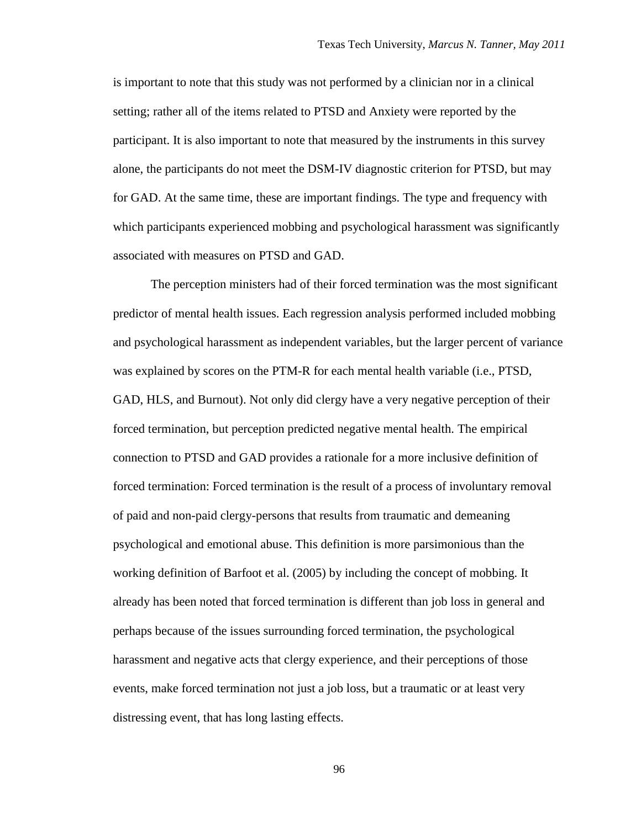is important to note that this study was not performed by a clinician nor in a clinical setting; rather all of the items related to PTSD and Anxiety were reported by the participant. It is also important to note that measured by the instruments in this survey alone, the participants do not meet the DSM-IV diagnostic criterion for PTSD, but may for GAD. At the same time, these are important findings. The type and frequency with which participants experienced mobbing and psychological harassment was significantly associated with measures on PTSD and GAD.

The perception ministers had of their forced termination was the most significant predictor of mental health issues. Each regression analysis performed included mobbing and psychological harassment as independent variables, but the larger percent of variance was explained by scores on the PTM-R for each mental health variable (i.e., PTSD, GAD, HLS, and Burnout). Not only did clergy have a very negative perception of their forced termination, but perception predicted negative mental health. The empirical connection to PTSD and GAD provides a rationale for a more inclusive definition of forced termination: Forced termination is the result of a process of involuntary removal of paid and non-paid clergy-persons that results from traumatic and demeaning psychological and emotional abuse. This definition is more parsimonious than the working definition of Barfoot et al. (2005) by including the concept of mobbing. It already has been noted that forced termination is different than job loss in general and perhaps because of the issues surrounding forced termination, the psychological harassment and negative acts that clergy experience, and their perceptions of those events, make forced termination not just a job loss, but a traumatic or at least very distressing event, that has long lasting effects.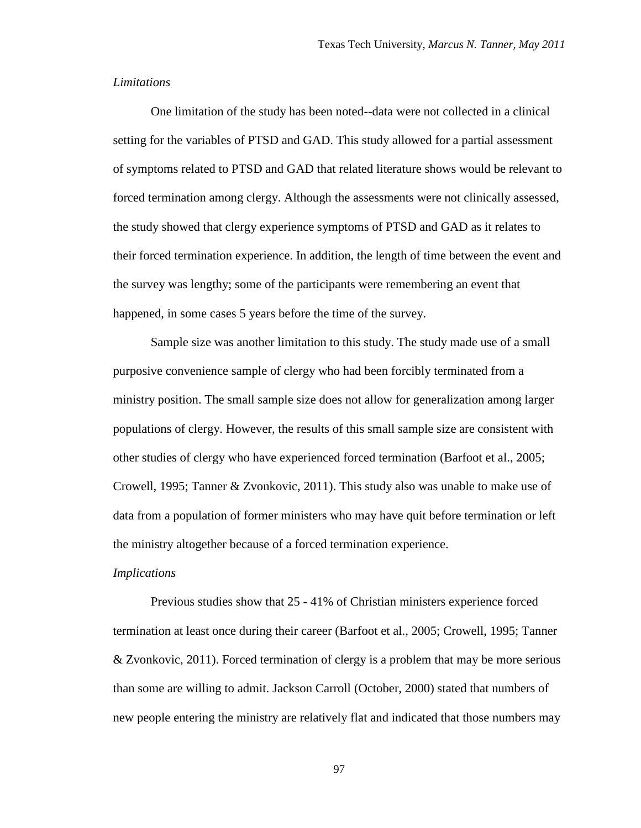#### *Limitations*

One limitation of the study has been noted--data were not collected in a clinical setting for the variables of PTSD and GAD. This study allowed for a partial assessment of symptoms related to PTSD and GAD that related literature shows would be relevant to forced termination among clergy. Although the assessments were not clinically assessed, the study showed that clergy experience symptoms of PTSD and GAD as it relates to their forced termination experience. In addition, the length of time between the event and the survey was lengthy; some of the participants were remembering an event that happened, in some cases 5 years before the time of the survey.

Sample size was another limitation to this study. The study made use of a small purposive convenience sample of clergy who had been forcibly terminated from a ministry position. The small sample size does not allow for generalization among larger populations of clergy. However, the results of this small sample size are consistent with other studies of clergy who have experienced forced termination (Barfoot et al., 2005; Crowell, 1995; Tanner & Zvonkovic, 2011). This study also was unable to make use of data from a population of former ministers who may have quit before termination or left the ministry altogether because of a forced termination experience.

#### *Implications*

Previous studies show that 25 - 41% of Christian ministers experience forced termination at least once during their career (Barfoot et al., 2005; Crowell, 1995; Tanner & Zvonkovic, 2011). Forced termination of clergy is a problem that may be more serious than some are willing to admit. Jackson Carroll (October, 2000) stated that numbers of new people entering the ministry are relatively flat and indicated that those numbers may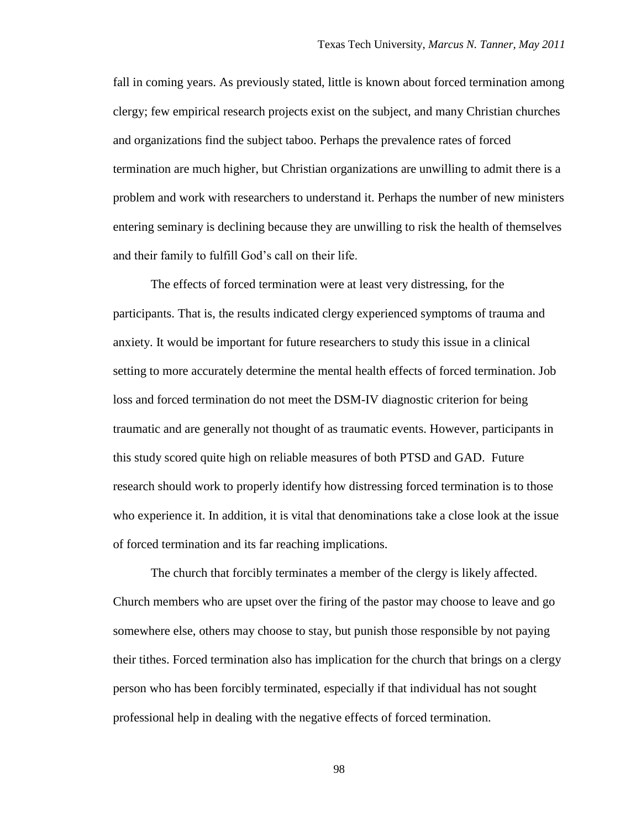fall in coming years. As previously stated, little is known about forced termination among clergy; few empirical research projects exist on the subject, and many Christian churches and organizations find the subject taboo. Perhaps the prevalence rates of forced termination are much higher, but Christian organizations are unwilling to admit there is a problem and work with researchers to understand it. Perhaps the number of new ministers entering seminary is declining because they are unwilling to risk the health of themselves and their family to fulfill God"s call on their life.

The effects of forced termination were at least very distressing, for the participants. That is, the results indicated clergy experienced symptoms of trauma and anxiety. It would be important for future researchers to study this issue in a clinical setting to more accurately determine the mental health effects of forced termination. Job loss and forced termination do not meet the DSM-IV diagnostic criterion for being traumatic and are generally not thought of as traumatic events. However, participants in this study scored quite high on reliable measures of both PTSD and GAD. Future research should work to properly identify how distressing forced termination is to those who experience it. In addition, it is vital that denominations take a close look at the issue of forced termination and its far reaching implications.

The church that forcibly terminates a member of the clergy is likely affected. Church members who are upset over the firing of the pastor may choose to leave and go somewhere else, others may choose to stay, but punish those responsible by not paying their tithes. Forced termination also has implication for the church that brings on a clergy person who has been forcibly terminated, especially if that individual has not sought professional help in dealing with the negative effects of forced termination.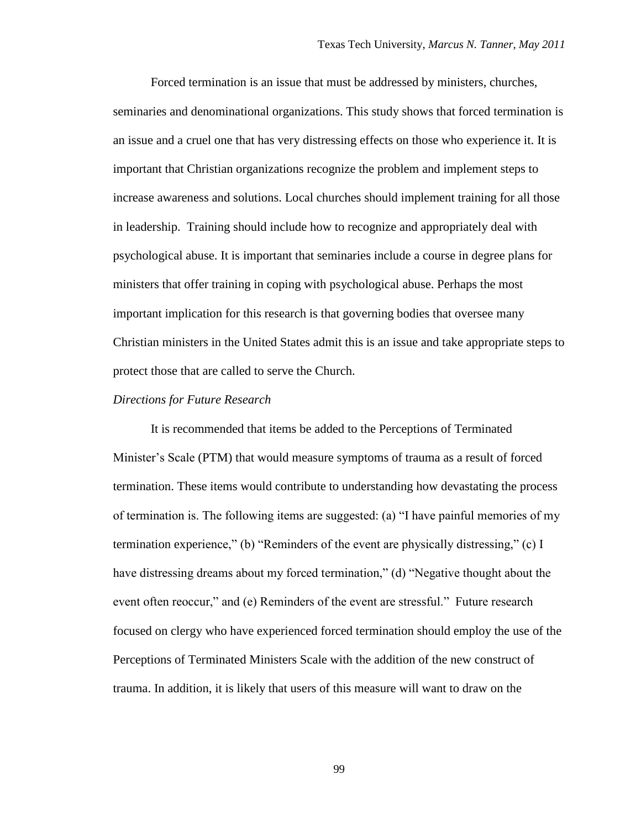Forced termination is an issue that must be addressed by ministers, churches, seminaries and denominational organizations. This study shows that forced termination is an issue and a cruel one that has very distressing effects on those who experience it. It is important that Christian organizations recognize the problem and implement steps to increase awareness and solutions. Local churches should implement training for all those in leadership. Training should include how to recognize and appropriately deal with psychological abuse. It is important that seminaries include a course in degree plans for ministers that offer training in coping with psychological abuse. Perhaps the most important implication for this research is that governing bodies that oversee many Christian ministers in the United States admit this is an issue and take appropriate steps to protect those that are called to serve the Church.

#### *Directions for Future Research*

It is recommended that items be added to the Perceptions of Terminated Minister"s Scale (PTM) that would measure symptoms of trauma as a result of forced termination. These items would contribute to understanding how devastating the process of termination is. The following items are suggested: (a) "I have painful memories of my termination experience," (b) "Reminders of the event are physically distressing," (c) I have distressing dreams about my forced termination," (d) "Negative thought about the event often reoccur," and (e) Reminders of the event are stressful." Future research focused on clergy who have experienced forced termination should employ the use of the Perceptions of Terminated Ministers Scale with the addition of the new construct of trauma. In addition, it is likely that users of this measure will want to draw on the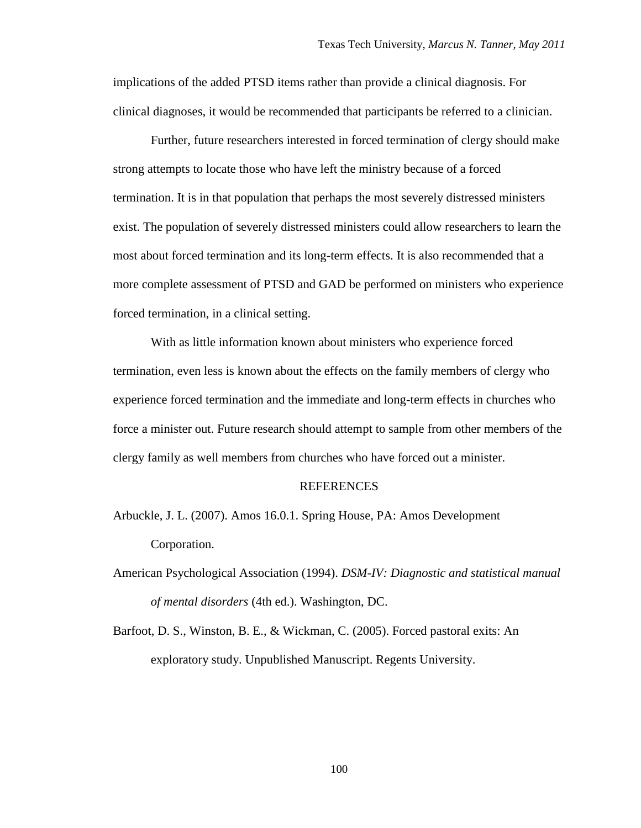implications of the added PTSD items rather than provide a clinical diagnosis. For clinical diagnoses, it would be recommended that participants be referred to a clinician.

Further, future researchers interested in forced termination of clergy should make strong attempts to locate those who have left the ministry because of a forced termination. It is in that population that perhaps the most severely distressed ministers exist. The population of severely distressed ministers could allow researchers to learn the most about forced termination and its long-term effects. It is also recommended that a more complete assessment of PTSD and GAD be performed on ministers who experience forced termination, in a clinical setting.

With as little information known about ministers who experience forced termination, even less is known about the effects on the family members of clergy who experience forced termination and the immediate and long-term effects in churches who force a minister out. Future research should attempt to sample from other members of the clergy family as well members from churches who have forced out a minister.

#### REFERENCES

- Arbuckle, J. L. (2007). Amos 16.0.1. Spring House, PA: Amos Development Corporation.
- American Psychological Association (1994). *DSM-IV: Diagnostic and statistical manual of mental disorders* (4th ed.). Washington, DC.
- Barfoot, D. S., Winston, B. E., & Wickman, C. (2005). Forced pastoral exits: An exploratory study. Unpublished Manuscript. Regents University.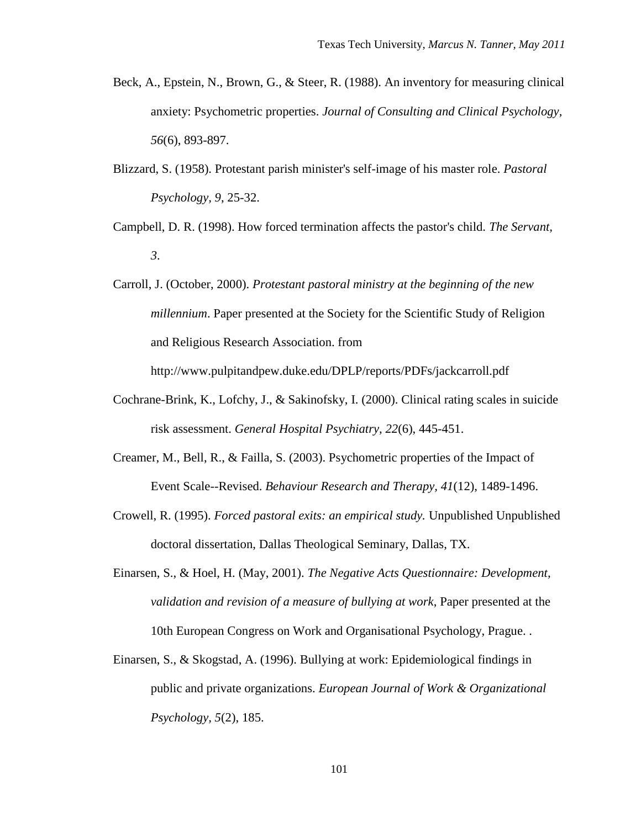- Beck, A., Epstein, N., Brown, G., & Steer, R. (1988). An inventory for measuring clinical anxiety: Psychometric properties. *Journal of Consulting and Clinical Psychology, 56*(6), 893-897.
- Blizzard, S. (1958). Protestant parish minister's self-image of his master role. *Pastoral Psychology, 9*, 25-32.
- Campbell, D. R. (1998). How forced termination affects the pastor's child. *The Servant, 3*.
- Carroll, J. (October, 2000). *Protestant pastoral ministry at the beginning of the new millennium*. Paper presented at the Society for the Scientific Study of Religion and Religious Research Association. from

http://www.pulpitandpew.duke.edu/DPLP/reports/PDFs/jackcarroll.pdf

- Cochrane-Brink, K., Lofchy, J., & Sakinofsky, I. (2000). Clinical rating scales in suicide risk assessment. *General Hospital Psychiatry, 22*(6), 445-451.
- Creamer, M., Bell, R., & Failla, S. (2003). Psychometric properties of the Impact of Event Scale--Revised. *Behaviour Research and Therapy, 41*(12), 1489-1496.
- Crowell, R. (1995). *Forced pastoral exits: an empirical study.* Unpublished Unpublished doctoral dissertation, Dallas Theological Seminary, Dallas, TX.
- Einarsen, S., & Hoel, H. (May, 2001). *The Negative Acts Questionnaire: Development, validation and revision of a measure of bullying at work*, Paper presented at the 10th European Congress on Work and Organisational Psychology, Prague. .
- Einarsen, S., & Skogstad, A. (1996). Bullying at work: Epidemiological findings in public and private organizations. *European Journal of Work & Organizational Psychology, 5*(2), 185.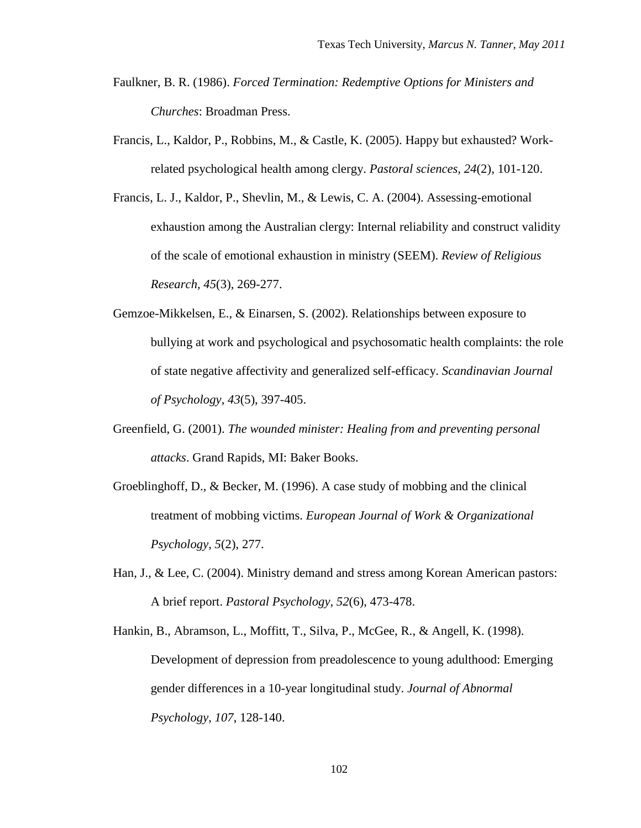- Faulkner, B. R. (1986). *Forced Termination: Redemptive Options for Ministers and Churches*: Broadman Press.
- Francis, L., Kaldor, P., Robbins, M., & Castle, K. (2005). Happy but exhausted? Workrelated psychological health among clergy. *Pastoral sciences, 24*(2), 101-120.
- Francis, L. J., Kaldor, P., Shevlin, M., & Lewis, C. A. (2004). Assessing-emotional exhaustion among the Australian clergy: Internal reliability and construct validity of the scale of emotional exhaustion in ministry (SEEM). *Review of Religious Research, 45*(3), 269-277.
- Gemzoe-Mikkelsen, E., & Einarsen, S. (2002). Relationships between exposure to bullying at work and psychological and psychosomatic health complaints: the role of state negative affectivity and generalized self-efficacy. *Scandinavian Journal of Psychology, 43*(5), 397-405.
- Greenfield, G. (2001). *The wounded minister: Healing from and preventing personal attacks*. Grand Rapids, MI: Baker Books.
- Groeblinghoff, D., & Becker, M. (1996). A case study of mobbing and the clinical treatment of mobbing victims. *European Journal of Work & Organizational Psychology, 5*(2), 277.
- Han, J., & Lee, C. (2004). Ministry demand and stress among Korean American pastors: A brief report. *Pastoral Psychology, 52*(6), 473-478.
- Hankin, B., Abramson, L., Moffitt, T., Silva, P., McGee, R., & Angell, K. (1998). Development of depression from preadolescence to young adulthood: Emerging gender differences in a 10-year longitudinal study. *Journal of Abnormal Psychology, 107*, 128-140.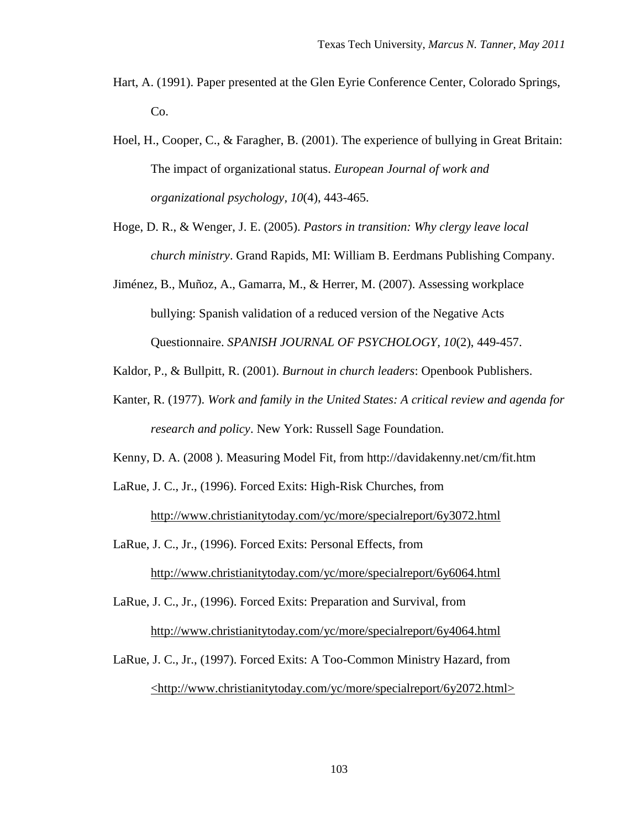- Hart, A. (1991). Paper presented at the Glen Eyrie Conference Center, Colorado Springs, Co.
- Hoel, H., Cooper, C., & Faragher, B. (2001). The experience of bullying in Great Britain: The impact of organizational status. *European Journal of work and organizational psychology, 10*(4), 443-465.
- Hoge, D. R., & Wenger, J. E. (2005). *Pastors in transition: Why clergy leave local church ministry*. Grand Rapids, MI: William B. Eerdmans Publishing Company.
- Jiménez, B., Muñoz, A., Gamarra, M., & Herrer, M. (2007). Assessing workplace bullying: Spanish validation of a reduced version of the Negative Acts Questionnaire. *SPANISH JOURNAL OF PSYCHOLOGY, 10*(2), 449-457.
- Kaldor, P., & Bullpitt, R. (2001). *Burnout in church leaders*: Openbook Publishers.
- Kanter, R. (1977). *Work and family in the United States: A critical review and agenda for research and policy*. New York: Russell Sage Foundation.
- Kenny, D. A. (2008 ). Measuring Model Fit, from http://davidakenny.net/cm/fit.htm
- LaRue, J. C., Jr., (1996). Forced Exits: High-Risk Churches, from http://www.christianitytoday.com/yc/more/specialreport/6y3072.html
- LaRue, J. C., Jr., (1996). Forced Exits: Personal Effects, from http://www.christianitytoday.com/yc/more/specialreport/6y6064.html

LaRue, J. C., Jr., (1996). Forced Exits: Preparation and Survival, from http://www.christianitytoday.com/yc/more/specialreport/6y4064.html

LaRue, J. C., Jr., (1997). Forced Exits: A Too-Common Ministry Hazard, from <http://www.christianitytoday.com/yc/more/specialreport/6y2072.html>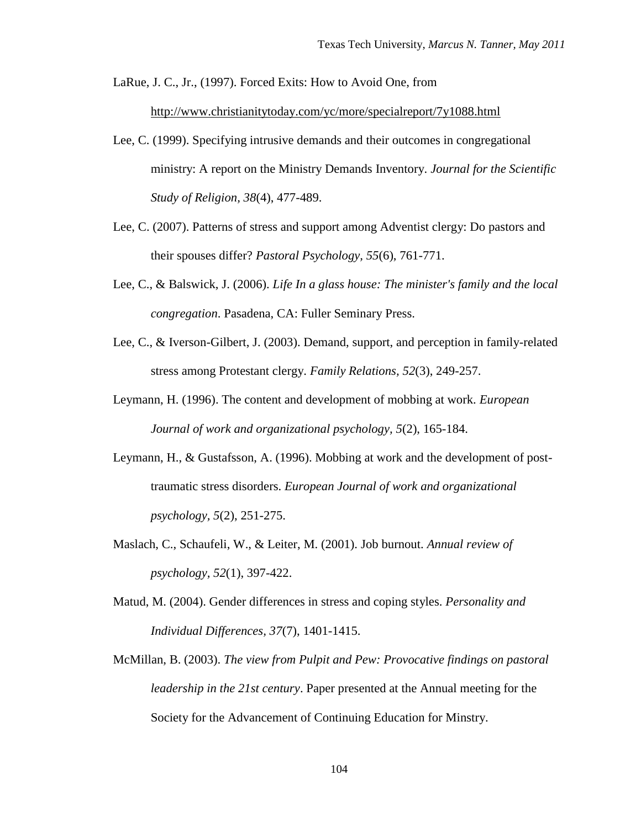LaRue, J. C., Jr., (1997). Forced Exits: How to Avoid One, from

http://www.christianitytoday.com/yc/more/specialreport/7y1088.html

- Lee, C. (1999). Specifying intrusive demands and their outcomes in congregational ministry: A report on the Ministry Demands Inventory. *Journal for the Scientific Study of Religion, 38*(4), 477-489.
- Lee, C. (2007). Patterns of stress and support among Adventist clergy: Do pastors and their spouses differ? *Pastoral Psychology, 55*(6), 761-771.
- Lee, C., & Balswick, J. (2006). *Life In a glass house: The minister's family and the local congregation*. Pasadena, CA: Fuller Seminary Press.
- Lee, C., & Iverson-Gilbert, J. (2003). Demand, support, and perception in family-related stress among Protestant clergy. *Family Relations, 52*(3), 249-257.
- Leymann, H. (1996). The content and development of mobbing at work. *European Journal of work and organizational psychology, 5*(2), 165-184.
- Leymann, H., & Gustafsson, A. (1996). Mobbing at work and the development of posttraumatic stress disorders. *European Journal of work and organizational psychology, 5*(2), 251-275.
- Maslach, C., Schaufeli, W., & Leiter, M. (2001). Job burnout. *Annual review of psychology, 52*(1), 397-422.
- Matud, M. (2004). Gender differences in stress and coping styles. *Personality and Individual Differences, 37*(7), 1401-1415.
- McMillan, B. (2003). *The view from Pulpit and Pew: Provocative findings on pastoral leadership in the 21st century*. Paper presented at the Annual meeting for the Society for the Advancement of Continuing Education for Minstry.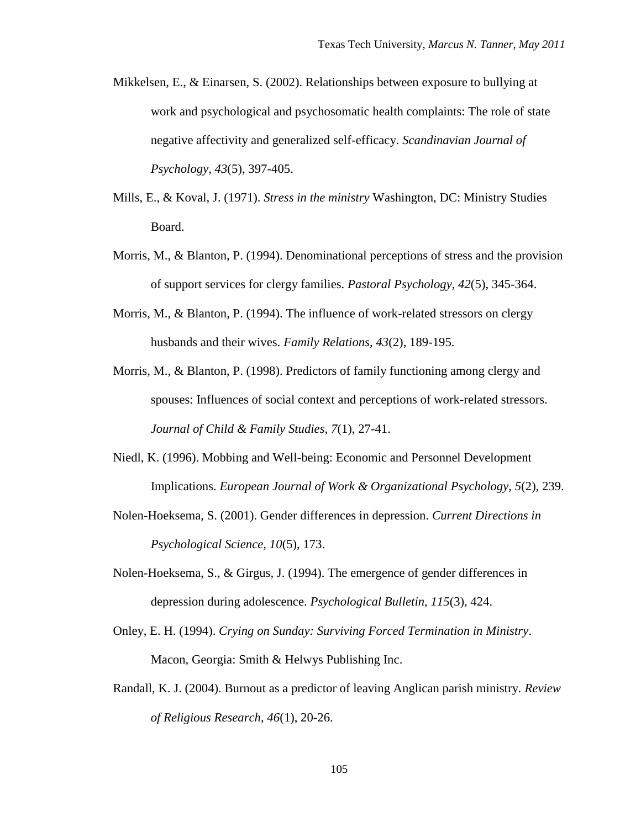- Mikkelsen, E., & Einarsen, S. (2002). Relationships between exposure to bullying at work and psychological and psychosomatic health complaints: The role of state negative affectivity and generalized self-efficacy. *Scandinavian Journal of Psychology, 43*(5), 397-405.
- Mills, E., & Koval, J. (1971). *Stress in the ministry* Washington, DC: Ministry Studies Board.
- Morris, M., & Blanton, P. (1994). Denominational perceptions of stress and the provision of support services for clergy families. *Pastoral Psychology, 42*(5), 345-364.
- Morris, M., & Blanton, P. (1994). The influence of work-related stressors on clergy husbands and their wives. *Family Relations, 43*(2), 189-195.
- Morris, M., & Blanton, P. (1998). Predictors of family functioning among clergy and spouses: Influences of social context and perceptions of work-related stressors. *Journal of Child & Family Studies, 7*(1), 27-41.
- Niedl, K. (1996). Mobbing and Well-being: Economic and Personnel Development Implications. *European Journal of Work & Organizational Psychology, 5*(2), 239.
- Nolen-Hoeksema, S. (2001). Gender differences in depression. *Current Directions in Psychological Science, 10*(5), 173.
- Nolen-Hoeksema, S., & Girgus, J. (1994). The emergence of gender differences in depression during adolescence. *Psychological Bulletin, 115*(3), 424.
- Onley, E. H. (1994). *Crying on Sunday: Surviving Forced Termination in Ministry*. Macon, Georgia: Smith & Helwys Publishing Inc.
- Randall, K. J. (2004). Burnout as a predictor of leaving Anglican parish ministry. *Review of Religious Research, 46*(1), 20-26.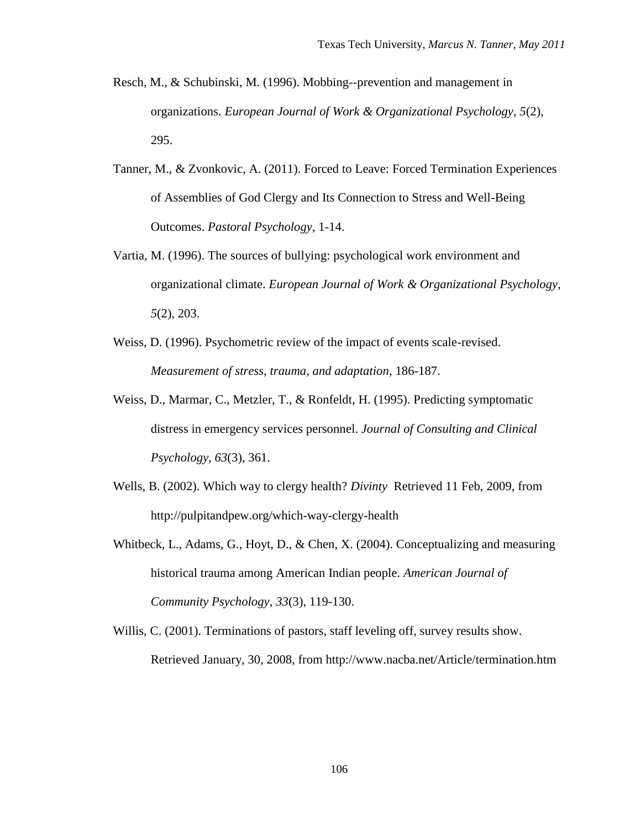- Resch, M., & Schubinski, M. (1996). Mobbing--prevention and management in organizations. *European Journal of Work & Organizational Psychology, 5*(2), 295.
- Tanner, M., & Zvonkovic, A. (2011). Forced to Leave: Forced Termination Experiences of Assemblies of God Clergy and Its Connection to Stress and Well-Being Outcomes. *Pastoral Psychology*, 1-14.
- Vartia, M. (1996). The sources of bullying: psychological work environment and organizational climate. *European Journal of Work & Organizational Psychology, 5*(2), 203.
- Weiss, D. (1996). Psychometric review of the impact of events scale-revised. *Measurement of stress, trauma, and adaptation*, 186-187.
- Weiss, D., Marmar, C., Metzler, T., & Ronfeldt, H. (1995). Predicting symptomatic distress in emergency services personnel. *Journal of Consulting and Clinical Psychology, 63*(3), 361.
- Wells, B. (2002). Which way to clergy health? *Divinty* Retrieved 11 Feb, 2009, from http://pulpitandpew.org/which-way-clergy-health
- Whitbeck, L., Adams, G., Hoyt, D., & Chen, X. (2004). Conceptualizing and measuring historical trauma among American Indian people. *American Journal of Community Psychology, 33*(3), 119-130.
- Willis, C. (2001). Terminations of pastors, staff leveling off, survey results show. Retrieved January, 30, 2008, from http://www.nacba.net/Article/termination.htm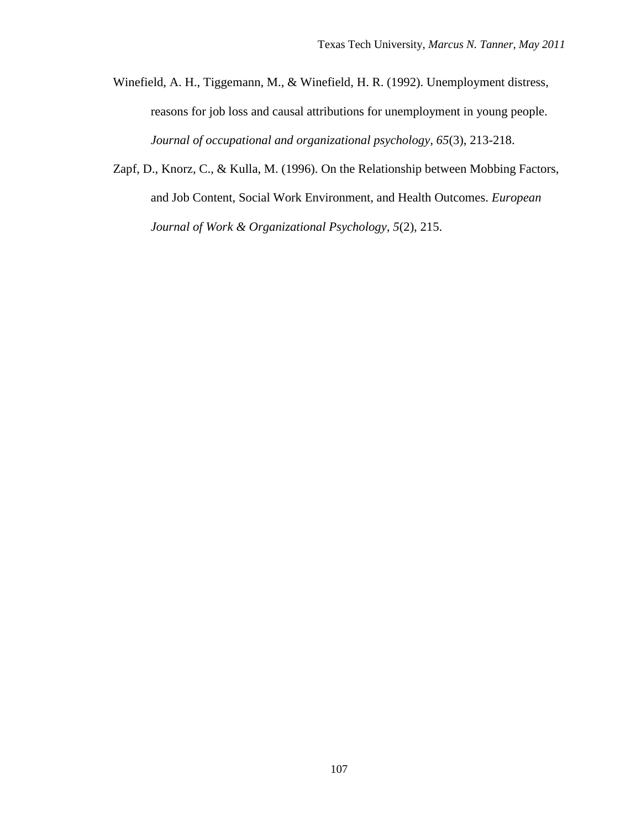- Winefield, A. H., Tiggemann, M., & Winefield, H. R. (1992). Unemployment distress, reasons for job loss and causal attributions for unemployment in young people. *Journal of occupational and organizational psychology, 65*(3), 213-218.
- Zapf, D., Knorz, C., & Kulla, M. (1996). On the Relationship between Mobbing Factors, and Job Content, Social Work Environment, and Health Outcomes. *European Journal of Work & Organizational Psychology, 5*(2), 215.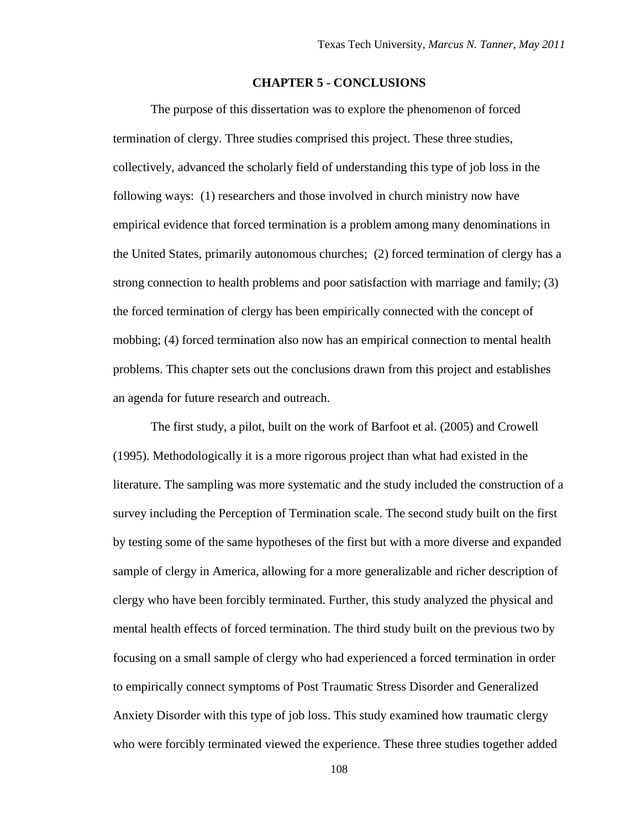# **CHAPTER 5 - CONCLUSIONS**

The purpose of this dissertation was to explore the phenomenon of forced termination of clergy. Three studies comprised this project. These three studies, collectively, advanced the scholarly field of understanding this type of job loss in the following ways: (1) researchers and those involved in church ministry now have empirical evidence that forced termination is a problem among many denominations in the United States, primarily autonomous churches; (2) forced termination of clergy has a strong connection to health problems and poor satisfaction with marriage and family; (3) the forced termination of clergy has been empirically connected with the concept of mobbing; (4) forced termination also now has an empirical connection to mental health problems. This chapter sets out the conclusions drawn from this project and establishes an agenda for future research and outreach.

The first study, a pilot, built on the work of Barfoot et al. (2005) and Crowell (1995). Methodologically it is a more rigorous project than what had existed in the literature. The sampling was more systematic and the study included the construction of a survey including the Perception of Termination scale. The second study built on the first by testing some of the same hypotheses of the first but with a more diverse and expanded sample of clergy in America, allowing for a more generalizable and richer description of clergy who have been forcibly terminated. Further, this study analyzed the physical and mental health effects of forced termination. The third study built on the previous two by focusing on a small sample of clergy who had experienced a forced termination in order to empirically connect symptoms of Post Traumatic Stress Disorder and Generalized Anxiety Disorder with this type of job loss. This study examined how traumatic clergy who were forcibly terminated viewed the experience. These three studies together added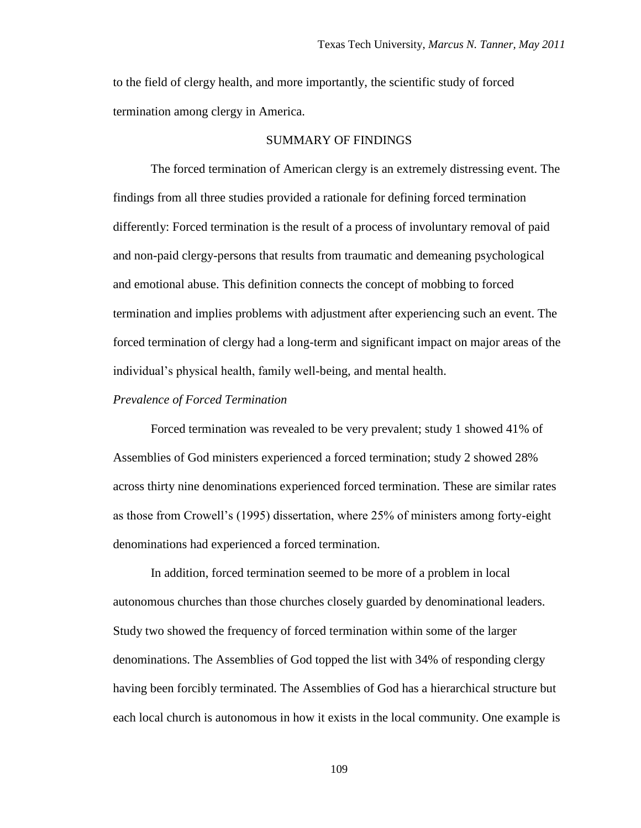to the field of clergy health, and more importantly, the scientific study of forced termination among clergy in America.

#### SUMMARY OF FINDINGS

The forced termination of American clergy is an extremely distressing event. The findings from all three studies provided a rationale for defining forced termination differently: Forced termination is the result of a process of involuntary removal of paid and non-paid clergy-persons that results from traumatic and demeaning psychological and emotional abuse. This definition connects the concept of mobbing to forced termination and implies problems with adjustment after experiencing such an event. The forced termination of clergy had a long-term and significant impact on major areas of the individual"s physical health, family well-being, and mental health.

#### *Prevalence of Forced Termination*

Forced termination was revealed to be very prevalent; study 1 showed 41% of Assemblies of God ministers experienced a forced termination; study 2 showed 28% across thirty nine denominations experienced forced termination. These are similar rates as those from Crowell"s (1995) dissertation, where 25% of ministers among forty-eight denominations had experienced a forced termination.

In addition, forced termination seemed to be more of a problem in local autonomous churches than those churches closely guarded by denominational leaders. Study two showed the frequency of forced termination within some of the larger denominations. The Assemblies of God topped the list with 34% of responding clergy having been forcibly terminated. The Assemblies of God has a hierarchical structure but each local church is autonomous in how it exists in the local community. One example is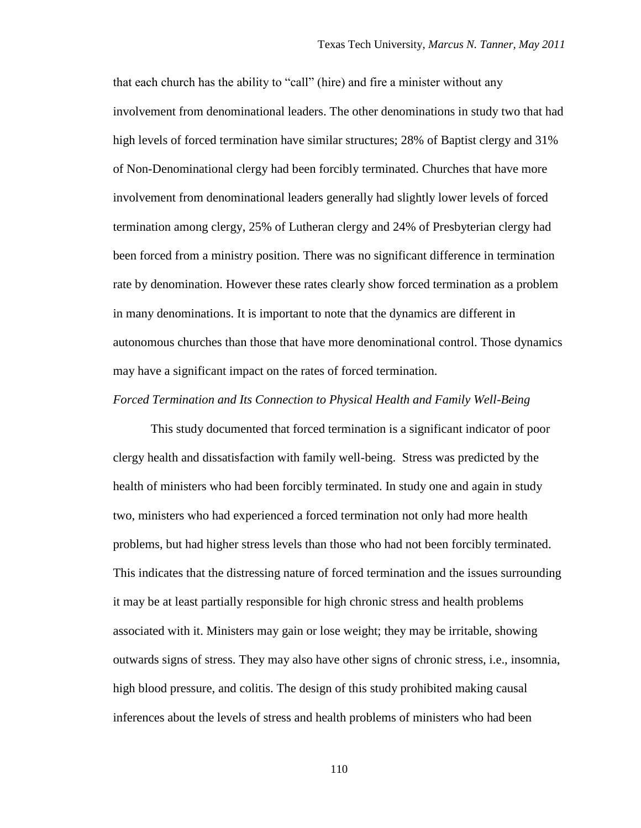that each church has the ability to "call" (hire) and fire a minister without any involvement from denominational leaders. The other denominations in study two that had high levels of forced termination have similar structures; 28% of Baptist clergy and 31% of Non-Denominational clergy had been forcibly terminated. Churches that have more involvement from denominational leaders generally had slightly lower levels of forced termination among clergy, 25% of Lutheran clergy and 24% of Presbyterian clergy had been forced from a ministry position. There was no significant difference in termination rate by denomination. However these rates clearly show forced termination as a problem in many denominations. It is important to note that the dynamics are different in autonomous churches than those that have more denominational control. Those dynamics may have a significant impact on the rates of forced termination.

#### *Forced Termination and Its Connection to Physical Health and Family Well-Being*

This study documented that forced termination is a significant indicator of poor clergy health and dissatisfaction with family well-being. Stress was predicted by the health of ministers who had been forcibly terminated. In study one and again in study two, ministers who had experienced a forced termination not only had more health problems, but had higher stress levels than those who had not been forcibly terminated. This indicates that the distressing nature of forced termination and the issues surrounding it may be at least partially responsible for high chronic stress and health problems associated with it. Ministers may gain or lose weight; they may be irritable, showing outwards signs of stress. They may also have other signs of chronic stress, i.e., insomnia, high blood pressure, and colitis. The design of this study prohibited making causal inferences about the levels of stress and health problems of ministers who had been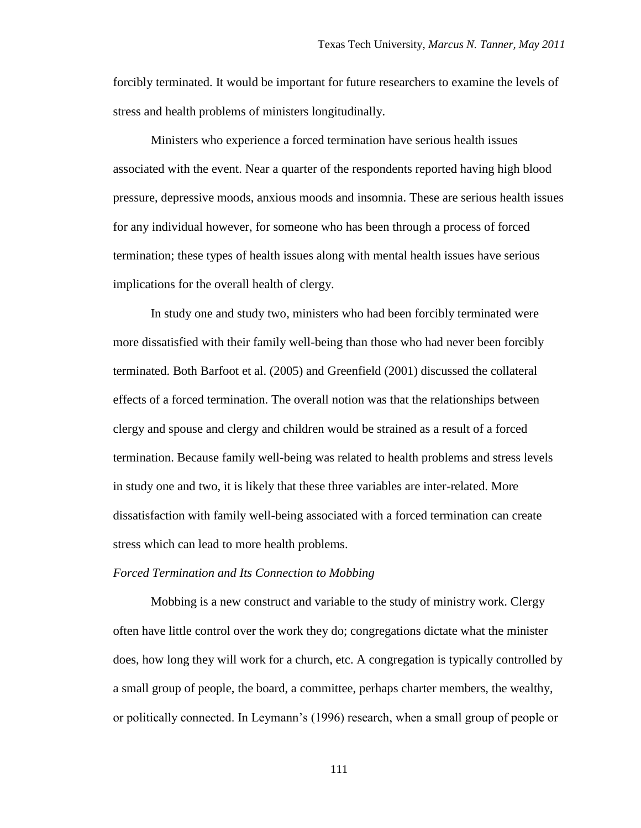forcibly terminated. It would be important for future researchers to examine the levels of stress and health problems of ministers longitudinally.

Ministers who experience a forced termination have serious health issues associated with the event. Near a quarter of the respondents reported having high blood pressure, depressive moods, anxious moods and insomnia. These are serious health issues for any individual however, for someone who has been through a process of forced termination; these types of health issues along with mental health issues have serious implications for the overall health of clergy.

In study one and study two, ministers who had been forcibly terminated were more dissatisfied with their family well-being than those who had never been forcibly terminated. Both Barfoot et al. (2005) and Greenfield (2001) discussed the collateral effects of a forced termination. The overall notion was that the relationships between clergy and spouse and clergy and children would be strained as a result of a forced termination. Because family well-being was related to health problems and stress levels in study one and two, it is likely that these three variables are inter-related. More dissatisfaction with family well-being associated with a forced termination can create stress which can lead to more health problems.

#### *Forced Termination and Its Connection to Mobbing*

Mobbing is a new construct and variable to the study of ministry work. Clergy often have little control over the work they do; congregations dictate what the minister does, how long they will work for a church, etc. A congregation is typically controlled by a small group of people, the board, a committee, perhaps charter members, the wealthy, or politically connected. In Leymann"s (1996) research, when a small group of people or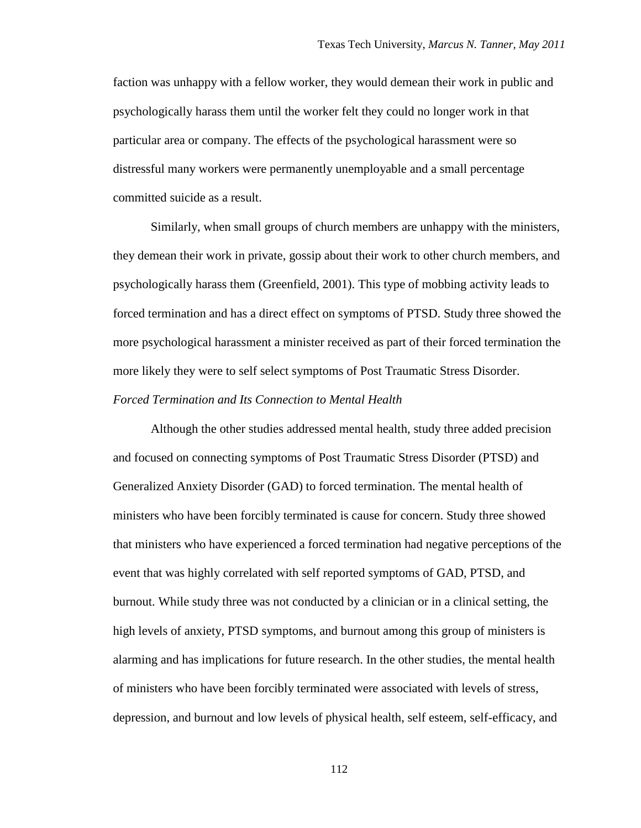faction was unhappy with a fellow worker, they would demean their work in public and psychologically harass them until the worker felt they could no longer work in that particular area or company. The effects of the psychological harassment were so distressful many workers were permanently unemployable and a small percentage committed suicide as a result.

Similarly, when small groups of church members are unhappy with the ministers, they demean their work in private, gossip about their work to other church members, and psychologically harass them (Greenfield, 2001). This type of mobbing activity leads to forced termination and has a direct effect on symptoms of PTSD. Study three showed the more psychological harassment a minister received as part of their forced termination the more likely they were to self select symptoms of Post Traumatic Stress Disorder.

# *Forced Termination and Its Connection to Mental Health*

Although the other studies addressed mental health, study three added precision and focused on connecting symptoms of Post Traumatic Stress Disorder (PTSD) and Generalized Anxiety Disorder (GAD) to forced termination. The mental health of ministers who have been forcibly terminated is cause for concern. Study three showed that ministers who have experienced a forced termination had negative perceptions of the event that was highly correlated with self reported symptoms of GAD, PTSD, and burnout. While study three was not conducted by a clinician or in a clinical setting, the high levels of anxiety, PTSD symptoms, and burnout among this group of ministers is alarming and has implications for future research. In the other studies, the mental health of ministers who have been forcibly terminated were associated with levels of stress, depression, and burnout and low levels of physical health, self esteem, self-efficacy, and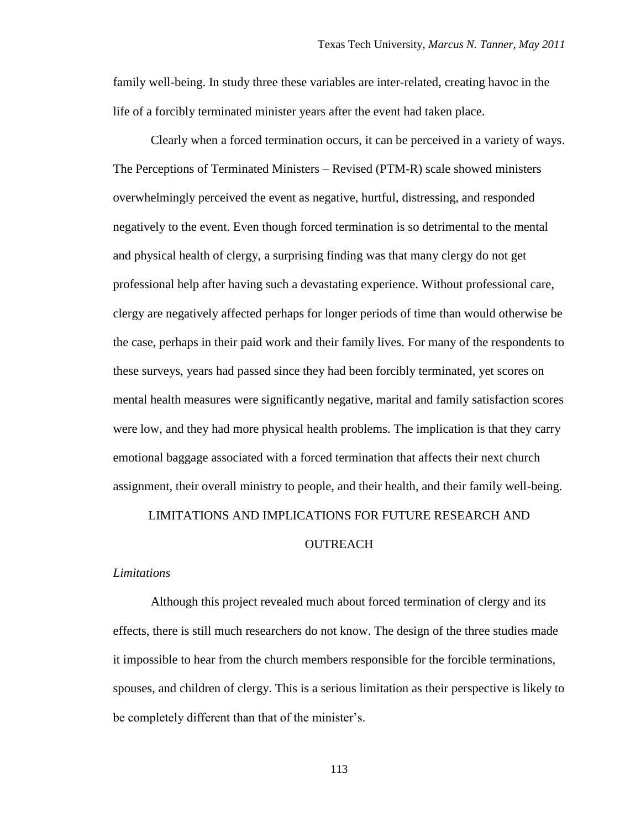family well-being. In study three these variables are inter-related, creating havoc in the life of a forcibly terminated minister years after the event had taken place.

Clearly when a forced termination occurs, it can be perceived in a variety of ways. The Perceptions of Terminated Ministers – Revised (PTM-R) scale showed ministers overwhelmingly perceived the event as negative, hurtful, distressing, and responded negatively to the event. Even though forced termination is so detrimental to the mental and physical health of clergy, a surprising finding was that many clergy do not get professional help after having such a devastating experience. Without professional care, clergy are negatively affected perhaps for longer periods of time than would otherwise be the case, perhaps in their paid work and their family lives. For many of the respondents to these surveys, years had passed since they had been forcibly terminated, yet scores on mental health measures were significantly negative, marital and family satisfaction scores were low, and they had more physical health problems. The implication is that they carry emotional baggage associated with a forced termination that affects their next church assignment, their overall ministry to people, and their health, and their family well-being.

LIMITATIONS AND IMPLICATIONS FOR FUTURE RESEARCH AND

#### **OUTREACH**

#### *Limitations*

Although this project revealed much about forced termination of clergy and its effects, there is still much researchers do not know. The design of the three studies made it impossible to hear from the church members responsible for the forcible terminations, spouses, and children of clergy. This is a serious limitation as their perspective is likely to be completely different than that of the minister's.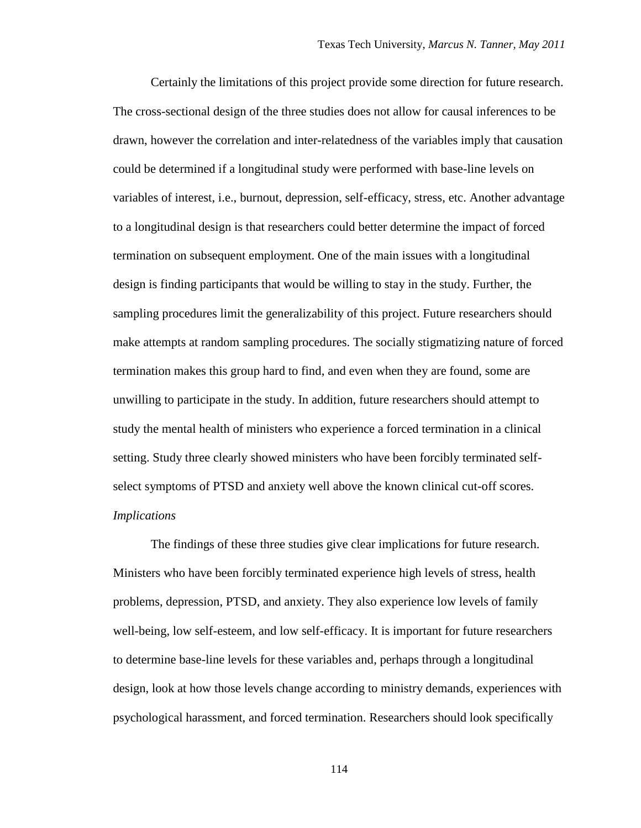Certainly the limitations of this project provide some direction for future research. The cross-sectional design of the three studies does not allow for causal inferences to be drawn, however the correlation and inter-relatedness of the variables imply that causation could be determined if a longitudinal study were performed with base-line levels on variables of interest, i.e., burnout, depression, self-efficacy, stress, etc. Another advantage to a longitudinal design is that researchers could better determine the impact of forced termination on subsequent employment. One of the main issues with a longitudinal design is finding participants that would be willing to stay in the study. Further, the sampling procedures limit the generalizability of this project. Future researchers should make attempts at random sampling procedures. The socially stigmatizing nature of forced termination makes this group hard to find, and even when they are found, some are unwilling to participate in the study. In addition, future researchers should attempt to study the mental health of ministers who experience a forced termination in a clinical setting. Study three clearly showed ministers who have been forcibly terminated selfselect symptoms of PTSD and anxiety well above the known clinical cut-off scores. *Implications*

The findings of these three studies give clear implications for future research. Ministers who have been forcibly terminated experience high levels of stress, health problems, depression, PTSD, and anxiety. They also experience low levels of family well-being, low self-esteem, and low self-efficacy. It is important for future researchers to determine base-line levels for these variables and, perhaps through a longitudinal design, look at how those levels change according to ministry demands, experiences with psychological harassment, and forced termination. Researchers should look specifically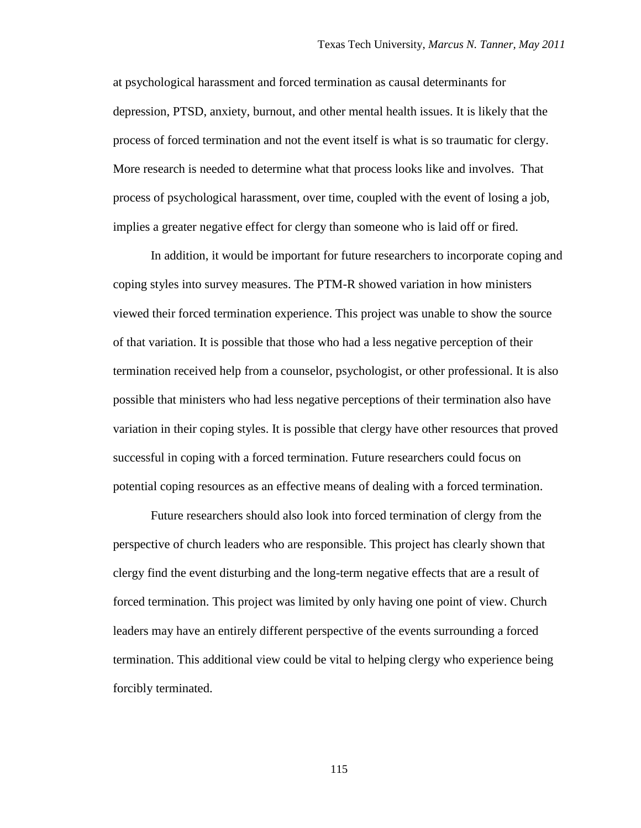at psychological harassment and forced termination as causal determinants for depression, PTSD, anxiety, burnout, and other mental health issues. It is likely that the process of forced termination and not the event itself is what is so traumatic for clergy. More research is needed to determine what that process looks like and involves. That process of psychological harassment, over time, coupled with the event of losing a job, implies a greater negative effect for clergy than someone who is laid off or fired.

In addition, it would be important for future researchers to incorporate coping and coping styles into survey measures. The PTM-R showed variation in how ministers viewed their forced termination experience. This project was unable to show the source of that variation. It is possible that those who had a less negative perception of their termination received help from a counselor, psychologist, or other professional. It is also possible that ministers who had less negative perceptions of their termination also have variation in their coping styles. It is possible that clergy have other resources that proved successful in coping with a forced termination. Future researchers could focus on potential coping resources as an effective means of dealing with a forced termination.

Future researchers should also look into forced termination of clergy from the perspective of church leaders who are responsible. This project has clearly shown that clergy find the event disturbing and the long-term negative effects that are a result of forced termination. This project was limited by only having one point of view. Church leaders may have an entirely different perspective of the events surrounding a forced termination. This additional view could be vital to helping clergy who experience being forcibly terminated.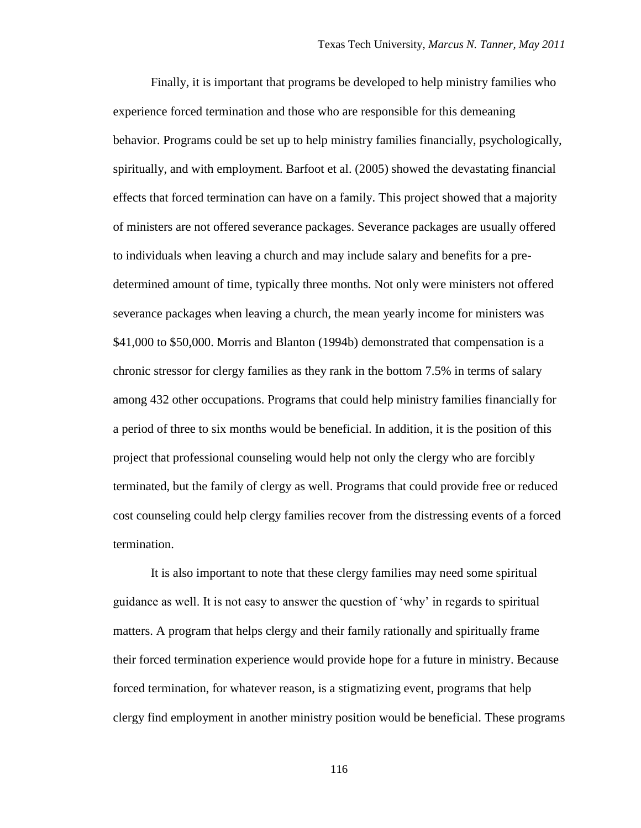Finally, it is important that programs be developed to help ministry families who experience forced termination and those who are responsible for this demeaning behavior. Programs could be set up to help ministry families financially, psychologically, spiritually, and with employment. Barfoot et al. (2005) showed the devastating financial effects that forced termination can have on a family. This project showed that a majority of ministers are not offered severance packages. Severance packages are usually offered to individuals when leaving a church and may include salary and benefits for a predetermined amount of time, typically three months. Not only were ministers not offered severance packages when leaving a church, the mean yearly income for ministers was \$41,000 to \$50,000. Morris and Blanton (1994b) demonstrated that compensation is a chronic stressor for clergy families as they rank in the bottom 7.5% in terms of salary among 432 other occupations. Programs that could help ministry families financially for a period of three to six months would be beneficial. In addition, it is the position of this project that professional counseling would help not only the clergy who are forcibly terminated, but the family of clergy as well. Programs that could provide free or reduced cost counseling could help clergy families recover from the distressing events of a forced termination.

It is also important to note that these clergy families may need some spiritual guidance as well. It is not easy to answer the question of "why" in regards to spiritual matters. A program that helps clergy and their family rationally and spiritually frame their forced termination experience would provide hope for a future in ministry. Because forced termination, for whatever reason, is a stigmatizing event, programs that help clergy find employment in another ministry position would be beneficial. These programs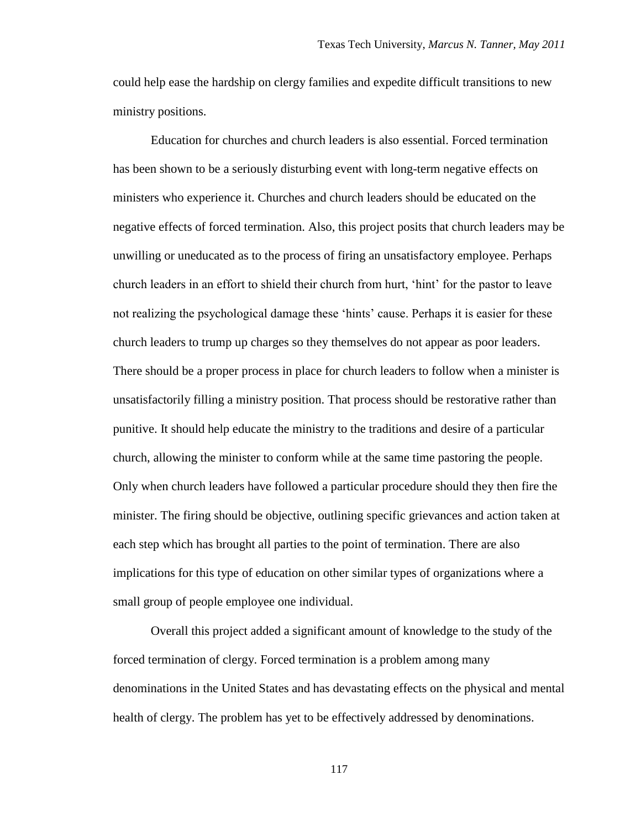could help ease the hardship on clergy families and expedite difficult transitions to new ministry positions.

Education for churches and church leaders is also essential. Forced termination has been shown to be a seriously disturbing event with long-term negative effects on ministers who experience it. Churches and church leaders should be educated on the negative effects of forced termination. Also, this project posits that church leaders may be unwilling or uneducated as to the process of firing an unsatisfactory employee. Perhaps church leaders in an effort to shield their church from hurt, "hint" for the pastor to leave not realizing the psychological damage these "hints" cause. Perhaps it is easier for these church leaders to trump up charges so they themselves do not appear as poor leaders. There should be a proper process in place for church leaders to follow when a minister is unsatisfactorily filling a ministry position. That process should be restorative rather than punitive. It should help educate the ministry to the traditions and desire of a particular church, allowing the minister to conform while at the same time pastoring the people. Only when church leaders have followed a particular procedure should they then fire the minister. The firing should be objective, outlining specific grievances and action taken at each step which has brought all parties to the point of termination. There are also implications for this type of education on other similar types of organizations where a small group of people employee one individual.

Overall this project added a significant amount of knowledge to the study of the forced termination of clergy. Forced termination is a problem among many denominations in the United States and has devastating effects on the physical and mental health of clergy. The problem has yet to be effectively addressed by denominations.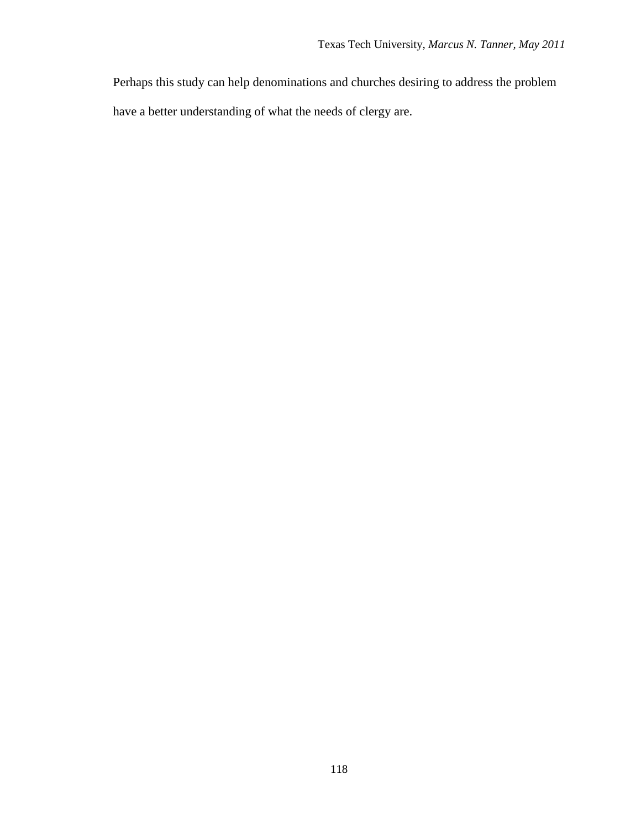Perhaps this study can help denominations and churches desiring to address the problem have a better understanding of what the needs of clergy are.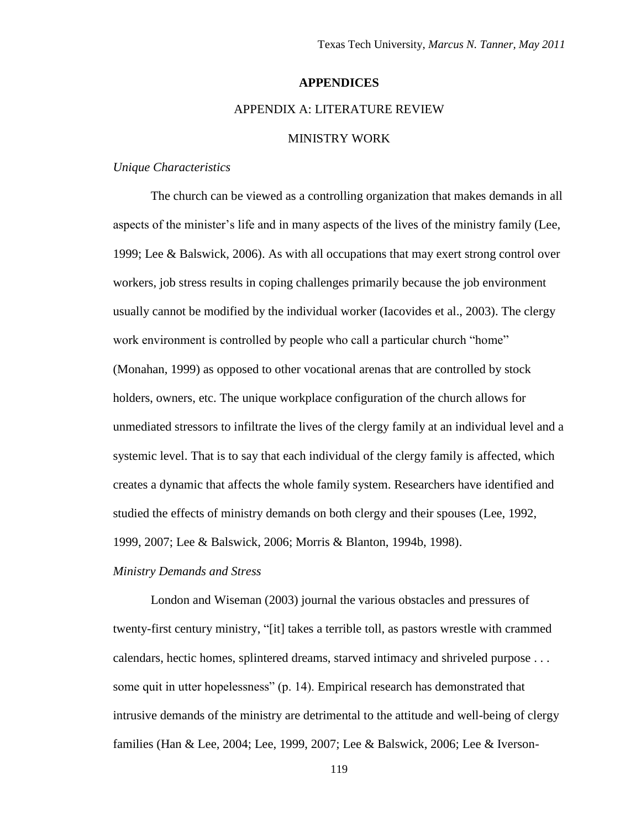# **APPENDICES**

# APPENDIX A: LITERATURE REVIEW

## MINISTRY WORK

## *Unique Characteristics*

The church can be viewed as a controlling organization that makes demands in all aspects of the minister's life and in many aspects of the lives of the ministry family (Lee, 1999; Lee & Balswick, 2006). As with all occupations that may exert strong control over workers, job stress results in coping challenges primarily because the job environment usually cannot be modified by the individual worker (Iacovides et al., 2003). The clergy work environment is controlled by people who call a particular church "home" (Monahan, 1999) as opposed to other vocational arenas that are controlled by stock holders, owners, etc. The unique workplace configuration of the church allows for unmediated stressors to infiltrate the lives of the clergy family at an individual level and a systemic level. That is to say that each individual of the clergy family is affected, which creates a dynamic that affects the whole family system. Researchers have identified and studied the effects of ministry demands on both clergy and their spouses (Lee, 1992, 1999, 2007; Lee & Balswick, 2006; Morris & Blanton, 1994b, 1998).

#### *Ministry Demands and Stress*

London and Wiseman (2003) journal the various obstacles and pressures of twenty-first century ministry, "[it] takes a terrible toll, as pastors wrestle with crammed calendars, hectic homes, splintered dreams, starved intimacy and shriveled purpose . . . some quit in utter hopelessness" (p. 14). Empirical research has demonstrated that intrusive demands of the ministry are detrimental to the attitude and well-being of clergy families (Han & Lee, 2004; Lee, 1999, 2007; Lee & Balswick, 2006; Lee & Iverson-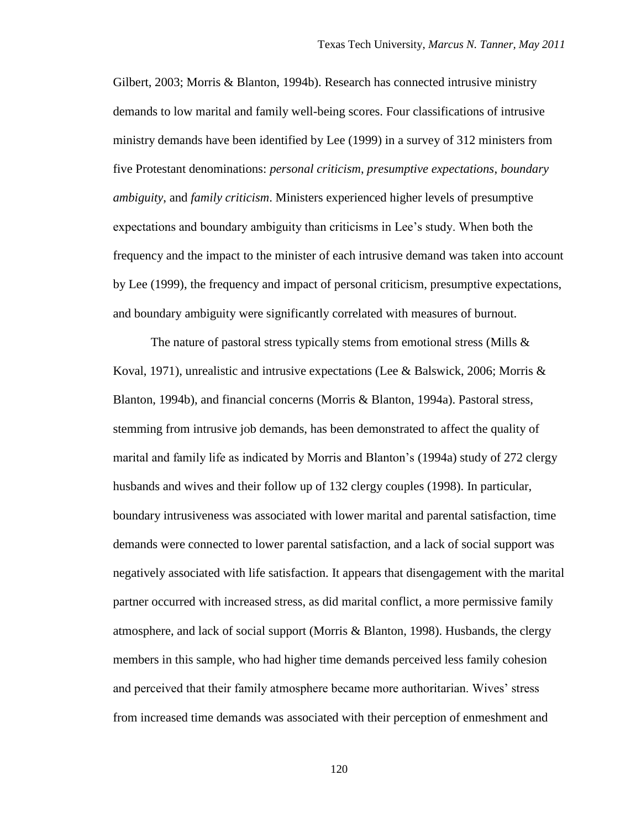Gilbert, 2003; Morris & Blanton, 1994b). Research has connected intrusive ministry demands to low marital and family well-being scores. Four classifications of intrusive ministry demands have been identified by Lee (1999) in a survey of 312 ministers from five Protestant denominations: *personal criticism*, *presumptive expectations*, *boundary ambiguity*, and *family criticism*. Ministers experienced higher levels of presumptive expectations and boundary ambiguity than criticisms in Lee"s study. When both the frequency and the impact to the minister of each intrusive demand was taken into account by Lee (1999), the frequency and impact of personal criticism, presumptive expectations, and boundary ambiguity were significantly correlated with measures of burnout.

The nature of pastoral stress typically stems from emotional stress (Mills  $\&$ Koval, 1971), unrealistic and intrusive expectations (Lee & Balswick, 2006; Morris & Blanton, 1994b), and financial concerns (Morris & Blanton, 1994a). Pastoral stress, stemming from intrusive job demands, has been demonstrated to affect the quality of marital and family life as indicated by Morris and Blanton"s (1994a) study of 272 clergy husbands and wives and their follow up of 132 clergy couples (1998). In particular, boundary intrusiveness was associated with lower marital and parental satisfaction, time demands were connected to lower parental satisfaction, and a lack of social support was negatively associated with life satisfaction. It appears that disengagement with the marital partner occurred with increased stress, as did marital conflict, a more permissive family atmosphere, and lack of social support (Morris & Blanton, 1998). Husbands, the clergy members in this sample, who had higher time demands perceived less family cohesion and perceived that their family atmosphere became more authoritarian. Wives" stress from increased time demands was associated with their perception of enmeshment and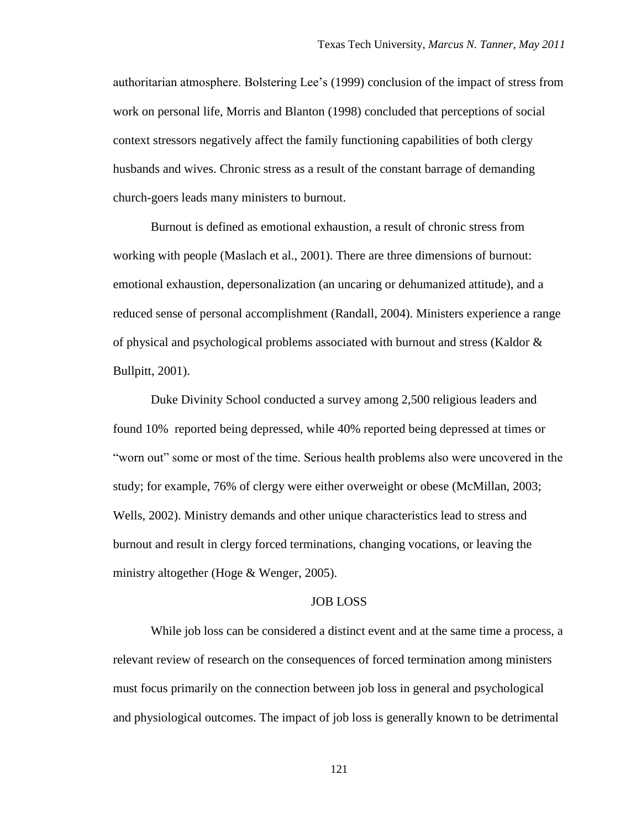authoritarian atmosphere. Bolstering Lee"s (1999) conclusion of the impact of stress from work on personal life, Morris and Blanton (1998) concluded that perceptions of social context stressors negatively affect the family functioning capabilities of both clergy husbands and wives. Chronic stress as a result of the constant barrage of demanding church-goers leads many ministers to burnout.

Burnout is defined as emotional exhaustion, a result of chronic stress from working with people (Maslach et al., 2001). There are three dimensions of burnout: emotional exhaustion, depersonalization (an uncaring or dehumanized attitude), and a reduced sense of personal accomplishment (Randall, 2004). Ministers experience a range of physical and psychological problems associated with burnout and stress (Kaldor & Bullpitt, 2001).

Duke Divinity School conducted a survey among 2,500 religious leaders and found 10% reported being depressed, while 40% reported being depressed at times or "worn out" some or most of the time. Serious health problems also were uncovered in the study; for example, 76% of clergy were either overweight or obese (McMillan, 2003; Wells, 2002). Ministry demands and other unique characteristics lead to stress and burnout and result in clergy forced terminations, changing vocations, or leaving the ministry altogether (Hoge & Wenger, 2005).

#### JOB LOSS

While job loss can be considered a distinct event and at the same time a process, a relevant review of research on the consequences of forced termination among ministers must focus primarily on the connection between job loss in general and psychological and physiological outcomes. The impact of job loss is generally known to be detrimental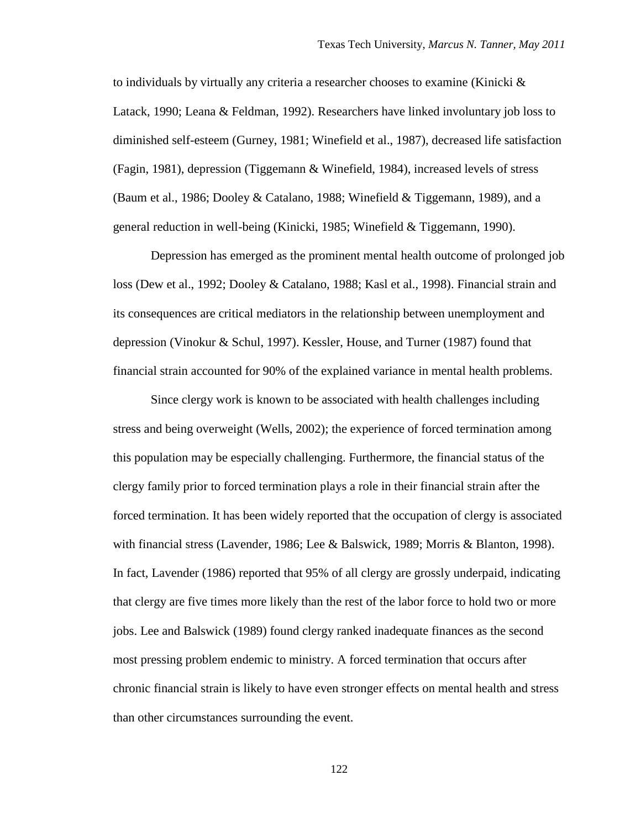to individuals by virtually any criteria a researcher chooses to examine (Kinicki  $\&$ Latack, 1990; Leana & Feldman, 1992). Researchers have linked involuntary job loss to diminished self-esteem (Gurney, 1981; Winefield et al., 1987), decreased life satisfaction (Fagin, 1981), depression (Tiggemann & Winefield, 1984), increased levels of stress (Baum et al., 1986; Dooley & Catalano, 1988; Winefield & Tiggemann, 1989), and a general reduction in well-being (Kinicki, 1985; Winefield & Tiggemann, 1990).

Depression has emerged as the prominent mental health outcome of prolonged job loss (Dew et al., 1992; Dooley & Catalano, 1988; Kasl et al., 1998). Financial strain and its consequences are critical mediators in the relationship between unemployment and depression (Vinokur & Schul, 1997). Kessler, House, and Turner (1987) found that financial strain accounted for 90% of the explained variance in mental health problems.

Since clergy work is known to be associated with health challenges including stress and being overweight (Wells, 2002); the experience of forced termination among this population may be especially challenging. Furthermore, the financial status of the clergy family prior to forced termination plays a role in their financial strain after the forced termination. It has been widely reported that the occupation of clergy is associated with financial stress (Lavender, 1986; Lee & Balswick, 1989; Morris & Blanton, 1998). In fact, Lavender (1986) reported that 95% of all clergy are grossly underpaid, indicating that clergy are five times more likely than the rest of the labor force to hold two or more jobs. Lee and Balswick (1989) found clergy ranked inadequate finances as the second most pressing problem endemic to ministry. A forced termination that occurs after chronic financial strain is likely to have even stronger effects on mental health and stress than other circumstances surrounding the event.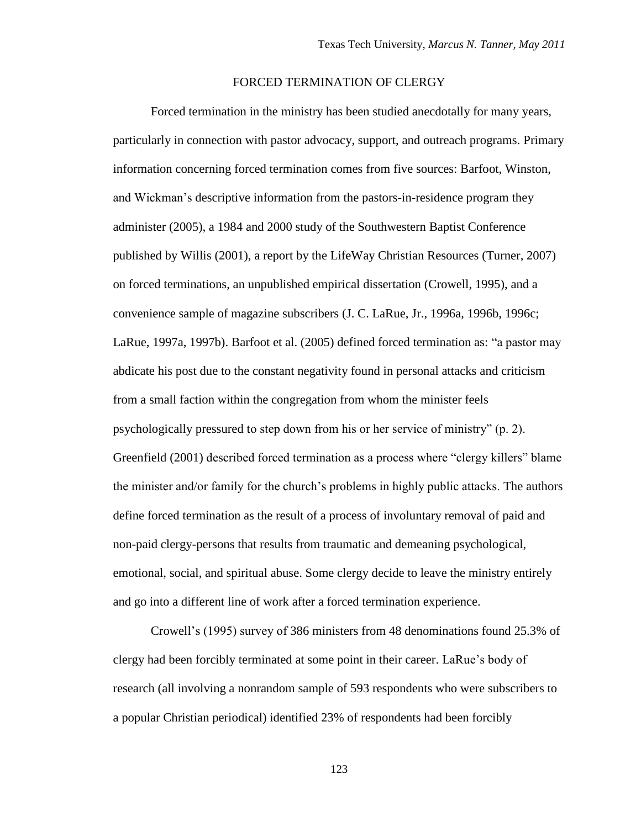# FORCED TERMINATION OF CLERGY

Forced termination in the ministry has been studied anecdotally for many years, particularly in connection with pastor advocacy, support, and outreach programs. Primary information concerning forced termination comes from five sources: Barfoot, Winston, and Wickman"s descriptive information from the pastors-in-residence program they administer (2005), a 1984 and 2000 study of the Southwestern Baptist Conference published by Willis (2001), a report by the LifeWay Christian Resources (Turner, 2007) on forced terminations, an unpublished empirical dissertation (Crowell, 1995), and a convenience sample of magazine subscribers (J. C. LaRue, Jr., 1996a, 1996b, 1996c; LaRue, 1997a, 1997b). Barfoot et al. (2005) defined forced termination as: "a pastor may abdicate his post due to the constant negativity found in personal attacks and criticism from a small faction within the congregation from whom the minister feels psychologically pressured to step down from his or her service of ministry" (p. 2). Greenfield (2001) described forced termination as a process where "clergy killers" blame the minister and/or family for the church"s problems in highly public attacks. The authors define forced termination as the result of a process of involuntary removal of paid and non-paid clergy-persons that results from traumatic and demeaning psychological, emotional, social, and spiritual abuse. Some clergy decide to leave the ministry entirely and go into a different line of work after a forced termination experience.

Crowell"s (1995) survey of 386 ministers from 48 denominations found 25.3% of clergy had been forcibly terminated at some point in their career. LaRue"s body of research (all involving a nonrandom sample of 593 respondents who were subscribers to a popular Christian periodical) identified 23% of respondents had been forcibly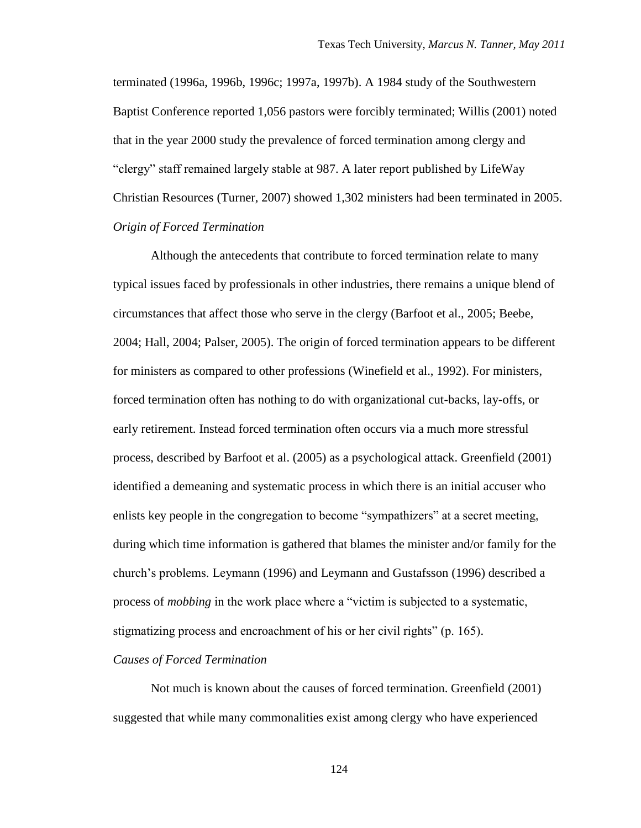terminated (1996a, 1996b, 1996c; 1997a, 1997b). A 1984 study of the Southwestern Baptist Conference reported 1,056 pastors were forcibly terminated; Willis (2001) noted that in the year 2000 study the prevalence of forced termination among clergy and "clergy" staff remained largely stable at 987. A later report published by LifeWay Christian Resources (Turner, 2007) showed 1,302 ministers had been terminated in 2005. *Origin of Forced Termination* 

Although the antecedents that contribute to forced termination relate to many typical issues faced by professionals in other industries, there remains a unique blend of circumstances that affect those who serve in the clergy (Barfoot et al., 2005; Beebe, 2004; Hall, 2004; Palser, 2005). The origin of forced termination appears to be different for ministers as compared to other professions (Winefield et al., 1992). For ministers, forced termination often has nothing to do with organizational cut-backs, lay-offs, or early retirement. Instead forced termination often occurs via a much more stressful process, described by Barfoot et al. (2005) as a psychological attack. Greenfield (2001) identified a demeaning and systematic process in which there is an initial accuser who enlists key people in the congregation to become "sympathizers" at a secret meeting, during which time information is gathered that blames the minister and/or family for the church"s problems. Leymann (1996) and Leymann and Gustafsson (1996) described a process of *mobbing* in the work place where a "victim is subjected to a systematic, stigmatizing process and encroachment of his or her civil rights" (p. 165).

#### *Causes of Forced Termination*

Not much is known about the causes of forced termination. Greenfield (2001) suggested that while many commonalities exist among clergy who have experienced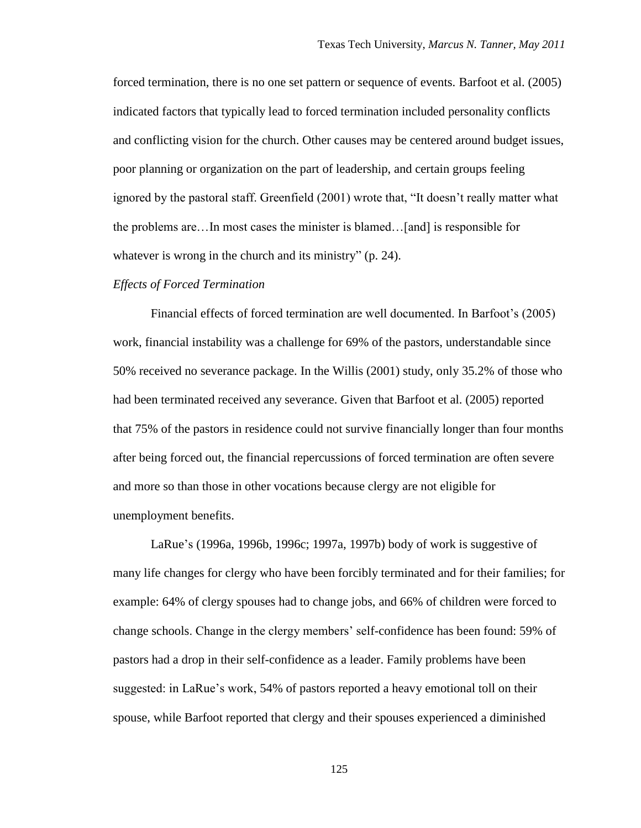forced termination, there is no one set pattern or sequence of events. Barfoot et al. (2005) indicated factors that typically lead to forced termination included personality conflicts and conflicting vision for the church. Other causes may be centered around budget issues, poor planning or organization on the part of leadership, and certain groups feeling ignored by the pastoral staff. Greenfield (2001) wrote that, "It doesn"t really matter what the problems are…In most cases the minister is blamed…[and] is responsible for whatever is wrong in the church and its ministry" (p. 24).

#### *Effects of Forced Termination*

Financial effects of forced termination are well documented. In Barfoot's (2005) work, financial instability was a challenge for 69% of the pastors, understandable since 50% received no severance package. In the Willis (2001) study, only 35.2% of those who had been terminated received any severance. Given that Barfoot et al. (2005) reported that 75% of the pastors in residence could not survive financially longer than four months after being forced out, the financial repercussions of forced termination are often severe and more so than those in other vocations because clergy are not eligible for unemployment benefits.

LaRue"s (1996a, 1996b, 1996c; 1997a, 1997b) body of work is suggestive of many life changes for clergy who have been forcibly terminated and for their families; for example: 64% of clergy spouses had to change jobs, and 66% of children were forced to change schools. Change in the clergy members" self-confidence has been found: 59% of pastors had a drop in their self-confidence as a leader. Family problems have been suggested: in LaRue"s work, 54% of pastors reported a heavy emotional toll on their spouse, while Barfoot reported that clergy and their spouses experienced a diminished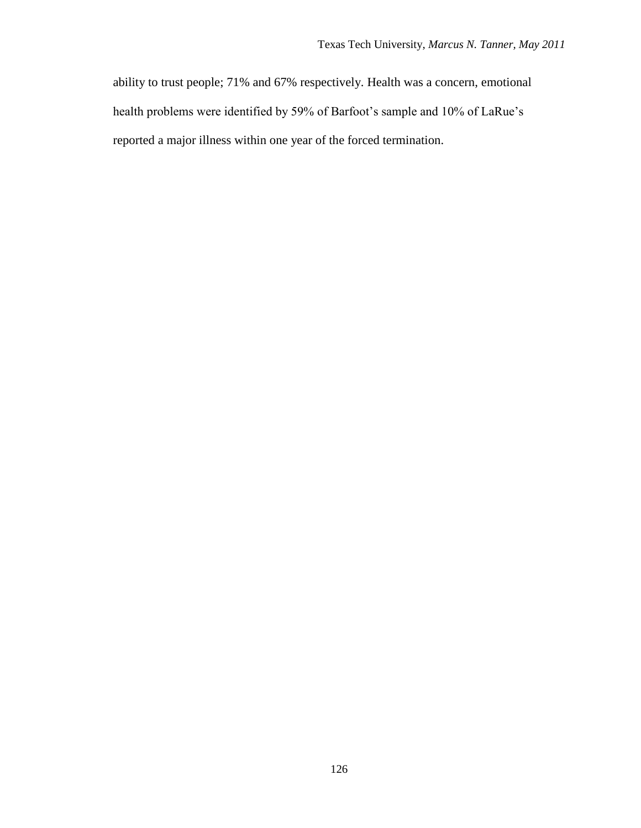ability to trust people; 71% and 67% respectively. Health was a concern, emotional health problems were identified by 59% of Barfoot's sample and 10% of LaRue's reported a major illness within one year of the forced termination.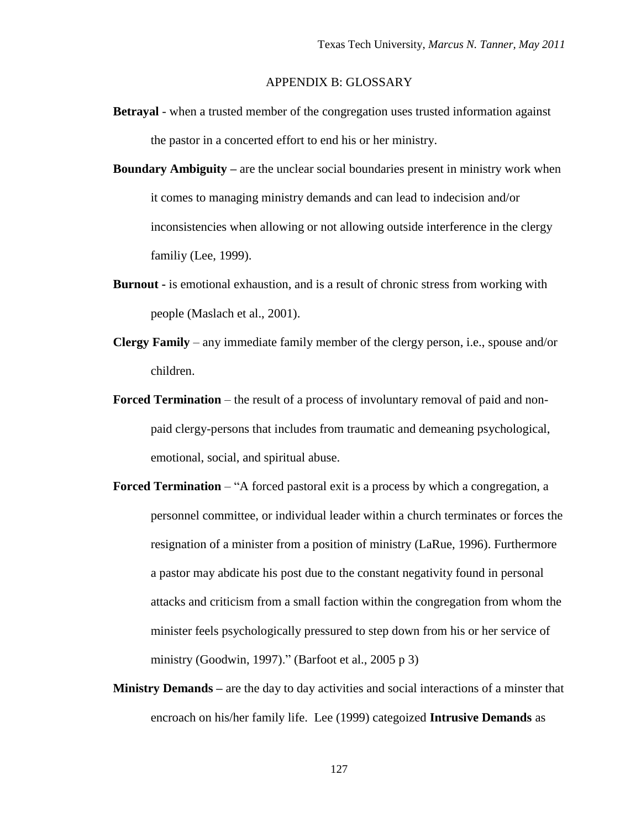# APPENDIX B: GLOSSARY

- **Betrayal** when a trusted member of the congregation uses trusted information against the pastor in a concerted effort to end his or her ministry.
- **Boundary Ambiguity –** are the unclear social boundaries present in ministry work when it comes to managing ministry demands and can lead to indecision and/or inconsistencies when allowing or not allowing outside interference in the clergy familiy (Lee, 1999).
- **Burnout -** is emotional exhaustion, and is a result of chronic stress from working with people (Maslach et al., 2001).
- **Clergy Family** any immediate family member of the clergy person, i.e., spouse and/or children.
- **Forced Termination** the result of a process of involuntary removal of paid and nonpaid clergy-persons that includes from traumatic and demeaning psychological, emotional, social, and spiritual abuse.
- **Forced Termination** "A forced pastoral exit is a process by which a congregation, a personnel committee, or individual leader within a church terminates or forces the resignation of a minister from a position of ministry (LaRue, 1996). Furthermore a pastor may abdicate his post due to the constant negativity found in personal attacks and criticism from a small faction within the congregation from whom the minister feels psychologically pressured to step down from his or her service of ministry (Goodwin, 1997)." (Barfoot et al., 2005 p 3)
- **Ministry Demands –** are the day to day activities and social interactions of a minster that encroach on his/her family life. Lee (1999) categoized **Intrusive Demands** as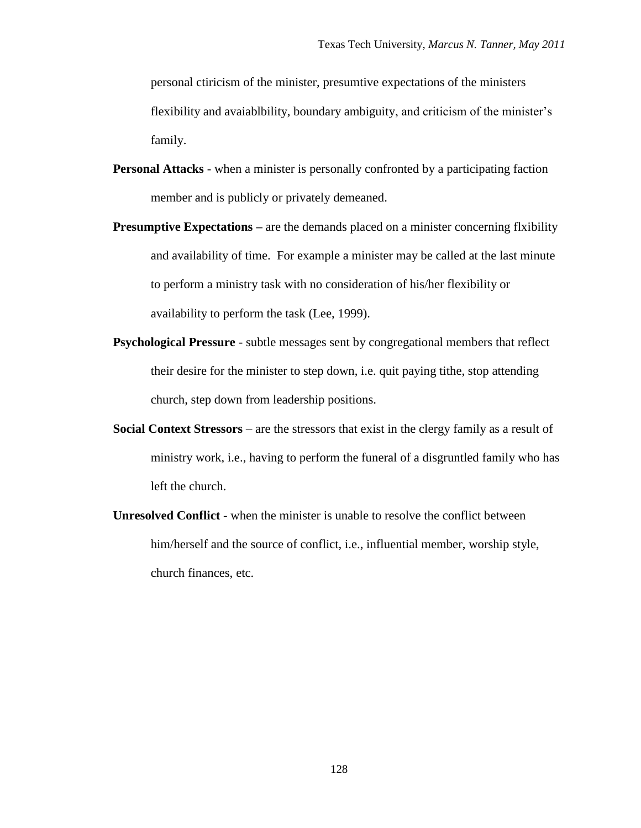personal ctiricism of the minister, presumtive expectations of the ministers flexibility and avaiablbility, boundary ambiguity, and criticism of the minister's family.

- **Personal Attacks** when a minister is personally confronted by a participating faction member and is publicly or privately demeaned.
- **Presumptive Expectations –** are the demands placed on a minister concerning flxibility and availability of time. For example a minister may be called at the last minute to perform a ministry task with no consideration of his/her flexibility or availability to perform the task (Lee, 1999).
- **Psychological Pressure** subtle messages sent by congregational members that reflect their desire for the minister to step down, i.e. quit paying tithe, stop attending church, step down from leadership positions.
- **Social Context Stressors** are the stressors that exist in the clergy family as a result of ministry work, i.e., having to perform the funeral of a disgruntled family who has left the church.
- **Unresolved Conflict** when the minister is unable to resolve the conflict between him/herself and the source of conflict, i.e., influential member, worship style, church finances, etc.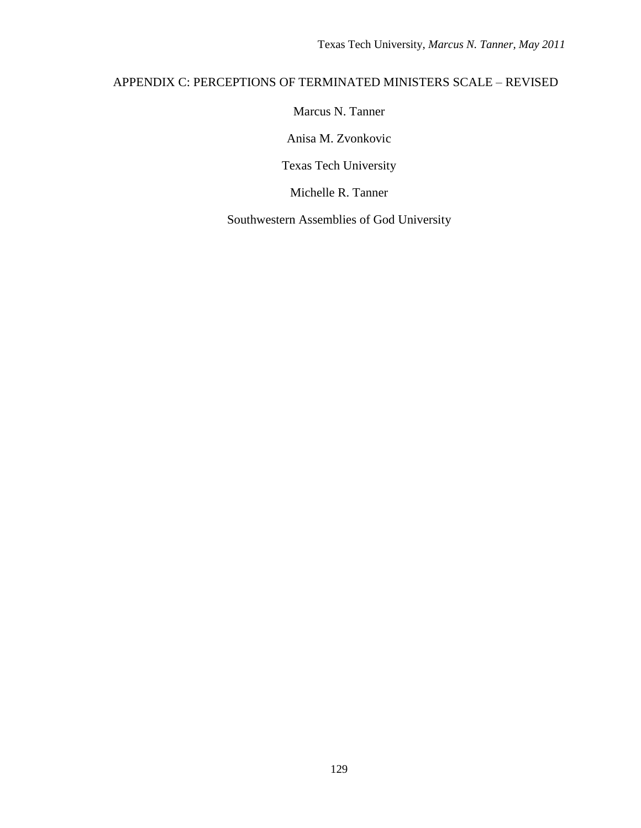# APPENDIX C: PERCEPTIONS OF TERMINATED MINISTERS SCALE – REVISED

Marcus N. Tanner

Anisa M. Zvonkovic

Texas Tech University

Michelle R. Tanner

Southwestern Assemblies of God University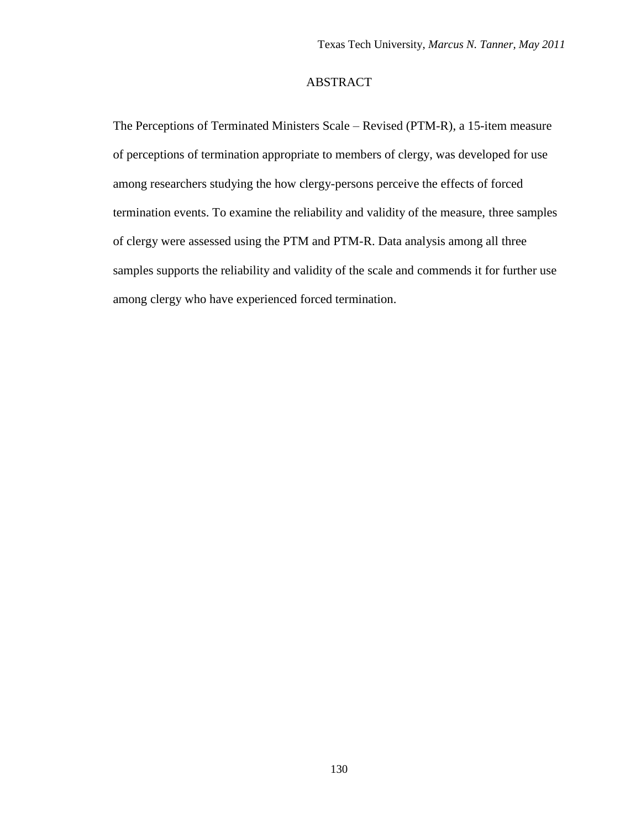# ABSTRACT

The Perceptions of Terminated Ministers Scale – Revised (PTM-R), a 15-item measure of perceptions of termination appropriate to members of clergy, was developed for use among researchers studying the how clergy-persons perceive the effects of forced termination events. To examine the reliability and validity of the measure, three samples of clergy were assessed using the PTM and PTM-R. Data analysis among all three samples supports the reliability and validity of the scale and commends it for further use among clergy who have experienced forced termination.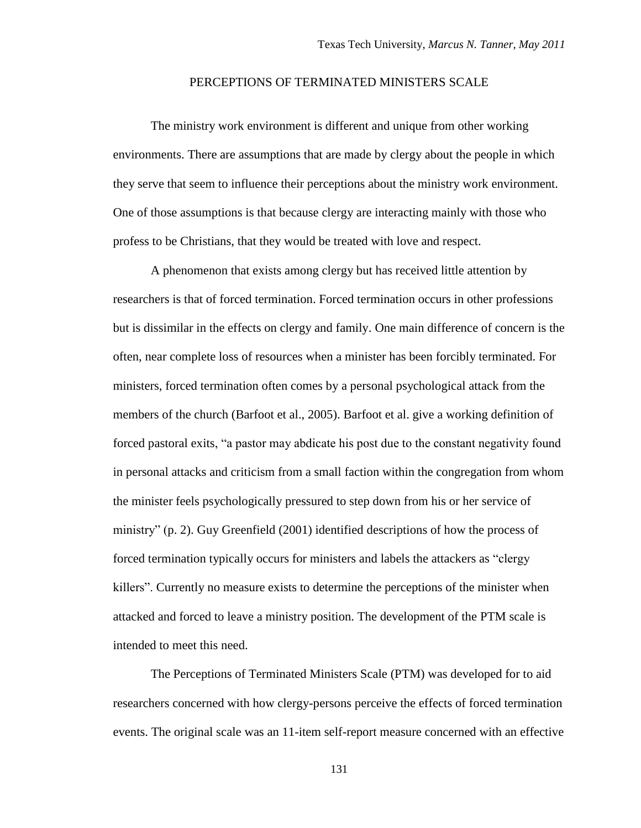# PERCEPTIONS OF TERMINATED MINISTERS SCALE

The ministry work environment is different and unique from other working environments. There are assumptions that are made by clergy about the people in which they serve that seem to influence their perceptions about the ministry work environment. One of those assumptions is that because clergy are interacting mainly with those who profess to be Christians, that they would be treated with love and respect.

A phenomenon that exists among clergy but has received little attention by researchers is that of forced termination. Forced termination occurs in other professions but is dissimilar in the effects on clergy and family. One main difference of concern is the often, near complete loss of resources when a minister has been forcibly terminated. For ministers, forced termination often comes by a personal psychological attack from the members of the church (Barfoot et al., 2005). Barfoot et al. give a working definition of forced pastoral exits, "a pastor may abdicate his post due to the constant negativity found in personal attacks and criticism from a small faction within the congregation from whom the minister feels psychologically pressured to step down from his or her service of ministry" (p. 2). Guy Greenfield (2001) identified descriptions of how the process of forced termination typically occurs for ministers and labels the attackers as "clergy killers". Currently no measure exists to determine the perceptions of the minister when attacked and forced to leave a ministry position. The development of the PTM scale is intended to meet this need.

The Perceptions of Terminated Ministers Scale (PTM) was developed for to aid researchers concerned with how clergy-persons perceive the effects of forced termination events. The original scale was an 11-item self-report measure concerned with an effective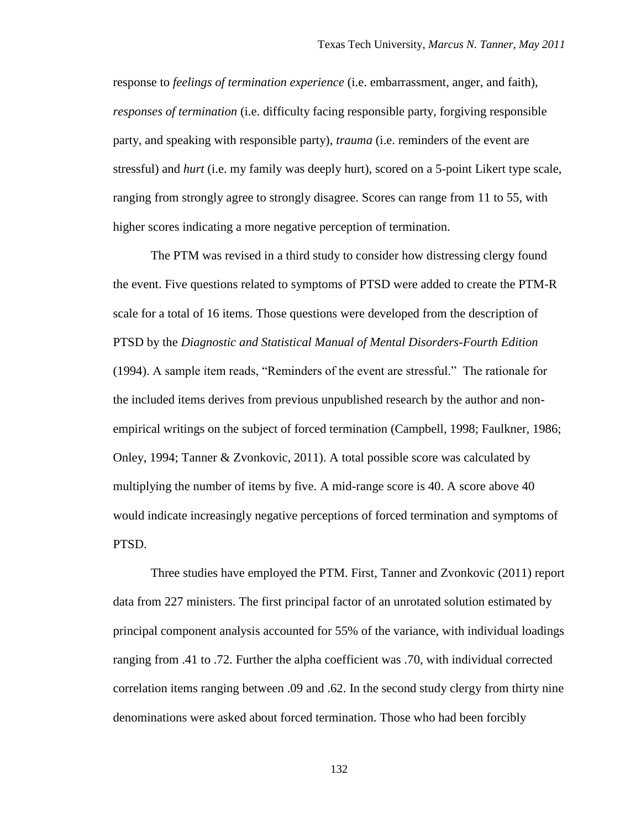response to *feelings of termination experience* (i.e. embarrassment, anger, and faith), *responses of termination* (i.e. difficulty facing responsible party, forgiving responsible party, and speaking with responsible party), *trauma* (i.e. reminders of the event are stressful) and *hurt* (i.e. my family was deeply hurt), scored on a 5-point Likert type scale, ranging from strongly agree to strongly disagree. Scores can range from 11 to 55, with higher scores indicating a more negative perception of termination.

The PTM was revised in a third study to consider how distressing clergy found the event. Five questions related to symptoms of PTSD were added to create the PTM-R scale for a total of 16 items. Those questions were developed from the description of PTSD by the *Diagnostic and Statistical Manual of Mental Disorders-Fourth Edition*  (1994). A sample item reads, "Reminders of the event are stressful." The rationale for the included items derives from previous unpublished research by the author and nonempirical writings on the subject of forced termination (Campbell, 1998; Faulkner, 1986; Onley, 1994; Tanner & Zvonkovic, 2011). A total possible score was calculated by multiplying the number of items by five. A mid-range score is 40. A score above 40 would indicate increasingly negative perceptions of forced termination and symptoms of PTSD.

Three studies have employed the PTM. First, Tanner and Zvonkovic (2011) report data from 227 ministers. The first principal factor of an unrotated solution estimated by principal component analysis accounted for 55% of the variance, with individual loadings ranging from .41 to .72. Further the alpha coefficient was .70, with individual corrected correlation items ranging between .09 and .62. In the second study clergy from thirty nine denominations were asked about forced termination. Those who had been forcibly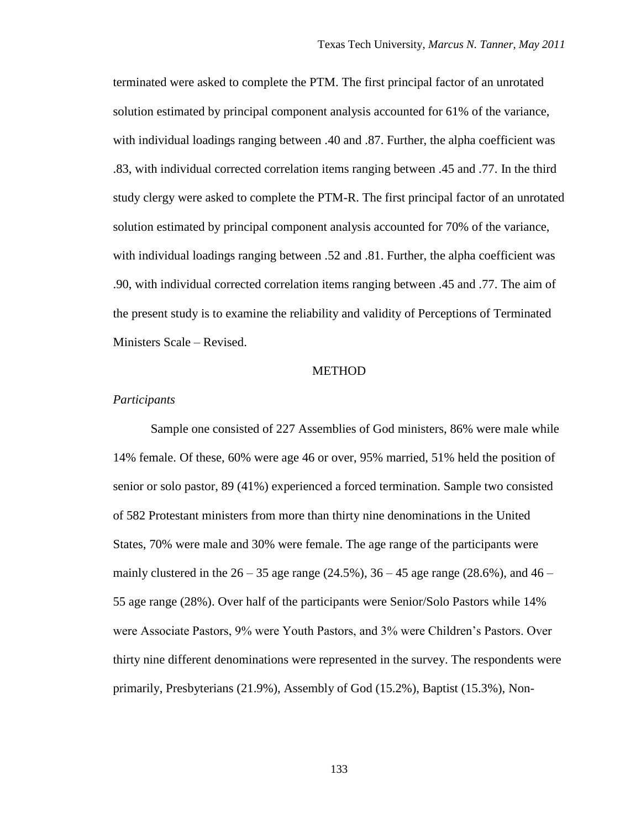terminated were asked to complete the PTM. The first principal factor of an unrotated solution estimated by principal component analysis accounted for 61% of the variance, with individual loadings ranging between .40 and .87. Further, the alpha coefficient was .83, with individual corrected correlation items ranging between .45 and .77. In the third study clergy were asked to complete the PTM-R. The first principal factor of an unrotated solution estimated by principal component analysis accounted for 70% of the variance, with individual loadings ranging between .52 and .81. Further, the alpha coefficient was .90, with individual corrected correlation items ranging between .45 and .77. The aim of the present study is to examine the reliability and validity of Perceptions of Terminated Ministers Scale – Revised.

#### **METHOD**

# *Participants*

Sample one consisted of 227 Assemblies of God ministers, 86% were male while 14% female. Of these, 60% were age 46 or over, 95% married, 51% held the position of senior or solo pastor, 89 (41%) experienced a forced termination. Sample two consisted of 582 Protestant ministers from more than thirty nine denominations in the United States, 70% were male and 30% were female. The age range of the participants were mainly clustered in the  $26 - 35$  age range (24.5%),  $36 - 45$  age range (28.6%), and  $46 -$ 55 age range (28%). Over half of the participants were Senior/Solo Pastors while 14% were Associate Pastors, 9% were Youth Pastors, and 3% were Children"s Pastors. Over thirty nine different denominations were represented in the survey. The respondents were primarily, Presbyterians (21.9%), Assembly of God (15.2%), Baptist (15.3%), Non-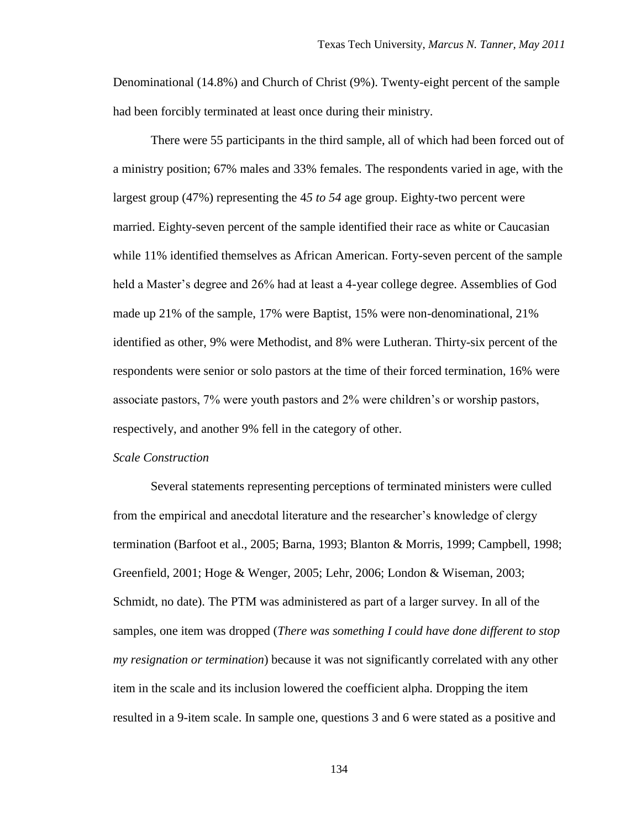Denominational (14.8%) and Church of Christ (9%). Twenty-eight percent of the sample had been forcibly terminated at least once during their ministry.

There were 55 participants in the third sample, all of which had been forced out of a ministry position; 67% males and 33% females. The respondents varied in age, with the largest group (47%) representing the 4*5 to 54* age group. Eighty-two percent were married. Eighty-seven percent of the sample identified their race as white or Caucasian while 11% identified themselves as African American. Forty-seven percent of the sample held a Master's degree and 26% had at least a 4-year college degree. Assemblies of God made up 21% of the sample, 17% were Baptist, 15% were non-denominational, 21% identified as other, 9% were Methodist, and 8% were Lutheran. Thirty-six percent of the respondents were senior or solo pastors at the time of their forced termination, 16% were associate pastors, 7% were youth pastors and 2% were children"s or worship pastors, respectively, and another 9% fell in the category of other.

#### *Scale Construction*

Several statements representing perceptions of terminated ministers were culled from the empirical and anecdotal literature and the researcher"s knowledge of clergy termination (Barfoot et al., 2005; Barna, 1993; Blanton & Morris, 1999; Campbell, 1998; Greenfield, 2001; Hoge & Wenger, 2005; Lehr, 2006; London & Wiseman, 2003; Schmidt, no date). The PTM was administered as part of a larger survey. In all of the samples, one item was dropped (*There was something I could have done different to stop my resignation or termination*) because it was not significantly correlated with any other item in the scale and its inclusion lowered the coefficient alpha. Dropping the item resulted in a 9-item scale. In sample one, questions 3 and 6 were stated as a positive and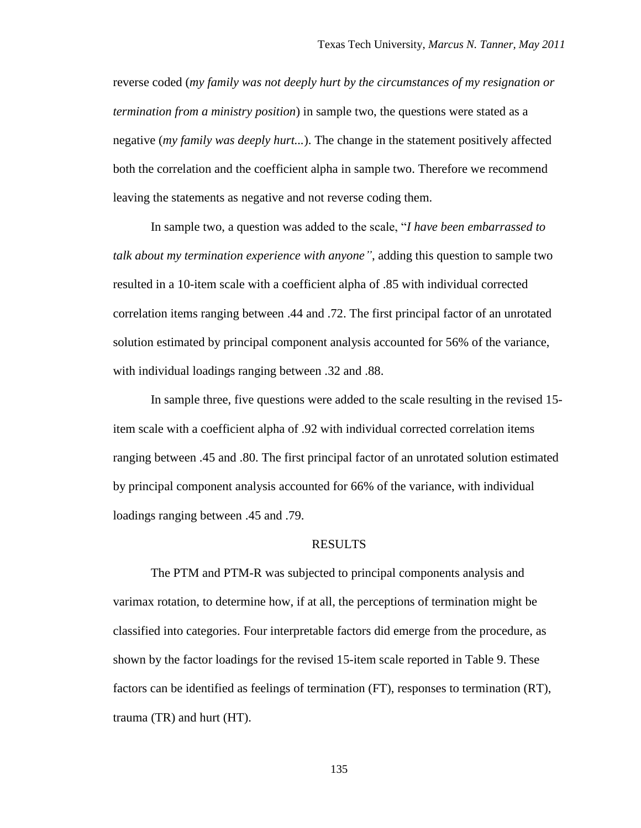reverse coded (*my family was not deeply hurt by the circumstances of my resignation or termination from a ministry position*) in sample two, the questions were stated as a negative (*my family was deeply hurt...*). The change in the statement positively affected both the correlation and the coefficient alpha in sample two. Therefore we recommend leaving the statements as negative and not reverse coding them.

In sample two, a question was added to the scale, "*I have been embarrassed to talk about my termination experience with anyone"*, adding this question to sample two resulted in a 10-item scale with a coefficient alpha of .85 with individual corrected correlation items ranging between .44 and .72. The first principal factor of an unrotated solution estimated by principal component analysis accounted for 56% of the variance, with individual loadings ranging between .32 and .88.

In sample three, five questions were added to the scale resulting in the revised 15 item scale with a coefficient alpha of .92 with individual corrected correlation items ranging between .45 and .80. The first principal factor of an unrotated solution estimated by principal component analysis accounted for 66% of the variance, with individual loadings ranging between .45 and .79.

#### RESULTS

The PTM and PTM-R was subjected to principal components analysis and varimax rotation, to determine how, if at all, the perceptions of termination might be classified into categories. Four interpretable factors did emerge from the procedure, as shown by the factor loadings for the revised 15-item scale reported in Table 9. These factors can be identified as feelings of termination (FT), responses to termination (RT), trauma (TR) and hurt (HT).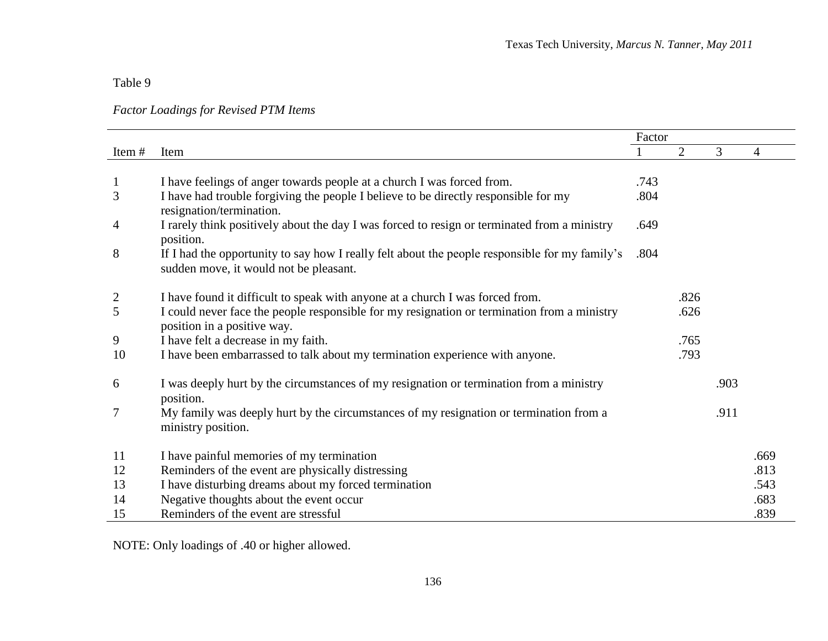Table 9

*Factor Loadings for Revised PTM Items*

|       |                                                                                                                                          | Factor |      |      |                |
|-------|------------------------------------------------------------------------------------------------------------------------------------------|--------|------|------|----------------|
| Item# | Item                                                                                                                                     |        | 2    | 3    | $\overline{4}$ |
|       |                                                                                                                                          |        |      |      |                |
| 1     | I have feelings of anger towards people at a church I was forced from.                                                                   | .743   |      |      |                |
| 3     | I have had trouble forgiving the people I believe to be directly responsible for my<br>resignation/termination.                          | .804   |      |      |                |
| 4     | I rarely think positively about the day I was forced to resign or terminated from a ministry<br>position.                                | .649   |      |      |                |
| 8     | If I had the opportunity to say how I really felt about the people responsible for my family's<br>sudden move, it would not be pleasant. | .804   |      |      |                |
| 2     | I have found it difficult to speak with anyone at a church I was forced from.                                                            |        | .826 |      |                |
| 5     | I could never face the people responsible for my resignation or termination from a ministry<br>position in a positive way.               |        | .626 |      |                |
| 9     | I have felt a decrease in my faith.                                                                                                      |        | .765 |      |                |
| 10    | I have been embarrassed to talk about my termination experience with anyone.                                                             |        | .793 |      |                |
| 6     | I was deeply hurt by the circumstances of my resignation or termination from a ministry<br>position.                                     |        |      | .903 |                |
| 7     | My family was deeply hurt by the circumstances of my resignation or termination from a<br>ministry position.                             |        |      | .911 |                |
| 11    | I have painful memories of my termination                                                                                                |        |      |      | .669           |
| 12    | Reminders of the event are physically distressing                                                                                        |        |      |      | .813           |
| 13    | I have disturbing dreams about my forced termination                                                                                     |        |      |      | .543           |
| 14    | Negative thoughts about the event occur                                                                                                  |        |      |      | .683           |
| 15    | Reminders of the event are stressful                                                                                                     |        |      |      | .839           |

NOTE: Only loadings of .40 or higher allowed.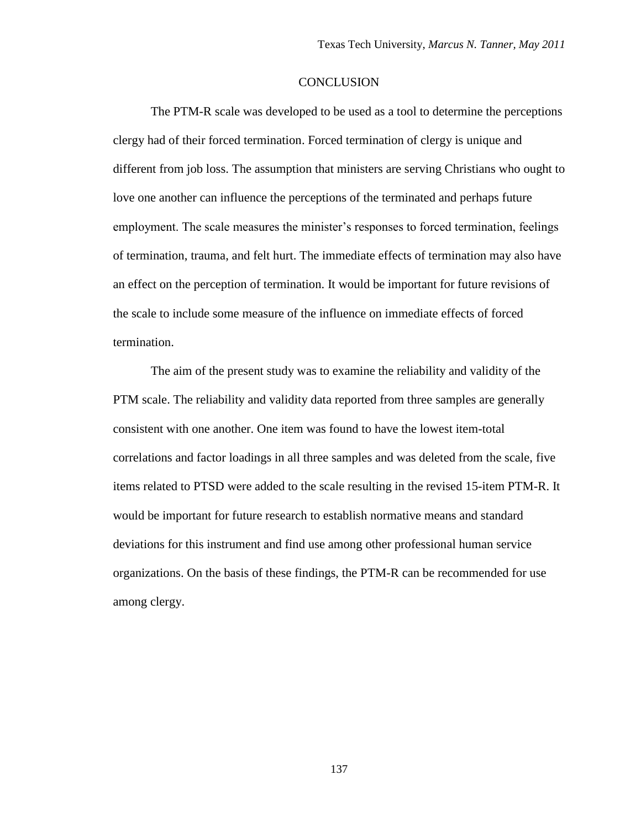# **CONCLUSION**

The PTM-R scale was developed to be used as a tool to determine the perceptions clergy had of their forced termination. Forced termination of clergy is unique and different from job loss. The assumption that ministers are serving Christians who ought to love one another can influence the perceptions of the terminated and perhaps future employment. The scale measures the minister's responses to forced termination, feelings of termination, trauma, and felt hurt. The immediate effects of termination may also have an effect on the perception of termination. It would be important for future revisions of the scale to include some measure of the influence on immediate effects of forced termination.

The aim of the present study was to examine the reliability and validity of the PTM scale. The reliability and validity data reported from three samples are generally consistent with one another. One item was found to have the lowest item-total correlations and factor loadings in all three samples and was deleted from the scale, five items related to PTSD were added to the scale resulting in the revised 15-item PTM-R. It would be important for future research to establish normative means and standard deviations for this instrument and find use among other professional human service organizations. On the basis of these findings, the PTM-R can be recommended for use among clergy.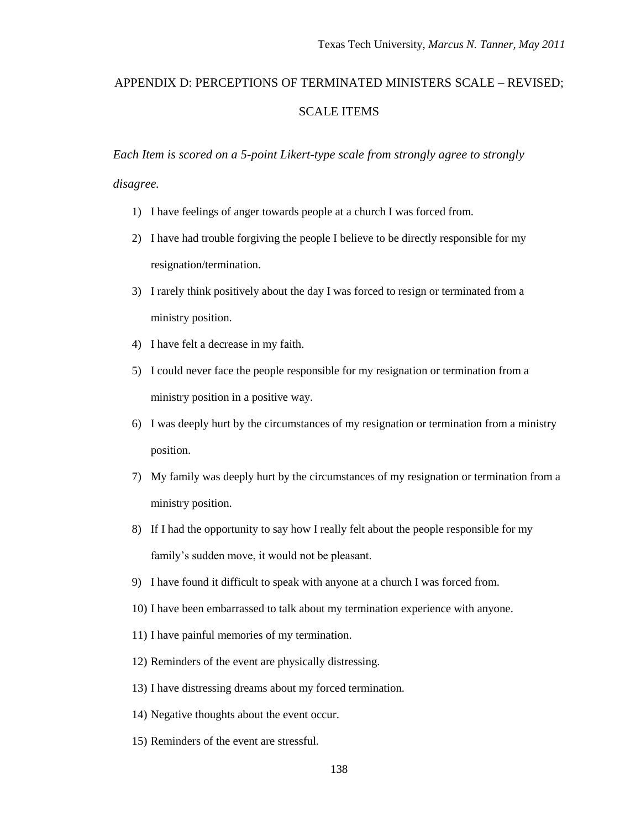# APPENDIX D: PERCEPTIONS OF TERMINATED MINISTERS SCALE – REVISED; SCALE ITEMS

*Each Item is scored on a 5-point Likert-type scale from strongly agree to strongly disagree.*

- 1) I have feelings of anger towards people at a church I was forced from.
- 2) I have had trouble forgiving the people I believe to be directly responsible for my resignation/termination.
- 3) I rarely think positively about the day I was forced to resign or terminated from a ministry position.
- 4) I have felt a decrease in my faith.
- 5) I could never face the people responsible for my resignation or termination from a ministry position in a positive way.
- 6) I was deeply hurt by the circumstances of my resignation or termination from a ministry position.
- 7) My family was deeply hurt by the circumstances of my resignation or termination from a ministry position.
- 8) If I had the opportunity to say how I really felt about the people responsible for my family"s sudden move, it would not be pleasant.
- 9) I have found it difficult to speak with anyone at a church I was forced from.
- 10) I have been embarrassed to talk about my termination experience with anyone.
- 11) I have painful memories of my termination.
- 12) Reminders of the event are physically distressing.
- 13) I have distressing dreams about my forced termination.
- 14) Negative thoughts about the event occur.
- 15) Reminders of the event are stressful.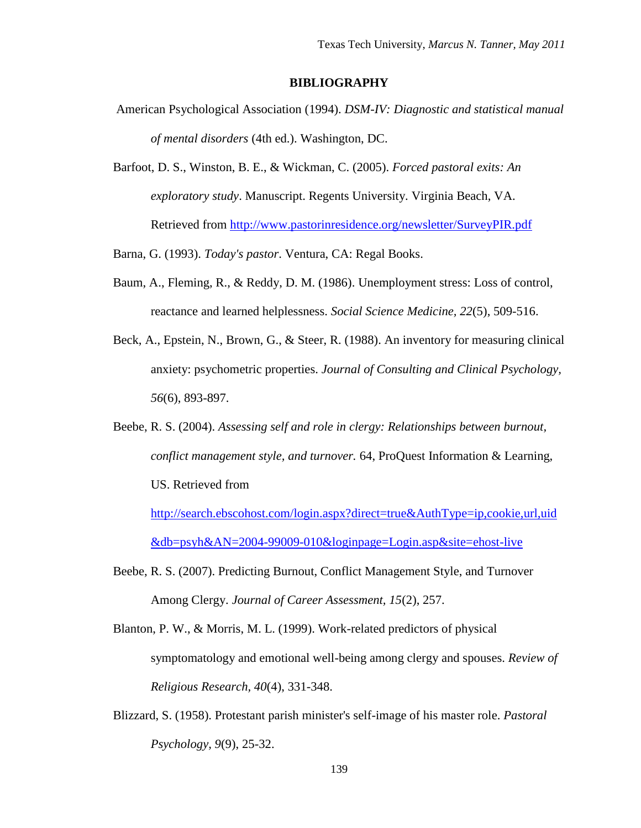# **BIBLIOGRAPHY**

- American Psychological Association (1994). *DSM-IV: Diagnostic and statistical manual of mental disorders* (4th ed.). Washington, DC.
- Barfoot, D. S., Winston, B. E., & Wickman, C. (2005). *Forced pastoral exits: An exploratory study*. Manuscript. Regents University. Virginia Beach, VA. Retrieved from<http://www.pastorinresidence.org/newsletter/SurveyPIR.pdf>

Barna, G. (1993). *Today's pastor*. Ventura, CA: Regal Books.

- Baum, A., Fleming, R., & Reddy, D. M. (1986). Unemployment stress: Loss of control, reactance and learned helplessness. *Social Science Medicine, 22*(5), 509-516.
- Beck, A., Epstein, N., Brown, G., & Steer, R. (1988). An inventory for measuring clinical anxiety: psychometric properties. *Journal of Consulting and Clinical Psychology, 56*(6), 893-897.
- Beebe, R. S. (2004). *Assessing self and role in clergy: Relationships between burnout, conflict management style, and turnover.* 64, ProQuest Information & Learning, US. Retrieved from

[http://search.ebscohost.com/login.aspx?direct=true&AuthType=ip,cookie,url,uid](http://search.ebscohost.com/login.aspx?direct=true&AuthType=ip,cookie,url,uid&db=psyh&AN=2004-99009-010&loginpage=Login.asp&site=ehost-live) [&db=psyh&AN=2004-99009-010&loginpage=Login.asp&site=ehost-live](http://search.ebscohost.com/login.aspx?direct=true&AuthType=ip,cookie,url,uid&db=psyh&AN=2004-99009-010&loginpage=Login.asp&site=ehost-live) 

- Beebe, R. S. (2007). Predicting Burnout, Conflict Management Style, and Turnover Among Clergy. *Journal of Career Assessment, 15*(2), 257.
- Blanton, P. W., & Morris, M. L. (1999). Work-related predictors of physical symptomatology and emotional well-being among clergy and spouses. *Review of Religious Research, 40*(4), 331-348.
- Blizzard, S. (1958). Protestant parish minister's self-image of his master role. *Pastoral Psychology, 9*(9), 25-32.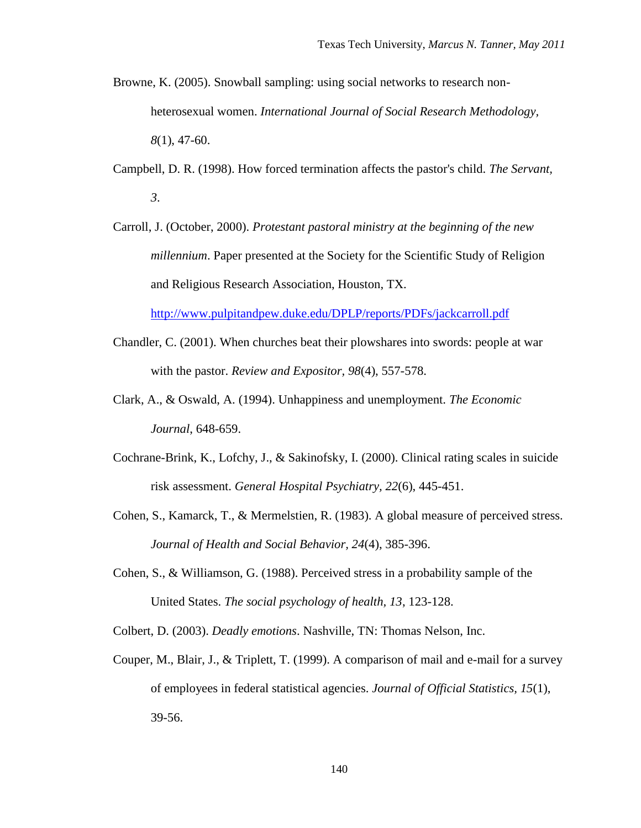- Browne, K. (2005). Snowball sampling: using social networks to research nonheterosexual women. *International Journal of Social Research Methodology, 8*(1), 47-60.
- Campbell, D. R. (1998). How forced termination affects the pastor's child. *The Servant, 3*.
- Carroll, J. (October, 2000). *Protestant pastoral ministry at the beginning of the new millennium*. Paper presented at the Society for the Scientific Study of Religion and Religious Research Association, Houston, TX.

<http://www.pulpitandpew.duke.edu/DPLP/reports/PDFs/jackcarroll.pdf>

- Chandler, C. (2001). When churches beat their plowshares into swords: people at war with the pastor. *Review and Expositor, 98*(4), 557-578.
- Clark, A., & Oswald, A. (1994). Unhappiness and unemployment. *The Economic Journal*, 648-659.
- Cochrane-Brink, K., Lofchy, J., & Sakinofsky, I. (2000). Clinical rating scales in suicide risk assessment. *General Hospital Psychiatry, 22*(6), 445-451.
- Cohen, S., Kamarck, T., & Mermelstien, R. (1983). A global measure of perceived stress. *Journal of Health and Social Behavior, 24*(4), 385-396.
- Cohen, S., & Williamson, G. (1988). Perceived stress in a probability sample of the United States. *The social psychology of health, 13*, 123-128.
- Colbert, D. (2003). *Deadly emotions*. Nashville, TN: Thomas Nelson, Inc.
- Couper, M., Blair, J., & Triplett, T. (1999). A comparison of mail and e-mail for a survey of employees in federal statistical agencies. *Journal of Official Statistics, 15*(1), 39-56.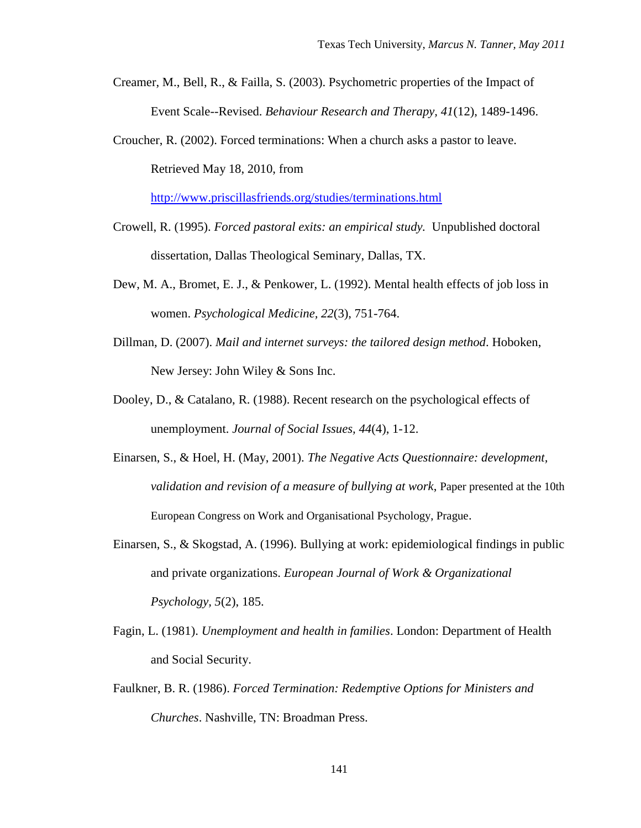- Creamer, M., Bell, R., & Failla, S. (2003). Psychometric properties of the Impact of Event Scale--Revised. *Behaviour Research and Therapy, 41*(12), 1489-1496.
- Croucher, R. (2002). Forced terminations: When a church asks a pastor to leave. Retrieved May 18, 2010, from

<http://www.priscillasfriends.org/studies/terminations.html>

- Crowell, R. (1995). *Forced pastoral exits: an empirical study.* Unpublished doctoral dissertation, Dallas Theological Seminary, Dallas, TX.
- Dew, M. A., Bromet, E. J., & Penkower, L. (1992). Mental health effects of job loss in women. *Psychological Medicine, 22*(3), 751-764.
- Dillman, D. (2007). *Mail and internet surveys: the tailored design method*. Hoboken, New Jersey: John Wiley & Sons Inc.
- Dooley, D., & Catalano, R. (1988). Recent research on the psychological effects of unemployment. *Journal of Social Issues, 44*(4), 1-12.
- Einarsen, S., & Hoel, H. (May, 2001). *The Negative Acts Questionnaire: development, validation and revision of a measure of bullying at work*, Paper presented at the 10th European Congress on Work and Organisational Psychology, Prague.
- Einarsen, S., & Skogstad, A. (1996). Bullying at work: epidemiological findings in public and private organizations. *European Journal of Work & Organizational Psychology, 5*(2), 185.
- Fagin, L. (1981). *Unemployment and health in families*. London: Department of Health and Social Security.
- Faulkner, B. R. (1986). *Forced Termination: Redemptive Options for Ministers and Churches*. Nashville, TN: Broadman Press.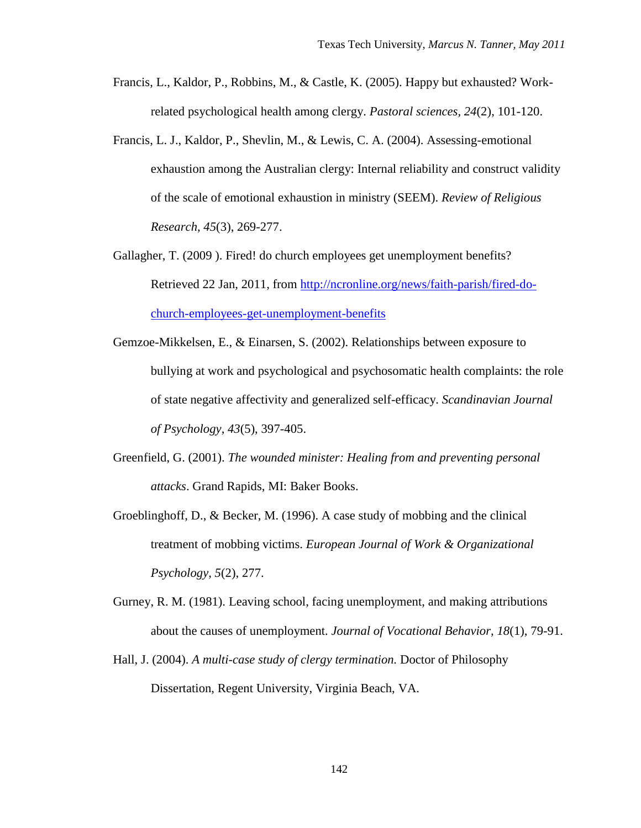- Francis, L., Kaldor, P., Robbins, M., & Castle, K. (2005). Happy but exhausted? Workrelated psychological health among clergy. *Pastoral sciences, 24*(2), 101-120.
- Francis, L. J., Kaldor, P., Shevlin, M., & Lewis, C. A. (2004). Assessing-emotional exhaustion among the Australian clergy: Internal reliability and construct validity of the scale of emotional exhaustion in ministry (SEEM). *Review of Religious Research, 45*(3), 269-277.
- Gallagher, T. (2009 ). Fired! do church employees get unemployment benefits? Retrieved 22 Jan, 2011, from [http://ncronline.org/news/faith-parish/fired-do](http://ncronline.org/news/faith-parish/fired-do-church-employees-get-unemployment-benefits)[church-employees-get-unemployment-benefits](http://ncronline.org/news/faith-parish/fired-do-church-employees-get-unemployment-benefits)
- Gemzoe-Mikkelsen, E., & Einarsen, S. (2002). Relationships between exposure to bullying at work and psychological and psychosomatic health complaints: the role of state negative affectivity and generalized self-efficacy. *Scandinavian Journal of Psychology, 43*(5), 397-405.
- Greenfield, G. (2001). *The wounded minister: Healing from and preventing personal attacks*. Grand Rapids, MI: Baker Books.
- Groeblinghoff, D., & Becker, M. (1996). A case study of mobbing and the clinical treatment of mobbing victims. *European Journal of Work & Organizational Psychology, 5*(2), 277.
- Gurney, R. M. (1981). Leaving school, facing unemployment, and making attributions about the causes of unemployment. *Journal of Vocational Behavior, 18*(1), 79-91.
- Hall, J. (2004). *A multi-case study of clergy termination.* Doctor of Philosophy Dissertation, Regent University, Virginia Beach, VA.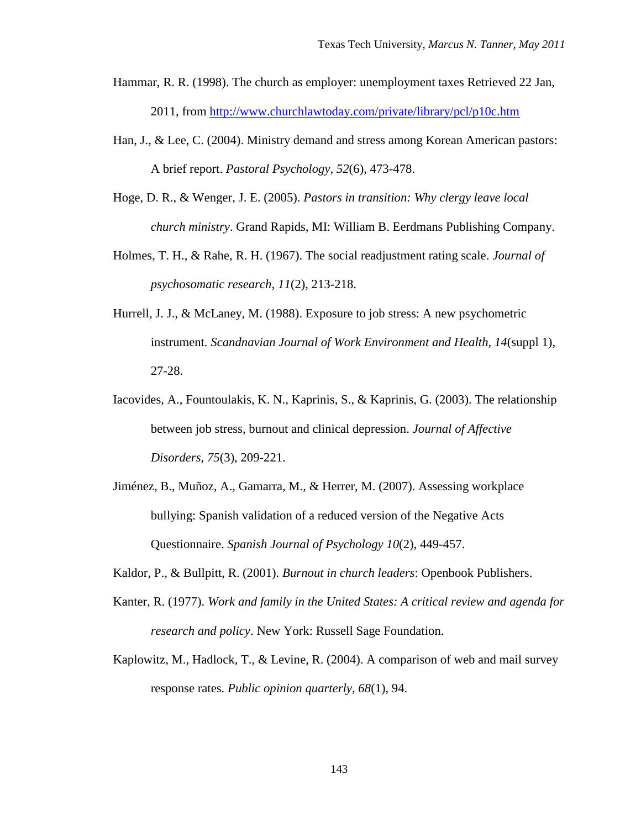- Hammar, R. R. (1998). The church as employer: unemployment taxes Retrieved 22 Jan, 2011, from<http://www.churchlawtoday.com/private/library/pcl/p10c.htm>
- Han, J., & Lee, C. (2004). Ministry demand and stress among Korean American pastors: A brief report. *Pastoral Psychology, 52*(6), 473-478.
- Hoge, D. R., & Wenger, J. E. (2005). *Pastors in transition: Why clergy leave local church ministry*. Grand Rapids, MI: William B. Eerdmans Publishing Company.
- Holmes, T. H., & Rahe, R. H. (1967). The social readjustment rating scale. *Journal of psychosomatic research, 11*(2), 213-218.
- Hurrell, J. J., & McLaney, M. (1988). Exposure to job stress: A new psychometric instrument. *Scandnavian Journal of Work Environment and Health, 14*(suppl 1), 27-28.
- Iacovides, A., Fountoulakis, K. N., Kaprinis, S., & Kaprinis, G. (2003). The relationship between job stress, burnout and clinical depression. *Journal of Affective Disorders, 75*(3), 209-221.
- Jiménez, B., Muñoz, A., Gamarra, M., & Herrer, M. (2007). Assessing workplace bullying: Spanish validation of a reduced version of the Negative Acts Questionnaire. *Spanish Journal of Psychology 10*(2), 449-457.
- Kaldor, P., & Bullpitt, R. (2001). *Burnout in church leaders*: Openbook Publishers.
- Kanter, R. (1977). *Work and family in the United States: A critical review and agenda for research and policy*. New York: Russell Sage Foundation.
- Kaplowitz, M., Hadlock, T., & Levine, R. (2004). A comparison of web and mail survey response rates. *Public opinion quarterly, 68*(1), 94.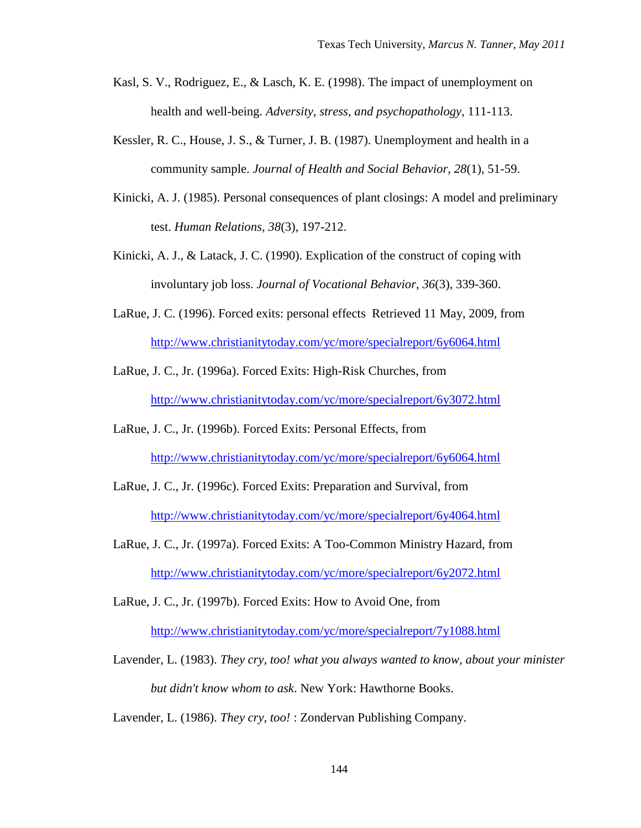- Kasl, S. V., Rodriguez, E., & Lasch, K. E. (1998). The impact of unemployment on health and well-being. *Adversity, stress, and psychopathology*, 111-113.
- Kessler, R. C., House, J. S., & Turner, J. B. (1987). Unemployment and health in a community sample. *Journal of Health and Social Behavior, 28*(1), 51-59.
- Kinicki, A. J. (1985). Personal consequences of plant closings: A model and preliminary test. *Human Relations, 38*(3), 197-212.
- Kinicki, A. J., & Latack, J. C. (1990). Explication of the construct of coping with involuntary job loss. *Journal of Vocational Behavior, 36*(3), 339-360.
- LaRue, J. C. (1996). Forced exits: personal effects Retrieved 11 May, 2009, from <http://www.christianitytoday.com/yc/more/specialreport/6y6064.html>
- LaRue, J. C., Jr. (1996a). Forced Exits: High-Risk Churches, from <http://www.christianitytoday.com/yc/more/specialreport/6y3072.html>
- LaRue, J. C., Jr. (1996b). Forced Exits: Personal Effects, from <http://www.christianitytoday.com/yc/more/specialreport/6y6064.html>
- LaRue, J. C., Jr. (1996c). Forced Exits: Preparation and Survival, from <http://www.christianitytoday.com/yc/more/specialreport/6y4064.html>
- LaRue, J. C., Jr. (1997a). Forced Exits: A Too-Common Ministry Hazard, from <http://www.christianitytoday.com/yc/more/specialreport/6y2072.html>

LaRue, J. C., Jr. (1997b). Forced Exits: How to Avoid One, from <http://www.christianitytoday.com/yc/more/specialreport/7y1088.html>

Lavender, L. (1983). *They cry, too! what you always wanted to know, about your minister but didn't know whom to ask*. New York: Hawthorne Books.

Lavender, L. (1986). *They cry, too!* : Zondervan Publishing Company.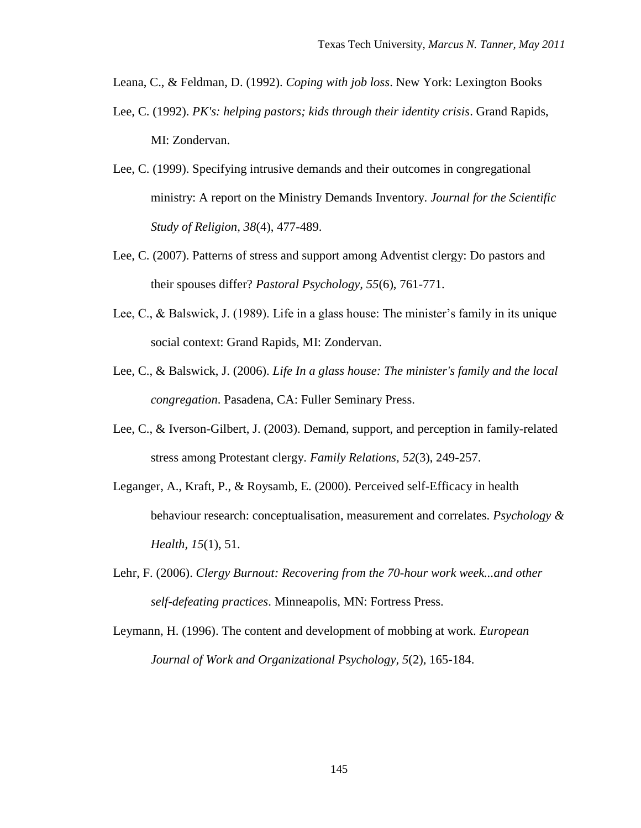Leana, C., & Feldman, D. (1992). *Coping with job loss*. New York: Lexington Books

- Lee, C. (1992). *PK's: helping pastors; kids through their identity crisis*. Grand Rapids, MI: Zondervan.
- Lee, C. (1999). Specifying intrusive demands and their outcomes in congregational ministry: A report on the Ministry Demands Inventory. *Journal for the Scientific Study of Religion, 38*(4), 477-489.
- Lee, C. (2007). Patterns of stress and support among Adventist clergy: Do pastors and their spouses differ? *Pastoral Psychology, 55*(6), 761-771.
- Lee, C., & Balswick, J. (1989). Life in a glass house: The minister's family in its unique social context: Grand Rapids, MI: Zondervan.
- Lee, C., & Balswick, J. (2006). *Life In a glass house: The minister's family and the local congregation*. Pasadena, CA: Fuller Seminary Press.
- Lee, C., & Iverson-Gilbert, J. (2003). Demand, support, and perception in family-related stress among Protestant clergy. *Family Relations, 52*(3), 249-257.
- Leganger, A., Kraft, P., & Roysamb, E. (2000). Perceived self-Efficacy in health behaviour research: conceptualisation, measurement and correlates. *Psychology & Health, 15*(1), 51.
- Lehr, F. (2006). *Clergy Burnout: Recovering from the 70-hour work week...and other self-defeating practices*. Minneapolis, MN: Fortress Press.
- Leymann, H. (1996). The content and development of mobbing at work. *European Journal of Work and Organizational Psychology, 5*(2), 165-184.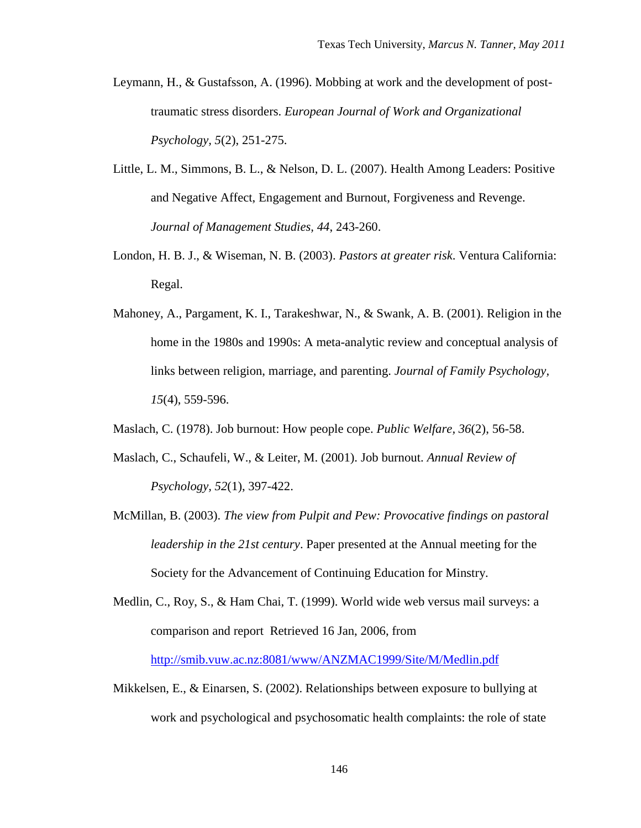- Leymann, H., & Gustafsson, A. (1996). Mobbing at work and the development of posttraumatic stress disorders. *European Journal of Work and Organizational Psychology, 5*(2), 251-275.
- Little, L. M., Simmons, B. L., & Nelson, D. L. (2007). Health Among Leaders: Positive and Negative Affect, Engagement and Burnout, Forgiveness and Revenge. *Journal of Management Studies, 44*, 243-260.
- London, H. B. J., & Wiseman, N. B. (2003). *Pastors at greater risk*. Ventura California: Regal.
- Mahoney, A., Pargament, K. I., Tarakeshwar, N., & Swank, A. B. (2001). Religion in the home in the 1980s and 1990s: A meta-analytic review and conceptual analysis of links between religion, marriage, and parenting. *Journal of Family Psychology, 15*(4), 559-596.
- Maslach, C. (1978). Job burnout: How people cope. *Public Welfare, 36*(2), 56-58.
- Maslach, C., Schaufeli, W., & Leiter, M. (2001). Job burnout. *Annual Review of Psychology, 52*(1), 397-422.
- McMillan, B. (2003). *The view from Pulpit and Pew: Provocative findings on pastoral leadership in the 21st century*. Paper presented at the Annual meeting for the Society for the Advancement of Continuing Education for Minstry.
- Medlin, C., Roy, S., & Ham Chai, T. (1999). World wide web versus mail surveys: a comparison and report Retrieved 16 Jan, 2006, from

<http://smib.vuw.ac.nz:8081/www/ANZMAC1999/Site/M/Medlin.pdf>

Mikkelsen, E., & Einarsen, S. (2002). Relationships between exposure to bullying at work and psychological and psychosomatic health complaints: the role of state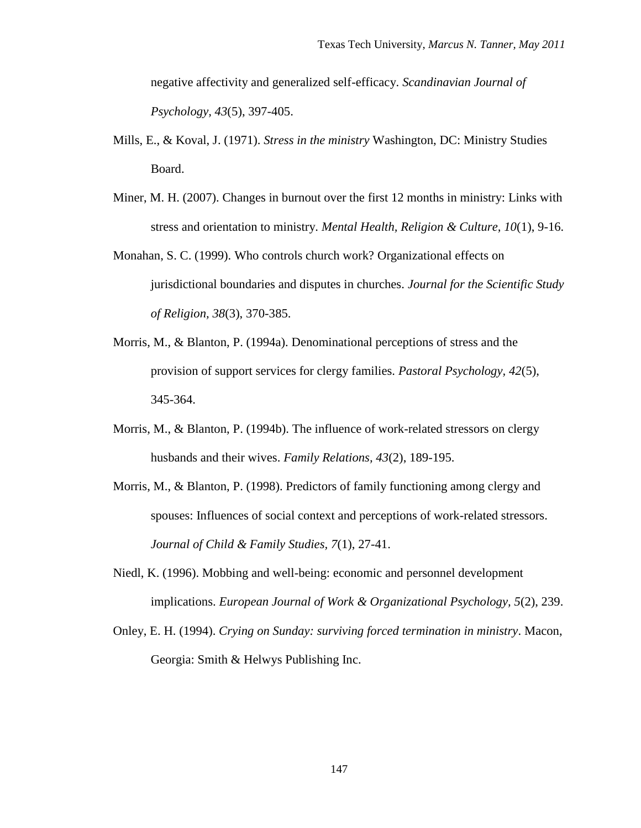negative affectivity and generalized self-efficacy. *Scandinavian Journal of Psychology, 43*(5), 397-405.

- Mills, E., & Koval, J. (1971). *Stress in the ministry* Washington, DC: Ministry Studies Board.
- Miner, M. H. (2007). Changes in burnout over the first 12 months in ministry: Links with stress and orientation to ministry. *Mental Health, Religion & Culture, 10*(1), 9-16.
- Monahan, S. C. (1999). Who controls church work? Organizational effects on jurisdictional boundaries and disputes in churches. *Journal for the Scientific Study of Religion, 38*(3), 370-385.
- Morris, M., & Blanton, P. (1994a). Denominational perceptions of stress and the provision of support services for clergy families. *Pastoral Psychology, 42*(5), 345-364.
- Morris, M., & Blanton, P. (1994b). The influence of work-related stressors on clergy husbands and their wives. *Family Relations, 43*(2), 189-195.
- Morris, M., & Blanton, P. (1998). Predictors of family functioning among clergy and spouses: Influences of social context and perceptions of work-related stressors. *Journal of Child & Family Studies, 7*(1), 27-41.
- Niedl, K. (1996). Mobbing and well-being: economic and personnel development implications. *European Journal of Work & Organizational Psychology, 5*(2), 239.
- Onley, E. H. (1994). *Crying on Sunday: surviving forced termination in ministry*. Macon, Georgia: Smith & Helwys Publishing Inc.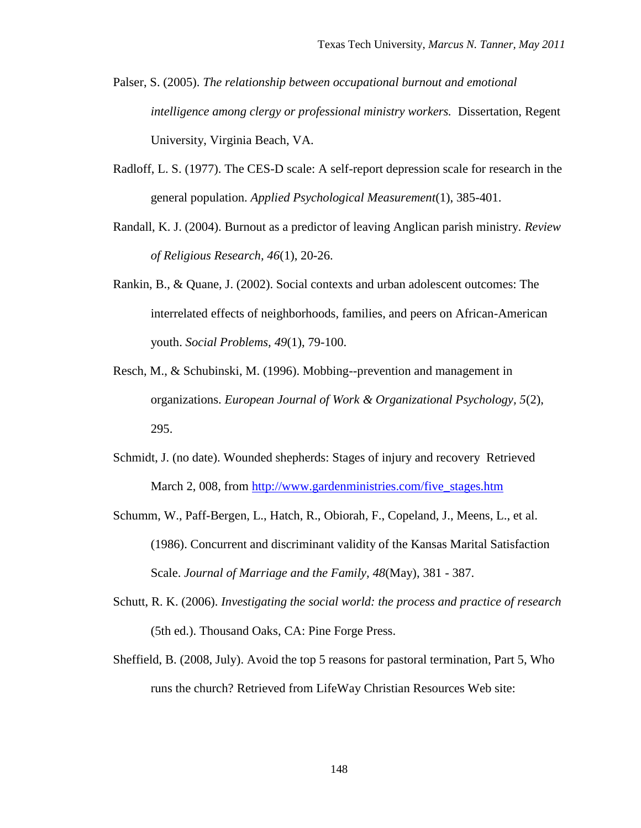- Palser, S. (2005). *The relationship between occupational burnout and emotional intelligence among clergy or professional ministry workers.* Dissertation, Regent University, Virginia Beach, VA.
- Radloff, L. S. (1977). The CES-D scale: A self-report depression scale for research in the general population. *Applied Psychological Measurement*(1), 385-401.
- Randall, K. J. (2004). Burnout as a predictor of leaving Anglican parish ministry. *Review of Religious Research, 46*(1), 20-26.
- Rankin, B., & Quane, J. (2002). Social contexts and urban adolescent outcomes: The interrelated effects of neighborhoods, families, and peers on African-American youth. *Social Problems, 49*(1), 79-100.
- Resch, M., & Schubinski, M. (1996). Mobbing--prevention and management in organizations. *European Journal of Work & Organizational Psychology, 5*(2), 295.
- Schmidt, J. (no date). Wounded shepherds: Stages of injury and recovery Retrieved March 2, 008, from [http://www.gardenministries.com/five\\_stages.htm](http://www.gardenministries.com/five_stages.htm)
- Schumm, W., Paff-Bergen, L., Hatch, R., Obiorah, F., Copeland, J., Meens, L., et al. (1986). Concurrent and discriminant validity of the Kansas Marital Satisfaction Scale. *Journal of Marriage and the Family, 48*(May), 381 - 387.
- Schutt, R. K. (2006). *Investigating the social world: the process and practice of research* (5th ed.). Thousand Oaks, CA: Pine Forge Press.
- Sheffield, B. (2008, July). Avoid the top 5 reasons for pastoral termination, Part 5, Who runs the church? Retrieved from LifeWay Christian Resources Web site: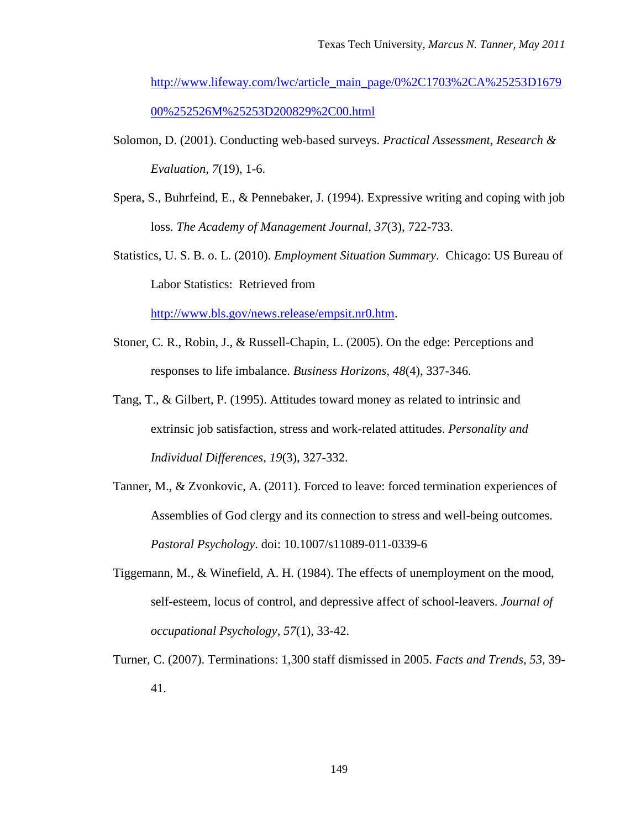[http://www.lifeway.com/lwc/article\\_main\\_page/0%2C1703%2CA%25253D1679](http://www.lifeway.com/lwc/article_main_page/0%2C1703%2CA%25253D167900%252526M%25253D200829%2C00.html) [00%252526M%25253D200829%2C00.html](http://www.lifeway.com/lwc/article_main_page/0%2C1703%2CA%25253D167900%252526M%25253D200829%2C00.html)

- Solomon, D. (2001). Conducting web-based surveys. *Practical Assessment, Research & Evaluation, 7*(19), 1-6.
- Spera, S., Buhrfeind, E., & Pennebaker, J. (1994). Expressive writing and coping with job loss. *The Academy of Management Journal, 37*(3), 722-733.
- Statistics, U. S. B. o. L. (2010). *Employment Situation Summary*. Chicago: US Bureau of Labor Statistics: Retrieved from

[http://www.bls.gov/news.release/empsit.nr0.htm.](http://www.bls.gov/news.release/empsit.nr0.htm)

- Stoner, C. R., Robin, J., & Russell-Chapin, L. (2005). On the edge: Perceptions and responses to life imbalance. *Business Horizons, 48*(4), 337-346.
- Tang, T., & Gilbert, P. (1995). Attitudes toward money as related to intrinsic and extrinsic job satisfaction, stress and work-related attitudes. *Personality and Individual Differences, 19*(3), 327-332.
- Tanner, M., & Zvonkovic, A. (2011). Forced to leave: forced termination experiences of Assemblies of God clergy and its connection to stress and well-being outcomes. *Pastoral Psychology*. doi: 10.1007/s11089-011-0339-6
- Tiggemann, M., & Winefield, A. H. (1984). The effects of unemployment on the mood, self-esteem, locus of control, and depressive affect of school-leavers. *Journal of occupational Psychology, 57*(1), 33-42.
- Turner, C. (2007). Terminations: 1,300 staff dismissed in 2005. *Facts and Trends, 53,* 39- 41.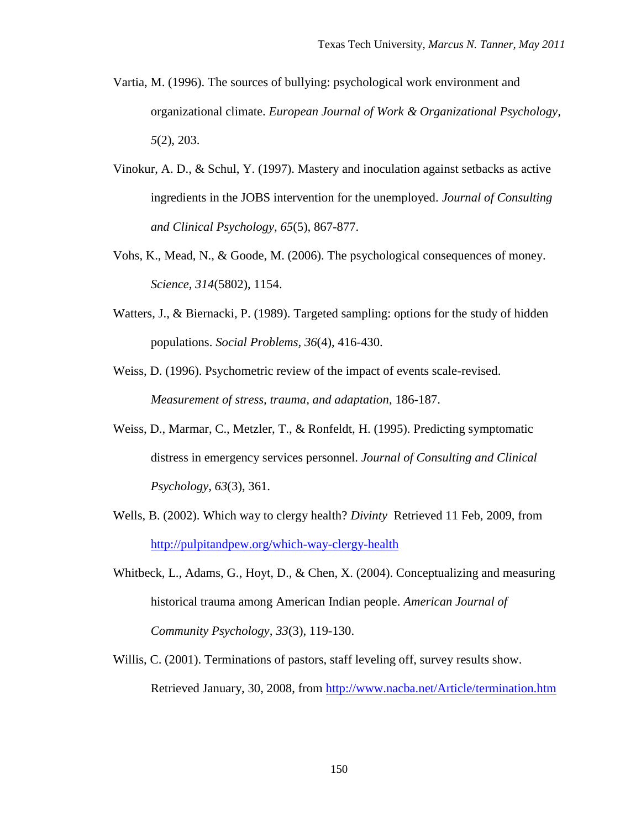- Vartia, M. (1996). The sources of bullying: psychological work environment and organizational climate. *European Journal of Work & Organizational Psychology, 5*(2), 203.
- Vinokur, A. D., & Schul, Y. (1997). Mastery and inoculation against setbacks as active ingredients in the JOBS intervention for the unemployed. *Journal of Consulting and Clinical Psychology, 65*(5), 867-877.
- Vohs, K., Mead, N., & Goode, M. (2006). The psychological consequences of money. *Science, 314*(5802), 1154.
- Watters, J., & Biernacki, P. (1989). Targeted sampling: options for the study of hidden populations. *Social Problems, 36*(4), 416-430.
- Weiss, D. (1996). Psychometric review of the impact of events scale-revised. *Measurement of stress, trauma, and adaptation*, 186-187.
- Weiss, D., Marmar, C., Metzler, T., & Ronfeldt, H. (1995). Predicting symptomatic distress in emergency services personnel. *Journal of Consulting and Clinical Psychology, 63*(3), 361.
- Wells, B. (2002). Which way to clergy health? *Divinty* Retrieved 11 Feb, 2009, from <http://pulpitandpew.org/which-way-clergy-health>
- Whitbeck, L., Adams, G., Hoyt, D., & Chen, X. (2004). Conceptualizing and measuring historical trauma among American Indian people. *American Journal of Community Psychology, 33*(3), 119-130.
- Willis, C. (2001). Terminations of pastors, staff leveling off, survey results show. Retrieved January, 30, 2008, from<http://www.nacba.net/Article/termination.htm>